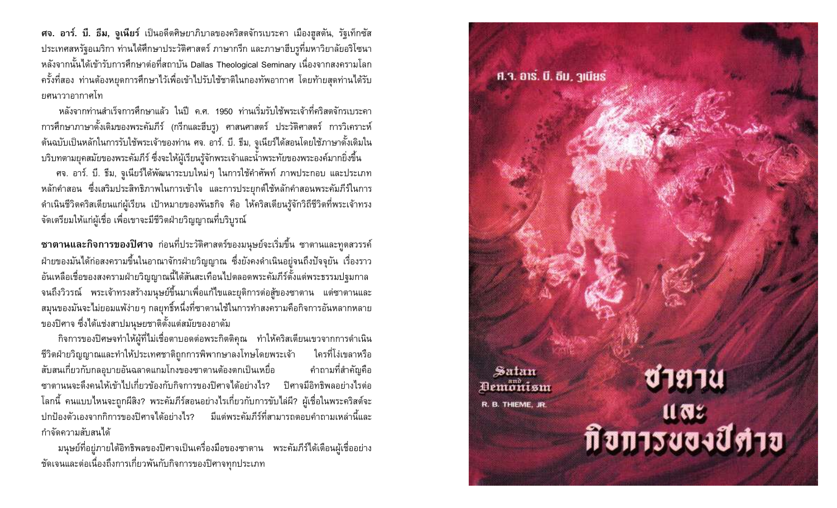ศจ. อาร์. บี. ธีม, จูเนียร์ เป็นอดีตศิษยาภิบาลของคริสตจักรเบระคา เมืองฮูสตัน, รัฐเท็กซัส ประเทศสหรัฐอเมริกา ท่านได้ศึกษาประวัติศาสตร์ ภาษากรีก และภาษาฮีบรูที่มหาวิยาลัยอริโซนา หลังจากนั้นได้เข้ารับการศึกษาต่อที่สถาบัน Dallas Theological Seminary เนื่องจากสงครามโลก ้ครั้งที่สอง ท่านต้องหยุดการศึกษาไว้เพื่อเข้าไปรับใช้ชาติในกองทัพอากาศ โดยท้ายสุดท่านได้รับ ยศนาวาอากาศโท

ิหลังจากท่านสำเร็จการศึกษาแล้ว ในปี ค.ศ. 1950 ท่านเริ่มรับใช้พระเจ้าที่คริสตจักรเบระคา การศึกษาภาษาดั้งเดิมของพระคัมภีร์ (กรีกและฮีบรู) ศาสนศาสตร์ ประวัติศาสตร์ การวิเคราะห์ ้ต้นฉบับเป็นหลักในการรับใช้พระเจ้าของท่าน ศจ. อาร์. บี. ธีม, จูเนียร์ได้สอนโดยใช้ภาษาดั้งเดิมใน บริบทตามยุคสมัยของพระคัมภีร์ ซึ่งจะให้ผู้เรียนรู้จักพระเจ้าและน้ำพระทัยของพระองค์มากยิ่งขึ้น

ศจ. อาร์. บี. ธีม, จูเนียร์ได้พัฒนาระบบใหม่ๆ ในการใช้คำศัพท์ ภาพประกอบ และประเภท หลักคำสอน ซึ่งเสริมประสิทธิภาพในการเข้าใจ และการประยุกต์ใช้หลักคำสอนพระคัมภีร์ในการ ้ดำเนินชีวิตคริสเตียนแก่ผู้เรียน เป้าหมายของพันธกิจ คือ ให้คริสเตียนรู้จักวิถีชีวิตที่พระเจ้าทรง ้จัดเตรียมให้แก่ผู้เชื่อ เพื่อเขาจะมีชีวิตฝ่ายวิญญาณที่บริบูรณ์

ี ซาตานและกิจการของปิศาจ ก่อนที่ประวัติศาสตร์ของมนุษย์จะเริ่มขึ้น ซาตานและทูตสวรรค์ ฝ่ายของมันได้ก่อสงครามขึ้นในอาณาจักรฝ่ายวิญญาณ ซึ่งยังคงดำเนินอยู่จนถึงปัจจุยัน เรื่องราว อันเหลือเชื่อของสงครามฝ่ายวิญญาณนี้ได้สันสะเทือนไปตลอดพระคัมภีร์ตั้งแต่พระธรรมปฐมกาล จนถึงวิวรณ์ พระเจ้าทรงสร้างมนุษย์ขึ้นมาเพื่อแก้ไขและยุติการต่อสู้ของซาตาน แต่ซาตานและ ้สมุนของมันจะไม่ยอมแพ้ง่ายๆ กลยุทธิ์หนึ่งที่ซาตานใช้ในการทำสงครามคือกิจการอันหลากหลาย ของปิศาจ ซึ่งได้แช่งสาปมนุษยชาติตั้งแต่สมัยของอาดัม

้กิจการของปิศษจทำให้ผู้ที่ไม่เชื่อตาบอดต่อพระกิตติคุณ ทำให้คริสเตียนเขวจากการดำเนิน ชีวิตฝ่ายวิญญาณและทำให้ประเทศชาติถูกการพิพากษาลงโทษโดยพระเจ้า ใครที่โง่เขลาหรือ สับสนเกี่ยวกับกลอุบายอันฉลาดแกมโกงของซาตานต้องตกเป็นเหยื่อ คำถามที่สำคัญคือ ชาตานนจะดึงคนให้เข้าไปเกี่ยวข้องกับกิจการของปิศาจได้อย่างไร? ปิศาจมีอิทธิพลอย่างไรต่อ โลกนี้ คนแบบไหนจะถูกผีสิง? พระคัมภีร์สอนอย่างไรเกี่ยวกับการขับไล่ผี? ผู้เชื่อในพระคริสต์จะ ้ ปกป้องตัวเองจากกิการของปิศาจได้อย่างไร? มีแต่พระคัมภีร์ที่สามารถตอบคำถามเหล่านี้และ กำจัดความสับสนได้

มนุษย์ที่อยู่ภายใต้อิทธิพลของปิศาจเป็นเครื่องมือของซาตาน พระคัมภีร์ได้เตือนผู้เชื่ออย่าง ชัดเจนและต่อเนื่องถึงการเกี่ยวพันกับกิจการของปิศาจทุกประเภท

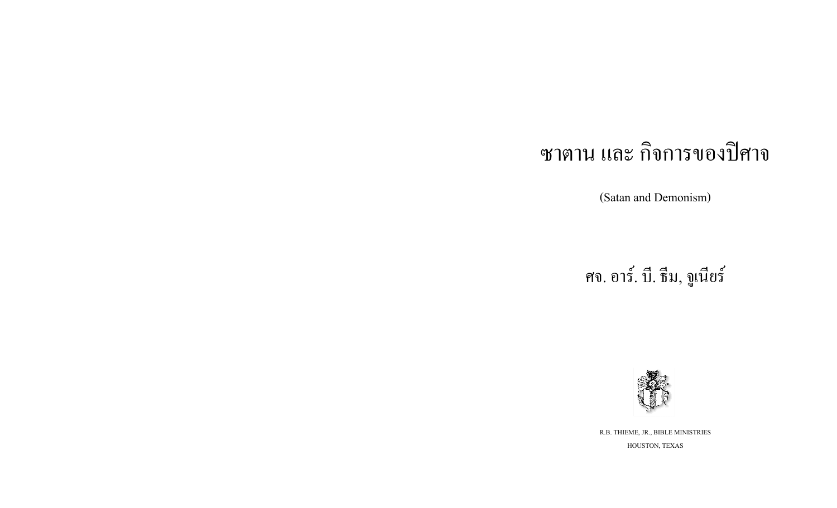# ี ซาตาน และ กิจการของปิศาจ

(Satan and Demonism)

ศจ. อาร์. บี. ธีม, จูเนียร์



R.B. THIEME, JR., BIBLE MINISTRIES HOUSTON, TEXAS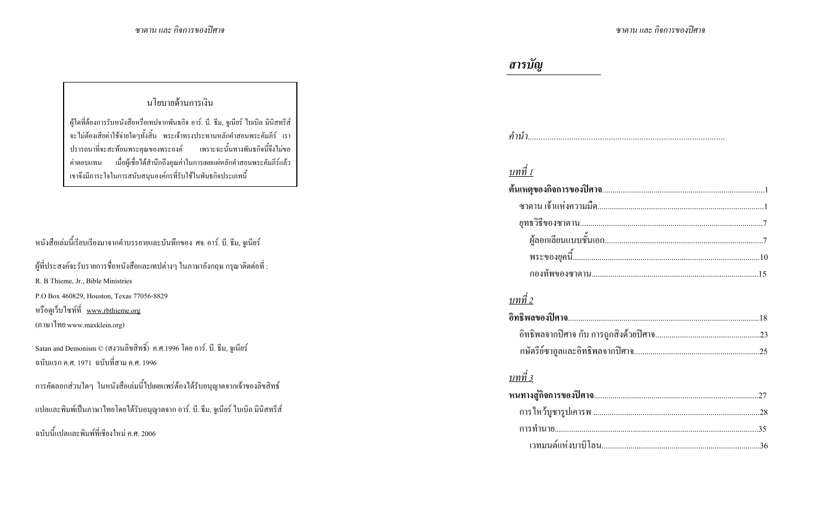## นโยบายด้านการเงิน

ผู้ใดที่ต้องการรับหนังสือหรือเทปจากพันธกิจ อาร์. บี. ธีม, จูเนียร์ ไบเบิล มินิสทรีส์ จะไม่ต้องเสียค่าใช้จ่ายใดๆทั้งสิ้น พระเจ้าทรงประทานหลักคำสอนพระคัมภีร์ เรา ปรารถนาที่จะสะท้อนพระคุณของพระองค์ เพราะฉะนั้นทางพันธกิจนี้จึงไม่ขอ ้ค่าตอบแทน เมื่อผู้เชื่อได้สำนึกถึงคุณค่าในการเผยแผ่หลักคำสอนพระคัมภีร์แล้ว เขาจึงมีภาระใจในการสนับสนุนองค์กรที่รับใช้ในพันธกิจประเภทนี้

# หนังสือเล่มนี้เรียบเรียงมาจากคำบรรยายและบันทึกของ ศจ. อาร์. บี. ธีม, จูเนียร์

| ผู้ที่ประสงค์จะรับรายการชื่อหนังสือและเทปต่างๆ ในภาษาอังกฤษ กรุณาติดต่อที่ : |
|------------------------------------------------------------------------------|
| R. B Thieme, Jr., Bible Ministries                                           |
| P.O Box 460829, Houston, Texas 77056-8829                                    |
| หรือดูเว็บไซท์ที่ <u>www.rbthieme.org</u>                                    |
| (ภาษาไทย www.maxklein.org)                                                   |
|                                                                              |

```
Satan and Demonism © (สงวนลิขสิทธิ์) ค.ศ.1996 โดย อาร์. บี. ธีม, จูเนียร์
ิฉบับแรก ค.ศ. 1971  ฉบับที่สาม ค.ศ. 1996
```

|  |  | ิการคัดลอกส่วนใดๆ ในหนังสือเล่มนี้ไปเผยแพร่ต้องใด้รับอนุญาตจากเจ้าของลิขสิทธ์ |  |
|--|--|-------------------------------------------------------------------------------|--|
|--|--|-------------------------------------------------------------------------------|--|

#### แปลและพิมพ์เป็นภาษาไทยโดยได้รับอนุญาตจาก อาร์. บี. ธีม, จูเนียร์ ไบเบิล มินิสทรีส์

ิ ฉบับนี้แปลและพิมพ์ที่เชียงใหม่ ค.ศ. 2006

# สารบัญ

## <u>บทที่ 1</u>

## <u>บทที่ 2</u>

## บทที่ 3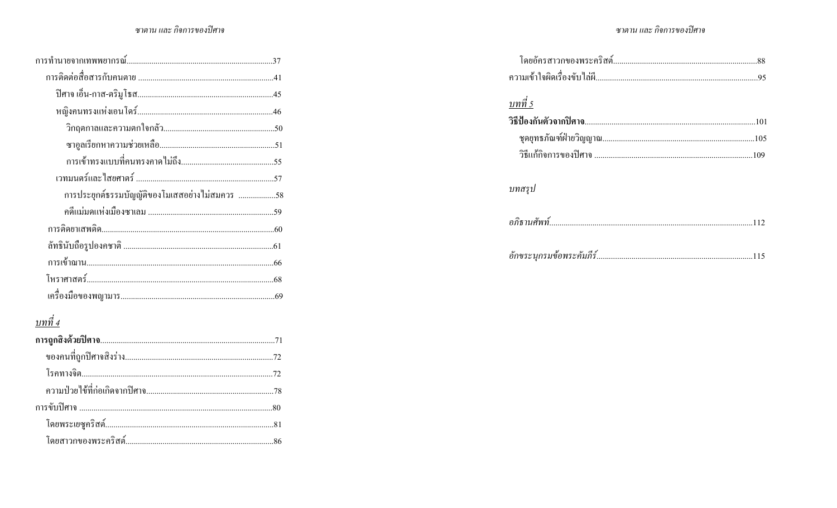#### ซาตาน และ กิจการของปิศาจ

#### ซาตาน และ กิจการของปิศาจ

| การประยุกต์ธรรมบัญญัติของโมเสสอย่างไม่สมควร 58 |
|------------------------------------------------|
|                                                |
|                                                |
|                                                |
|                                                |
|                                                |
|                                                |
| บทที่ 4                                        |
|                                                |
|                                                |
|                                                |
|                                                |
|                                                |
|                                                |
|                                                |

| บทที่ 5 |
|---------|
|         |
|         |
|         |
| บทสรุป  |
|         |
|         |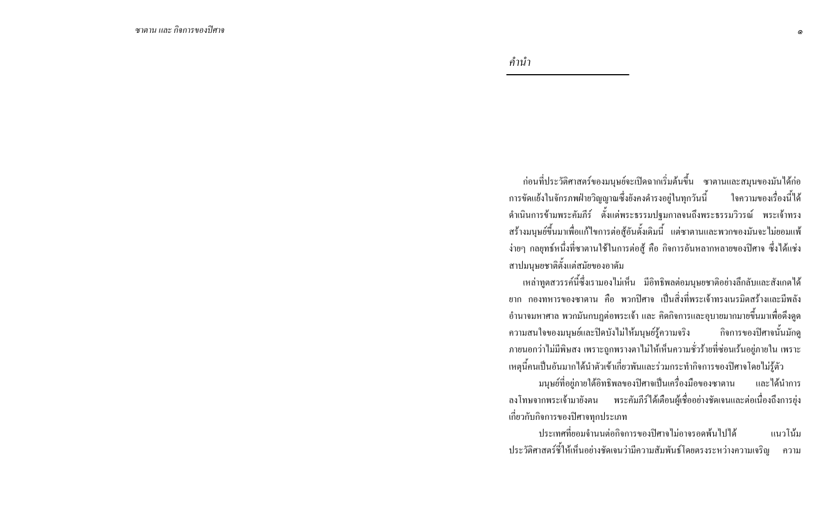คำนำ

ี ก่อนที่ประวัติศาสตร์ของมนุษย์จะเปิดฉากเริ่มต้นขึ้น ซาตานและสมุนของมันได้ก่อ ้การขัดแย้งในจักรภพฝ่ายวิญญาณซึ่งยังคงคำรงอยู่ในทุกวันนี้ ใจความของเรื่องนี้ได้ ้คำเนินการข้ามพระคัมภีร์ ตั้งแต่พระธรรมปฐมกาลจนถึงพระธรรมวิวรณ์ พระเจ้าทรง สร้างมนุษย์ขึ้นมาเพื่อแก้ไขการต่อสู้อันดั้งเดิมนี้ แต่ซาตานและพวกของมันจะไม่ยอมแพ้ ง่ายๆ กลยุทธ์หนึ่งที่ซาตานใช้ในการต่อสู้ คือ กิจการอันหลากหลายของปิศาจ ซึ่งได้แช่ง สาปมนุษยชาติตั้งแต่สมัยของอาคัม

่ เหล่าทูตสวรรค์นี้ซึ่งเรามองไม่เห็น มีอิทธิพลต่อมนุษยชาติอย่างลึกลับและสังเกตได้ ยาก กองทหารของซาตาน คือ พวกปิศาจ เป็นสิ่งที่พระเจ้าทรงเนรมิตสร้างและมีพลัง ี อำนาจมหาศาล พวกมันกบฏต่อพระเจ้า และ คิดกิจการและอุบายมากมายขึ้นมาเพื่อดึงดูด ความสนใจของมนุษย์และปิดบังไม่ให้มนุษย์รู้ความจริง กิจการของปิศาจนั้นมักค ึภายนอกว่าไม่มีพิษสง เพราะถูกพรางตาไม่ให้เห็นความชั่วร้ายที่ซ่อนเร้นอยู่ภายใน เพราะ เหตุนี้คนเป็นอันมากใด้นำตัวเข้าเกี่ยวพันและร่วมกระทำกิจการของปิศาจโดยใม่รู้ตัว

้มนุษย์ที่อยู่ภายใต้อิทธิพลของปิศาจเป็นเครื่องมือของซาตาน และได้นำการ ลงโทษจากพระเจ้ามายังตน พระคัมภีร์ได้เตือนผู้เชื่ออย่างชัดเจนและต่อเนื่องถึงการยุ่ง เกี่ยวกับกิจการของปีศาจทุกประเภท

ำไระเทศที่ยอมจำนนต่อกิจการของปิศาจไม่อาจรอดพ้นไปได้ แนวโน้ม ประวัติศาสตร์ชี้ให้เห็นอย่างชัดเจนว่ามีความสัมพันธ์โดยตรงระหว่างความเจริญ ความ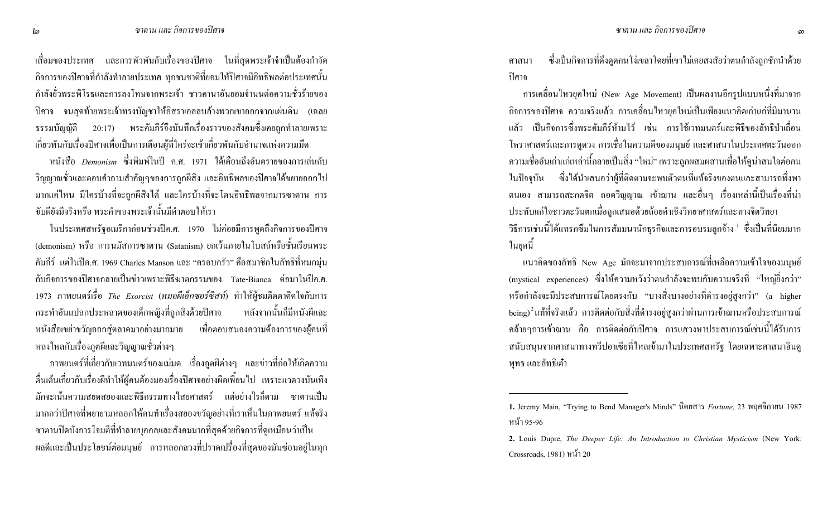ี่ เสื่อมของประเทศ และการพัวพันกับเรื่องของปีศาจ ในที่สุดพระเจ้าจำเป็นต้องกำจัด กิจการของปีศาจที่กำลังทำลายประเทศ ทุกชนชาติที่ยอมให้ปีศาจมีอิทธิพลต่อประเทศนั้น กำลังยั่วพระพิโรธและการลงโทษจากพระเจ้า ชาวคานาอันยอมจำนนต่อความชั่วร้ายของ ปิศาจ จนสุดท้ายพระเจ้าทรงบัญชาให้อิสราเอลลบล้างพวกเขาออกจากแผ่นดิน (เฉลย ธรรมบัญญัติ 20:17) พระคัมภีร์จึงบันทึกเรื่องราวของสังคมซึ่งเคยถูกทำลายเพราะ เกี่ยวพันกับเรื่องปีศาจเพื่อเป็นการเตือนผู้ที่ใคร่จะเข้าเกี่ยวพันกับอำนาจแห่งความมืด

หนังสือ *Demonism* ซึ่งพิมพ์ในปี ค.ศ. 1971 ได้เตือนถึงอันตรายของการเล่นกับ วิญญาณชั่วและตอบคำถามสำคัญๆของการถูกผีสิง และอิทธิพลของปีศาจได้ขยายออกไป มากแค่ไหน มีใครบ้างที่จะถูกผีสิงได้ และใครบ้างที่จะโดนอิทธิพลจากมารซาตาน การ ขับผียังมีจริงหรือ พระคำของพระเจ้านั้นมีคำตอบให้เรา

ในประเทศสหรัฐอเมริกาก่อนช่วงปีค.ศ. 1970 "ไม่ค่อยมีการพูดถึงกิจการของปิศาจ (demonism) หรือ การนมัสการซาตาน (Satanism) ยกเว้นภายในโบสถ์หรือชั้นเรียนพระ คัมภีร์ แต่ในปีค.ศ. 1969 Charles Manson และ "ครอบครัว" คือสมาชิกในลัทธิที่หมกมุ่น กับกิจการของปีศาจกลายเป็นข่าวเพราะพิธีฆาตกรรมของ Tate-Bianca ต่อมาในปีค.ศ. 1973 ภาพยนตร์เรื่อ *The Exorcist* (หมอผีเอ็กซอร์ซิสท์) ทำให้ผู้ชมติดตาติดใจกับการ กระทำอันแปลกประหลาคของเค็กหญิงที่ถูกสิ หลังจากนั้นก็มีหนังผีและ หนังสือเขย่าขวัญออกสู่ตลาคมาอย่างมากมาย เพื่อตอบสนองความต้องการของผู้คนที่ หลงใหลกับเรื่องภูตผีและวิญญาณชั่วต่างๆ

ภาพยนตร์ที่เกี่ยวกับเวทมนตร์ของแม่มด เรื่องภูตผีต่างๆ และข่าวที่ก่อให้เกิดความ ตื่นเต้นเกี่ยวกับเรื่องผีทำให้ผู้คนต้องมองเรื่องปีศาจอย่างผิดเพี้ยนไป เพราะแวควงบันเทิง มักจะเน้นความสยดสยองและพิธีกรรมทางไสยศาสตร์ แต่อย่างไรก็ตาม ซาตานเป็น มากกว่าปิศาจที่พยายามหลอกให้คนทำเรื่องสยองขวัญอย่างที่เราเห็นในภาพยนตร์ แท้จริง ซาตานปิดบังการโจมตีที่ทำลายบุคคลและสังคมมากที่สุดค้วยกิจการที่ดูเหมือนว่าเป็น ผลดีและเป็นประโยชน์ต่อมนุษย์ การหลอกลวงที่ปราดเปรื่องที่สุดของมันซ่อนอยู่ในทุก

ิศาสนา า ซึ่งเป็นกิจการที่ดึงดูดคนโง่เขลาโดยที่เขาไม่เคยสงสัยว่าตนกำลังถูกซักนำด้วย ปิศาจ

ี การเคลื่อนไหวยุคใหม่ (New Age Movement) เป็นผลงานอีกรูปแบบหนึ่งที่มาจาก กิจการของปิศาจ ความจริงแล้ว การเคลื่อนใหวยุคใหม่เป็นเพียงแนวคิดเก่าแก่ที่มีมานาน แล้ว เป็นกิจการซึ่งพระคัมภีร์ห้ามไว้ เช่น การใช้เวทมนตร์และพิธีของลัทธิป่าเถื่อน โหราศาสตร์และการดูดวง การเชื่อในความดีของมนุษย์ และศาสนาในประเทศตะวันออก ความเชื่ออันเก่าแก่เหล่านี้กลายเป็นสิ่ง "ใหม่" เพราะถูกผสมผสานเพื่อให้ดูน่าสนใจต่อคน ในปัจจุบัน ซึ่งได้นำเสนอว่าผู้ที่ติดตามจะพบตัวตนที่แท้จริงของตนและสามารถพึ่งพา ตนเอง สามารถสะกดจิต ถอดวิญญาณ เข้าฌาน และอื่นๆ เรื่องเหล่านี้เป็นเรื่องที่น่า ประทับแก่ใจชาวตะวันตกเมื่อถูกเสนอด้วยถ้อยคำเชิงวิทยาศาสตร์และทางจิตวิทยา วิธีการเช่นนี้ได้แทรกซึมในการสัมมนานักธุรกิจและการอบรมลูกจ้าง <sup>เ</sup> ซึ่งเป็นที่นิยมมาก ในยุคนี้

แนวกิดของลัทธิ New Age มักจะมาจากประสบการณ์ที่เหลือความเข้าใจของมนุษย์ (mystical experiences) ซึ่งให้ความหวังว่าตนกำลังจะพบกับความจริงที่ "ใหญ่ยิ่งกว่า" หรือกำลังจะมีประสบการณ์โดยตรงกับ "บางสิ่งบางอย่างที่คำรงอยู่สูงกว่า" (a higher being) $^2$ แท้ที่จริงแล้ว การติดต่อกับสิ่งที่ดำรงอยู่สูงกว่าผ่านการเข้าฌานหรือประสบการณ์ คล้ายๆการเข้าฌาน คือ การติดต่อกับปิศาจ การแสวงหาประสบการณ์เช่นนี้ได้รับการ สนับสนุนจากศาสนาทางทวีปอาเซียที่ไหลเข้ามาในประเทศสหรัฐ โดยเฉพาะศาสนาฮินดู พุทธ และลัทธิเต๋า

<sup>1.</sup> Jeremy Main, "Trying to Bend Manager's Minds" นิตยสาร *Fortune*, 23 พฤศจิกายน 1987 หน้า 95-96

**<sup>2.</sup>** Louis Dupre, *The Deeper Life: An Introduction to Christian Mysticism* (New York: Crossroads,  $1981$ ) หน้า 20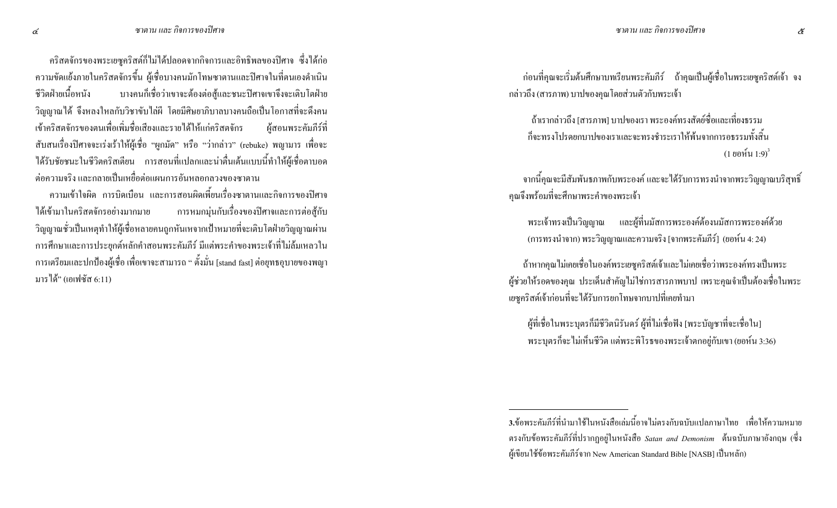ิ คริสตจักรของพระเยซูคริสต์ก็ไม่ได้ปลอดจากกิจการและอิทธิพลของปิศาจ ซึ่งได้ก่อ ี ความขัดแย้งภายในคริสตจักรขึ้น ผู้เชื่อบางคนมักโทษซาตานและปิศาจในที่ตนเองคำเนิน ชีวิตฝ่ายเนื้อหนัง บางคนก็เชื่อว่าเขาจะต้องต่อสู้และชนะปิศาจเขาจึงจะเติบโตฝ่าย วิญญาณใด้ จึงหลงใหลกับวิชาขับไล่ผี โดยมีศิษยาภิบาลบางคนถือเป็นโอกาสที่จะดึงคน เข้าคริสตจักรของตนเพื่อเพิ่มชื่อเสียงและรายใด้ให้แก่คริสตจักร ผู้สอนพระคัมกีร์ที่ ี สับสนเรื่องปีศาจจะเร่งเร้าให้ผู้เชื้อ "ผูกมัด" หรือ "ว่ากล่าว" (rebuke) พญามาร เพื่อจะ ได้รับชัยชนะในชีวิตคริสเตียน การสอนที่แปลกและน่าตื่นเต้นแบบนี้ทำให้ผู้เชื่อตาบอด ี่ ต่อความจริง และกลายเป็นเหยื่อต่อแผนการอันหลอกลวงของซาตาน

้ความเข้าใจผิด การบิดเบื้อน และการสอนผิดเพี้ยนเรื่องซาตานและกิจการของปิศาจ การหมกมุ่นกับเรื่องของปิศาจและการต่อสู้กับ ได้เข้ามาในคริสตจักรอย่างมากมาย วิญญาณชั่วเป็นเหตุทำให้ผู้เชื่อหลายคนถูกหันเหจากเป้าหมายที่จะเติบโตฝ่ายวิญญาณผ่าน ่ การศึกษาและการประยุกต์หลักคำสอนพระคัมภีร์ มีแต่พระคำของพระเจ้าที่ไม่ล้มเหลวใน ิ การเตรียมและปกป้องผู้เชื่อ เพื่อเขาจะสามารถ " ตั้งมั่น [stand fast] ต่อยุทธอุบายของพญา มารได้" (เอเฟซัส 6:11)

ี ก่อนที่คุณจะเริ่มต้นศึกษาบทเรียนพระคัมภีร์ ถ้าคุณเป็นผู้เชื่อในพระเยซูคริสต์เจ้า จง ึกล่าวถึง (สารภาพ) บาปของคุณ โดยส่วนตัวกับพระเจ้า

้ ถ้าเรากล่าวถึง [สารภาพ] บาปของเรา พระองค์ทรงสัตย์ซื้อและเที่ยงธรรม ก็จะทรงโปรดยกบาปของเราและจะทรงชำระเราให้พ้นจากการอธรรมทั้งสิ้น  $(1 \ 8 \ 8 \ 1 \ 1 \cdot 9)^3$ 

ี จากนี้คุณจะมีสัมพันธภาพกับพระองค์ และจะได้รับการทรงนำจากพระวิญญาณบริสุทธิ์ คุณจึงพร้อมที่จะศึกษาพระคำของพระเจ้า

ี พระเจ้าทรงเป็นวิญญาณ และผู้ที่นมัสการพระองค์ต้องนมัสการพระองค์ด้วย (การทรงนำจาก) พระวิญญาณและความจริง [จากพระคัมภีร์] (ยอห์น 4: 24)

้ถ้าหากคุณไม่เคยเชื่อในองค์พระเยซูคริสต์เจ้าและไม่เคยเชื่อว่าพระองค์ทรงเป็นพระ ้ผู้ช่วยให้รอดของคุณ ประเด็นสำคัญไม่ใช่การสารภาพบาป เพราะคุณจำเป็นต้องเชื่อในพระ เยซูคริสต์เจ้าก่อนที่จะได้รับการยกโทษจากบาปที่เคยทำมา

ผู้ที่เชื่อในพระบุตรก็มีชีวิตนิรันคร์ ผู้ที่ไม่เชื่อฟัง [พระบัญชาที่จะเชื่อใน] พระบุตรก็จะไม่เห็นชีวิต แต่พระพิโรธของพระเจ้าตกอยู่กับเขา (ยอห์น 3:36)

<sup>3.</sup>ข้อพระคัมภีร์ที่นำมาใช้ในหนังสือเล่มนี้อาจไม่ตรงกับฉบับแปลภาษาไทย เพื่อให้ความหมาย ตรงกับข้อพระคัมภีร์ที่ปรากฏอยู่ในหนังสือ Satan and Demonism ต้นฉบับภาษาอังกฤษ (ซึ่ง ้ผู้เขียนใช้ข้อพระคัมภีร์จาก New American Standard Bible [NASB] เป็นหลัก)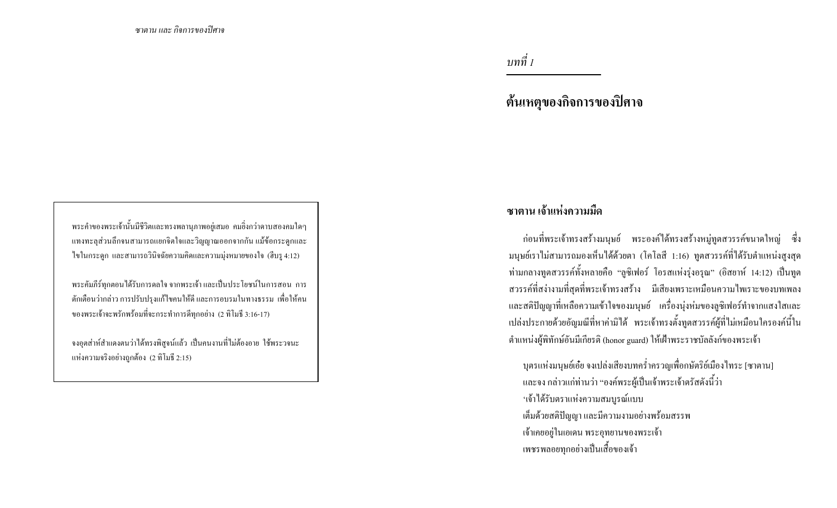บทที่ 1

ต้นเหตุของกิจการของปิศาจ

พระคำของพระเจ้านั้นมีชีวิตและทรงพลานุภาพอยู่เสมอ คมยิ่งกว่าดาบสองคมใดๆ แทงทะลุส่วนลึกจนสามารถแยกจิตใจและวิญญาณออกจากกัน แม้ข้อกระดูกและ ไขในกระดูก และสามารถวินิจฉัยความคิดและความมุ่งหมายของใจ (ฮีบรู 4:12)

พระคัมภีร์ทุกตอนใด้รับการดลใจ จากพระเจ้า และเป็นประโยชน์ในการสอน การ ้ตักเตือนว่ากล่าว การปรับปรงแก้ไขคนให้ดี และการอบรมในทางธรรม เพื่อให้คน ของพระเจ้าจะพรักพร้อมที่จะกระทำการคีทุกอย่าง (2 ทิโมธี 3:16-17)

้จงอุตส่าห์สำแดงตนว่าได้ทรงพิสูจน์แล้ว เป็นคนงานที่ไม่ต้องอาย ใช้พระวจนะ แห่งความจริงอย่างถูกต้อง (2 ทิโมธี 2:15)

# ้ ซาตาน เจ้าแห่งความมืด

ี ก่อนที่พระเจ้าทรงสร้างมนุษย์ พระองค์ได้ทรงสร้างหมู่ทูตสวรรค์ขนาดใหญ่ ซึ่ง มนุษย์เราไม่สามารถมองเห็นได้ด้วยตา (โคโลสี 1:16) ทูตสวรรค์ที่ได้รับตำแหน่งสูงสุด ท่ามกลางทูตสวรรค์ทั้งหลายคือ "ลูซิเฟอร์ โอรสแห่งรุ่งอรุณ" (อิสยาห์ 14:12) เป็นทูต ี สวรรค์ที่สง่างามที่สุดที่พระเจ้าทรงสร้าง มีเสียงเพราะเหมือนความใพเราะของบทเพลง และสติปัญญาที่เหลือความเข้าใจของมนุษย์ เครื่องนุ่งห่มของลูซิเฟอร์ทำจากแสงใสและ ้ เปล่งประกายด้วยอัญมณีที่หาค่ามิได้ พระเจ้าทรงตั้งทูตสวรรค์ผู้ที่ไม่เหมือนใครองค์นี้ใน ้ตำแหน่งผู้พิทักษ์อันมีเกียรติ (honor guard) ให้เฝ้าพระราชบัลลังก์ของพระเจ้า

ิบุตรแห่งมนุษย์เอ๋ย จงเปล่งเสียงบทคร่ำครวญเพื่อกษัตริย์เมืองไทระ [ซาตาน] ี และจง กล่าวแก่ท่านว่า "องค์พระผู้เป็นเจ้าพระเจ้าตรัสดังนี้ว่า ้'เจ้าได้รับตราแห่งความสมบูรณ์แบบ เต็มด้วยสติปัญญา และมีความงามอย่างพร้อมสรรพ ้เจ้าเคยอยู่ในเอเคน พระอุทยานของพระเจ้า ้ เพชรพลอยทุกอย่างเป็นเสื้อของเจ้า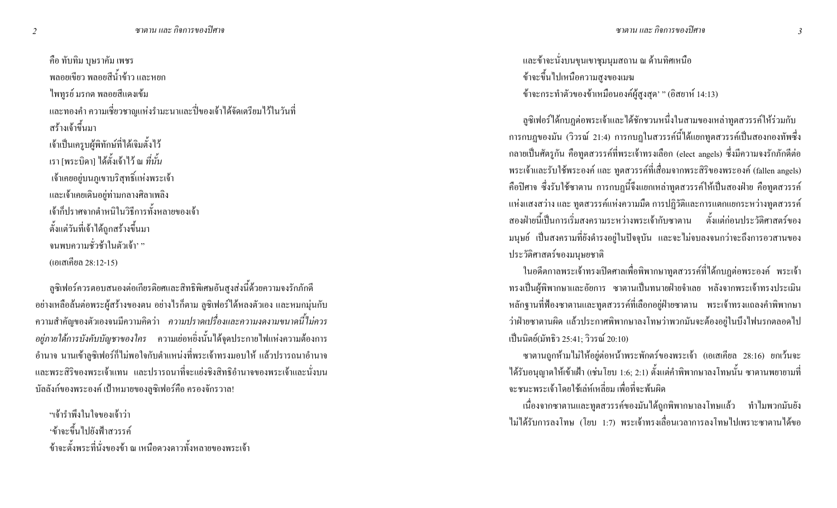้คือ ทับทิม บุษราคัม เพชร ี พลอยเขียว พลอยสีน้ำข้าว และหยก ไพทูรย์ มรกต พลอยสีแดงเข้ม ่ และทองคำ ความเชี่ยวชาญแห่งรำมะนาและปี่ของเจ้าได้จัดเตรียมไว้ในวันที่ ิสร้างเจ้าขึ้นมา เจ้าเป็นเครูบผู้พิทักษ์ที่ได้เจิมตั้งไว้ เรา [พระบิดา] ใด้ตั้งเจ้าไว้ ณ *ที่นั้น* เจ้าเคยอยู่บนภูเขาบริสุทธิ์แห่งพระเจ้า และเจ้าเคยเดินอยู่ท่ามกลางศิลาเพลิง เจ้าก็ปราศจากตำหนิในวิธีการทั้งหลายของเจ้า ตั้งแต่วันที่เจ้าได้ถูกสร้างขึ้นมา ึ่งนพบความชั่วช้าในตัวเจ้า<sup>, ,,</sup> (เอเสเคียล 28:12-15)

ิลซิเฟอร์ควรตอบสนองต่อเกียรติยศและสิทธิพิเศษอันสงส่งนี้ด้วยความจงรักภักดี ้อย่างเหลือล้นต่อพระผู้สร้างของตน อย่างไรก็ตาม ลูซิเฟอร์ได้หลงตัวเอง และหมกมุ่นกับ ิ ความสำคัญของตัวเองจนมีความคิดว่า *ความปราดเปรื่องและความงดงามขนาดนี้ไม่ควร* ื*อยู่ภายใต้การบังคับบัญชาของใคร* ความเย่อหยิ่งนั้นได้จุดประกายไฟแห่งความต้องการ ้อำนาจ นานเข้าลูซิเฟอร์ก็ไม่พอใจกับตำแหน่งที่พระเจ้าทรงมอบให้ แล้วปรารถนาอำนาจ และพระสิริของพระเจ้าแทน และปรารถนาที่จะแย่งชิงสิทธิอำนาจของพระเจ้าและนั่งบน บัลลังก์ของพระองค์ เป้าหมายของลูซิเฟอร์คือ ครองจักรวาล!

"เจ้ารำพึงในใจของเจ้าว่า 'ข้าจะขึ้นไปยังฟ้าสวรรค์ ข้าจะตั้งพระที่นั่งของข้า ณ เหนือดวงดาวทั้งหลายของพระเจ้า และข้าจะนั่งบนขุนเขาชุมนุมสถาน ณ ด้านทิศเหนือ ข้าจะขึ้นไปเหนือความสูงของเมฆ ข้าจะกระทำตัวของข้าเหมือนองค์ผู้สูงสุด' " (อิสยาห์ 14:13)

ลูซิเฟอร์ใด้กบฎต่อพระเจ้าและใด้ชักชวนหนึ่งในสามของเหล่าทูตสวรรค์ให้ร่วมกับ ึการกบฏของมัน (วิวรณ์ 21:4) การกบฏในสวรรค์นี้ได้แยกทูตสวรรค์เป็นสองกองทัพซึ่ง ิกลายเป็นศัตรูกัน คือทูตสวรรค์ที่พระเจ้าทรงเลือก (elect angels) ซึ่งมีความจงรักภักดีต่อ พระเจ้าและรับใช้พระองค์ และ ทูตสวรรค์ที่เสื่อมจากพระสิริของพระองค์ (fallen angels) ี คือปิศาจ ซึ่งรับใช้ซาตาน การกบฏนี้จึงแยกเหล่าทูตสวรรค์ให้เป็นสองฝ่าย คือทูตสวรรค์ แห่งแสงสว่าง และ ทูตสวรรค์แห่งความมืด การปฏิวัติและการแตกแยกระหว่างทูตสวรรค์ ี สองฝ่ายนี้เป็นการเริ่มสงครามระหว่างพระเจ้ากับซาตาน ตั้งแต่ก่อนประวัติศาสตร์ของ มนุษย์ เป็นสงครามที่ยังคำรงอยู่ในปัจจุบัน และจะไม่จบลงจนกว่าจะถึงการอวสานของ ประวัติศาสตร์ของมนุษยชาติ

ในอดีตกาลพระเจ้าทรงเปิดศาลเพื่อพิพากษาทูตสวรรค์ที่ได้กบฏต่อพระองค์ พระเจ้า ิทรงเป็นผู้พิพากษาและอัยการ ซาตานเป็นทนายฝ่ายจำเลย หลังจากพระเจ้าทรงประเมิน หลักฐานที่ฟ้องซาตานและทูตสวรรค์ที่เลือกอยู่ฝ่ายซาตาน พระเจ้าทรงแถลงคำพิพากษา ว่าฝ่ายซาตานผิด แล้วประกาศพิพากษาลงโทษว่าพวกมันจะต้องอยู่ในบึงไฟนรกตลอดไป เป็นนิตย์(มัทธิว 25:41; วิวรณ์ 20:10)

ซาตานถูกห้ามไม่ให้อยู่ต่อหน้าพระพักตร์ของพระเจ้า (เอเสเคียล 28:16) ยกเว้นจะ ใค้รับอนุญาตให้เข้าเฝ้า (เช่นโยบ 1:6; 2:1) ตั้งแต่กำพิพากษาลงโทษนั้น ซาตานพยายามที่ ำะชบะพระเจ้าโดยใช้เล่ห์เหลี่ยม เพื่อที่จะพ้บผิด

้ เนื่องจากซาตานและทูตสวรรค์ของมันได้ถูกพิพากษาลงโทษแล้ว ทำไมพวกมันยัง ไม่ได้รับการลงโทษ (โยบ 1:7) พระเจ้าทรงเลื่อนเวลาการลงโทษไปเพราะซาตานได้ขอ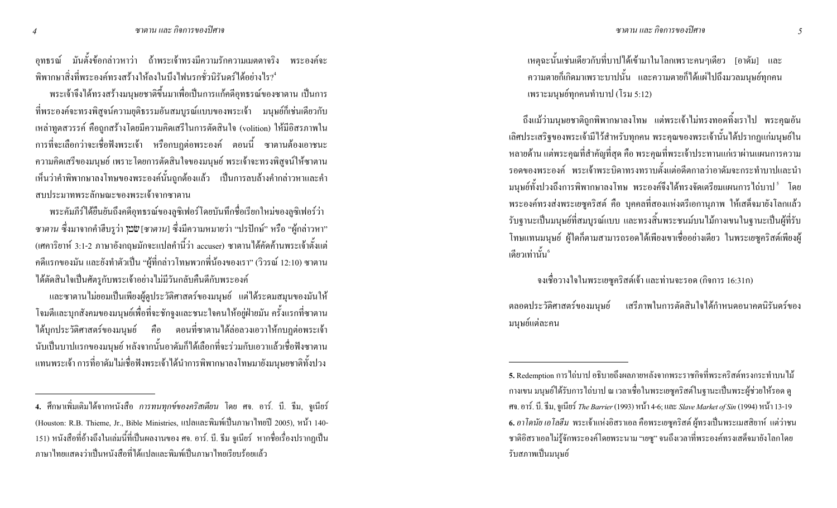้อุทธรณ์ มันตั้งข้อกล่าวหาว่า ถ้าพระเจ้าทรงมีความรักความเมตตาจริง พระองค์จะ ี่ พิพากษาสิ่งที่พระองค์ทรงสร้างให้ลงในบึงไฟนรกชั่วนิรันดร์ได้อย่างไร? \*

ี พระเจ้าจึงใด้ทรงสร้างมนุษยชาติขึ้นมาเพื่อเป็นการแก้คคีอุทธรณ์ของซาตาน เป็นการ ี่ ที่พระองค์จะทรงพิสูจน์ความยุติธรรมอันสมบูรณ์แบบของพระเจ้า มนุษย์ก็เช่นเดียวกับ เหล่าทูตสวรรค์ คือถูกสร้างโดยมีความคิดเสรีในการตัดสินใจ (volition) ให้มีอิสรภาพใน ี การที่จะเลือกว่าจะเชื่อฟังพระเจ้า หรือกบฎต่อพระองค์ ตอนนี้ ซาตานต้องเอาชนะ ิ ความคิดเสรีของมนุษย์ เพราะโดยการตัดสินใจของมนุษย์ พระเจ้าจะทรงพิสูจน์ให้ซาตาน ้ เห็นว่าคำพิพากษาลงโทษของพระองค์นั้นถูกต้องแล้ว เป็นการลบล้างคำกล่าวหาและคำ ิสบประมาทพระลักษณะของพระเจ้าจากซาตาน

พระคัมภีร์ได้ยืนยันถึงคดีอุทธรณ์ของลูซิเฟอร์โดยบันทึกชื่อเรียกใหม่ของลูซิเฟอร์ว่า *ซาตาน* ซึ่งมาจากคำฮืบรูว่า **"ฺ่¤ั**พ [ซาตาน] ซึ่งมีความหมายว่า "ปรปักษ์" หรือ "ผู้กล่าวหา" (เศคาริยาห์ 3:1-2 ภาษาอังกฤษมักจะแปลคำนี้ว่า accuser) ซาตานได้คัดค้านพระเจ้าตั้งแต่ ี คดีแรกของมัน และยังทำตัวเป็น "ผู้ที่กล่าวโทษพวกพี่น้องของเรา" (วิวรณ์ 12:10) ซาตาน ใด้ตัดสินใจเป็นศัตรูกับพระเจ้าอย่างไม่มีวันกลับคืนดีกับพระองค์

และซาตานไม่ยอมเป็นเพียงผู้ดูประวัติศาสตร์ของมนุษย์ แต่ได้ระดมสมุนของมันให้ โจมตีและบุกสังคมของมนุษย์เพื่อที่จะชักจูงและชนะใจคนให้อยู่ฝ่ายมัน ครั้งแรกที่ซาตาน ใค้บุกประวัติศาสตร์ของมนุษย์ คือ ตอนที่ซาตานใด้ล่อลวงเอวาให้กบฎต่อพระเจ้า นับเป็นบาปแรกของมนุษย์ หลังจากนั้นอาคัมก็ได้เลือกที่จะร่วมกับเอวาแล้วเชื่อฟังซาตาน แทนพระเจ้า การที่อาคัมไม่เชื่อฟังพระเจ้าได้นำการพิพากษาลงโทษมายังมนุษยชาติทั้งปวง

ี่ เหตุฉะนั้นเช่นเดียวกับที่บาปใด้เข้ามาในโลกเพราะคนๆเดียว [อาดัม] และ ี ความตายก็เกิดมาเพราะบาปนั้น และความตายก็ได้แผ่ไปถึงมวลมนุษย์ทุกคน เพราะมนุษย์ทุกคนทำบาป (โรม 5:12)

้ถึงแม้ว่ามนุษยชาติถูกพิพากษาลงโทษ แต่พระเจ้าไม่ทรงทอดทิ้งเราไป พระคุณอัน เลิศประเสริฐของพระเจ้ามีไว้สำหรับทุกคน พระคุณของพระเจ้านั้นได้ปรากฏแก่มนุษย์ใน หลายด้าน แต่พระคุณที่สำคัญที่สุด คือ พระคุณที่พระเจ้าประทานแก่เราผ่านแผนการความ ้ รอดของพระองค์ พระเจ้าพระบิดาทรงทราบตั้งแต่อดีตกาลว่าอาดัมจะกระทำบาปและนำ ิมนุษย์ทั้งปวงถึงการพิพากษาลงโทษ พระองค์จึงได้ทรงจัดเตรียมแผนการไถ่บาป <sup>ร</sup> โดย พระองค์ทรงส่งพระเยซูคริสต์ คือ บุคคลที่สองแห่งตรีเอกานุภาพ ให้เสด็จมายังโลกแล้ว ้รับฐานะเป็นมนุษย์ที่สมบูรณ์แบบ และทรงสิ้นพระชนม์บนไม้กางเขนในฐานะเป็นผู้ที่รับ โทษแทนมนุษย์ ผู้ใดกี่ตามสามารถรอดใด้เพียงเขาเชื่ออย่างเดียว ในพระเยซูกริสต์เพียงผู้ เดียวเท่านั้น°

#### ้ จงเชื่อวางใจในพระเยซูคริสต์เจ้า และท่านจะรอด (กิจการ 16:31ก)

ิตลอดประวัติศาสตร์ของมนุษย์ เสรีภาพในการตัดสินใจได้กำหนดอนากตนิรันคร์ของ มนุษย์แต่ละคน

 $\overline{4}$ 

<sup>4.</sup> ศึกษาเพิ่มเติมใด้จากหนังสือ *การทนทุกข์ของคริสเตียน* โดย ศจ. อาร์. บี. ธีม, จูเนียร์ (Houston: R.B. Thieme, Jr., Bible Ministries, แปลและพิมพ์เป็นภาษาไทยปี 2005), หน้า 140-่ 151) หนังสือที่อ้างถึงในเล่มนี้ที่เป็นผลงานของ ศจ. อาร์. บี. ธีม จูเนียร์ หากชื่อเรื่องปรากฏเป็น ่ ภาษาไทยแสดงว่าเป็นหนังสือที่ได้แปลและพิมพ์เป็นภาษาไทยเรียบร้อยแล้ว

<sup>5.</sup> Redemption การ ไถ่บาป อธิบายถึงผลภายหลังจากพระราชกิจที่พระคริสต์ทรงกระทำบน ไม้ ่ กางเขน มนุษย์ใค้รับการใถ่บาป ณ เวลาเชื่อในพระเยซูคริสต์ในฐานะเป็นพระผู้ช่วยให้รอค ดู ศจ. อาร์. บี. ธีม, จูเนียร์ The Barrier (1993) หน้า 4-6; และ Slave Market of Sin (1994) หน้า 13-19 6. อาโคนัย เอโลฮีม พระเจ้าแห่งอิสราเอล คือพระเยซูคริสต์ ผู้ทรงเป็นพระเมสสิยาห์ แต่ว่าชน ิ ชาติอิสราเอลไม่รู้จักพระองค์โดยพระนาม "เขซู" จนถึงเวลาที่พระองค์ทรงเสด็จมายังโลกโดย รับสภาพเป็นมนษย์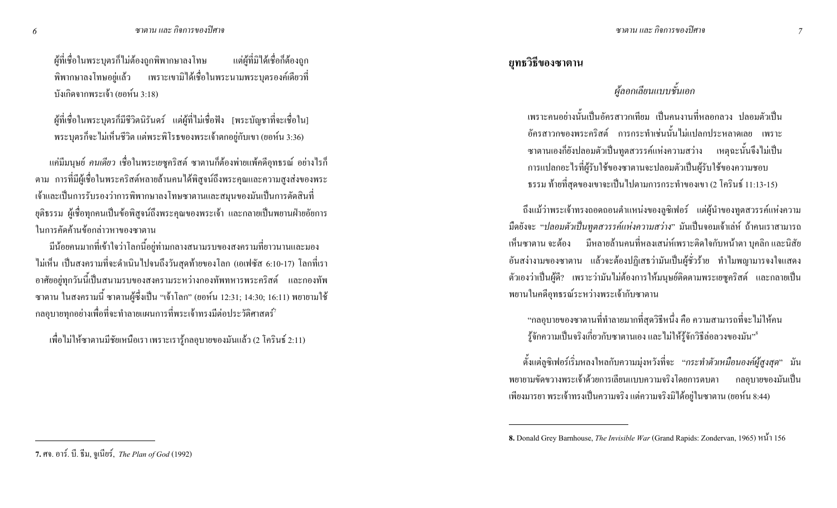ผู้ที่เชื่อในพระบุตรก็ไม่ต้องถูกพิพากษาลงโทษ แต่ผู้ที่มิ แต่ผู้ที่มิได้เชื้อก็ต้องถูก พิพากษาลงโทษอยู่แล้ว เพราะเขามิได้เชื่อในพระนามพระบุตรองค์เดียวที่ บังเกิดจากพระเจ้า (ยอห์น 3:18)

ผู้ที่เชื่อในพระบุตรก็มีชีวิตนิรันคร์ แต่ผู้ที่ไม่เชื่อฟัง [พระบัญชาที่จะเชื่อใน] พระบุตรก็จะไม่เห็นชีวิต แต่พระพิโรธของพระเจ้าตกอยู่กับเขา (ยอห์น 3:36)

แค่มีมนุษย์ *คนเดียว* เชื่อในพระเยซูคริสต์ ซาตานกี่ต้องพ่ายแพ้คดีอุทธรณ์ อย่างไรก็ ตาม การที่มีผู้เชื่อในพระคริสต์หลายล้านคนได้พิสูจน์ถึงพระคุณและความสูงส่งของพระ เจ้าและเป็นการรับรองว่าการพิพากษาลงโทษซาตานและสมุนของมันเป็นการตัดสินที่ ยุติธรรม ผู้เชื่อทุกคนเป็นข้อพิสูจน์ถึงพระคุณของพระเจ้า และกลายเป็นพยานฝ่ายอัยการ ในการคัดค้านข้อกล่าวหาของซาตาน

่ มีน้อยคนมากที่เข้าใจว่าโลกนี้อยู่ท่ามกลางสนามรบของสงครามที่ยาวนานและมอง ไม่เห็น เป็นสงครามที่จะดำเนินไปจนถึงวันสุดท้ายของโลก (เอเฟซัส 6:10-17) โลกที่เรา อาศัยอยู่ทุกวันนี้เป็นสนามรบของสงครามระหว่างกองทัพทหารพระคริสต์ และกองทัพ ซาตาน ในสงครามนี้ ซาตานผู้ซึ่งเป็น "เจ้าโลก" (ยอห์น 12:31; 14:30; 16:11) พยายามใช้ กลอุบายทุกอย่างเพื่อที่จะทำลายแผนการที่พระเจ้าทรงมีต่อประวัติศาสตร์ $^\tau$ 

เพื่อไม่ให้ซาตานมีชัยเหนือเรา เพราะเรารู้กลอุบายของมันแล้ว (2 โครินธ์ 2:11)

## ย**ุทธวิ**ธีของซาตาน

## ี ผู้ลอกเลียนแบบชั้นเอก

เพราะคนอย่างนั้นเป็นอัครสาวกเทียม เป็นคนงานที่หลอกลวง ปลอมตัวเป็น อัครสาวกของพระคริสต์ การกระทำเช่นนั้นไม่แปลกประหลาดเลย เพราะ ซาตานเองก็ยังปลอมตัวเป็นทูตสวรรค์แห่งความสว่าง เหตุฉะนั้นจึงไม่เป็น การแปลกอะ ไรที่ผู้รับใช้ของซาตานจะปลอมตัวเป็นผู้รับใช้ของความชอบ ธรรม ท้ายที่สุดของเขาจะเป็นไปตามการกระทำของเขา (2 โครินธ์ 11:13-15)

ถึงแม้ว่าพระเจ้าทรงถอดถอนตำแหน่งของลูซิเฟอร์ แต่ผู้นำของทูตสวรรค์แห่งความ มืดยังจะ *"ปลอมตัวเป็นทูตสวรรค์แห่งความสว่าง*" มันเป็นจอมเจ้าเล่ห์ ถ้าคนเราสามารถ เห็นซาตาน จะต้อง มีหลายล้านคนที่หลงเสน่ห์เพราะติดใจกับหน้าตา บุคลิก และนิสัย อันสง่างามของซาตาน แล้วจะต้องปฏิเสธว่ามันเป็นผู้ชั่วร้าย ทำไมพญามารจงใจแสดง ตัวเองว่าเป็นผู้ดี? เพราะว่ามันไม่ต้องการให้มนุษย์ติดตามพระเยซูคริสต์ และกลายเป็น พยานในคดีอุทธรณ์ระหว่างพระเจ้ากับซาตาน

"กลอุบายของซาตานที่ทำลายมากที่สุดวิธีหนึ่ง คือ ความสามารถที่จะไม่ให้คน รู้จักความเป็นจริงเกี่ยวกับซาตานเอง และ ไม่ให้รู้จักวิธีล่อลวงของมัน" <sup>ร</sup>

ตั้งแต่ลูซิเฟอร์เริ่มหลงใหลกับความมุ่งหวังที่จะ *"กระทำตัวเหมือนองค์ผู้สูงสุด*" มัน า กลอุบายของมันเป<mark>็</mark>น พยายามขัดขวางพระเจ้าด้วยการเลียนแบบความจริงโดยการตบตา เพียงมารยา พระเจ้าทรงเป็นความจริง แต่ความจริงมิใด้อยู่ในซาตาน (ยอห์น 8:44)

<sup>8.</sup> Donald Grey Barnhouse, *The Invisible War* (Grand Rapids: Zondervan, 1965)  $\frac{1}{156}$ 

**<sup>7.</sup> ศจ. อาร์. บี. ธีม, จูเนียร์, The Plan of God (1992)**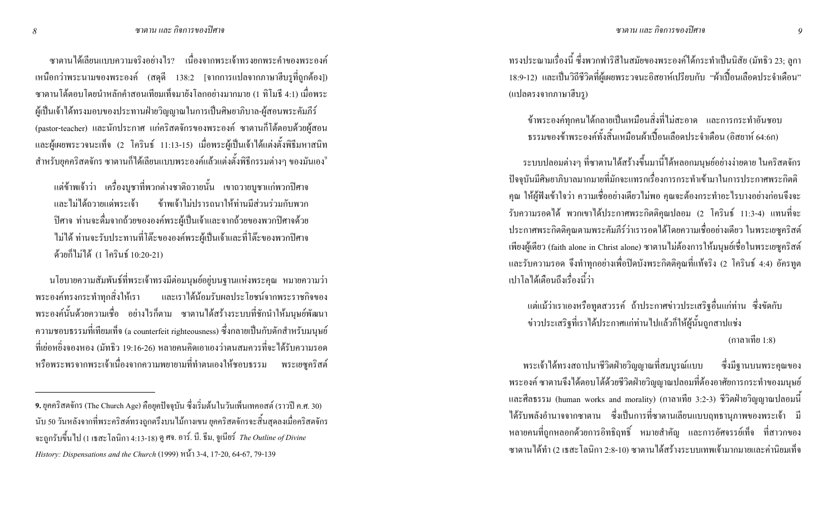ซาตานได้เลียนแบบความจริงอย่างไร? เนื่องจากพระเจ้าทรงยกพระคำของพระองค์ แหนือกว่าพระนามของพระองค์ (สคุดี 138:2 [จากการแปลจากภาษาฮีบรูที่ถูกต้อง]) ซาตานโต้ตอบโดยนำหลักคำสอนเทียมเท็จมายังโลกอย่างมากมาย (1 ทิโมธี 4:1) เมื่อพระ ผู้เป็นเจ้าได้ทรงมอบของประทานฝ่ายวิญญาณในการเป็นศิษยาภิบาล-ผู้สอนพระคัมภีร์ (pastor-teacher) และนักประกาศ แก่คริสตจักรของพระองค์ ซาตานก็โต้ตอบด้วยผู้สอน และผู้เผยพระวจนะเท็จ (2 โครินธ์ 11:13-15) เมื่อพระผู้เป็นเจ้าใด้แต่งตั้งพิธีมหาสนิท สำหรับยุคคริสตจักร ซาตานก็ได้เลียนแบบพระองค์แล้วแต่งตั้งพิธีกรรมต่างๆ ของมันเอง<sup>9</sup>

แต่ข้าพเจ้าว่า เครื่องบูชาที่พวกต่างชาติถวายนั้น เขาถวายบูชาแก่พวกปิศาจ และไม่ได้ถวายแด่พระเจ้า ข้าพเจ้าไม่ปรารถนาให้ท่านมีส่วนร่วมกับพวก ้ ปีศาจ ท่านจะดื่มจากถ้วยขององค์พระผู้เป็นเจ้าและจากถ้วยของพวกปิศาจด้วย "ไม่ได้ ท่านจะรับประทานที่โต๊ะขององค์พระผู้เป็นเจ้าและที่โต๊ะของพวกปิศาจ ด้วยก็ไม่ได้ (1 โครินธ์ 10:20-21)

ำนโยบายความสัมพันธ์ที่พระเจ้าทรงมีต่อมนุษย์อยู่บนฐานแห่งพระคุณ หมายความว่า ่ พระองค์ทรงกระทำทุกสิ่งให้เรา ่ิงให้เรา และเราได้น้อมรับผลประโยชน์จากพระราชกิจของ พระองค์นั้นด้วยความเชื่อ อย่างไรก็ตาม ซาตานได้สร้างระบบที่ชักนำให้มนุษย์พัฒนา ความชอบธรรมที่เทียมเท็จ (a counterfeit righteousness) ซึ่งกลายเป็นกับคักสำหรับมนุษย์ ที่เย่อหยิ่งจองหอง (มัทธิว 19:16-26) หลายคนคิดเอาเองว่าตนสมควรที่จะได้รับความรอด หรือพระพรจากพระเจ้าเนื่องจากความพยายามที่ทำตนเองให้ชอบธรรม พระเยซูคริสต์

ทรงประณามเรื่องนี้ ซึ่งพวกฟาริสีในสมัยของพระองค์ได้กระทำเป็นนิสัย (มัทธิว 23; ลูกา 18:9-12) และเป็นวิถีชีวิตที่ผู้เผยพระวจนะอิสยาห์เปรียบกับ "ผ้าเปื้อนเลือดประจำเดือน" (แปลตรงจากภาษาฮีบรู)

ข้าพระองค์ทุกคนได้กลายเป็นเหมือนสิ่งที่ไม่สะอาด และการกระทำอันชอบ ธรรมของข้าพระองค์ทั้งสิ้นเหมือนผ้าเปื้อนเลือดประจำเดือน (อิสยาห์ 64:6ก)

ระบบปลอมต่างๆ ที่ซาตาน"ได้สร้างขึ้นมานี้ได้หลอกมนุษย์อย่างง่ายดาย ในคริสตจักร ปัจจุบันมีศิษยาภิบาลมากมายที่มักจะแทรกเรื่องการกระทำเข้ามาในการประกาศพระกิตติ ี คุณ ให้ผู้ฟังเข้าใจว่า ความเชื่ออย่างเดียวไม่พอ คุณจะต้องกระทำอะไรบางอย่างก่อนจึงจะ รับความรอคได้ พวกเขาได้ประกาศพระกิตติกุณปลอม (2 โครินธ์ 11:3-4) แทนที่จะ ประกาศพระกิตติกุณตามพระกัมภีร์ว่าเรารอดได้โดยกวามเชื่ออย่างเดียว ในพระเยซูกริสต์ เพียงผู้เดียว (faith alone in Christ alone) ซาตานไม่ต้องการให้มนุษย์เชื่อในพระเยซูคริสต์ และรับความรอด จึงทำทุกอย่างเพื่อปิดบังพระกิตติกุณที่แท้จริง (2 โครินธ์ 4:4) อัครทูต ้ เปาโลได้เตือนถึงเรื่องนี้ว่า

แต่แม้ว่าเราเองหรือทูตสวรรค์ ถ้าประกาศข่าวประเสริฐอื่นแก่ท่าน ซึ่งขัดกับ ข่าวประเสริฐที่เราได้ประกาศแก่ท่านไปแล้วก็ให้ผู้นั้นถูกสาปแช่ง (กาลาเทีย 1:8)

พระเจ้าได้ทรงสถาปนาชีวิตฝ่ายวิญญาณที่สมบูรณ์แบบ ซึ่ ซึ่งมีจานบนพระคณของ พระองค์ ซาตานจึงใด้ตอบโต้ด้วยชีวิตฝ่ายวิญญาณปลอมที่ต้องอาศัยการกระทำของมนุษย์ และศีลธรรม (human works and morality) (กาลาเทีย 3:2-3) ชีวิตฝ่ายวิญญาณปลอมนี้ ใด้รับพลังอำนาจจากซาตาน ซึ่งเป็นการที่ซาตานเลียนแบบฤทธานุภาพของพระเจ้า มี หลายคนที่ถูกหลอกด้วยการอิทธิฤทธิ์ หมายสำคัญ และการอัศจรรย์เท็จ ที่สาวกของ ซาตานได้ทำ (2 เธสะ โลนิกา 2:8-10) ซาตานได้สร้างระบบเทพเจ้ามากมายและค่านิยมเท็จ

**<sup>9.</sup>** ยุคคริสตจักร (The Church Age) คือยุคปัจจุบัน ซึ่งเริ่มต้นในวันเพิ่นเทคอสต์ (ราวปี ค.ศ. 30) นับ 50 วันหลังจากที่พระคริสต์ทรงถูกตรึงบนไม้กางเขน ยุคคริสตจักรจะสิ้นสุดลงเมื่อคริสตจักร จะถูกรับขึ้นไป (1 เธสะ โลนิกา 4:13-18) ดู ศจ. อาร์. บี. ธีม, จูเนียร์ *The Outline of Divine History: Dispensations and the Church* (1999) หน้ำ 3-4, 17-20, 64-67, 79-139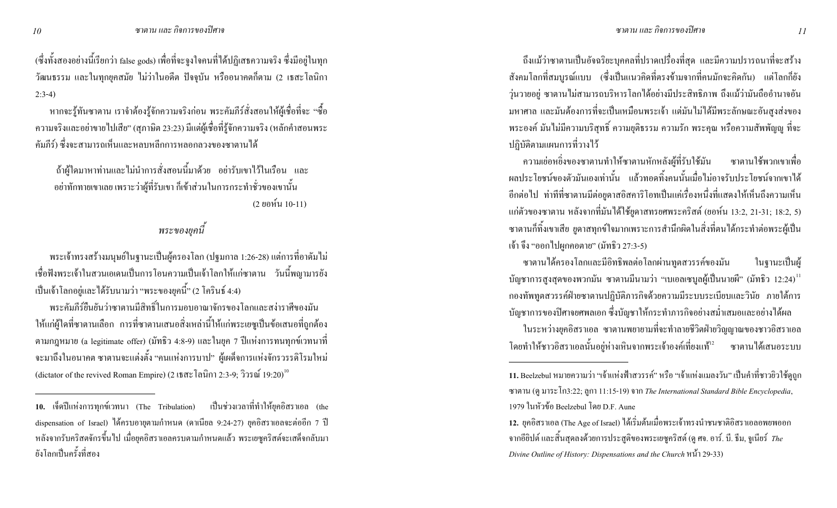้ (ซึ่งทั้งสองอย่างนี้เรียกว่า false gods) เพื่อที่จะจูงใจคนที่ได้ปฏิเสธความจริง ซึ่งมีอยู่ในทุก ้วัฒนธรรม และในทุกยุคสมัย ไม่ว่าในอดีต ปัจจุบัน หรืออนาคตกี้ตาม (2 เธสะโลนิกา  $2:3-4)$ 

หากจะรู้ทันซาตาน เราจำต้องรู้จักความจริงก่อน พระคัมภีร์สั่งสอนให้ผู้เชื่อที่จะ "ซื้อ ี ความจริงและอย่าขายไปเสีย" (สุภาษิต 23:23) มีแต่ผู้เชื่อที่รู้จักความจริง (หลักคำสอนพระ ้คัมภีร์) ซึ่งจะสามารถเห็นและหลบหลีกการหลอกลวงของซาตานได้

้ถ้าผู้ใคมาหาท่านและไม่นำการสั่งสอนนี้มาด้วย อย่ารับเขาไว้ในเรือน และ ้ อย่าทักทายเขาเลย เพราะว่าผู้ที่รับเขา ก็เข้าส่วนในการกระทำชั่วของเขานั้น (2 ยอห์น 10-11)

## พระของยคนี้

ี พระเจ้าทรงสร้างมนุษย์ในฐานะเป็นผู้ครองโลก (ปฐมกาล 1:26-28) แต่การที่อาคัมไม่ ้ เชื้อฟังพระเจ้าในสวนเอเดนเป็นการโอนความเป็นเจ้าโลกให้แก่ซาตาน วันนี้พญามารยัง เป็นเจ้าโลกอยู่และได้รับนามว่า "พระของยุคนี้" (2 โครินธ์ 4:4)

ิพระคัมภีร์ยืนยันว่าซาตานมีสิทธิ์ในการมอบอาณาจักรของโลกและสง่าราศีของมัน ให้แก่ผู้ใดที่ซาตานเลือก การที่ซาตานเสนอสิ่งเหล่านี้ให้แก่พระเยซูเป็นข้อเสนอที่ถูกต้อง ี ตามกฎหมาย (a legitimate offer) (มัทธิว 4:8-9) และในยุค 7 ปีแห่งการทนทุกข์เวทนาที่ ้ จะมาถึงในอนาคต ซาตานจะแต่งตั้ง "คนแห่งการบาป" ผู้เผด็จการแห่งจักรวรรดิโรมใหม่ (dictator of the revived Roman Empire) (2 เชิสะ โลนิกา 2:3-9: วิวรณ์ 19:20)<sup>10</sup>

ถึงแม้ว่าซาตานเป็นอัจฉริยะบุคคลที่ปราคเปรื่องที่สุด และมีความปรารถนาที่จะสร้าง ี สังคมโลกที่สมบูรณ์แบบ (ซึ่งเป็นแนวคิดที่ตรงข้ามจากที่คนมักจะคิดกัน) แต่โลกกียัง วุ่นวายอยู่ ซาตานไม่สามารถบริหารโลกได้อย่างมีประสิทธิภาพ ถึงแม้ว่ามันถืออำนาจอัน ิมหาศาล และมันต้องการที่จะเป็นเหมือนพระเจ้า แต่มันไม่ได้มีพระลักษณะอันสูงส่งของ ี พระองค์ มันไม่มีความบริสุทธิ์ ความยุติธรรม ความรัก พระคุณ หรือความสัพพัญญ ที่จะ ปฏิบัติตามแผนการที่วางใว้

ความเย่อหยิ่งของซาตานทำให้ซาตานหักหลังผู้ที่รับใช้มัน ซาตานใช้พวกเขาเพื่อ หลประโยชน์ของตัวมันเองเท่านั้น แล้วทอดทิ้งคนนั้นเมื่อไม่อาจรับประโยชน์จากเขาได้ ้อีกต่อไป ท่าทีที่ซาตานมีต่อยูดาสอิสการิโอทเป็นแก่เรื่องหนึ่งที่แสดงให้เห็นถึงกวามเห็น แก่ตัวของซาตาน หลังจากที่มันได้ใช้ยูคาสทรยศพระคริสต์ (ยอห์น 13:2, 21-31; 18:2, 5) ี ซาตานก็ทิ้งเขาเสีย ยูดาสทุกข์ใจมากเพราะการสำนึกผิดในสิ่งที่ตนได้กระทำต่อพระผู้เป็น เจ้า จึง "ออกไปผูกคอตาย" (มัทธิว 27:3-5)

ซาตานใด้ครองโลกและมีอิทธิพลต่อโลกผ่านทูตสวรรค์ของมัน ในจานะเป็นผ้ ิบัญชาการสูงสุดของพวกมัน ซาตานมีนามว่า "เบเอลเซบูลผู้เป็นนายผี" (มัทธิว $\,$  12:24) $\,$   $\,$  1 ึ กองทัพทูตสวรรค์ฝ่ายซาตานปฏิบัติภารกิจค้วยความมีระบบระเบียบและวินัย ภายใต้การ ้ บัญชาการของปีศาจยศพลเอก ซึ่งบัญชาให้กระทำภารกิจอย่างสม่ำเสมอและอย่างได้ผล

ในระหว่างยุคอิสราเอล ซาตานพยายามที่จะทำลายชีวิตฝ่ายวิญญาณของชาวอิสราเอล โดยทำให้ชาวอิสราเอลนั้นอยู่ห่างเหินจากพระเจ้าองค์เที่ยงแท้<sup>เ2</sup> ซาตานใด้เสนอระบบ

<sup>10.</sup> เจ็ดปีแห่งการทุกข์เวทนา (The Tribulation) เป็นช่วงเวลาที่ทำให้ยุคอิสราเอล (the dispensation of Israel) ใค้ครบอายุตามกำหนด (ดาเนียล 9:24-27) ยุคอิสราเอลจะต่ออีก 7 ปี หลังจากรับคริสตจักรขึ้นไป เมื่อยุคอิสราเอลครบตามกำหนดแล้ว พระเยซูคริสต์จะเสด็จกลับมา ์ ยังโลกเป็นครั้งที่ส<sup>ุ</sup>กง

<sup>ี 11.</sup> Beelzebul หมายความว่า "เจ้าแห่งฟ้าสวรรค์" หรือ "เจ้าแห่งแมลงวัน" เป็นคำที่ชาวยิวใช้คุถูก ซาตาน (ดู มาระ โก3:22; ถูกา 11:15-19) จาก The International Standard Bible Encyclopedia, 1979 ในหัวข้อ Beelzebul โดย D.F. Aune

<sup>12.</sup> ยุคอิสราเอล (The Age of Israel) ได้เริ่มต้นเมื่อพระเจ้าทรงนำชนชาติอิสราเอลอพยพออก ิ จากอียิปต์ และสิ้นสุดลงด้วยการประสูติของพระเยซูคริสต์ (ดู ศจ. อาร์. บี. ธีม, จูเนียร์ *The* Divine Outline of History: Dispensations and the Church หน้า 29-33)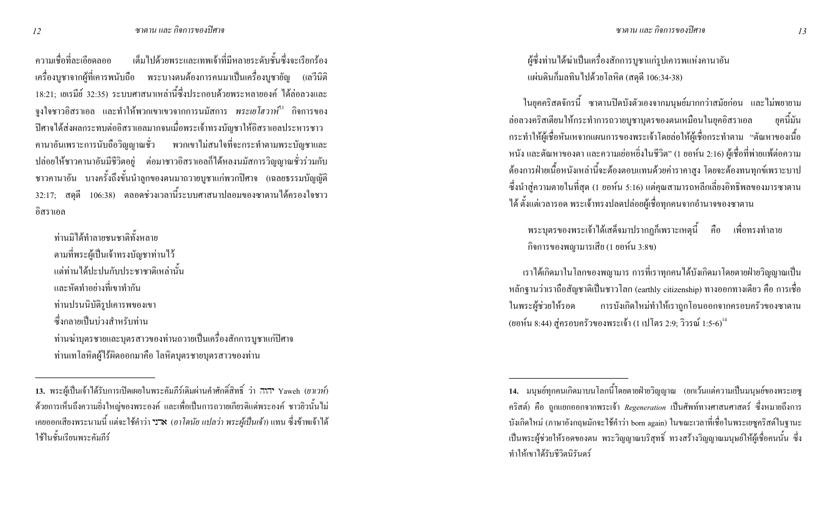เต็มไปด้วยพระและเทพเจ้าที่มีหลายระดับชั้นซึ่งจะเรียกร้อง ิความเชื่อที่ละเอียดลออ ี เครื่องบูชาจากผู้ที่เคารพนับถือ พระบางตนต้องการคนมาเป็นเครื่องบูชายัญ (เถวีนิติ 18:21; เยเรมีย์ 32:35) ระบบศาสนาเหล่านี้ซึ่งประกอบด้วยพระหลายองค์ ได้ล่อลวงและ ึ่งงใจชาวอิสราเอล และทำให้พวกเขาเขวจากการนมัสการ *พระเยโฮวาห์<sup>เร</sup>*ี กิจการของ ปิศาจใด้ส่งผลกระทบต่ออิสราเอลมากจนเมื่อพระเจ้าทรงบัญชาให้อิสราเอลประหารชาว ี คานาอันเพราะการนับถือวิญญาณชั่ว พวกเขาไม่สนใจที่จะกระทำตามพระบัญชาและ ปล่อยให้ชาวกานาอันมีชีวิตอยู่ ต่อมาชาวอิสราเอลก็ได้หลงนมัสการวิญญาณชั่วร่วมกับ ชาวคานาอัน บางครั้งถึงขั้นนำลูกของตนมาถวายบูชาแก่พวกปิศาจ (เฉลยธรรมบัญญัติ 32:17; สดุดี 106:38) ตลอดช่วงเวลานี้ระบบศาสนาปลอมของซาตานได้ครองใจชาว อิสราเอล

ท่านมิได้ทำลายชนชาติทั้งหลาย ิตามที่พระผู้เป็นเจ้าทรงบัญชาท่านไว้ ้แต่ท่าบได้ปะปบกับประชาชาติเหล่านั้น และหัดทำอย่างที่เขาทำกับ ท่านปรนนิบัติรูปเคารพของเขา ์ ซึ่งกลายเป็นบ่วงสำหรับท่าน ท่านฆ่าบุตรชายและบุตรสาวของท่านถวายเป็นเครื่องสักการบูชาแก่ปิศาจ ท่านเทโลหิตผู้ใร้ผิดออกมาคือ โลหิตบุตรชายบุตรสาวของท่าน

ผู้ซึ่งท่านใด้ฆ่าเป็นเครื่องสักการบูชาแก่รูปเคารพแห่งคานาอัน แผ่นดินก็มลทินไปด้วยโลหิต (สดุดี 106:34-38)

ในยุคคริสตจักรนี้ ซาตานปิดบังตัวเองจากมนุษย์มากกว่าสมัยก่อน และไม่พยายาม ล่อลวงคริสเตียนให้กระทำการถวายบูชาบุตรของตนเหมือนในยุคอิสราเอล <sub>ยคนี้มัน</sub> ึกระทำให้ผู้เชื่อหันเหจากแผนการของพระเจ้าโดยล่อให้ผู้เชื่อกระทำตาม "ตัณหาของเนื้อ หนัง และต้ณหาของตา และความเย่อหยิ่งในชีวิต" (1 ยอห์น 2:16) ผู้เชื่อที่พ่ายแพ้ต่อความ ด้องการฝ่ายเนื้อหนังเหล่านี้จะต้องตอบแทนด้วยค่าราคาสูง โดยจะต้องทนทุกข์เพราะบาป ซึ่งนำสู่ความตายในที่สุด (1 ยอห์น 5:16) แต่คุณสามารถหลีกเลี่ยงอิทธิพลของมารซาตาน ได้ ตั้งแต่เวลารอด พระเจ้าทรงปลดปล่อยผู้เชื่อทุกคนจากอำนาจของซาตาน

พระบุตรของพระเจ้าใด้เสด็จมาปรากฏก็เพราะเหตุนี้ คือ เพื่อทรงทำลาย กิจการของพญามารเสีย (1 ยอห์น 3:8ข)

่ เราได้เกิดมาในโลกของพญามาร การที่เราทุกคนได้บังเกิดมาโดยตายฝ่ายวิญญาณเป็น ่ หลักฐานว่าเราถือสัญชาติเป็นชาวโลก (earthly citizenship) ทางออกทางเดียว คือ การเชื่อ ในพระผู้ช่วยให้รอด การบังเกิดใหม่ทำให้เราถูกโอนออกจากครอบครัวของซาตาน (ยอห์น 8:44) สู่ครอบครัวของพระเจ้า (1 เปโตร 2:9; วิวรณ์ 1:5-6) $^{\rm 14}$ 

<sup>ี 13.</sup> พระผู้เป็นเจ้าได้รับการเปิดเผยในพระกัมภีร์เดิมผ่านกำศักดิ์สิทธิ์ ว่า ภาภ Yaweh (*ยาเวท์)* ี ด้วยการเห็นถึงความยิ่งใหญ่ของพระองค์ และเพื่อเป็นการถวายเกียรติแค่พระองค์ ชาวยิวนั้นไม่ ี เคยออกเสียงพระนามนี้ แต่จะใช้คำว่า **วา×** (อ*าโคนัย แปลว่า พระผ้เป็นเจ้า*) แทน ซึ่งข้าพเจ้าได้ ใช้ใบชั้นเรียนพระคัมภีร์

<sup>่ 14.</sup> มนุษย์ทุกคนเกิดมาบนโลกนี้โดยตายฝ่ายวิญญาณ (ยกเว้นแต่ความเป็นมนุษย์ของพระเยซู ี คริสต์) คือ ถูกแยกออกจากพระเจ้า *Regeneration* เป็นศัพท์ทางศาสนศาสตร์ ซึ่งหมายถึงการ ี บังเกิดใหม่ (ภาษาอังกฤษมักจะใช้คำว่า born again) ในขณะเวลาที่เชื่อในพระเยซูคริสต์ในฐานะ เป็นพระผู้ช่วยให้รอดของตน พระวิญญาณบริสุทธิ์ ทรงสร้างวิญญาณมนุษย์ให้ผู้เชื้อคนนั้น ซึ่ง ทำให้เขาได้รับชีวิตบิรับดร์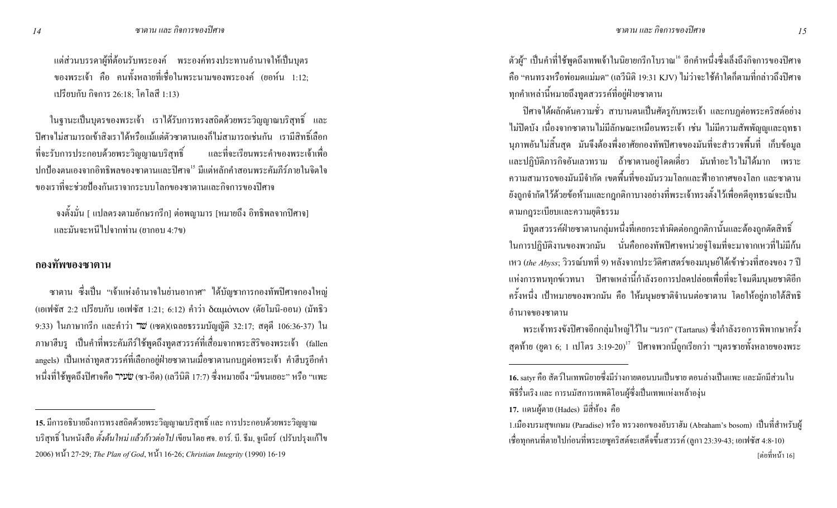แต่ส่วนบรรคาผู้ที่ต้อนรับพระองค์ พระองค์ทรงประทานอำนาจให้เป็นบุตร ของพระเจ้า คือ คนทั้งหลายที่เชื่อในพระนามของพระองค์ (ยอห์น 1:12: เปรียบกับ กิจการ 26:18; โคโลสี 1:13)

ในฐานะเป็นบุตรของพระเจ้า เราได้รับการทรงสถิตด้วยพระวิญญาณบริสุทธิ์ และ ปีศาจไม่สามารถเข้าสิงเราได้หรือแม้แต่ตัวซาตานเองก็ไม่สามารถเช่นกัน เรามีสิทธิ์เลือก ์<br>เถะที่จะเรียนพระคำของพระเจ้าเพื่อ ที่จะรับการประกอบค้วยพระวิญญาณบริสุทธิ์ ปกป้องตนเองจากอิทธิพลของซาตานและปิศาจ<sup>เร</sup> มีแต่หลักคำสอนพระคัมภีร์ภายในจิตใจ ของเราที่จะช่วยป้องกันเราจากระบบโลกของซาตานและกิจการของปิศาจ

ึ จงตั้งมั่น [ แปลตรงตามอักษรกรีก] ต่อพญามาร [หมายถึง อิทธิพลจากปิศาจ] และมันจะหนีไปจากท่าน (ยากอบ 4:7ข)

#### กองทัพของซาตาน

ซาตาน ซึ่งเป็น "เจ้าแห่งอำนาจในย่านอากาศ" ได้บัญชาการกองทัพปิศาจกองใหญ่ (เอเฟซัส 2:2 เปรียบกับ เอเฟซัส 1:21; 6:12) คำว่า δαιμόνιον (ดัยโมนิ-ออน) (มัทธิว 9:33) ในภาษากรีก และคำว่า **"***เ***ข** (เซด)(เฉ<sub>ิ</sub>สยธรรมบัญญัติ 32:17; สดุดี 106:36-37) ใน ภาษาฮีบรู เป็นคำที่พระคัมภีร์ใช้พูดถึงทูตสวรรค์ที่เสื่อมจากพระสิริของพระเจ้า (fallen angels) เป็นเหล่าทูตสวรรค์ที่เลือกอยู่ฝ่ายซาตานเมื่อซาตานกบฎต่อพระเจ้า คำฮีบรูอีกคำ หนึ่งที่ใช้พูดถึงปิศาจคือ שׂעיר) (ซา-อีด) (เลวีนิติ 17:7) ซึ่งหมายถึง "มีขนเยอะ" หรือ "แพะ

ตัวผู้" เป็นคำที่ใช้พูคถึงเทพเจ้าในนิยายกรีกโบราณ<sup>เ6</sup> อีกคำหนึ่งซึ่งเลิ้งถึงกิจการของปีศาจ คือ "คนทรงหรือพ่อมดแม่มด" (เลวีนิติ 19:31 KJV) ไม่ว่าจะใช้คำใดก็ตามที่กล่าวถึงปิศาจ ทุกคำเหล่านี้หมายถึงทูตสวรรค์ที่อยู่ฝ่ายซาตาน

ปีศาจได้ผลักดันความชั่ว สาบานตนเป็นศัตรูกับพระเจ้า และกบฏต่อพระคริสต์อย่าง ไม่ปิดบัง เนื่องจากซาตานไม่มีลักษณะเหมือนพระเจ้า เช่น ไม่มีความสัพพัญญูและฤทธา นุภาพอันไม่สิ้นสุด มันจึงต้องพึ่งอาศัยกองทัพปิศาจของมันที่จะสำรวจพื้นที่ เก็บข้อมูล และปฏิบัติภารกิจอันเลวทราม ถ้าซาตานอยู่โคคเดี่ยว มันทำอะไรไม่ได้มาก เพราะ ความสามารถของมันมีจำกัด เขตพื้นที่ของมันรวมโลกและฟ้าอากาศของโลก และซาตาน ยังถูกจำกัดไว้ด้วยข้อห้ามและกฎกติกาบางอย่างที่พระเจ้าทรงตั้งไว้เพื่อคดีอุทธรณ์จะเป็น ตามกฎระเบียบและความยุติธรรม

มีทูตสวรรค์ฝ่ายซาตานกลุ่มหนึ่งที่เคยกระทำผิดต่อกฎกติกานั้นและต้องถูกตัดสิทธิ์ ในการปฏิบัติงานของพวกมัน นั่นคือกองทัพปิศาจหน่วยจู่โจมที่จะมาจากเหวที่ไม่มีก้น เหว (*the Abyss*; วิวรณ์บทที่ 9) หลังจากประวัติศาสตร์ของมนุษย์ได้เข้าช่วงที่สองของ 7 ปี แห่งการทนทุกข์เวทนา ปิศาจเหล่านี้กำลังรอการปลดปล่อยเพื่อที่จะโจมตีมนุษยชาติอีก ครั้งหนึ่ง เป้าหมายของพวกมัน คือ ให้มนุษยชาติจำนนต่อซาตาน โดยให้อยู่ภายใต้สิทธิ อำนาจของซาตาน

พระเจ้าทรงขังปีศาจอีกกลุ่มใหญ่ไว้ใน "นรก" (Tartarus) ซึ่งกำลังรอการพิพากษาครั้ง สุดท้าย (ยูดา 6; 1 เปโตร 3:19-20)<sup>17</sup> ปิศาจพวกนี้ถูกเรียกว่า "บุตรชายทั้งหลายของพระ

**<sup>15.</sup>** มีการอธิบายถึงการทรงสถิตค้วยพระวิญญาณบริสุทธิ์ และ การประกอบด้วยพระวิญญาณ บริสุทธิ์ ในหนังสือ *ตั้งต้นใหม่ แล้วก้าวต่อไป* เขียนโดย ศจ. อาร์. บี. ธีม, จูเนียร์ (ปรับปรุงแก้ไข 2006) 8C 27-29; *The Plan of God*, 8C 16-26; *Christian Integrity* (1990) 16-19

<sup>16.</sup> satyr คือ สัตว์ในเทพนิยายซึ่งมีร่างกายตอนบนเป็นชาย ตอนล่างเป็นแพะ และมักมีส่วนใน พิธีรื่นเริง และ การนมัสการเทพคิโอนผู้ซึ่งเป็นเทพแห่งเหล้าองุ่น

<sup>17.</sup> แคนผู้ตาย (Hades) มีสี่ห้อง คือ

<sup>1.</sup>เมืองบรมสุขเกษม (Paradise) หรือ ทรวงอกของอับราฮัม (Abraham's bosom) เป็นที่สำหรับผู้ เชื่อทุกคนที่ตายไปก่อนที่พระเยซูคริสต์จะเสด็จขึ้นสวรรค์ (ลูกา 23:39-43; เอเฟซัส 4:8-10) [ต่อที่หน้า 16]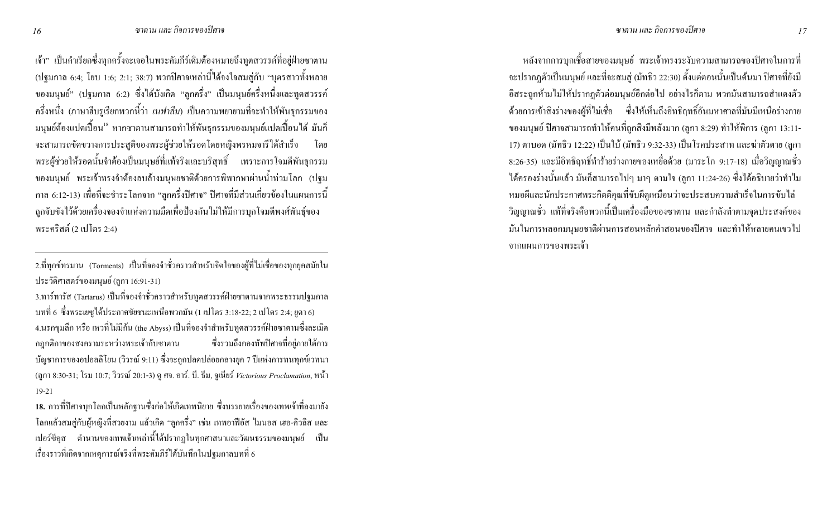เจ้า" เป็นคำเรียกซึ่งทุกครั้งจะเจอในพระคัมภีร์เดิมต้องหมายถึงทูตสวรรค์ที่อยู่ฝ่ายซาตาน (ปฐมกาล 6:4; โยบ 1:6; 2:1; 38:7) พวกปิศาจเหล่านี้ได้จงใจสมสู่กับ "บุตรสาวทั้งหลาย ของมนุษย์" (ปฐมกาล 6:2) ซึ่งได้บังเกิด "ลูกครึ่ง" เป็นมนุษย์ครึ่งหนึ่งและทูตสวรรค์ ี ครึ่งหนึ่ง (ภาษาฮีบรูเรียกพวกนี้ว่า *เนฟาลีม*) เป็นความพยายามที่จะทำให้พันธุกรรมของ ้มนุษย์ต้องแปดเปื้อน<sup>เธ</sup> หากซาตานสามารถทำให้พันธุกรรมของมนุษย์แปดเปื้อนได้ มันก็ ้จะสามารถขัดขวางการประสูติของพระผู้ช่วยให้รอดโดยหญิงพรหมจารีได้สำเร็จ โดย ี พระผู้ช่วยให้รอคนั้นจำต้องเป็นมนุษย์ที่แท้จริงและบริสุทธิ์ เพราะการโจมตีพันธุกรรม ี ของมนุษย์ พระเจ้าทรงจำต้องลบล้างมนุษยชาติด้วยการพิพากษาผ่านน้ำท่วมโลก (ปฐม ี กาล 6:12-13) เพื่อที่จะชำระโลกจาก "ลูกครึ่งปีศาจ" ปีศาจที่มีส่วนเกี่ยวข้องในแผนการนี้ ถูกจับขังไว้ด้วยเครื่องจองจำแห่งความมืดเพื่อป้องกันไม่ให้มีการบุกโจมตีพงศ์พันธุ์ของ พระคริสต์ (2 เปโตร 2:4)

2.ที่ทุกข์ทรมาน (Torments) เป็นที่จองจำชั่วคราวสำหรับจิตใจของผู้ที่ไม่เชื่อของทุกยุคสมัยใน ประวัติศาสตร์ของมนุษย์ (ลูกา 16:91-31)

3.ทาร์ทารัส (Tartarus) เป็นที่จองจำชั่วคราวสำหรับทูตสวรรค์ฝ่ายซาตานจากพระธรรมปฐมกาล ิบทที่ 6 ซึ่งพระเยซูได้ประกาศชัยชนะเหนือพวกมัน (1 เปโตร 3:18-22; 2 เปโตร 2:4; ยูดา 6) ี 4.นรกขุมลึก หรือ เหวที่ไม่มีก้น (the Abyss) เป็นที่จองจำสำหรับทูตสวรรค์ฝ่ายซาตานซึ่งละเมิด ึกฏกติกาของสงครามระหว่างพระเจ้ากับซาตาน ซึ่งรวมถึงกองทัพปิศาจที่อย่ภายใต้การ ี บัญชาการของอปอลลิโยน (วิวรณ์ 9:11) ซึ่งจะถูกปลดปล่อยกลางยุค 7 ปีแห่งการทนทุกข์เวทนา (ถูกา 8:30-31; โรม 10:7; วิวรณ์ 20:1-3) ดู ศจ. อาร์. บี. ธีม, จูเนียร์ Victorious Proclamation, หน้า  $19-21$ 

่ 18. การที่ปีศาจบุกโลกเป็นหลักฐานซึ่งก่อให้เกิดเทพนิยาย ซึ่งบรรยายเรื่องของเทพเจ้าที่ลงมายัง โลกแล้วสมสู่กับผู้หญิงที่สวยงาม แล้วเกิด "ลูกครึ่ง" เช่น เทพอาฟีอัส ไมนอส เฮอ-คิวลิส และ ี เปอร์ซีอุส ตำนานของเทพเจ้าเหล่านี้ได้ปรากฏในทุกศาสนาและวัฒนธรรมของมนุษย์ เป็น เรื่องราวที่เกิดจากเหตุการณ์จริงที่พระคัมภีร์ได้บันทึกในปฐมกาลบทที่ 6

หลังจากการบุกเชื้อสายของมนุษย์ พระเจ้าทรงระงับความสามารถของปีศาจในการที่ จะปรากฎตัวเป็นมนุษย์ และที่จะสมสู่ (มัทธิว 22:30) ตั้งแต่ตอนนั้นเป็นต้นมา ปิศาจที่ยังมี อิสระถูกห้ามใม่ให้ปรากฏตัวต่อมนุษย์อีกต่อไป อย่างไรก็ตาม พวกมันสามารถสำแดงตัว ี ด้วยการเข้าสิ่งร่างของผู้ที่ไม่เชื่อ ซึ่งให้เห็นถึงอิทธิฤทธิ์อันมหาศาลที่มันมีเหนือร่างกาย ของมนุษย์ ปิศาจสามารถทำให้คนที่ถูกสิงมีพลังมาก (ลูกา 8:29) ทำให้พิการ (ลูกา 13:11-17) ตาบอด (มัทธิว 12:22) เป็นใบ้ (มัทธิว 9:32-33) เป็นโรคประสาท และฆ่าตัวตาย (ลูกา 8:26-35) และมีอิทธิฤทธิ์ทำร้ายร่างกายของเหยื่อด้วย (มาระโก 9:17-18) เมื่อวิญญาณชั่ว ้ ได้ครองร่างนั้นแถ้ว มันก็สามารถไปๆ มาๆ ตามใจ (ลูกา 11:24-26) ซึ่งได้อธิบายว่าทำไม หมอผีและนักประกาศพระกิตติกุณที่ขับผีดูเหมือนว่าจะประสบความสำเร็จในการขับไล่ ้วิญญาณชั่ว แท้ที่จริงคือพวกนี้เป็นเครื่องมือของซาตาน และกำลังทำตามจุดประสงค์ของ ้มันในการหลอกมนุษยชาติผ่านการสอนหลักคำสอนของปีศาจ และทำให้หลายคนเขวไป ิจากแผนการของพระเจ้า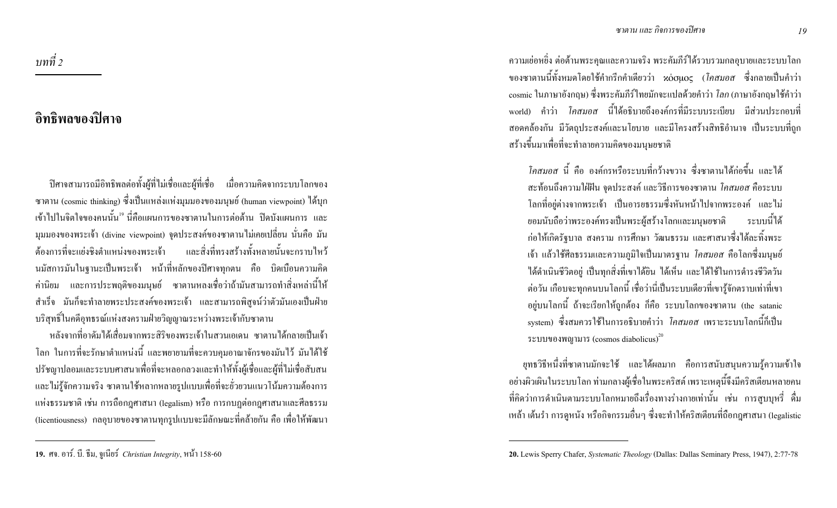ี ความเย่อหยิ่ง ต่อต้านพระคุณและความจริง พระคัมภีร์ได้รวบรวมกลอุบายและระบบโลก ึ ของซาตานนี้ทั้งหมดโดยใช้กำกรีกกำเดียวว่า κόσμος (*โคสมอส ซึ่*งกลายเป็นกำว่า cosmic ในภาษาอังกฤษ) ซึ่งพระคัมภีร์ไทยมักจะแปลด้วยคำว่า *โลก* (ภาษาอังกฤษใช้คำว่า world) คำว่า *โคสมอส* นี้ได้อธิบายถึงองค์กรที่มีระบบระเบียบ มีส่วนประกอบที่ ิ สอดกล้องกัน มีวัตถุประสงค์และนโยบาย และมีโครงสร้างสิทธิอำนาจ เป็นระบบที่ถูก สร้างขึ้นมาเพื่อที่จะทำลายความคิดของมนุษยชาติ

*โคสมอส* นี้ คือ องค์กรหรือระบบที่กว้างขวาง ซึ่งซาตานได้ก่อขึ้น และได้ ิสะท้อนถึงความใฝ่ฝัน จุดประสงค์ และวิธีการของซาตาน *โคสมอส* คือระบบ โลกที่อยู่ต่างจากพระเจ้า เป็นอารยธรรมซึ่งหันหน้าไปจากพระองค์ และไม่ ยอมนับถือว่าพระองค์ทรงเป็นพระผู้สร้างโลกและมนุษยชาติ ระบบนี้ได้ ึ ก่อให้เกิดรัฐบาล สงคราม การศึกษา วัฒนธรรม และศาสนาซึ่งได้ละทิ้งพระ ู้ เจ้า แล้วใช้ศีลธรรมและความภูมิใจเป็นมาตรฐาน *โคสมอส* คือโลกซึ่งมนุษย์ ใค้คำเนินชีวิตอยู่ เป็นทุกสิ่งที่เขาได้ยิน ใค้เห็น และได้ใช้ในการคำรงชีวิตวัน ต่อวัน เกือบจะทุกคนบนโลกนี้ เชื่อว่านี่เป็นระบบเดียวที่เขารู้จักตราบเท่าที่เขา อยู่บนโลกนี้ ถ้าจะเรียกให้ถูกต้อง ก็คือ ระบบโลกของซาตาน (the satanic system) ซึ่งสมควรใช้ในการอธิบายคำว่า *โคสมอส* เพราะระบบโลกนี้ก็เป็น ระบบของพญามาร (cosmos diabolicus) $^{20}$ 

ี ยุทธวิธีหนึ่งที่ซาตานมักจะใช้ และได้ผลมาก คือการสนับสนุนความรู้ความเข้าใจ ้ อย่างผิวเผินในระบบโลก ท่ามกลางผู้เชื่อในพระคริสต์ เพราะเหตุนี้จึงมีคริสเตียนหลายคน ี่ที่คิดว่าการดำเนินตามระบบโลกหมายถึงเรื่องทางร่างกายเท่านั้น เช่น การสูบบุหรี่ ดื่ม ่ เหล้า เต้นรำ การดหนัง หรือกิจกรรมอื่นๆ ซึ่งจะทำให้คริสเตียนที่ถือกฎศาสนา (legalistic

้อิทธิพลของปิศาจ

บทที่ 2

ี ปีศาจสามารถมีอิทธิพลต่อทั้งผู้ที่ไม่เชื่อและผู้ที่เชื่อ เมื่อความคิดจากระบบโลกของ ซาตาน (cosmic thinking) ซึ่งเป็นแหล่งแห่งมุมมองของมนุษย์ (human viewpoint) ได้บุก ้ เข้าไปในจิตใจของคนนั้น<sup>เร</sup> นี่คือแผนการของซาตานในการต่อต้าน ปิดบังแผนการ และ มุมมองของพระเจ้า (divine viewpoint) จุดประสงค์ของซาตานไม่เคยเปลี่ยน นั่นคือ มัน ี ค้องการที่จะแย่งชิงตำแหน่งของพระเจ้า และสิ่งที่ทรงสร้างทั้งหลายนั้นจะกราบไหว้ นมัสการมันในฐานะเป็นพระเจ้า หน้าที่หลักของปิศาจทุกตน คือ บิดเบือนความคิด ้ค่านิยม และการประพฤติของมนุษย์ ซาตานหลงเชื่อว่าถ้ามันสามารถทำสิ่งเหล่านี้ให้ ี สำเร็จ มันก็จะทำลายพระประสงค์ของพระเจ้า และสามารถพิสูจน์ว่าตัวมันเองเป็นฝ่าย บริสุทธิ์ในคดีอุทธรณ์แห่งสงครามฝ่ายวิญญาณระหว่างพระเจ้ากับซาตาน

หลังจากที่อาดัมได้เสื่อมจากพระสิริของพระเจ้าในสวนเอเดน ซาตานได้กลายเป็นเจ้า โลก ในการที่จะรักษาตำแหน่งนี้ และพยายามที่จะควบคุมอาณาจักรของมันไว้ มันได้ใช้ ปรัชญาปลอมและระบบศาสนาเพื่อที่จะหลอกลวงและทำให้ทั้งผู้เชื่อและผู้ที่ไม่เชื่อสับสน และไม่รู้จักความจริง ซาตานใช้หลากหลายรูปแบบเพื่อที่จะยั่วยวนแนวโน้มความต้องการ แห่งธรรมชาติ เช่น การถือกฎศาสนา (legalism) หรือ การกบฏต่อกฎศาสนาและศีลธรรม (licentiousness) กลอุบายของซาตานทุกรูปแบบจะมีลักษณะที่คล้ายกัน คือ เพื่อให้พัฒนา

<sup>20.</sup> Lewis Sperry Chafer, Systematic Theology (Dallas: Dallas Seminary Press, 1947), 2:77-78

<sup>19.</sup> ศจ. อาร์. บี. ธีม, จูเนียร์ Christian Integrity, หน้า 158-60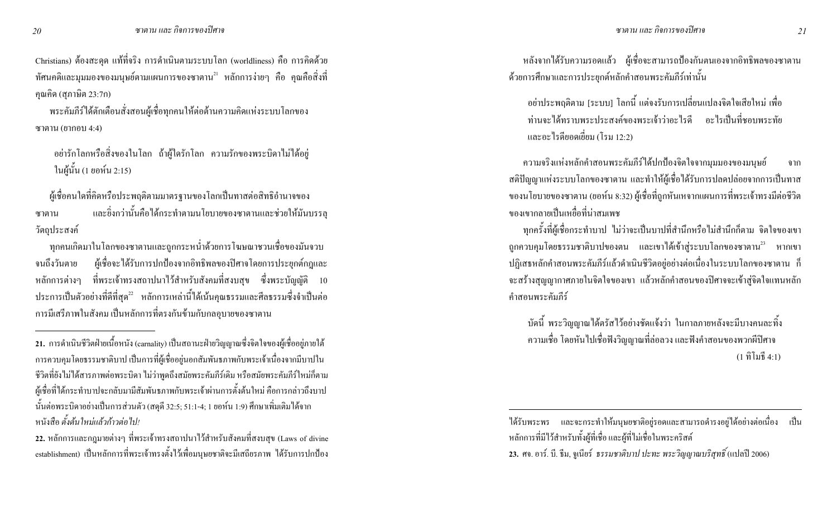Christians) ต้องสะดุด แท้ที่จริง การดำเนินตามระบบโลก (worldliness) คือ การคิดด้วย ทัศนคติและมุมมองของมนุษย์ตามแผนการของซาตาน<sup>21</sup> หลักการง่ายๆ คือ คุณคือสิ่งที่ คุณคิด (สุภาษิต 23:7ก)

ิ พระคัมภีร์ได้ตักเตือนสั่งสอนผู้เชื่อทุกคนให้ต่อต้านความคิดแห่งระบบโลกของ ซาตาน $($ ยากอบ 4:4 $)$ 

่ อย่ารักโลกหรือสิ่งของในโลก ถ้าผู้ใครักโลก ความรักของพระบิดาไม่ได้อยู่ ในผู้นั้น (1 ยอห์น 2:15)

ผู้เชื่อคนใดที่คิดหรือประพฤติตามมาตรฐานของโลกเป็นทาสต่อสิทธิอำนาจของ และชิ่งกว่านั้นคือได้กระทำตามนโยบายของซาตานและช่วยให้มันบรรลุ ซาตาน วัตถุประสงค์

่ ทุกคนเกิดมาในโลกของซาตานและถูกกระหน่ำด้วยการโฆษณาชวนเชื่อของมันจวบ จนถึงวันตาย ผู้เชื่อจะได้รับการปกป้องจากอิทธิพลของปิศาจโดยการประยุกต์กฎและ หลักการต่างๆ ที่พระเจ้าทรงสถาปนาไว้สำหรับสังคมที่สงบสุข ซึ่งพระบัญญัติ 10 ประการเป็นตัวอย่างที่ดีที่สุด<sup>22</sup> หลักการเหล่านี้ได้เน้นคุณธรรมและศีลธรรมซึ่งจำเป็นต่อ ่ การมีเสรีภาพในสังคม เป็นหลักการที่ตรงกันข้ามกับกลอุบายของซาตาน

หลังจากใด้รับความรอดแล้ว ผู้เชื่อจะสามารถป้องกันตนเองจากอิทธิพลของซาตาน ด้วยการศึกษาและการประยุกต์หลักคำสอนพระคัมภีร์เท่านั้น

้อย่าประพฤติตาม [ระบบ] โลกนี้ แต่จงรับการเปลี่ยนแปลงจิตใจเสียใหม่ เพื่อ ท่านจะได้ทราบพระประสงค์ของพระเจ้าว่าอะไรดี อะไรเป็นที่หอบพระทัย และอะไรดียอดเยี่ยม (โรม 12:2)

้ ความจริงแห่งหลักคำสอนพระคัมภีร์ได้ปกป้องจิตใจจากมุมมองของมนุษย์ ิจาก ิ สติปัญญาแห่งระบบโลกของซาตาน และทำให้ผู้เชื่อได้รับการปลดปล่อยจากการเป็นทาส ของนโยบายของซาตาน (ยอห์น 8:32) ผู้เชื่อที่ถูกหันเหจากแผนการที่พระเจ้าทรงมีต่อชีวิต ีของเขากลายเป็นเหยื่อที่น่าสมเพช

ทุกครั้งที่ผู้เชื่อกระทำบาป ไม่ว่าจะเป็นบาปที่สำนึกหรือไม่สำนึกก็ตาม จิตใจของเขา ิถูกควบคุมโดยธรรมชาติบาปของตน และเขาใด้เข้าสู่ระบบโลกของซาตาน<sup>23</sup> หากเขา ปฏิเสธหลักคำสอนพระคัมภีร์แล้วดำเนินชีวิตอยู่อย่างต่อเนื่องในระบบโลกของซาตาน ก็ จะสร้างสุญญากาศภายในจิตใจของเขา แล้วหลักคำสอนของปีศาจจะเข้าสู่จิตใจแทนหลัก คำสอนพระคัมภีร์

ี บัคนี้ พระวิญญาณได้ตรัสไว้อย่างชัดแจ้งว่า ในกาลภายหลังจะมีบางคนละทิ้ง ้ความเชื่อ โดยหันไปเชื่อฟังวิญญาณที่ล่อลวง และฟังคำสอนของพวกผีปิศาจ  $(1 \nbrace{\mathfrak{h}} \tilde{\mathfrak{h}} \mathfrak{u} \tilde{\mathfrak{h}}$  4:1)

<sup>21.</sup> การคำเนินชีวิตฝ่ายเนื้อหนัง (carnality) เป็นสถานะฝ่ายวิญญาณซึ่งจิตใจของผู้เชื่ออยู่ภายใต้ ิ การควบคุมโดยธรรมชาติบาป เป็นการที่ผู้เชื่ออยู่นอกสัมพันธภาพกับพระเจ้าเนื่องจากมีบาปใน ้ชีวิตที่ยังไม่ได้สารภาพต่อพระบิดา ไม่ว่าพูดถึงสมัยพระคัมภีร์เดิม หรือสมัยพระคัมภีร์ใหม่ก็ตาม ผู้เชื่อที่ได้กระทำบาปจะกลับมามีสัมพันธภาพกับพระเจ้าผ่านการตั้งต้นใหม่ คือการกล่าวถึงบาป นั้นต่อพระบิดาอย่างเป็นการส่วนตัว (สดุดี 32:5; 51:1-4; 1 ยอห์น 1:9) ศึกษาเพิ่มเติมใด้จาก หบังสือ ตั้งต้นใหม่แล้วก้าวต่อไป/

<sup>22.</sup> หลักการและกฎมายต่างๆ ที่พระเจ้าทรงสถาปนาไว้สำหรับสังคมที่สงบสุข (Laws of divine establishment) เป็นหลักการที่พระเจ้าทรงตั้งไว้เพื่อมนุษยชาติจะมีเสถียรภาพ ได้รับการปกป้อง

ใค้รับพระพร และจะกระทำให้มนษยชาติอย่รอดและสามารถคำรงอย่ได้อย่างต่อเนื่อง เป็น หลักการที่มีไว้สำหรับทั้งผู้ที่เชื่อ และผู้ที่ไม่เชื่อในพระคริสต์ 23. ศจ. อาร์. บี. ธีม, จูเนียร์ ธรรมชาติบาป ปะทะ พระวิญญาณบริสุทธิ์ (แปลปี 2006)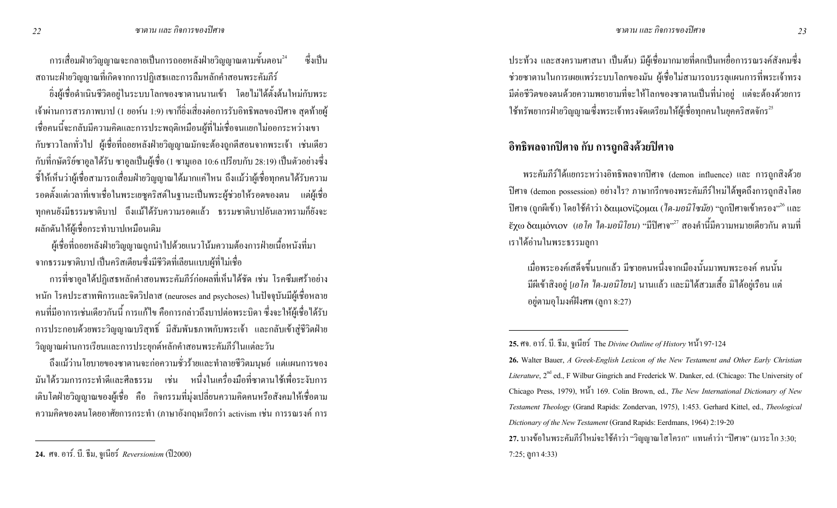ิ การเสื่อมฝ่ายวิญญาณจะกลายเป็นการถอยหลังฝ่ายวิญญาณตามขั้นตอน<sup>24</sup> ี ซึ่งเป็น ิ สถานะฝ่ายวิญญาณที่เกิดจากการปฏิเสธและการลืมหลักคำสอนพระคัมภีร์

้ ยิ่งผู้เชื่อคำเนินชีวิตอยู่ในระบบโลกของซาตานนานเข้า โดยใม่ได้ตั้งต้นใหม่กับพระ เจ้าผ่านการสารภาพบาป (1 ยอห์น 1:9) เขาก็ยิ่งเสี่ยงต่อการรับอิทธิพลของปิศาจ สุดท้ายผู้ เชื้อคนนี้จะกลับมีความคิดและการประพฤติเหมือนผู้ที่ไม่เชื่อจนแยกไม่ออกระหว่างเขา ้กับชาวโลกทั่วไป ผู้เชื่อที่ถอยหลังฝ่ายวิญญาณมักจะต้องถูกตีสอนจากพระเจ้า เช่นเดียว ้กับที่กษัตริย์ซาอูลได้รับ ซาอูลเป็นผู้เชื่อ (1 ซามูเอล 10:6 เปรียบกับ 28:19) เป็นตัวอย่างซึ่ง ์ ชี้ให้เห็นว่าผู้เชื่อสามารถเสื่อมฝ่ายวิญญาณได้มากแค่ไหน ถึงแม้ว่าผู้เชื่อทุกคนได้รับความ ี รอคตั้งแต่เวลาที่เขาเชื่อในพระเยซูคริสต์ในฐานะเป็นพระผู้ช่วยให้รอคของตน แต่ผู้เชื่อ ้ทุกคนยังมีธรรมชาติบาป ถึงแม้ได้รับความรอดแล้ว ธรรมชาติบาปอันเลวทรามก็ยังจะ ผลักดันให้ผู้เชื้อกระทำบาปเหมือนเดิม

้ผู้เชื่อที่ถอยหลังฝ่ายวิญญาณถูกนำไปด้วยแนวโน้มความต้องการฝ่ายเนื้อหนังที่มา จากธรรมชาติบาป เป็นคริสเตียนซึ่งมีชีวิตที่เลียนแบบผู้ที่ไม่เชื่อ

ึการที่ซาอูลได้ปฏิเสธหลักคำสอนพระคัมภีร์ก่อผลที่เห็นได้ชัด เช่น โรคซึมเศร้าอย่าง หนัก โรคประสาทพิการและจิตวิปลาส (neuroses and psychoses) ในปัจจุบันมีผู้เชื่อหลาย ึ คนที่มีอาการเช่นเดียวกันนี้ การแก้ไข คือการกล่าวถึงบาปต่อพระบิดา ซึ่งจะให้ผู้เชื่อได้รับ ี การประกอบด้วยพระวิญญาณบริสุทธิ์ มีสัมพันธภาพกับพระเจ้า และกลับเข้าสู่ชีวิตฝ่าย วิญญาณผ่านการเรียนและการประยุกต์หลักคำสอนพระคัมภีร์ในแต่ละวัน

้ถึงแม้ว่านโยบายของซาตานจะก่อความชั่วร้ายและทำลายชีวิตมนุษย์ แต่แผนการของ ้มันได้รวมการกระทำดีและศีลธรรม เช่น หนึ่งในเครื่องมือที่ซาตานใช้เพื่อระงับการ ้ เติบโตฝ่ายวิญญาณของผู้เชื้อ คือ กิจกรรมที่มุ่งเปลี่ยนความคิดคนหรือสังคมให้เชื้อตาม ิ ความคิดของตนโดยอาศัยการกระทำ (ภาษาอังกฤษเรียกว่า activism เช่น การรณรงค์ การ

ประท้วง และสงครามศาสนา เป็นต้น) มีผู้เชื่อมากมายที่ตกเป็นเหยื่อการรณรงค์สังคมซึ่ง ี ช่วยซาตานในการเผยแพร่ระบบโลกของมัน ผู้เชื่อไม่สามารถบรรลุแผนการที่พระเจ้าทรง ้มีต่อชีวิตของตนด้วยความพยายามที่จะให้โลกของซาตานเป็นที่น่าอยู่ แต่จะต้องด้วยการ ใช้ทรัพยากรฝ่ายวิญญาณซึ่งพระเจ้าทรงจัดเตรียมให้ผู้เชื่อทุกคนในยุคคริสตจักร<sup>25</sup>

## ้ อิทธิพลจากปิศาจ กับ การถูกสิ่งด้วยปิศาจ

พระคัมภีร์ได้แยกระหว่างอิทธิพลจากปิศาจ (demon influence) และ การถกสิ่งด้วย ปิศาจ (demon possession) อย่างไร? ภาษากรีกของพระคัมภีร์ใหม่ได้พูดถึงการถูกสิ่งโดย ปีศาจ (ถูกผีเข้า) โดยใช้คำว่า δαιμονίζομαι (*ใด-มอนิโซมัย*) "ถูกปีศาจเข้าครอง"<sup>26</sup> และ ้ะ $\chi$ ω δαιμόνιον (ιอ โค 'lค-มอนิโยน) "มีปิศาจ" $^{27}$  สองคำนี้มีความหมายเดียวกัน ตามที่ เราได้อ่านในพระธรรมลกา

้เมื่อพระองค์เสด็จขึ้นบกแล้ว มีชายคนหนึ่งจากเมืองนั้นมาพบพระองค์ คนนั้น ู้มีผีเข้าสิงอยู่ [*เอโค ได-มอนิโยน*] นานแล้ว และมิได้สวมเสื้อ มิได้อยู่เรือน แต่ อยู่ตามอุโมงค์ฝังศพ (ลูกา 8:27)

 $7:25$ ; ถูกา 4:33)

26. Walter Bauer, A Greek-English Lexicon of the New Testament and Other Early Christian Literature, 2<sup>nd</sup> ed., F Wilbur Gingrich and Frederick W. Danker, ed. (Chicago: The University of Chicago Press, 1979), หน้ำ 169. Colin Brown, ed., The New International Dictionary of New Testament Theology (Grand Rapids: Zondervan, 1975), 1:453. Gerhard Kittel, ed., Theological Dictionary of the New Testament (Grand Rapids: Eerdmans, 1964) 2:19-20 27. บางข้อในพระคัมภีร์ใหม่จะใช้คำว่า "วิญญาณโสโครก" แทนคำว่า "ปีศาจ" (มาระโก 3:30;

<sup>24.</sup> ศจ. อาร์. บี. ธีม. จูเนียร์ Reversionism (ปี2000)

<sup>25.</sup> ศจ. อาร์. บี. ธีม, จูเนียร์ The Divine Outline of History หน้า 97-124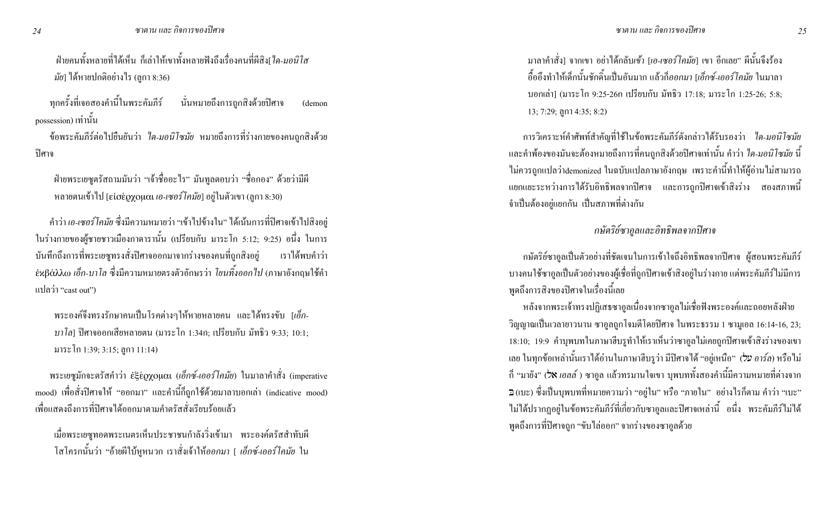ี่ ฝ่ายคนทั้งหลายที่ได้เห็น ก็เล่าให้เขาทั้งหลายฟังถึงเรื่องคนที่ผีสิง[*ใด-มอนิโส มัย*] ใค้หายปกติอย่างไร (ลูกา 8:36)

็ทุกครั้งที่เจอสองคำนี้ในพระคัมภีร์ นั่นหมายถึงการถูกสิงค้วยปีศาจ (demon possession) เท่านั้น

ข้อพระคัมภีร์ต่อใปยืนยันว่า *ใค-มอนิโซมัย* หมายถึงการที่ร่างกายของคนถูกสิงค้วย ปิศาจ

ฝ่ายพระเยซูตรัสถามมันว่า "เจ้าชื่ออะไร" มันทูลตอบว่า "ชื่อกอง" ด้วยว่ามีผี หลายตนเข้าไป [εἰσἑǫχομαι *เอ-เซอร์ โคมัย*] อยู่ในตัวเขา (ลูกา 8:30)

คำว่า*เอ-เซอร์โคมัย* ซึ่งมีความหมายว่า "เข้าไปข้างใน" ได้เน้นการที่ปิศาจเข้าไปสิงอยู่ ในร่างกายของผู้ชายชาวเมืองกาดารานั้น (เปรียบกับ มาระโก 5:12; 9:25) อนึ่ง ในการ บันทึกถึงการที่พระเยซูทรงสั่งปีศาจออกมาจากร่างของคนที่ถูกสิ ่ เราได้พบคำว่า  $\epsilon$ xβάλλω *เอ็ก-บาโล ซึ่*งมีความหมายตรงตัวอักษรว่า *โยนทิ้งออกไป* (ภาษาอังกฤษใช้คำ  $\text{u}$ ปลว่า "cast out")

่ พระองค์จึงทรงรักษาคนเป็นโรคต่างๆให้หายหลายคน และได้ทรงขับ [*เอ็ก-บาโล*] ปิศาจออกเสียหลายตน (มาระโก 1:34ก; เปรียบกับ มัทธิว 9:33; 10:1; มาระโก 1:39; 3:15; ถูกา 11:14)

พระเยซูมักจะตรัสคำว่า ἐξἑϱχομαι (*เอ็กซ์-เออร์โคมัย*) ในมาลาคำสั่ง (imperative mood) เพื่อสั่งปีศาจให้ "ออกมา" และคำนี้ก็ถูกใช้ด้วยมาลาบอกเล่า (indicative mood) ้ เพื่อแสดงถึงการที่ปิศาจได้ออกมาตามกำตรัสสั่งเรียบร้อยแล้ว

เมื่อพระเยซูทอดพระเนตรเห็นประชาชนกำลังวิ่งเข้ามา พระองค์ตรัสสำทับผี โสโครกนั้นว่า "อ้ายผีใบ้หูหนวก เราสั่งเจ้าให้*ออกมา* [ *เอ็กซ์-เออร์โคมัย* ใน

มาลาคำสั่ง| จากเขา อย่าได้กลับ*เข้า [เอ-เซอร์โคมัย*| เขา อีกเลย" ผีนั้นจึงร้อง อื้ออึงทำให้เด็กนั้นชักดิ<sup>้</sup>นเป็นอันมาก แล้วก็*ออกมา [เอ็กซ์-เออร์โคมัย ใ*นมาลา บอกเล่า] (มาระโก 9:25-26ก เปรียบกับ มัทธิว 17:18; มาระโก 1:25-26; 5:8; 13; 7:29; ถูกา 4:35; 8:2)

การวิเคราะห์คำศัพท์สำคัญที่ใช้ในข้อพระคัมภีร์ดังกล่าวได้รับรองว่า *ไค-มอนิโซมัย* และคำพ้องของมันจะต้องหมายถึงการที่คนถูกสิงค้วยปิศาจเท่านั้น คำว่า *ใค-มอนิโซมัย* นี้ ้ไม่ควรถูกแปลว่าdemonized ในฉบับแปลภาษาอังกฤษ เพราะคำนี้ทำให้ผู้อ่านไม่สามารถ แยกแยะระหว่างการใด้รับอิทธิพลจากปิศาจ และการถูกปิศาจเข้าสิงร่าง สองสภาพนี้ ึจำเป็นต้องอยู่แยกกัน เป็นสภาพที่ต่างกัน

#### กษัตริย์ซาอูลและอิทธิพลจากปิศาจ

กษัตริย์ซาอูลเป็นตัวอย่างที่ชัดเจนในการเข้าใจถึงอิทธิพลจากปีศาจ ผู้สอนพระคัมภีร์ บางคนใช้ซาอูลเป็นตัวอย่างของผู้เชื่อที่ถูกปีศาจเข้าสิงอยู่ในร่างกาย แต่พระคัมภีร์ไม่มีการ พูดถึงการสิงของปิศาจในเรื่องนี้เลย

หลังจากพระเจ้าทรงปฏิเสธซาอูลเนื่องจากซาอูลไม่เชื่อฟังพระองค์และถอยหลังฝ่าย วิญญาณเป็นเวลายาวนาน ซาอูลถูกโจมตีโคยปิศาจ ในพระธรรม 1 ซามูเอล 16:14-16, 23; 18:10; 19:9 คำบุพบทในภาษาฮีบรูทำให้เราเห็นว่าซาอูลไม่เคยถูกปิศาจเข้าสิงร่างของเขา เลย ในทุกข้อเหล่านั้นเราได้อ่านในภาษาฮีบรูว่า มีปิศาจได้ "อยู่เหนือ" *(על* อ*าร์ล*) หรือไม่ กี้ "มายัง" *(ว*ิ**x** เอลล์ ) ซาอูล แล้วทรมานใจเขา บุพบททั้งสองคำนี้มีความหมายที่ต่างจาก ว (เบะ) ซึ่งเป็นบุพบทที่หมายความว่า "อยู่ใน" หรือ "ภายใน" อย่างไรก็ตาม คำว่า "เบะ" "ไม่ได้ปรากฏอยู่ในข้อพระคัมภีร์ที่เกี่ยวกับซาอูลและปิศาจเหล่านี้ อนึ่ง พระคัมภีร์ไม่ได้ พูดถึงการที่ปิศาจถูก "ขับ"ไล่ออก" จากร่างของซาอูลด้วย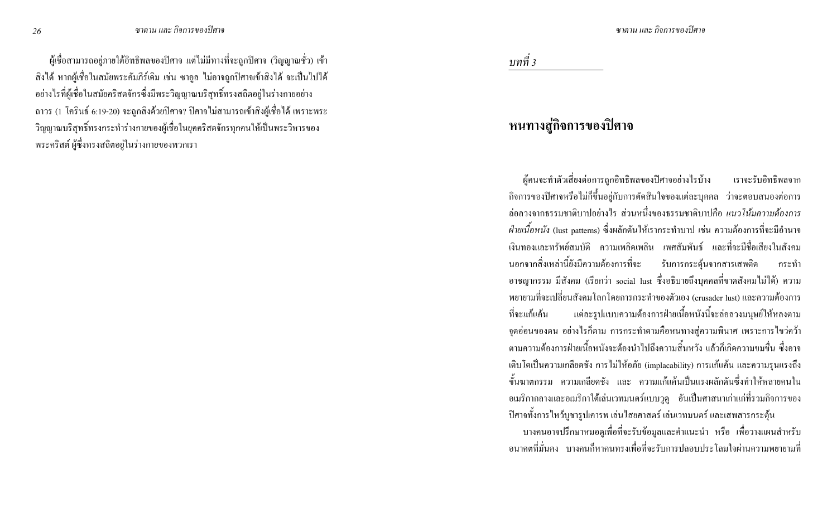้ ผู้เชื้อสามารถอยู่ภายใต้อิทธิพลของปีศาจ แต่ไม่มีทางที่จะถูกปีศาจ (วิญญาณชั่ว) เข้า ่ สิ่งใด้ หากผู้เชื่อในสมัยพระคัมภีร์เคิม เช่น ซาอูล ใม่อาจถูกปิศาจเข้าสิ่งใด้ จะเป็นไปใด้ ้อย่างไรที่ผู้เชื่อในสมัยคริสตจักรซึ่งมีพระวิญญาณบริสุทธิ์ทรงสถิตอยู่ในร่างกายอย่าง ิ ถาวร (1 โครินธ์ 6:19-20) จะถูกสิงค้วยปิศาจ? ปิศาจไม่สามารถเข้าสิงผู้เชื่อได้ เพราะพระ วิญญาณบริสุทธิ์ทรงกระทำร่างกายของผู้เชื่อในยุคคริสตจักรทุกคนให้เป็นพระวิหารของ ่ พระคริสต์ ผู้ซึ่งทรงสถิตอยู่ในร่างกายของพวกเรา

บทที่ 3

# หนทางสู่กิจการของปิศาจ

ผ้คนจะทำตัวเสี่ยงต่อการถกอิทธิพลของปิศาจอย่างไรบ้าง เราจะรับอิทธิพลจาก ้กิจการของปีศาจหรือไม่กี่ขึ้นอยู่กับการตัดสินใจของแต่ละบุกกล ว่าจะตอบสนองต่อการ ี<br>ล่อลวงจากธรรมชาติบาปอย่างไร ส่วนหนึ่งของธรรมชาติบาปลือ *แนวโน้มความต้องการ ฝ่ายเนื้อหนัง* (lust patterns) ซึ่งผลักดันให้เรากระทำบาป เช่น ความต้องการที่จะมีอำนาจ ้<br>เงิบทองและทรัพย์สมบัติ ความเพลิดเพลิบ เพศสัมพับธ์ และที่จะมีชื่อเสียงใบสังคม นอกจากสิ่งเหล่านี้ยังมีความต้องการที่จะ รับการกระต้นจากสารเสพติด กระทำ อาชญากรรม มีสังคม (เรียกว่า social lust ซึ่งอธิบายถึงบุคคลที่ขาดสังคมไม่ได้) ความ ิพยายามที่จะเปลี่ยนสังคมโลกโดยการกระทำของตัวเอง (crusader lust) และความต้องการ ี แต่ละรูปแบบความต้องการฝ่ายเนื้อหนังนี้จะล่อลวงมนุษย์ให้หลงตาม ที่จะแก้แค้น ึ่งคอ่อนของตน อย่างไรก็ตาม การกระทำตามคือหนทางสู่ความพินาศ เพราะการไขว่คว้า ิตามความต้องการฝ่ายเนื้อหบังจะต้องบำไปถึงความสิ้นหวัง แล้วก็เกิดความขมขึ้น ซึ่งอาจ ้เติบโตเป็นความเกลียคชั่ง การไม่ให้อภัย (implacability) การแก้แก้น และความรุนแรงถึง ์ ขั้นฆาตกรรม ความเกลียดชัง และ ความแก้แค้นเป็นแรงผลักดันซึ่งทำให้หลายคนใน ้อเมริกากลางและอเมริกาใต้เล่นเวทมนตร์แบบวูดู อันเป็นศาสนาเก่าแก่ที่รวมกิจการของ ้ ปิศาจทั้งการไหว้บูชารูปเคารพ เล่นไสยศาสตร์ เล่นเวทมนตร์ และเสพสารกระตุ้น

บางคนอาจปรึกษาหมอดูเพื่อที่จะรับข้อมูลและคำแนะนำ หรือ เพื่อวางแผนสำหรับ ้อนาคตที่มั่นคง บางคนก็หาคนทรงเพื่อที่จะรับการปลอบประโลมใจผ่านความพยายามที่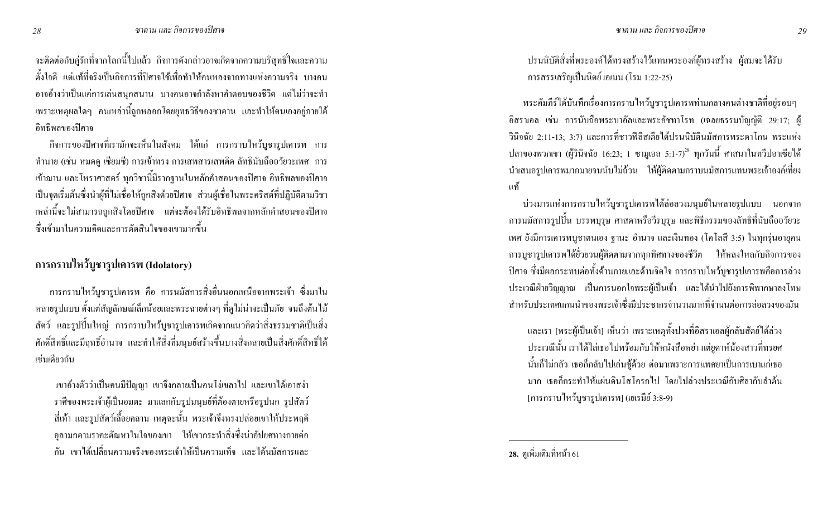จะติดต่อกับคู่รักที่จากโลกนี้ไปแล้ว กิจการคังกล่าวอาจเกิดจากความบริสุทธิ์ใจและความ ้ตั้งใจดี แต่แท้ที่จริงเป็นกิจการที่ปิศาจใช้เพื่อทำให้คนหลงจากทางแห่งความจริง บางคน ้อาจอ้างว่าเป็นแก่การเล่นสนุกสนาน บางคนอาจกำลังหาคำตอบของชีวิต แต่ไม่ว่าจะทำ ี เพราะเหตุผลใดๆ คนเหล่านี้ถูกหลอกโดยยุทธวิธีของซาตาน และทำให้ตนเองอยู่ภายใต้ อิทธิพลของปิศาจ

้กิจการของปีศาจที่เรามักจะเห็นในสังคม ได้แก่ การกราบไหว้บูชารูปเคารพ การ ทำนาย (เช่น หมดดู เซียมซี) การเข้าทรง การเสพสารเสพติด ลัทธินับถืออวัยวะเพศ การ เข้าฌาน และโหราศาสตร์ ทุกวิชานี้มีรากฐานในหลักคำสอนของปิศาจ อิทธิพลของปิศาจ เป็นจุดเริ่มต้นซึ่งนำผู้ที่ไม่เชื่อให้ถูกสิงค้วยปิศาจ ส่วนผู้เชื่อในพระคริสต์ที่ปฏิบัติตามวิชา เหล่านี้จะไม่สามารถถูกสิงโดยปีศาจ แต่จะต้องได้รับอิทธิพลจากหลักคำสอนของปีศาจ ซึ่งเข้ามาในความคิดและการตัดสินใจของเขามากขึ้น

# ิ การกราบใหว้บูชารูปเคารพ (Idolatory)

ึการกราบใหว้บูชารูปเคารพ คือ การนมัสการสิ่งอื่นนอกเหนือจากพระเจ้า ซึ่งมาใน หลายรูปแบบ ตั้งแต่สัญลักษณ์เล็กน้อยและพระฉายต่างๆ ที่ดูไม่น่าจะเป็นภัย จนถึงต้นไม้ ิ สัตว์ และรูปปั้นใหญ่ การกราบใหว้บูชารูปเคารพเกิดจากแนวคิดว่าสิ่งธรรมชาติเป็นสิ่ง ี ศักดิ์สิทธิ์และมีฤทธิ์อำนาจ และทำให้สิ่งที่มนุษย์สร้างขึ้นบางสิ่งกลายเป็นสิ่งศักดิ์สิทธิ์ได้ เช่นเดียวกัน

้เขาอ้างตัวว่าเป็นคนมีปัญญา เขาจึงกลายเป็นคนโง่เขลาไป และเขาได้เอาสง่า ้ราศีของพระเจ้าผู้เป็นอมตะ มาแลกกับรูปมนุษย์ที่ต้องตายหรือรูปนก รูปสัตว์ ์ สี่เท้า และรูปสัตว์เลื้อยคลาน เหตุฉะนั้น พระเจ้าจึงทรงปล่อยเขาให้ประพฤติ ้อุลามกตามราคะต้ณหาในใจของเขา ให้เขากระทำสิ่งซึ่งน่าอัปยศทางกายต่อ ้กัน เขาใด้เปลี่ยนความจริงของพระเจ้าให้เป็นความเท็จ และได้นมัสการและ

ปรนนิบัติสิ่งที่พระองค์ได้ทรงสร้างไว้แทนพระองค์ผู้ทรงสร้าง ผู้สมจะได้รับ การสรรเสริญเป็นนิตย์ เอเมน (โรม 1:22-25)

้ พระคัมภีร์ได้บันทึกเรื่องการกราบไหว้บูชารูปเคารพท่ามกลางคนต่างชาติที่อยู่รอบๆ อิสราเอล เช่น การนับถือพระบาอัลและพระอัชทาโรท (เฉลยธรรมบัญญัติ 29:17; ผู้ ้วินิจฉัย 2:11-13; 3:7) และการที่ชาวฟิลิสเตียได้ปรนนิบัตินมัสการพระดาโกน พระแห่ง ปลาของพวกเขา (ผู้วินิจฉัย 16:23; 1 ซามูเอล 5:1-7)<sup>28</sup> ทุกวันนี้ ศาสนาในทวีปอาเซียได้ นำเสนอรูปเการพมากมายจนนับไม่ถ้วน ให้ผู้ติดตามกราบนมัสการแทนพระเจ้าองค์เที่ยง ้แท้

ี บ่วงมารแห่งการกราบใหว้บูชารูปเคารพได้ล่อลวงมนุษย์ในหลายรูปแบบ นอกจาก ี การนมัสการรูปปั้น บรรพบุรุษ ศาสดาหรือวีรบุรุษ และพิธีกรรมของลัทธิที่นับถืออวัยวะ ้เพศ ยังมีการเคารพบูชาตนเอง ฐานะ อำนาจ และเงินทอง (โคโลสี 3:5) ในทุกรุ่นอายุคน ี การบูชารูปเการพได้ยั่วยวนผู้ติดตามจากทุกทิศทางของชีวิต ให้หลงใหลกับกิจการของ ้ ปีศาจ ซึ่งมีผลกระทบต่อทั้งด้านกายและด้านจิตใจ การกราบใหว้บชารปเคารพคือการล่วง ประเวณีฝ่ายวิณฌาณ เป็นการนอกใจพระผู้เป็นเจ้า และได้นำไปยังการพิพากษาลงโทษ ่ สำหรับประเทศแกนนำของพระเจ้าซึ่งมีประชากรจำนวนมากที่จำนนต่อการล่อลวงของมัน

และเรา [พระผู้เป็นเจ้า] เห็นว่า เพราะเหตุทั้งปวงที่อิสราเอลผู้กลับสัตย์ได้ล่วง ประเวณีนั้น เราได้ไล่เธอไปพร้อมกับให้หนังสือหย่า แต่ยูดาห์น้องสาวที่ทรยศ นั้นก็ไม่กลัว เธอกึกลับไปเล่นชู้ด้วย ต่อมาเพราะการแพศยาเป็นการเบาแก่เธอ มาก เธอกี้กระทำให้แผ่นดินโสโครกไป โดยไปล่วงประเวณีกับศิลากับลำต้น [การกราบใหว้บูชารูปเคารพ] (เยเรมีย์ 3:8-9)

28. ดูเพิ่มเติมที่หน้า 61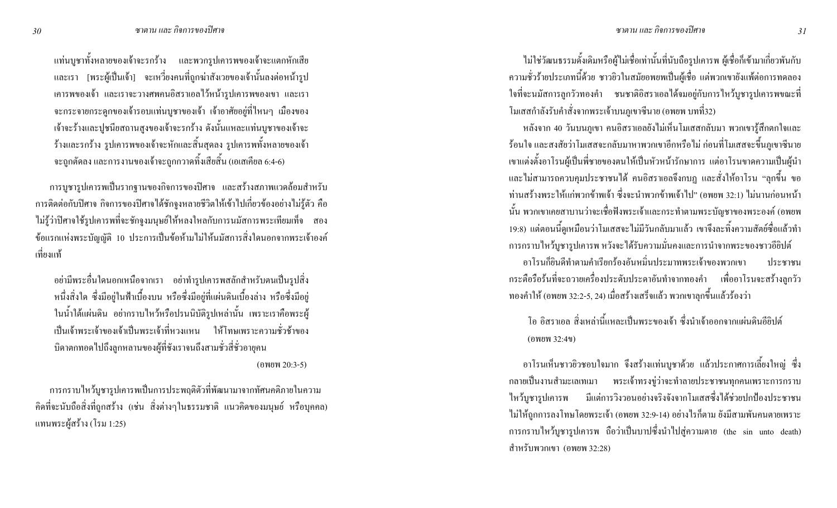แท่นบูชาทั้งหลายของเจ้าจะรกร้าง และพวกรูปเคารพของเจ้าจะแตกหักเสีย และเรา [พระผู้เป็นเจ้า] จะเหวี่ยงคนที่ถูกฆ่าสังเวยของเจ้านั้นลงต่อหน้ารูป เคารพของเจ้า และเราจะวางศพคนอิสราเอลไว้หน้ารูปเคารพของเขา และเรา ึ จะกระจายกระดูกของเจ้ารอบแท่นบูชาของเจ้า เจ้าอาศัยอยู่ที่ไหนๆ เมืองของ เจ้าจะร้างและปูชนียสถานสูงของเจ้าจะรกร้าง คังนั้นแหละแท่นบูชาของเจ้าจะ ร้างและรกร้าง รูปเคารพของเจ้าจะหักและสิ้นสุดลง รูปเคารพทั้งหลายของเจ้า จะถูกตัดลง และการงานของเจ้าจะถูกกวาดทิ้งเสียสิ้น (เอเสเกียล 6:4-6)

การบูชารูปเคารพเป็นรากฐานของกิจการของปิศาจ และสร้างสภาพแวดล้อมสำหรับ การติดต่อกับปิศาจ กิจการของปิศาจได้ชักจูงหลายชีวิตให้เข้าไปเกี่ยวข้องอย่างไม่รู้ตัว คือ "ไม่รู้ว่าปิศาจใช้รูปเคารพที่จะชักจูงมนุษย์ให้หลงใหลกับการนมัสการพระเทียมเท็จ สอง ข้อแรกแห่งพระบัญญัติ 10 ประการเป็นข้อห้ามไม่ให้นมัสการสิ่งใคนอกจากพระเจ้าองค์ ้เที่ยงแท้

อย่ามีพระอื่นใคนอกเหนือจากเรา อย่าทำรูปเคารพสลักสำหรับตนเป็นรูปสิ่ง หนึ่งสิ่งใด ซึ่งมีอยู่ในฟ้าเบื้องบน หรือซึ่งมีอยู่ที่แผ่นดินเบื้องล่าง หรือซึ่งมีอยู่ ในน้ำใต้แผ่นดิน อย่ากราบไหว้หรือปรนนิบัติรูปเหล่านั้น เพราะเราคือพระผู้ เป็นเจ้าพระเจ้าของเจ้าเป็นพระเจ้าที่หวงแหน ให้โทษเพราะความชั่วช้าของ บิดาตกทอดไปถึงลูกหลานของผู้ที่ชังเราจนถึงสามชั่วสี่ชั่วอายุคน  $($ owew 20:3-5)

การกราบไหว้บูชารูปเคารพเป็นการประพฤติตัวที่พัฒนามาจากทัศนคติภายในความ คิดที่จะนับถือสิ่งที่ถูกสร้าง (เช่น สิ่งต่างๆในธรรมชาติ แนวคิดของมนุษย์ หรือบุคคล) แทนพระผู้สร้าง (โรม 1:25)

ไม่ใช่วัฒนธรรมดั้งเดิมหรือผู้ไม่เชื่อเท่านั้นที่นับถือรูปเการพ ผู้เชื่อก็เข้ามาเกี่ยวพันกับ ความชั่วร้ายประเภทนี้ด้วย ชาวยิวในสมัยอพยพเป็นผู้เชื่อ แต่พวกเขายังแพ้ต่อการทดลอง ใจที่จะนมัสการลูกวัวทองคำ ชนชาติอิสราเอลใด้จมอยู่กับการใหว้บูชารูปเคารพขณะที่ โมเสสกำลังรับคำสั่งจากพระเจ้าบนภูเขาซีนาย (อพยพ บทที่32)

หลังจาก 40 วันบนภูเขา คนอิสราเอลยังไม่เห็นโมเสสกลับมา พวกเขารู้สึกตกใจและ ร้อนใจ และสงสัยว่าโมเสสจะกลับมาหาพวกเขาอีกหรือไม่ ก่อนที่โมเสสจะขึ้นภูเขาซีนาย เขาแต่งตั้งอาโรนผู้เป็นพี่ชายของตนให้เป็นหัวหน้ารักษาการ แต่อาโรนขาดความเป็นผู้นำ และไม่สามารถควบคุมประชาชนได้ คนอิสราเอลจึงกบฏ และสั่งให้อาโรน "ลุกขึ้น ขอ ท่านสร้างพระให้แก่พวกข้าพเจ้า ซึ่งจะนำพวกข้าพเจ้าไป" (อพยพ 32:1) ไม่นานก่อนหน้า นั้น พวกเขาเคยสาบานว่าจะเชื่อฟังพระเจ้าและกระทำตามพระบัญชาของพระองค์ (อพยพ 19:8) แต่ตอนนี้ดูเหมือนว่าโมเสสจะไม่มีวันกลับมาแล้ว เขาจึงละทิ้งความสัตย์ซื่อแล้วทำ การกราบไหว้บูชารูปเการพ หวังจะได้รับความมั่นคงและการนำจากพระของชาวอียิปต์ อาโรนกี่ยินดีทำตามคำเรียกร้องอันหมิ่นประมาทพระเจ้าของพวกเขา ประชาชน กระตือรือร้นที่จะถวายเครื่องประดับประดาอันทำจากทองคำ เพื่ออาโรนจะสร้างลูกวัว ึทองคำให้ (อพยพ 32:2-5, 24) เมื่อสร้างเสร็จแล้ว พวกเขาลุกขึ้นแล้วร้องว่า

โอ อิสราเอล สิ่งเหล่านี้แหละเป็นพระของเจ้า ซึ่งนำเจ้าออกจากแผ่นดินอียิปต์  $($ 0 พยพ 32:4 $\nu$ )

อาโรนเห็นชาวยิวชอบใจมาก จึงสร้างแท่นบูชาด้วย แล้วประกาศการเลี้ยงใหญ่ ซึ่ง ึกลายเป็นงานสำมะเลเทเมา พระเจ้าทรงขู่ว่าจะทำลายประชาชนทุกคนเพราะการกราบ ี "ใหว้บูชารูปเคารพ งวอนอย่างจริงจังจากโมเสสซึ่งใด้ช่วยปกป้องประชาชน ไม่ให้ถูกการลงโทษโดยพระเจ้า (อพยพ 32:9-14) อย่างไรก็ตาม ยังมีสามพันคนตายเพราะ การกราบใหว้บูชารูปเการพ ถือว่าเป็นบาปซึ่งนำใปสู่ความตาย (the sin unto death) สำหรับพวกเขา (อพยพ 32:28)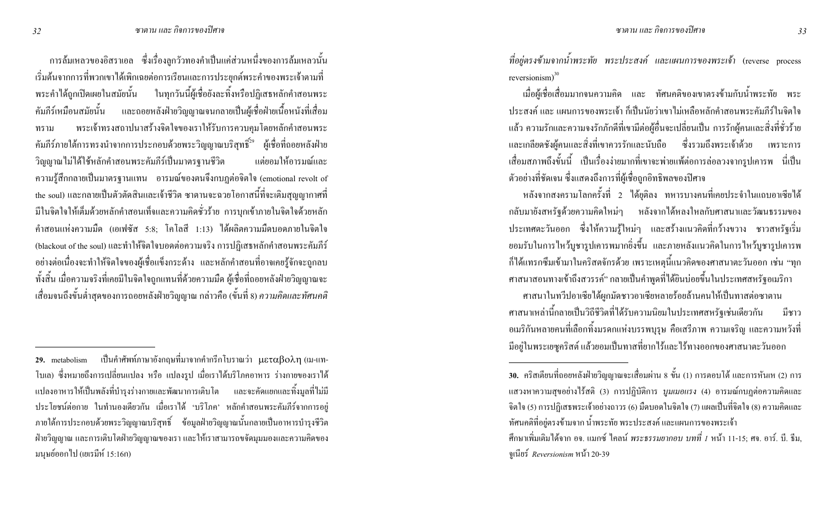การล้มเหลวของอิสราเอล ซึ่งเรื่องลูกวัวทองคำเป็นแค่ส่วนหนึ่งของการล้มเหลวนั้น เริ่มต้นจากการที่พวกเขาได้เพิกเฉยต่อการเรียนและการประยุกต์พระคำของพระเจ้าตามที่ พระคำใด้ถูกเปิดเผยในสมัยนั้น ในทุกวันนี้ผู้เชื่อยังละทิ้งหรือปฏิเสธหลักคำสอนพระ คัมภีร์เหมือนสมัยนั้น และถอยหลังฝ่ายวิญญาณจนกลายเป็นผู้เชื่อฝ่ายเนื้อหนังที่เสื่อม ทราม พระเจ้าทรงสถาปนาสร้างจิตใจของเราให้รับการควบคุมโดยหลักคำสอนพระ คัมภีร์ภายใต้การทรงนำจากการประกอบด้วยพระวิญญาณบริสุทธิ์<sup>29</sup> ผู้เชื่อที่ถอยหลังฝ่าย วิญญาณ ไม่ได้ใช้หลักคำสอนพระคัมภีร์เป็นมาตรฐานชีวิ แต่ยอมให้อารมณ์และ ความรู้สึกกลายเป็นมาตรฐานแทน อารมณ์ของตนจึงกบฎต่อจิตใจ (emotional revolt of the soul) และกลายเป็นตัวตัดสินและเจ้าชีวิต ซาตานจะฉวยโอกาสนี้ที่จะเติมสุญญากาศที่ มีในจิตใจให้เต็มด้วยหลักคำสอนเท็จและความคิดชั่วร้าย การบุกเข้าภายในจิตใจด้วยหลัก คำสอนแห่งความมืด (เอเฟซัส 5:8; โคโลสี 1:13) ใค้ผลิตความมืดบอดภายในจิตใจ (blackout of the soul) และทำให้จิตใจบอดต่อความจริง การปฏิเสธหลักคำสอนพระคัมภีร์ อย่างต่อเนื่องจะทำให้จิตใจของผู้เชื่อแข็งกระด้าง และหลักคำสอนที่อาจเคยรู้จักจะถูกลบ ทั้งสิ้น เมื่อความจริงที่เคยมีในจิตใจถูกแทนที่ด้วยความมืด ผู้เชื่อที่ถอยหลังฝ่ายวิญญาณจะ เสื่อมจนถึงขั้นต่ำสุดของการถอยหลังฝ่ายวิญญาณ กล่าวคือ (ขั้นที่ 8) *ความคิดและทัศนคติ* 

ที่อยู่ตรงข้ามจากน้ำพระทัย พระประสงค์ และแผนการของพระเจ้า (reverse process reversionism $)^{30}$ 

เมื่อผู้เชื่อเสื่อมมากจนความคิด และ ทัศนคติของเขาตรงข้ามกับน้ำพระทัย พระ ประสงค์ และ แผนการของพระเจ้า ก็เป็นนัยว่าเขาไม่เหลือหลักคำสอนพระคัมภีร์ในจิตใจ แล้ว ความรักและความจงรักภักดีที่เขามีต่อผู้อื่นจะเปลี่ยนเป็น การรักผู้คนและสิ่งที่ชั่วร้าย และเกลียดชังผู้คนและสิ่งที่เขาควรรักและนับถือ ซึ่งรวมถึงพระเจ้าค้วย เพราะการ ี่ เสื่อมสภาพถึงขั้นนี้ เป็นเรื่องง่ายมากที่เขาจะพ่ายแพ้ต่อการล่อลวงจากรูปเคารพ นี่เป็น ตัวอย่างที่ชัดเจน ซึ่งแสดงถึงการที่ผู้เชื่อถูกอิทธิพลของปิศาจ

หลังจากสงครามโลกครั้งที่ 2 ใค้ยุติลง ทหารบางคนที่เคยประจำในแถบอาเซียใค้ กลับมายังสหรัฐค้วยความคิดใหม่ๆ หลังจากได้หลงใหลกับศาสนาและวัฒนธรรมของ ประเทศตะวันออก ซึ่งให้ความรู้ใหม่ๆ และสร้างแนวคิดที่กว้างขวาง ชาวสหรัฐเริ่ม ยอมรับในการไหว้บูชารูปเการพมากยิ่งขึ้น และภายหลังแนวคิดในการไหว้บูชารูปเการพ ก็ได้แทรกซึมเข้ามาในคริสตจักรด้วย เพราะเหตุนี้แนวคิดของศาสนาตะวันออก เช่น "ทุก ศาสนาสอนทางเข้าถึงสวรรค์" กลายเป็นคำพูดที่ได้ยินบ่อยขึ้นในประเทศสหรัฐอเมริกา

ศาสนาในทวีปอาเซียได้ผูกมัดชาวอาเซียหลายร้อยล้านคนให้เป็นทาสต่อซาตาน ศาสนาเหล่านี้กลายเป็นวิถีชีวิตที่ได้รับความนิยมในประเทศสหรัฐเช่นเดียวกัน มีชาว อเมริกันหลายคนที่เลือกทิ้งมรดกแห่งบรรพบุรุษ คือเสรีภาพ ความเจริญ และความหวังที่ มีอยู่ในพระเยซูกริสต์ แล้วยอมเป็นทาสที่ยากไร้และไร้ทางออกของศาสนาตะวันออก

ศึกษาเพิ่มเติมได้จาก อจ. แมกซ์ ไคลน์ *พระธรรมยากอบ บทที่ 1* หน้า 11-15; ศจ. อาร์. บี. ธีม, '(#)! *Reversionism* 8C 20-39

 $\,$ 29. metabolism เป็นคำศัพท์ภาษาอังกฤษที่มาจากคำกรีกโบราณว่า  $\mu$ εταβολη $\,$  (เม-แท- $\,$ โบเล) ซึ่งหมายถึงการเปลี่ยนแปลง หรือ แปลงรูป เมื่อเราได้บริโภคอาหาร ร่างกายของเราได้ แปลงอาหารให้เป็นพลังที่บำรุงร่างกายและพัฒนาการเติบโต และจะคัดแยกและทิ้งมูลที่ไม่มี ประโยชน์ต่อกาย ในทำนองเดียวกัน เมื่อเราได้ 'บริโภค' หลักคำสอนพระคัมภีร์จากการอยู่ ภายใต้การประกอบด้วยพระวิญญาณบริสุทธิ์ ข้อมูลฝ่ายวิญญาณนั้นกลายเป็นอาหารบำรุงชีวิต ฝ่ายวิญญาณ และการเดิบ โตฝ่ายวิญญาณของเรา และให้เราสามารถขจัดมุมมองและความคิดของ มนุษย์ออกไป (เยเรมีห์ 15:16ก)

**<sup>30.</sup>** คริสเตียนที่ถอยหลังฝ่ายวิญญาณจะเสื่อมผ่าน 8 ขั้น (1) การตอบโต้ และการหันเห (2) การ แสวงหาความสุขอย่าง<sup>ๆ</sup>รื้สติ (3) การปฏิบัติการ *บูมเมอแรง* (4) อารมณ์กบฏต่อความคิดและ จิตใจ (5) การปฏิเสธพระเจ้าอย่างถาวร (6) มืดบอดในจิตใจ (7) แผลเป็นที่จิตใจ (8) ความคิดและ ทัศนคติที่อยู่ตรงข้ามจาก น้ำพระทัย พระประสงค์ และแผนการของพระเจ้า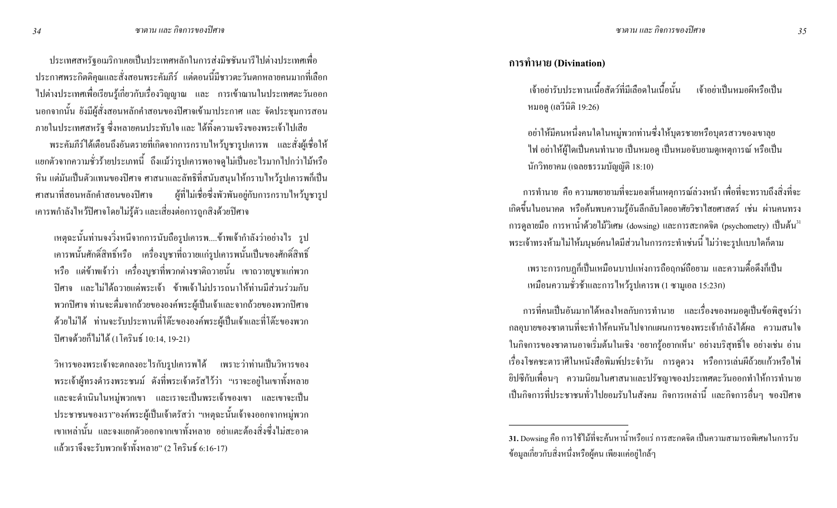ประเทศสหรัฐอเมริกาเคยเป็นประเทศหลักในการส่งมิชชันนารีไปต่างประเทศเพื่อ ี ประกาศพระกิตติกุณและสั่งสอนพระคัมภีร์ แต่ตอนนี้มีชาวตะวันตกหลายคนมากที่เลือก ไปต่างประเทศเพื่อเรียนรู้เกี่ยวกับเรื่องวิญญาณ และ การเข้าฌานในประเทศตะวันออก นอกจากนั้น ยังมีผู้สั่งสอนหลักคำสอนของปีศาจเข้ามาประกาศ และ จัดประชุมการสอน ึภายในประเทศสหรัฐ ซึ่งหลายคนประทับใจ และ ได้ทิ้งความจริงของพระเจ้าไปเสีย

ี พระคัมภีร์ได้เตือนถึงอันตรายที่เกิดจากการกราบใหว้บูชารูปเคารพ และสั่งผู้เชื่อให้ ี แยกตัวจากความชั่วร้ายประเภทนี้ ถึงแม้ว่ารูปเคารพอาจดูไม่เป็นอะไรมากไปกว่าไม้หรือ ้หิน แต่มันเป็นตัวแทนของปีศาจ ศาสนาและลัทธิที่สนับสนุนให้กราบไหว้รูปเคารพก็เป็น ศาสนาที่สอนหลักคำสอนของปีศาจ ผู้ที่ไม่เชื่อซึ่งพัวพันอยู่กับการกราบไหว้บูชารูป ่ เคารพกำลังใหว้ปิศาจโดยใม่รู้ตัว และเสี่ยงต่อการถูกสิงด้วยปิศาจ

่ เหตุฉะนั้นท่านจงวิ่งหนีจากการนับถือรูปเคารพ....ข้าพเจ้ากำลังว่าอย่างไร รูป เคารพนั้นศักดิ์สิทธิ์หรือ เครื่องบูชาที่ถวายแก่รูปเคารพนั้นเป็นของศักดิ์สิทธิ์ หรือ แต่ข้าพเจ้าว่า เครื่องบูชาที่พวกต่างชาติถวายนั้น เขาถวายบูชาแก่พวก ้ ปิศาจ และไม่ได้ถวายแค่พระเจ้า ข้าพเจ้าไม่ปรารถนาให้ท่านมีส่วนร่วมกับ พวกปิศาจ ท่านจะดื่มจากถ้วยขององค์พระผู้เป็นเจ้าและจากถ้วยของพวกปิศาจ ้ด้วยไม่ได้ ท่านจะรับประทานที่โต๊ะขององค์พระผู้เป็นเจ้าและที่โต๊ะของพวก ปิศาจด้วยก็ไม่ได้ (1โครินธ์ 10:14, 19-21)

วิหารของพระเจ้าจะตกลงอะไรกับรูปเคารพได้ เพราะว่าท่านเป็นวิหารของ พระเจ้าผู้ทรงคำรงพระชนม์ ดังที่พระเจ้าตรัสไว้ว่า "เราจะอยู่ในเขาทั้งหลาย และจะคำเนินในหมู่พวกเขา และเราจะเป็นพระเจ้าของเขา และเขาจะเป็น ประชาชนของเรา"องค์พระผู้เป็นเจ้าตรัสว่า "เหตุฉะนั้นเจ้าจงออกจากหมู่พวก ้เขาเหล่านั้น และจงแยกตัวออกจากเขาทั้งหลาย อย่าแตะต้องสิ่งซึ่งไม่สะอาด แล้วเราจึงจะรับพวกเจ้าทั้งหลาย" (2 โครินธ์ 6:16-17)

#### การทำนาย (Divination)

เจ้าอย่ารับประทาบเบื้อสัตว์ที่มีเลือดใบเบื้อบั้น ้<br>เจ้าอย่าเป็บหบอผีหรือเป็บ หมอดู (เลวีนิติ 19:26)

้อย่าให้มีคนหนึ่งคนใดในหมู่พวกท่านซึ่งให้บุตรชายหรือบุตรสาวของเขาลุย ไฟ อย่าให้ผู้ใดเป็นคนทำนาย เป็นหมอดู เป็นหมอจับยามดูเหตุการณ์ หรือเป็น นักวิทยาคม (เฉลยธรรมบัญญัติ 18:10)

ิ การทำนาย คือ ความพยายามที่จะมองเห็นเหตุการณ์ล่วงหน้า เพื่อที่จะทราบถึงสิ่งที่จะ ้เกิดขึ้นในอนาคต หรือค้นพบความรู้อันลึกลับโดยอาศัยวิชาไสยศาสตร์ เช่น ผ่านคนทรง การดูลายมือ การหาน้ำด้วยไม้วิเศษ (dowsing) และการสะกดจิต (psychometry) เป็นต้น<sup>31</sup> ี พระเจ้าทรงห้ามไม่ให้มนุษย์คนใดมีส่วนในการกระทำเช่นนี้ ไม่ว่าจะรูปแบบใดก็ตาม

้ เพราะการกบฏก็เป็นเหมือนบาปแห่งการถือฤกษ์ถือยาม และความดื้อดึงก็เป็น เหมือนความชั่วช้าและการไหว้รูปเคารพ (1 ซามูเอล 15:23ก)

ิ การที่คนเป็นอันมากได้หลงใหลกับการทำนาย และเรื่องของหมอดูเป็นข้อพิสูจน์ว่า ิกลอุบายของซาตานที่จะทำให้คนหันไปจากแผนการของพระเจ้ากำลังได้ผล ความสนใจ ในกิจการของซาตานอาจเริ่มต้นในเชิง 'อยากรู้อยากเห็น' อย่างบริสุทธิ์ใจ อย่างเช่น อ่าน ้เรื่องโชคชะตาราศีในหนังสือพิมพ์ประจำวัน การดูดวง หรือการเล่นผีถ้วยแก้วหรือไพ่ ้ ยิปซีกับเพื่อนๆ ความนิยมในศาสนาและปรัชญาของประเทศตะวันออกทำให้การทำนาย ้เป็นกิจการที่ประชาชนทั่วไปยอมรับในสังคม กิจการเหล่านี้ และกิจการอื่นๆ ของปิศาจ

<sup>31.</sup> Dowsing คือ การใช้ไม้ที่จะค้นหาน้ำหรือแร่ การสะกดจิต เป็นความสามารถพิเศษในการรับ ข้อมลเกี่ยวกับสิ่งหนึ่งหรือผ้คน เพียงแค่อย่ใกล้ๆ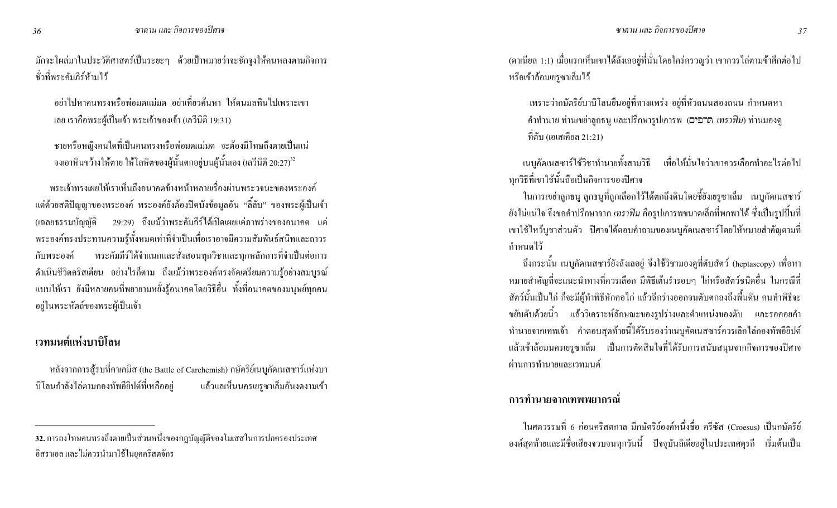้ มักจะโผล่มาในประวัติศาสตร์เป็นระยะๆ ด้วยเป้าหมายว่าจะชักจูงให้คนหลงตามกิจการ ชั่วที่พระคัมภีร์ห้ามไว้

้ อย่าไปหาคนทรงหรือพ่อมดแม่มด อย่าเที่ยวค้นหา ให้ตนมลทินไปเพราะเขา เลย เราคือพระผู้เป็นเจ้า พระเจ้าของเจ้า (เลวีนิติ 19:31)

ิ ชายหรือหญิงคนใดที่เป็นคนทรงหรือพ่อมดแม่มด จะต้องมีโทษถึงตายเป็นแน่ จงเอาหินขว้างให้ตาย ให้โลหิตของผู้นั้นตกอยู่บนผู้นั้นเอง (เลวีนิติ 20:27) $^{\scriptscriptstyle 32}$ 

่ พระเจ้าทรงเผยให้เราเห็นถึงอนาคตข้างหน้าหลายเรื่องผ่านพระวจนะของพระองค์ ี แต่ด้วยสติปัญญาของพระองค์ พระองค์ยังต้องปิดบังข้อมูลอัน "ลี้ลับ" ของพระผู้เป็นเจ้า 29:29) ถึงแม้ว่าพระคัมภีร์ได้เปิดเผยแต่ภาพร่างของอนาคต แต่ (เฉลยธรรมบัญญัติ พระองค์ทรงประทานความรู้ทั้งหมดเท่าที่จำเป็นเพื่อเราอาจมีความสัมพันธ์สนิทและถาวร พระคัมภีร์ได้จำแนกและสั่งสอนทุกวิชาและทุกหลักการที่จำเป็นต่อการ กับพระองค์ ้คำเนินชีวิตกริสเตียน อย่างไรก็ตาม ถึงแม้ว่าพระองค์ทรงจัดเตรียมความรู้อย่างสมบูรณ์ แบบให้เรา ยังมีหลายคนที่พยายามหยั่งรู้อนาคตโดยวิธีอื่น ทั้งที่อนาคตของมนุษย์ทุกคน อยู่ในพระหัตถ์ของพระผู้เป็นเจ้า

# ้เวทมนต์แห่งบาบิโลน

หลังจากการสู้รบที่คาเคมิส (the Battle of Carchemish) กษัตริย์เนบูคัดเนสซาร์แห่งบา บิโลนกำลังไล่ตามกองทัพอียิปต์ที่เหลืออยู่ แล้วแลเห็นนครเยรูซาเล็มอันงคงามเข้า (ดาเนียล 1:1) เมื่อแรกเห็นเขาได้ลังเลอยู่ที่นั่นโดยใกร่กรวญว่า เขากวรไล่ตามข้าศึกต่อไป หรือเข้าล้อมเยรูซาเล็มไว้

้ เพราะว่ากษัตริย์บาบิโลนยืนอยู่ที่ทางแพร่ง อยู่ที่หัวถนนสองถนน กำหนดหา คำทำนาย ท่านเขย่าลูกธนู และปรึกษารูปเคารพ (הַרְפִים, *เทราฟิม*) ท่านมองคู ี่ที่ตับ (เอเสเคียล 21:21)

เนบูกัดเนสซาร์ใช้วิชาทำนายทั้งสามวิธี เพื่อให้มั่นใจว่าเขาควรเลือกทำอะไรต่อไป ทุกวิธีที่เขาใช้นั้นถือเป็นกิจการของปิศาจ

ในการเขย่าลูกธนู ลูกธนูที่ถูกเลือกไว้ได้ตกถึงดินโดยชี้ยังเยรูซาเล็ม เนบูกัดเนสซาร์ ี ยังไม่แน่ใจ จึงขอคำปรึกษาจาก *เทราฟิม* คือรูปเคารพขนาดเล็กที่พกพาได้ ซึ่งเป็นรูปปั้นที่ ้ เขาใช้ใหว้บูชาส่วนตัว ปีศาจได้ตอบคำถามของเนบูกัดเนสซาร์โดยให้หมายสำคัญตามที่ ้กำหนดไว้

ี ถึงกระนั้น เนบูกัดเนสซาร์ยังลังเลอยู่ จึงใช้วิชามองดูที่ตับสัตว์ (heptascopy) เพื่อหา ่ หมายสำคัญที่จะแนะนำทางที่ควรเลือก มีพิธีเต้นรำรอบๆ ไก่หรือสัตว์ชนิดอื่น ในกรณีที่ ี สัตว์นั้นเป็นไก่ ก็จะมีผู้ทำพิธีหักคอไก่ แล้วฉีกร่างออกจนตับตกลงถึงพื้นดิน คนทำพิธีจะ ึ ขยับตับด้วยนิ้ว แล้ววิเคราะห์ลักษณะของรูปร่างและตำแหน่งของตับ และรอคอยคำ ้ ทำนายจากเทพเจ้า คำตอบสุดท้ายนี้ได้รับรองว่าเนบูคัดเนสซาร์ควรเลิกไล่กองทัพอียิปต์ แล้วเข้าล้อมนครเยรูซาเล็ม เป็นการตัดสินใจที่ได้รับการสนับสนุนจากกิจการของปีศาจ ผ่านการทำนายและเวทมนต์

# ิการทำนายจากเทพพยากรณ์

ในศตวรรษที่ 6 ก่อนคริสตกาล มีกษัตริย์องค์หนึ่งชื่อ ครีซัส (Croesus) เป็นกษัตริย์ ้ องค์สุดท้ายและมีชื่อเสียงจวบจนทุกวันนี้ ปัจจุบันลิเดียอยู่ในประเทศตุรกี เริ่มต้นเป็น

<sup>่ 32.</sup> การลงโทษคนทรงถึงตายเป็นส่วนหนึ่งของกฎบัญญัติของโมเสสในการปกครองประเทศ ้อิสราเอล และไม่ควรนำมาใช้ในยคคริสตจักร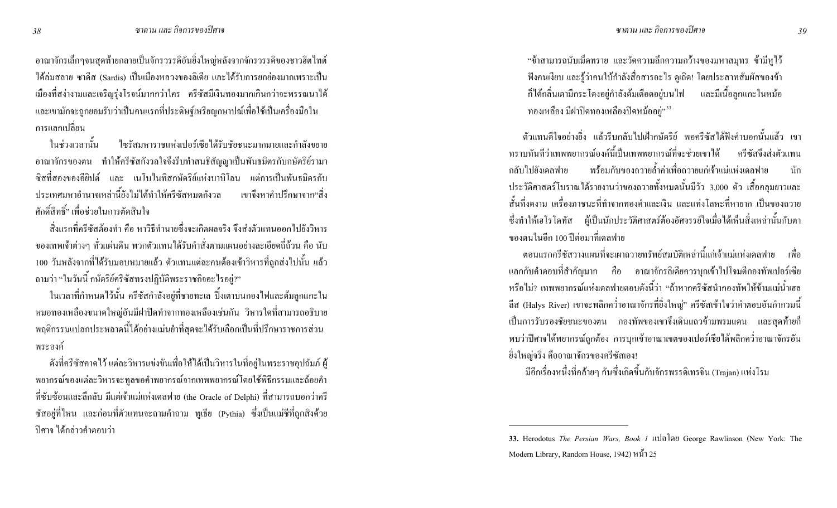ี อาณาจักรเล็กๆจนสุดท้ายกลายเป็นจักรวรรดิอันยิ่งใหญ่หลังจากจักรวรรดิของชาวฮิตไทต์ ใด้ล่มสลาย ซาดีส (Sardis) เป็นเมืองหลวงของลิเดีย และได้รับการยกย่องมากเพราะเป็น ี เมืองที่สง่างามและเจริญรุ่งโรจน์มากกว่าใคร ครีซัสมีเงินทองมากเกินกว่าจะพรรณนาได้ ้ และเขามักจะถูกยอมรับว่าเป็นคนแรกที่ประดิษฐ์เหรียญกษาปณ์เพื่อใช้เป็นเครื่องมือใน ิการแลกเปลี่ยน

ในช่วงเวลานั้น ใซรัสมหาราชแห่งเปอร์เซียได้รับชัยชนะมากมายและกำลังขยาย ้ อาณาจักรของตน ทำให้ครีซัสกังวลใจจึงรีบทำสนธิสัญญาเป็นพันธมิตรกับกษัตริย์รามา ี่ ซิสที่สองของอียิปต์ และ เนโบไนทิสกษัตริย์แห่งบาบิโลน แต่การเป็นพันธมิตรกับ ่ ประเทศมหาอำนาจเหล่านี้ยังไม่ได้ทำให้ครีซัสหมดกังวล เขาจึงหาคำปรึกษาจาก"สิ่ง ์ศักดิ์สิทธิ์" เพื่อช่วยใบการตัดสิบใจ

้ สิ่งแรกที่ครีซัสต้องทำ คือ หาวิธีทำนายซึ่งจะเกิดผลจริง จึงส่งตัวแทนออกไปยังวิหาร ึ ของเทพเจ้าต่างๆ ทั่วแผ่นดิน พวกตัวแทนได้รับคำสั่งตามแผนอย่างละเอียดถี่ถ้วน คือ นับ 100 วันหลังจากที่ได้รับมอบหมายแล้ว ตัวแทนแต่ละคนต้องเข้าวิหารที่ถูกส่งไปนั้น แล้ว ถามว่า "ในวันนี้ กษัตริย์ครีซัสทรงปฏิบัติพระราชกิจอะไรอยู่?"

ในเวลาที่กำหนดไว้นั้น ครีซัสกำลังอยู่ที่ชายทะเล ปิ้งเตาบนกองไฟและต้มลูกแกะใน หมอทองเหลืองขนาดใหญ่อันมีฝาปิดทำจากทองเหลืองเช่นกัน วิหารใดที่สามารถอธิบาย ี พฤติกรรมแปลกประหลาดนี้ได้อย่างแม่นยำที่สุดจะได้รับเลือกเป็นที่ปรึกษาราชการส่วน พระองค์

ี ดังที่กรีซัสคาดไว้ แต่ละวิหารแข่งขันเพื่อให้ได้เป็นวิหารในที่อยู่ในพระราชอุปถัมภ์ ผู้ พยากรณ์ของแต่ละวิหารจะทูลขอคำพยากรณ์จากเทพพยากรณ์โดยใช้พิธีกรรมและถ้อยคำ ี ที่ซับซ้อนและลึกลับ มีแต่เจ้าแม่แห่งเคลฟาย (the Oracle of Delphi) ที่สามารถบอกว่าครี ซัสอยู่ที่ไหน และก่อนที่ตัวแทนจะถามคำถาม พูเธีย (Pythia) ซึ่งเป็นแม่ชีที่ถูกสิงค้วย ้ปีศาจ ได้กล่าวคำตอบว่า

"ข้าสามารถนับเม็ดทราย และวัดความลึกความกว้างของมหาสมุทร ข้ามีหูไว้ ฟังคนเงียบ และรู้ว่าคนใบ้กำลังสื่อสารอะไร ดูเถิด! โดยประสาทสัมผัสของข้า ี ก็ได้กลิ่นเตามีกระ โดงอยู่กำลังต้มเดือดอยู่บน ไฟ และมีเนื้อลูกแกะ ในหม้อ ทองเหลือง มีฝาปิดทองเหลืองปิดหม้ออยู่"<sup>33</sup>

ี ตัวแทนดีใจอย่างยิ่ง แล้วรีบกลับไปเฝ้ากษัตริย์ พอกรีซัสได้ฟังคำบอกนั้นแล้ว เขา ทราบทันทีว่าเทพพยากรณ์องค์นี้เป็นเทพพยากรณ์ที่จะช่วยเขาได้ ครีซัสถึงส่งตัวแทน ิพร้อมกับของถวายล้ำค่าเพื่อถวายแก่เจ้าแม่แห่งเดลฟาย กลับไปยังเดลฟาย นัก ประวัติศาสตร์โบราณใด้รายงานว่าของถวายทั้งหมดนั้นมีวัว 3,000 ตัว เสื้อกลุมยาวและ ้สั้นที่งดงาม เครื่องภาชนะที่ทำจากทองคำและเงิน และแท่งโลหะที่หายาก เป็นของถวาย ์ ซึ่งทำให้เฮโรโคทัส ผู้เป็นนักประวัติศาสตร์ต้องอัศจรรย์ใจเมื่อได้เห็นสิ่งเหล่านั้นกับตา ี ของตนในอีก 100 ปีต่อมาที่เคลฟาย

ี ตอนแรกครีซัสวางแผนที่จะเผาถวายทรัพย์สมบัติเหล่านี้แก่เจ้าแม่แห่งเดลฟาย เพื่อ แลกกับคำตอบที่สำคัญมาก คือ อาณาจักรลิเดียควรบุกเข้าไปโจมตีกองทัพเปอร์เซีย หรือไม่? เทพพยากรณ์แห่งเคลฟายตอบดังนี้ว่า "ถ้าหากครีซัสนำกองทัพให้ข้ามแม่น้ำเฮล ี้ ลีส (Halys River) เขาจะพลิกคว่ำอาณาจักรที่ยิ่งใหญ่" ครีซัสเข้าใจว่าคำตอบอันกำกวมนี้ ้เป็นการรับรองชัยชนะของตน กองทัพของเขาจึงเดินแถวข้ามพรมแคน และสุดท้ายก็ พบว่าปีศาจได้พยากรณ์ถูกต้อง การบุกเข้าอาณาเขตของเปอร์เซียได้พลิกคว่ำอาณาจักรอัน ้ยิ่งใหญ่จริง คืออาณาจักรของครีซัสเอง!

้มีอีกเรื่องหนึ่งที่คล้ายๆ กันซึ่งเกิดขึ้นกับจักรพรรดิเทรจิน (Trajan) แห่งโรม

<sup>33.</sup> Herodotus The Persian Wars, Book 1 แปลโดย George Rawlinson (New York: The Modern Library, Random House, 1942) หน้ำ 25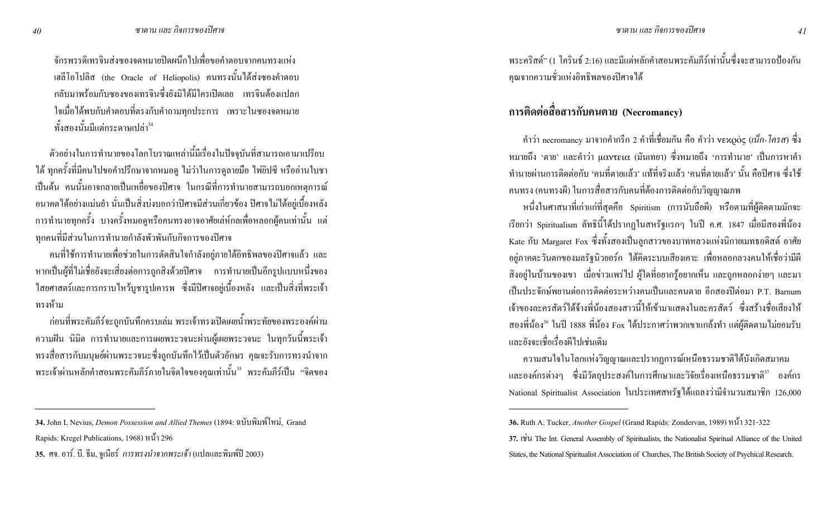จักรพรรดิเทรจินส่งซองจดหมายปิดผนึกไปเพื่อขอคำตอบจากคนทรงแห่ง เฮลีโอโปลิส (the Oracle of Heliopolis) คนทรงนั้นได้ส่งซองคำตอบ ึกลับมาพร้อมกับซองของเทรจินซึ่งยังมิได้มีใครเปิดเลย เทรจินต้องแปลก ใจเมื่อได้พบกับคำตอบที่ตรงกับคำถามทุกประการ เพราะในซองจดหมาย ์ทั้งสองนั้นมีแต่กระดาษเปล่า<sup>34</sup>

้ตัวอย่างในการทำนายของโลกโบราณเหล่านี้มีเรื่องในปัจจุบันที่สามารถเอามาเปรียบ ้ได้ ทุกครั้งที่มีคนไปขอคำปรึกษาจากหมอดู ไม่ว่าในการดูลายมือ ไพ่ยิปซี หรืออ่านใบชา เป็นต้น คนนั้นอาจกลายเป็นเหยื่อของปิศาจ ในกรณีที่การทำนายสามารถบอกเหตุการณ์ ้ อนากตใด้อย่างแม่นยำ นั่นเป็นสิ่งบ่งบอกว่าปิศาจมีส่วนเกี่ยวข้อง ปิศาจไม่ได้อยู่เบื้องหลัง ิ การทำนายทุกครั้ง บางครั้งหมอดูหรือคนทรงอาจอาศัยเล่ห์กลเพื่อหลอกผู้คนเท่านั้น แต่ ทุกคนที่มีส่วนในการทำนายกำลังพัวพันกับกิจการของปีศาจ

ึ คนที่ใช้การทำนายเพื่อช่วยในการตัดสินใจกำลังอยู่ภายใต้อิทธิพลของปิศาจแล้ว และ หากเป็นผู้ที่ไม่เชื่อยังจะเสี่ยงต่อการถูกสิงค้วยปีศาจ การทำนายเป็นอีกรูปแบบหนึ่งของ ี ไสยศาสตร์และการกราบไหว้บชารปเการพ ซึ่งมีปิศาจอย่เบื้องหลัง และเป็นสิ่งที่พระเจ้า ทรงห้าม

ึ ก่อนที่พระคัมภีร์จะถูกบันทึกครบเล่ม พระเจ้าทรงเปิดเผยน้ำพระทัยของพระองค์ผ่าน ี ความฝัน นิมิต การทำนายและการเผยพระวจนะผ่านผู้เผยพระวจนะ ในทุกวันนี้พระเจ้า ทรงสื่อสารกับมนุษย์ผ่านพระวจนะซึ่งถูกบันทึกไว้เป็นตัวอักษร คุณจะรับการทรงนำจาก พระเจ้าผ่านหลักคำสอนพระคัมภีร์ภายในจิตใจของคุณเท่านั้น<sup>35</sup> พระคัมภีร์เป็น "จิตของ พระคริสต์" (1 โครินธ์ 2:16) และมีแต่หลักคำสอนพระคัมภีร์เท่านั้นซึ่งจะสามารถป้องกัน ้คุณจากความชั่วแห่งอิทธิพลของปีศาจได้

# การติดต่อสื่อสารกับคนตาย (Necromancy)

์ คำว่า necromancy มาจากคำกรีก 2 คำที่เชื่อมกัน คือ คำว่า νεκρός (*เน็ก-โครส*) ซึ่ง หมายถึง 'ตาย' และคำว่า μαντεια (มันเทยา) ซึ่งหมายถึง 'การทำนาย' เป็นการหาคำ ้ ทำนายผ่านการติดต่อกับ 'คนที่ตายแล้ว' แท้ที่จริงแล้ว 'คนที่ตายแล้ว' นั้น คือปิศาจ ซึ่งใช้ ึ คนทรง (คนทรงผี) ในการสื่อสารกับคนที่ต้องการติดต่อกับวิญญาณภพ

หนึ่งในศาสนาที่เก่าแก่ที่สุดคือ Spiritism (การนับถือผี) หรือตามที่ผู้ติดตามมักจะ เรียกว่า Spiritualism ลัทธินี้ได้ปรากฏในสหรัฐแรกๆ ในปี ค.ศ. 1847 เมื่อมีสองพี่น้อง Kate กับ Margaret Fox ซึ่งทั้งสองเป็นลูกสาวของบาทหลวงแห่งนิกายเมทธอดิสต์ อาศัย อยู่ภาคตะวันตกของมลรัฐนิวยอร์ก ได้คิดระบบเสียงเคาะ เพื่อหลอกลวงคนให้เชื่อว่ามีผี ี่ สิ่งอยู่ในบ้านของเขา เมื่อข่าวแพร่ไป ผู้ใดที่อยากรู้อยากเห็น และถูกหลอกง่ายๆ และมา ้เป็นประจักษ์พยานต่อการติดต่อระหว่างคนเป็นและคนตาย อีกสองปีต่อมา P.T. Barnum ้ เจ้าของละครสัตว์ได้จ้างพี่น้องสองสาวนี้ให้เข้ามาแสดงในละครสัตว์ ซึ่งสร้างชื่อเสียงให้ ิ สองพี่น้อง<sup>36</sup> ในปี 1888 พี่น้อง Fox ได้ประกาศว่าพวกเขาแกล้งทำ แต่ผู้ติดตามไม่ยอมรับ และยังจะเชื่อเรื่องผีไปเช่นเดิม

ี ความสนใจในโลกแห่งวิญญาณและปรากฏการณ์เหนือธรรมชาติได้บังเกิดสมาคม และองค์กรต่างๆ ซึ่งมีวัตถุประสงค์ในการศึกษาและวิจัยเรื่องเหนือธรรมชาติ<sup>37</sup> องค์กร National Spiritualist Association ในประเทศสหรัฐได้แถลงว่ามีจำนวนสมาชิก 126,000

<sup>34.</sup> John L Nevius, Demon Possession and Allied Themes (1894: ฉบับพิมพ์ใหม่, Grand Rapids: Kregel Publications, 1968) หน้า 296

<sup>35.</sup> ศจ. อาร์. บี. ธีม, จูเนียร์ การทรงนำจากพระเจ้า (แปลและพิมพ์ปี 2003)

<sup>36.</sup> Ruth A. Tucker, Another Gospel (Grand Rapids: Zondervan, 1989) หน้ำ 321-322 37. Iviu The Int. General Assembly of Spiritualists, the Nationalist Spiritual Alliance of the United States, the National Spiritualist Association of Churches, The British Society of Psychical Research,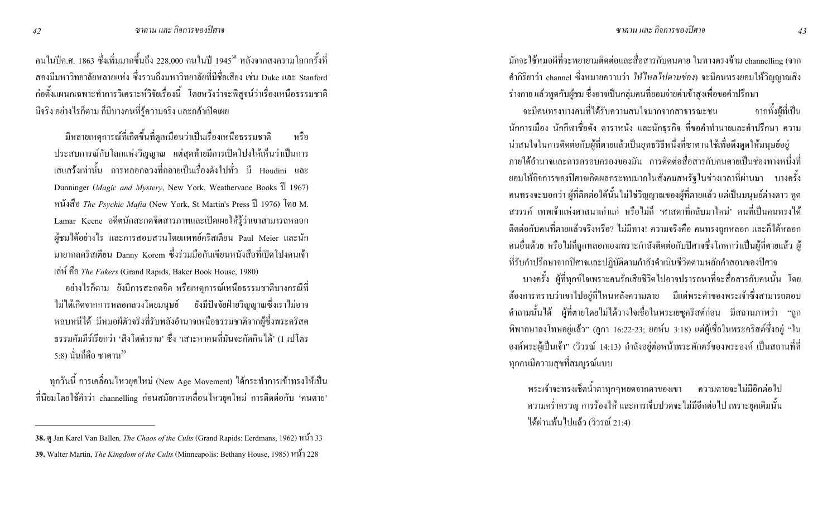คนในปีค.ศ. 1863 ซึ่งเพิ่มมากขึ้นถึง 228,000 คนในปี 1945<sup>38</sup> หลังจากสงครามโลกครั้งที่ สองมีมหาวิทยาลัยหลายแห่ง ซึ่งรวมถึงมหาวิทยาลัยที่มีชื่อเสียง เช่น Duke และ Stanford ก่อตั้งแผนกเฉพาะทำการวิเคราะห์วิจัยเรื่องนี้ โดยหวังว่าจะพิสูจน์ว่าเรื่องเหนือธรรมชาติ มีจริง อย่างไรก็ตาม กี่มีบางคนที่รู้ความจริง และกล้าเปิดเผย

มีหลายเหตุการณ์ที่เกิดขึ้นที่ดูเหมือนว่าเป็นเรื่องเหนือธรรมชาติ หรือ ประสบการณ์กับโลกแห่งวิญญาณ แต่สุดท้ายมีการเปิดโปงให้เห็นว่าเป็นการ เสแสร้งเท่านั้น การหลอกลวงที่กลายเป็นเรื่องดังไปทั่ว มี Houdini และ Dunninger (*Magic and Mystery*, New York, Weathervane Books 1 1967) หนังสือ The Psychic Mafia (New York, St Martin's Press ปี 1976) โดย M. Lamar Keene อดีตนักสะกดจิตสารภาพและเปิดเผยให้รู้ว่าเขาสามารถหลอก ผู้ชมได้อย่างไร และการสอบสวนโดยแพทย์คริสเตียน Paul Meier และนัก มายากลคริสเตียน Danny Korem ซึ่งร่วมมือกันเขียนหนังสือที่เปิดโปงคนเจ้า (<8! >; *The Fakers* (Grand Rapids, Baker Book House, 1980)

อย่างไรกี้ตาม ยังมีการสะกดจิต หรือเหตุการณ์เหนือธรรมชาติบางกรณีที่ ใม่ใค้เกิดจากการหลอกลวงโคยมนุษย์ ยังมีปัจจัยฝ่ายวิญญาณซึ่งเราไม่อาจ หลบหนีได้ มีหมอผีตัวจริงที่รับพลังอำนาจเหนือธรรมชาติจากผู้ซึ่งพระคริสต ธรรมคัมภีร์เรียกว่า 'สิ่งโตคำราม' ซึ่ง 'เสาะหาคนที่มันจะกัดกินได้' (1 เปโตร 5:8) นั่นก็คือ ซาตาน<sup>39</sup>

ทุกวันนี้ การเคลื่อนไหวยุคใหม่ (New Age Movement) ได้กระทำการเข้าทรงให้เป็น ที่นิยมโดยใช้คำว่า channelling ก่อนสมัยการเคลื่อนไหวยุคใหม่ การติดต่อกับ 'คนตาย' มักจะใช้หมอผีที่จะพยายามติดต่อและสื่อสารกับคนตาย ในทางตรงข้าม channelling (จาก คำกิริยาว่า channel ซึ่งหมายความว่า *ให้ใหลใปตามช่อง*) จะมีคนทรงยอมให้วิญญาณสิง ร่างกาย แล้วพูดกับผู้ชม ซึ่งอาจเป็นกลุ่มคนที่ยอมจ่ายค่าเข้าสูงเพื่อขอคำปรึกษา

%#>@">@#DaMC9">\_%:G%กก:\$LE ก@9=B'C@#D(lนักการเมือง นักกีฬาชื่อคัง คาราหนัง และนักธุรกิจ ที่ขอคำทำนายและคำปรึกษา ความ น่าสนใจในการติดต่อกับผู้ที่ตายแล้วเป็นยุทธวิธีหนึ่งที่ซาตานใช้เพื่อดึงดูดให้มนุษย์อยู่ ภายใต้อำนาจและการครอบครองของมัน การติดต่อสื่อสารกับคนตายเป็นช่องทางหนึ่งที่ ยอมให้กิจการของปีศาจเกิดผลกระทบมากในสังคมสหรัฐในช่วงเวลาที่ผ่านมา บางครั้ง คนทรงจะบอกว่า ผู้ที่ติดต่อได้นั้นไม่ใช่วิญญาณของผู้ที่ตายแล้ว แต่เป็นมนุษย์ต่างดาว ทูต สวรรค์ เทพเจ้าแห่งศาสนาเก่าแก่ หรือไม่กี่ 'ศาสดาที่กลับมาใหม่' คนที่เป็นคนทรงได้ ติดต่อกับคนที่ตายแล้วจริงหรือ? <sup>"</sup>มมีทาง! ความจริงคือ คนทรงถูกหลอก และก็ได้หลอก กนอื่นด้วย หรือไม่ก็ถูกหลอกเองเพราะกำลังติดต่อกับปิศาจซึ่งโกหกว่าเป็นผู้ที่ตายแล้ว ผู้ ที่รับคำปรึกษาจากปิศาจและปฏิบัติตามกำลังคำเนินชีวิตตามหลักคำสอนของปิศาจ

บางครั้ง ผู้ที่ทุกข์ใจเพราะคนรักเสียชีวิตไปอาจปรารถนาที่จะสื่อสารกับคนนั้น โดย ต้องการทราบว่าเขาไปอยู่ที่ไหนหลังความตาย มีแต่พระคำของพระเจ้าซึ่งสามารถตอบ คำถามนั้นได้ ผู้ที่ตายโดยไม่ได้วางใจเชื่อในพระเยซูคริสต์ก่อน มีสถานภาพว่า "ถูก พิพากษาลงโทษอยู่แล้ว" (ลูกา 16:22-23; ยอห์น 3:18) แต่ผู้เชื่อในพระคริสต์ซึ่งอยู่ "ใน องค์พระผู้เป็นเจ้า" (วิวรณ์ 14:13) กำลังอยู่ต่อหน้าพระพักตร์ของพระองค์ เป็นสถานที่ที่ ็ทุกคนมีความสุขที่สมบูรณ์แบบ

่ พระเจ้าจะทรงเช็ดน้ำตาทกๆหยดจากตาของเขา ความตายจะ ไม่มีอีกต่อ ไป ความคร่ำครวญ การร้องไห้ และการเจ็บปวดจะไม่มีอีกต่อไป เพราะยุคเดิมนั้น ได้ผ่านพ้นไปแล้ว (วิวรณ์ 21:4)

<sup>38.</sup>  $\theta$  Jan Karel Van Ballen, *The Chaos of the Cults* (Grand Rapids: Eerdmans, 1962) หน้ำ 33

**<sup>39.</sup>** Walter Martin, *The Kingdom of the Cults* (Minneapolis: Bethany House, 1985)  $\mathcal{W}(\mathbf{u})$  228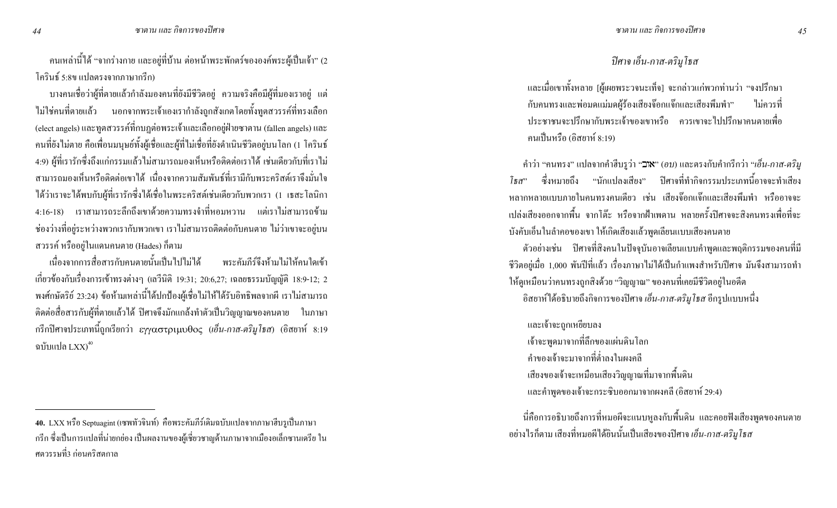ึ คนเหล่านี้ได้ "จากร่างกาย และอยู่ที่บ้าน ต่อหน้าพระพักตร์ขององค์พระผู้เป็นเจ้า" (2 โครินธ์ 5:8ข แปลตรงจากภาษากรีก)

ิ บางคนเชื่อว่าผู้ที่ตายแล้วกำลังมองคนที่ยังมีชีวิตอยู่ ความจริงคือมีผู้ที่มองเราอยู่ แต่ ้ ไม่ใช่คนที่ตายแล้ว นอกจากพระเจ้าเองเรากำลังถูกสังเกตโดยทั้งทูตสวรรค์ที่ทรงเลือก (elect angels) และทูตสวรรค์ที่กบฏต่อพระเจ้าและเลือกอยู่ฝ่ายซาตาน (fallen angels) และ ึ คนที่ยังไม่ตาย คือเพื่อนมนุษย์ทั้งผู้เชื่อและผู้ที่ไม่เชื่อที่ยังคำเนินชีวิตอยู่บนโลก (1 โครินธ์ 4:9) ผู้ที่เรารักซึ่งถึงแก่กรรมแล้วไม่สามารถมองเห็นหรือติดต่อเราได้ เช่นเดียวกับที่เราไม่ ่ สามารถมองเห็นหรือติดต่อเขาได้ เนื่องจากความสัมพันธ์ที่เรามีกับพระคริสต์เราจึงมั่นใจ ใค้ว่าเราจะใด้พบกับผู้ที่เรารักซึ่งใด้เชื่อในพระคริสต์เช่นเดียวกับพวกเรา (1 เธสะโลนิกา 4:16-18) เราสามารถระลึกถึงเขาด้วยความทรงจำที่หอมหวาน แต่เราไม่สามารถข้าม ี ช่องว่างที่อยู่ระหว่างพวกเรากับพวกเขา เราไม่สามารถติดต่อกับคนตาย ไม่ว่าเขาจะอยู่บน ี สวรรค์ หรืออยู่ในแคนคนตาย (Hades) ก็ตาม

เนื่องจากการสื่อสารกับคนตายนั้นเป็นไปไม่ได้ พระคัมกีร์จึงห้ามไม่ให้คนใดเข้า เกี่ยวข้องกับเรื่องการเข้าทรงต่างๆ (เถวีนิติ 19:31; 20:6,27; เฉลยธรรมบัญญัติ 18:9-12; 2 พงศ์กษัตริย์ 23:24) ข้อห้ามเหล่านี้ได้ปกป้องผู้เชื่อไม่ให้ได้รับอิทธิพลจากผี เราไม่สามารถ ดิดต่อสื่อสารกับผู้ที่ตายแล้วได้ ปิศาจจึงมักแกล้งทำตัวเป็นวิญญาณของกนตาย ในภาษา ึกรีกปิศาจประเภทนี้ถูกเรียกว่า εγγαστριμυθος (เอ็น-กาส-ตริมูโธส) (อิสยาห์ 8:19 ฉบับแปล  $LXX^{40}$ 

#### ปิศาจ เอ็น-กาส-ตริมูโธส

ี และเมื่อเขาทั้งหลาย [ผู้เผยพระวจนะเท็จ] จะกล่าวแก่พวกท่านว่า "จงปรึกษา ้กับคนทรงและพ่อมดแม่มดผู้ร้องเสียงจ๊อกแจ๊กและเสียงพึมพำ" ใบ่ควรที่ ำโระชาชบจะปรึกษากับพระเจ้าของเขาหรือ ควรเขาจะไปปรึกษาอบตายเพื่อ ึคนเป็นหรือ (อิสยาห์ 8:19)

์ คำว่า "คนทรง" แปลจากคำฮีบรูว่า "**⊐เ×**" (อ*บ*) และตรงกับคำกรีกว่า "*เอ็น-กาส-ตริม*ู ี่ ซึ่งหมายถึง "นักแปลงเสียง" ปีศาจที่ทำกิจกรรมประเภทนี้อาจจะทำเสียง โธ $\pi$ " หลากหลายแบบภายในคนทรงคนเดียว เช่น เสียงจ๊อกแจ๊กและเสียงพึมพำ หรืออาจจะ เปล่งเสียงออกจากพื้น จากโต๊ะ หรือจากฝ้าเพดาน หลายครั้งปีศาจจะสิงคนทรงเพื่อที่จะ บังคับเอ็นในลำคอของเขา ให้เกิดเสียงแล้วพูดเลียนแบบเสียงคนตาย

ี ตัวอย่างเช่น ปีศาจที่สิงคนในปัจจุบันอาจเลียนแบบคำพูดและพฤติกรรมของคนที่มี ้ชีวิตอยู่เมื่อ 1,000 พันปีที่แล้ว เรื่องภาษาไม่ได้เป็นกำแพงสำหรับปีศาจ มันจึงสามารถทำ ให้ดูเหมือนว่าคนทรงถูกสิงค้วย "วิญญาณ" ของคนที่เคยมีชีวิตอยู่ในอดีต ี อิสยาห์ใด้อธิบายถึงกิจการของปีศาจ *เอ็น-กาส-ตริมูโธส* อีกรูปแบบหนึ่ง

และเจ้าจะถูกเหยียบลง ้เจ้าจะพูดมาจากที่ลึกของแผ่นดินโลก ้คำของเจ้าจะมาจากที่ต่ำลงในผงคลี ้เสียงของเจ้าจะเหมือนเสียงวิญญาณที่มาจากพื้นดิน และคำพูดของเจ้าจะกระซิบออกมาจากผงคลี (อิสยาห์ 29:4)

นี่กื้อการอธิบายถึงการที่หมอผีจะแนบหูลงกับพื้นดิน และกอยฟังเสียงพูดของกนตาย ือย่างไรก็ตาม เสียงที่หมอผีได้ยินนั้นเป็นเสียงของปิศาจ *เอ็น-กาส-ตริมูโธส* 

<sup>40.</sup> LXX หรือ Septuagint (เซพทัวจินท์) คือพระคัมภีร์เดิมฉบับแปลจากภาษาฮีบรูเป็นภาษา ่ กรีก ซึ่งเป็นการแปลที่น่ายกย่อง เป็นผลงานของผู้เชี่ยวชาญค้านภาษาจากเมืองอเล็กซานเครีย ใน ี ศตวรรษที่3 ก่อนคริสตกาล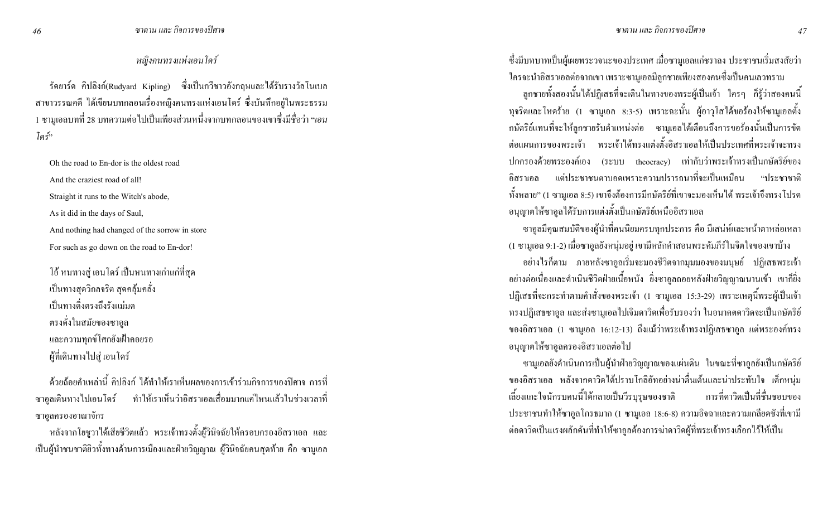หญิงคนทรงแห่งเอน โคร*ั* 

รัดยาร์ด คิปลิงก์(Rudyard Kipling) ซึ่งเป็นกวีชาวอังกฤษและได้รับรางวัลโนเบล สาขาวรรณคดี "ได้เขียนบทกลอนเรื่องหญิงคนทรงแห่งเอนโคร์ ซึ่งบันทึกอยู่ในพระธรรม 1 ซามูเอลบทที่ 28 บทความต่อ ไปเป็นเพียงส่วนหนึ่งจากบทกลอนของเขาซึ่งมีชื่อว่า "*เอน* โคร์"

Oh the road to En-dor is the oldest road And the craziest road of all! Straight it runs to the Witch's abode, As it did in the days of Saul, And nothing had changed of the sorrow in store

For such as go down on the road to En-dor!

์ โอ้ หนทางสู่ เอนโคร์ เป็นหนทางเก่าแก่ที่สุด เป็นทางสุควิกลจริต สุดคลุ้มคลั่ง เป็นทางดิ่งตรงถึงรังแม่มด ตรงดั่งในสมัยของซาอูล และความทุกข์โศกยังเฝ้าคอยรอ ผู้ที่เดินทางไปสู่ เอนโคร์

ด้วยถ้อยคำเหล่านี้ คิปลิงก์ ได้ทำให้เราเห็นผลของการเข้าร่วมกิจการของปีศาจ การที่ ซาอูลเดินทางไปเอนโคร์ ทำให้เราเห็นว่าอิ ่ ทำให้เราเห็นว่าอิสราเอลเสื่อมมากแค่ไหนแล้วในช่วงเวลาที่ ซาอูลครองอาณาจักร

หลังจากโยชูวาได้เสียชีวิตแล้ว พระเจ้าทรงตั้งผู้วินิจฉัยให้ครอบครองอิสราเอล และ เป็นผู้นำชนชาติยิวทั้งทางด้านการเมืองและฝ่ายวิญญาณ ผู้วินิจฉัยคนสุดท้าย คือ ซามูเอล ซึ่งมีบทบาทเป็นผู้เผยพระวจนะของประเทศ เมื่อซามูเอลแก่ชราลง ประชาชนเริ่มสงสัยว่า ใครจะนำอิสราเอลต่อจากเขา เพราะซามูเอลมีลูกชายเพียงสองคนซึ่งเป็นคนเลวทราม

ลูกชายทั้งสองนั้นได้ปฏิเสธที่จะเดินในทางของพระผู้เป็นเจ้า ใครๆ ก็รู้ว่าสองคนนี้ ทุจริตและโหคร้าย (1 ซามูเอล 8:3-5) เพราะฉะนั้น ผู้อาวุโสได้ขอร้องให้ซามูเอลตั้ง กษัตริย์แทนที่จะให้ลูกชายรับตำแหน่งต่อ ซามูเอลได้เตือนถึงการขอร้องนั้นเป็นการขัด ต่อแผนการของพระเจ้า พระเจ้าได้ทรงแต่งตั้งอิสราเอลให้เป็นประเทศที่พระเจ้าจะทรง ปกครองค้วยพระองค์เอง (ระบบ theocracy) เท่ากับว่าพระเจ้าทรงเป็นกษัตริย์ของ อิสราเอล แต่ประชาชนตาบอดเพราะความปรารถนาที่จะเป็นเหมือน "ประชาชาติ ทั้งหลาย" (1 ซามูเอล 8:5) เขาจึงต้องการมีกษัตริย์ที่เขาจะมองเห็นได้ พระเจ้าจึงทรงโปรด อนุญาตให้ซาอูลได้รับการแต่งตั้งเป็นกษัตริย์เหนืออิสราเอล

ซาอูลมีคุณสมบัติของผู้นำที่คนนิยมครบทุกประการ คือ มีเสน่ห์และหน้าตาหล่อเหลา (1 ซามูเอล 9:1-2) เมื่อซาอูลยังหนุ่มอยู่ เขามีหลักคำสอนพระคัมภีร์ในจิตใจของเขาบ้าง อย่างไรก็ตาม ภายหลังซาอูลเริ่มจะมองชีวิตจากมุมมองของมนุษย์ ปฏิเสธพระเจ้า อย่างต่อเนื่องและดำเนินชีวิตฝ่ายเนื้อหนัง ยิ่งซาอูลถอยหลังฝ่ายวิญญาณนานเข้า เขาก็ยิ่ง ปฏิเสธที่จะกระทำตามคำสั่งของพระเจ้า (1 ซามูเอล 15:3-29) เพราะเหตุนี้พระผู้เป็นเจ้า ทรงปฏิเสธซาอูล และส่งซามูเอลไปเจิมคาวิคเพื่อรับรองว่า ในอนาคตคาวิคจะเป็นกษัตริย์ ของอิสราเอล (1 ซามูเอล 16:12-13) ถึงแม้ว่าพระเจ้าทรงปฏิเสธซาอูล แต่พระองค์ทรง อนุญาตให้ซาอูลครองอิสราเอลต่อไป

ซามูเอลยังคำเนินการเป็นผู้นำฝ่ายวิญญาณของแผ่นดิน ในขณะที่ซาอูลยังเป็นกษัตริย์ ของอิสราเอล หลังจากคาวิคใด้ปราบโกลิอัทอย่างน่าตื่นเต้นและน่าประทับใจ เด็กหนุ่ม การที่คาวิคเป็นที่ชื่นชอบของ เลี้ยงแกะใจนักรบคนนี้ได้กลายเป็นวีรบุรุษของชาติ ประชาชนทำให้ซาอูลโกรธมาก (1 ซามูเอล 18:6-8) ความอิจฉาและความเกลียดชังที่เขามี ต่อดาวิดเป็นแรงผลักดันที่ทำให้ซาอูลต้องการฆ่าดาวิดผู้ที่พระเจ้าทรงเลือกไว้ให้เป็น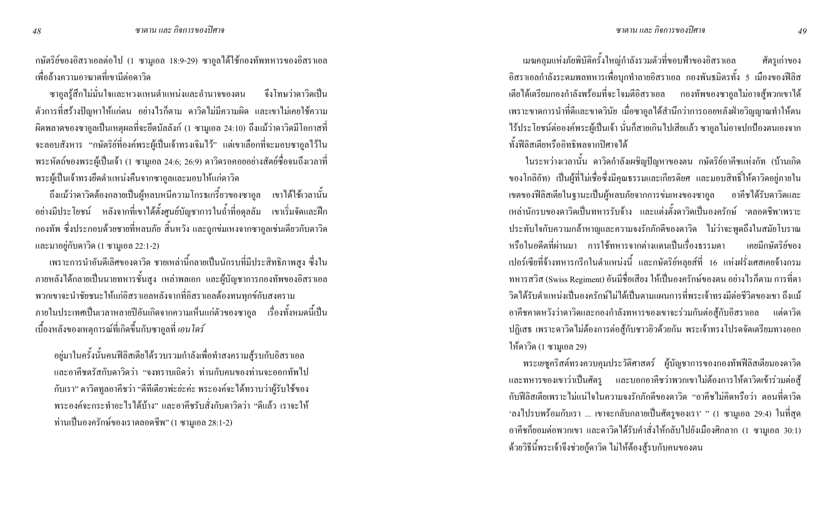กษัตริย์ของอิสราเอลต่อไป (1 ซามูเอล 18:9-29) ซาอูลได้ใช้กองทัพทหารของอิสราเอล เพื่อล้างความอาฆาตที่เขามีต่อดาวิค

ซาอูลรู้สึกไม่มั่นใจและหวงแหนตำแหน่งและอำนาจของตน จึงโทษว่าคาวิ จึงโทษว่าดาวิดเป็น ตัวการที่สร้างปัญหาให้แก่ตน อย่างไรก็ตาม คาวิดไม่มีความผิด และเขาไม่เกยใช้ความ ผิดพลาดของซาอูลเป็นเหตุผลที่จะยึดบัลลังก์ (1 ซามูเอล 24:10) ถึงแม้ว่าดาวิดมีโอกาสที่ จะลอบสังหาร "กษัตริย์ที่องค์พระผู้เป็นเจ้าทรงเจิมใว้" แต่เขาเลือกที่จะมอบซาอูลใว้ใน พระหัตถ์ของพระผู้เป็นเจ้า (1 ซามูเอล 24:6; 26:9) คาวิครอคอยอย่างสัตย์ซื่อจนถึงเวลาที่ พระผู้เป็นเจ้าทรงยึดตำแหน่งกืนจากซาอูลและมอบให้แก่คาวิค

ถึงแม้ว่าคาวิคต้องกลายเป็นผู้หลบหนีความโกรธเกรี้ยวของซาอูล เขาได้ใช้เวลานั้น อย่างมีประโยชน์ หลังจากที่เขาได้ตั้งศูนย์บัญชาการในถ้ำที่อดุลลัม เขาเริ่มจัดและฝึก กองทัพ ซึ่งประกอบด้วยชายที่หลบภัย สิ้นหวัง และถูกข่มเหงจากซาอูลเช่นเดียวกับดาวิด และมาอยู่กับดาวิด (1 ซามูเอล 22:1-2)

เพราะการนำอันดีเลิศของคาวิค ชายเหล่านี้กลายเป็นนักรบที่มีประสิทธิภาพสูง ซึ่งใน ภายหลังได้กลายเป็นนายทหารชั้นสูง เหล่าพลเอก และผู้บัญชาการกองทัพของอิสราเอล พวกเขาจะนำชัยชนะให้แก่อิสราเอลหลังจากที่อิสราเอลต้องทนทุกข์กับสงคราม ภายในประเทศเป็นเวลาหลายปีอันเกิดจากความเห็นแก่ตัวของซาอูล เรื่องทั้งหมดนี้เป็น เบื้องหลังของเหตุการณ์ที่เกิดขึ้นกับซาอูลที่ *เอนโคร์* 

อยู่มาในครั้งนั้นคนฟีลิสเตียได้รวบรวมกำลังเพื่อทำสงครามสู้รบกับอิสราเอล และอาคีชตรัสกับดาวิดว่า "จงทราบเถิดว่า ท่านกับคนของท่านจะออกทัพไป กับเรา" คาวิคทูลอาคีชว่า "ดีทีเดียวพ่ะย่ะค่ะ พระองค์จะได้ทราบว่าผู้รับใช้ของ พระองค์จะกระทำอะไรได้บ้าง" และอาคีชรับสั่งกับดาวิดว่า "ดีแล้ว เราจะให้ ท่านเป็นองครักษ์ของเราตลอดชีพ" (1 ซามูเอล 28:1-2)

เมฆคลุมแห่งภัยพิบัติครั้งใหญ่กำลังรวมตัวที่ขอบฟ้าของอิ ี ศัตรูเก่าของ อิสราเอลกำลังระคมพลทหารเพื่อบุกทำลายอิสราเอล กองพันธมิตรทั้ง 5 เมืองของฟีลิส เตีย ได้เตรียมกองกำลังพร้อมที่จะ โจมตีอิสราเอล กองทัพของซาอูล ไม่อาจสู้พวกเขา ได้ เพราะขาดการนำที่ดีและขาดวินัย เมื่อซาอูลได้สำนึกว่าการถอยหลังฝ่ายวิญญาณทำให้ตน "โร้ประโยชน์ต่อองค์พระผู้เป็นเจ้า นั่นก็สายเกิน ไปเสียแล้ว ซาอูล ไม่อาจปกป้องตนเองจาก ทั้งฟีลิสเตียหรืออิทธิพลจากปิศาจได้

์ ในระหว่างเวลานั้น คาวิคกำลังเผชิญปัญหาของตน กษัตริย์อาคีชแห่งกัท (บ้านเกิด ของโกลิอัท) เป็นผู้ที่ไม่เชื่อซึ่งมีคุณธรรมและเกียรติยศ และมอบสิทธิ์ให้คาวิคอยู่ภายใน เขตของฟีลิสเตียในฐานะเป็นผู้หลบภัยจากการข่มเหงของซาอูล อาคีชได้รับดาวิดและ เหล่านักรบของดาวิดเป็นทหารรับจ้าง และแต่งตั้งดาวิดเป็นองครักษ์ 'ตลอดชีพ'เพราะ @9"Gก9">\_%กC8k>\_%9กH9กM#
M\_ M a%<\_<j'MmAG:%9)h"Lย์ของ ่ หรือในอดีตที่ผ่านมา การใช้ทหารจากต่างแดนเป็นเรื่องธรรมดา เปอร์เซียที่จ้างทหารกรีกในตำแหน่งนี้ และกษัตริย์หลุยส์ที่ 16 แห่งฝรั่งเศสเคยจ้างกรม ทหารสวิส (Swiss Regiment) อันมีชื่อเสียง ให้เป็นองครักษ์ของตน อย่างไรก็ตาม การที่คา วิคได้รับตำแหน่งเป็นองครักษ์ไม่ได้เป็นตามแผนการที่พระเจ้าทรงมีต่อชีวิตของเขา ถึงแม้ อาคีชกาดหวังว่าดาวิดและกองกำลังทหารของเขาจะร่วมกันต่อสู้กับอิสราเอล แต่ดาวิด ปฏิเสธ เพราะคาวิคไม่ต้องการต่อสู้กับชาวยิวด้วยกัน พระเจ้าทรงโปรคจัดเตรียมทางออก ให้ดาวิด (1 ซามูเอล 29)

พระเยซูคริสต์ทรงควบคุมประวัติศาสตร์ ผู้บัญชาการของกองทัพฟีลิสเตียมองคาวิค และทหารของเขาว่าเป็นศัตรู และบอกอาคีชว่าพวกเขาไม่ต้องการให้ดาวิดเข้าร่วมต่อสู้ กับฟีลิสเตียเพราะไม่แน่ใจในความจงรักภักดีของคาวิค "อาคีชไม่คิดหรือว่า ตอนที่คาวิค 'ลงไปรบพร้อมกับเรา … เขาจะกลับกลายเป็นศัตรูของเรา' " (1 ซามูเอล 29:4) ในที่สุด อาคีชกี้ยอมต่อพวกเขา และคาวิคได้รับคำสั่งให้กลับไปยังเมืองศิกลาก (1 ซามูเอล 30:1) ด้วยวิธีนี้พระเจ้าจึงช่วยกู้คาวิค ไม่ให้ต้องสู้รบกับคนของตน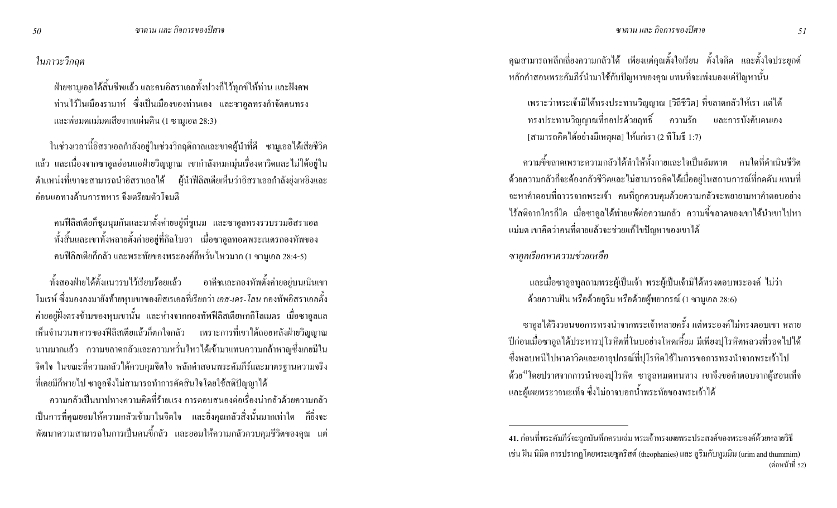#### ในภาวะวิกฤต

ฝ่ายซามูเอลได้สิ้นชีพแล้ว และคนอิสราเอลทั้งปวงก็ไว้ทุกข์ให้ท่าน และฝังศพ ท่านใว้ในเมืองรามาห์ ซึ่งเป็นเมืองของท่านเอง และซาอูลทรงกำจัดคนทรง และพ่อมดแม่มดเสียจากแผ่นดิน (1 ซามูเอล 28:3)

ในช่วงเวลานี้อิสราเอลกำลังอยู่ในช่วงวิกฤติกาลและขาคผู้นำที่ดี ซามูเอลได้เสียชีวิต แล้ว และเนื่องจากซาอูลอ่อนแอฝ่ายวิญญาณ เขากำลังหมกมุ่นเรื่องดาวิดและไม่ได้อยู่ใน ตำแหน่งที่เขาจะสามารถนำอิสราเอลได้ ผู้นำฟีลิสเตียเห็นว่าอิสราเอลกำลังยุ่งเหยิงและ ี่ อ่อนแอทางด้านการทหาร จึงเตรียมตัวโจมตี

คนฟีลิสเตียกีฬุมนุมกันและมาตั้งค่ายอยู่ที่ชูเนม และซาอูลทรงรวบรวมอิสราเอล ทั้งสิ้นและเขาทั้งหลายตั้งค่ายอยู่ที่กิลโบอา เมื่อซาอูลทอดพระเนตรกองทัพของ คนฟีลิสเตียก็กลัว และพระทัยของพระองค์ก็หวั่นใหวมาก (1 ซามูเอล 28:4-5)

ทั้งสองฝ่ายได้ตั้งแนวรบไว้เรียบร้อยแล้ว อาคีชและกองทัพตั้งค่ายอยู่บนเนินเขา โมเรห์ ซึ่งมองลงมายังท้ายหุบเขาของยิสเรเอลที่เรียกว่า *เอส-เคร-โลน* กองทัพอิสราเอลตั้ง ค่ายอยู่ฝั่งตรงข้ามของหุบเขานั้น และห่างจากกองทัพฟีลิสเตียหกกิโลเมตร เมื่อซาอูลแล เห็นจำนวนทหารของฟีลิสเตียแล้วก็ตกใจกลัว เพราะการที่เขาได้ถอยหลังฝ่ายวิญญาณ นานมากแล้ว ความขลาดกลัวและความหวั่นใหวได้เข้ามาแทนความกล้าหาญซึ่งเคยมีใน จิตใจ ในขณะที่ความกลัวได้ควบคุมจิตใจ หลักคำสอนพระคัมภีร์และมาตรฐานความจริง ที่เคยมีก็หายไป ซาอูลจึงไม่สามารถทำการตัดสินใจโดยใช้สติปัญญาได้

ความกลัวเป็นบาปทางความคิดที่ร้ายแรง การตอบสนองต่อเรื่องน่ากลัวด้วยความกลัว เป็นการที่คุณยอมให้ความกลัวเข้ามาในจิตใจ และยิ่งคุณกลัวสิ่งนั้นมากเท่าใด ก็ยิ่งจะ พัฒนาความสามารถในการเป็นคนขี้กลัว และยอมให้ความกลัวควบคุมชีวิตของคุณ แต่

คุณสามารถหลีกเลี่ยงความกลัวได้ เพียงแต่คุณตั้งใจเรียน ตั้งใจคิด และตั้งใจประยุกต์ หลักคำสอนพระคัมภีร์นำมาใช้กับปัญหาของคุณ แทนที่จะเพ่งมองแต่ปัญหานั้น

เพราะว่าพระเจ้ามิได้ทรงประทานวิญญาณ [วิถีชีวิต] ที่ขลาดกลัวให้เรา แต่ได้ ทรงประทานวิญญาณที่กอปรค้วยฤทธิ์ ความรัก และการบังคับตนเอง [สามารถคิดได้อย่างมีเหตุผล] ให้แก่เรา (2 ทิโมธี 1:7)

ความขี้ขลาดเพราะความกลัวได้ทำให้ทั้งกายและใจเป็นอัมพาต คนใดที่ดำเนินชีวิต ด้วยความกลัวก็จะต้องกลัวชีวิตและไม่สามารถคิดได้เมื่ออยู่ในสถานการณ์ที่กดดัน แทนที่ จะหาคำตอบที่ถาวรจากพระเจ้า คนที่ถูกควบคุมด้วยความกลัวจะพยายามหาคำตอบอย่าง ไร้สติจากใครก็ใด เมื่อซาอูลได้พ่ายแพ้ต่อความกลัว ความขี้ขลาดของเขาได้นำเขาไปหา แม่มด เขาคิดว่าคนที่ตายแล้วจะช่วยแก้ไขปัญหาของเขาได้

ซาอูลเรียกหาความช่วยเหลือ

้ และเมื่อซาอูลทูลถามพระผู้เป็นเจ้า พระผู้เป็นเจ้ามิได้ทรงตอบพระองค์ ไม่ว่า ด้วยความฝัน หรือด้วยอูริม หรือด้วยผู้พยากรณ์ (1 ซามูเอล 28:6)

ซาอูลได้วิงวอนขอการทรงนำจากพระเจ้าหลายครั้ง แต่พระองค์ไม่ทรงตอบเขา หลาย ปีก่อนเมื่อซาอูลได้ประหารปุโรหิตที่โนบอย่างโหดเหี้่ยม มีเพียงปุโรหิตหลวงที่รอดไปได้ ซึ่งหลบหนีไปหาดาวิดและเอาอุปกรณ์ที่ปุโรหิตใช้ในการขอการทรงนำจากพระเจ้าไป ด้วย<sup>41</sup> โดยปราศจากการนำของปุโรหิต ซาอูลหมดหนทาง เขาจึงขอคำตอบจากผู้สอนเท็จ และผู้เผยพระวจนะเท็จ ซึ่งไม่อาจบอกน้ำพระทัยของพระเจ้าได้

<sup>41.</sup> ก่อนที่พระคัมภีร์จะถูกบันทึกครบเล่ม พระเจ้าทรงเผ<sub>ี</sub>ยพระประสงค์ของพระองค์ด้วยหลายวิธี เช่น ฝัน นิมิต การปรากฏโดยพระเยซูกริสต์ (theophanies) และ อูริมกับทูมมิม (urim and thummim) (ต่อหน้าที่ 52)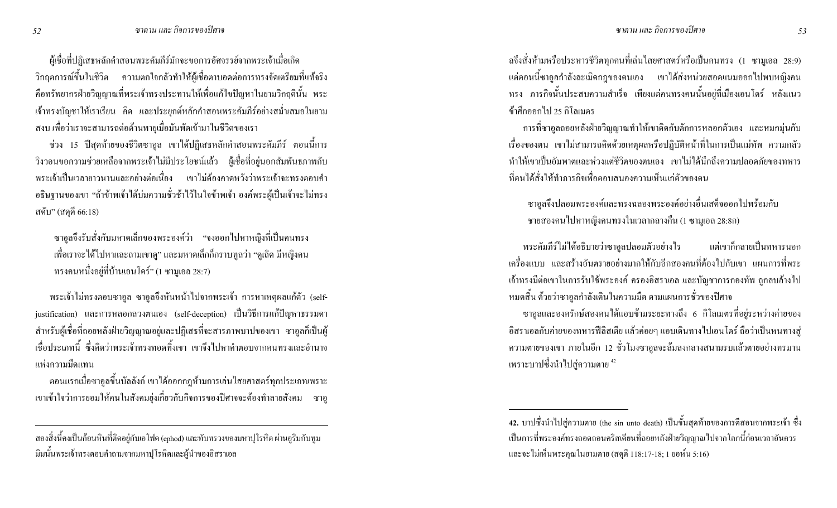ผู้เชื่อที่ปฏิเสธหลักคำสอนพระคัมภีร์มักจะขอการอัศจรรย์จากพระเจ้าเมื่อเกิด วิกฤตการณ์ขึ้นในชีวิต ความตกใจกลัวทำให้ผู้เชื่อตาบอดต่อการทรงจัดเตรียมที่แท้จริง คือทรัพยากรฝ่ายวิญญาณที่พระเจ้าทรงประทานให้เพื่อแก้ไขปัญหาในยามวิกฤตินั้น พระ เจ้าทรงบัญชาให้เราเรียน คิด และประยุกต์หลักคำสอนพระคัมภีร์อย่างสม่ำเสมอในยาม สงบ เพื่อว่าเราจะสามารถต่อต้านพายุเมื่อมันพัคเข้ามาในชีวิตของเรา

ช่วง 15 ปีสุดท้ายของชีวิตซาอูล เขาใด้ปฏิเสธหลักคำสอนพระคัมภีร์ ตอนนี้การ วิงวอนขอความช่วยเหลือจากพระเจ้าไม่มีประโยชน์แล้ว ผู้เชื่อที่อยู่นอกสัมพันธภาพกับ พระเจ้าเป็นเวลายาวนานและอย่างต่อเนื่อง เขาไม่ต้องคาดหวังว่าพระเจ้าจะทรงตอบคำ อธิษฐานของเขา "ถ้าข้าพเจ้าใค้บ่มความชั่วช้าใว้ในใจข้าพเจ้า องค์พระผู้เป็นเจ้าจะไม่ทรง ิสคับ" (สดุดี 66:18)

ซาอูลจึงรับสั่งกับมหาดเล็กของพระองค์ว่า "จงออกไปหาหญิงที่เป็นคนทรง เพื่อเราจะได้ไปหาและถามเขาดู" และมหาดเล็กก็กราบทูลว่า "ดูเถิด มีหญิงคน ทรงคนหนึ่งอยู่ที่บ้านเอนโคร์" (1 ซามูเอล 28:7)

พระเจ้าไม่ทรงตอบซาอูล ซาอูลจึงหันหน้าไปจากพระเจ้า การหาเหตุผลแก้ตัว (selfjustification) และการหลอกลวงตนเอง (self-deception) เป็นวิธีการแก้ปัญหาธรรมดา สำหรับผู้เชื่อที่ถอยหลังฝ่ายวิญญาณอยู่และปฏิเสธที่จะสารภาพบาปของเขา ซาอูลกี้เป็นผู้ เชื่อประเภทนี้ ซึ่งกิดว่าพระเจ้าทรงทอดทิ้งเขา เขาจึงไปหากำตอบจากกนทรงและอำนาจ ่ แห่งความมืดแทน

ตอนแรกเมื่อซาอูลขึ้นบัลลังก์ เขาได้ออกกฎห้ามการเล่นใสยศาสตร์ทุกประเภทเพราะ เขาเข้าใจว่าการยอมให้คนในสังคมยุ่งเกี่ยวกับกิจการของปีศาจจะต้องทำลายสังคม ซาอู ถจึงสั่งห้ามหรือประหารชีวิตทุกคนที่เล่นใสยศาสตร์หรือเป็นคนทรง (1 ซามูเอล 28:9) แต่ตอนนี้ซาอูลกำลังละเมิดกฎของตนเอง เขาได้ส่งหน่วยสอดแนมออกไปพบหญิงคน ทรง ภารกิจนั้นประสบความสำเร็จ เพียงแต่คนทรงคนนั้นอยู่ที่เมืองเอนโคร์ หลังแนว ข้าศึกออกไป 25 กิโลเมตร

การที่ซาอูลถอยหลังฝ่ายวิญญาณทำให้เขาติดกับดักการหลอกตัวเอง และหมกมุ่นกับ เรื่องของตน เขาไม่สามารถคิดด้วยเหตุผลหรือปฏิบัติหน้าที่ในการเป็นแม่ทัพ ความกลัว ทำให้เขาเป็นอัมพาตและห่วงแต่ชีวิตของตนเอง เขาไม่ได้นึกถึงความปลอดภัยของทหาร ที่ตนได้สั่งให้ทำการกิจเพื่อตอบสนองความเห็นแก่ตัวของตน

ซาอูลจึงปลอมพระองค์และทรงฉลองพระองค์อย่างอื่นเสค็จออกไปพร้อมกับ ชายสองคนไปหาหญิงคนทรงในเวลากลางคืน (1 ซามูเอล 28:8ก)

พระคัมภีร์ไม่ได้อธิบายว่าซ ่ แต่เขากึกลายเป็นทหารนอก เครื่องแบบ และสร้างอันตรายอย่างมากให้กับอีกสองคนที่ต้องไปกับเขา แผนการที่พระ เจ้าทรงมีต่อเขาในการรับใช้พระองค์ ครองอิสราเอล และบัญชาการกองทัพ ถูกลบล้างไป หมดสิ้น ด้วยว่าซาอูลกำลังเดินในความมืด ตามแผนการชั่วของปีศาจ

ซาอูลและองครักษ์สองคนได้แอบข้ามระยะทางถึง 6 กิโลเมตรที่อยู่ระหว่างค่ายของ อิสราเอลกับค่ายของทหารฟีลิสเตีย แล้วค่อยๆ แอบเดินทางไปเอนโคร์ ถือว่าเป็นหนทางสู่ ความตายของเขา ภายในอีก 12 ชั่วโมงซาอูลจะล้มลงกลางสนามรบแล้วตายอย่างทรมาน เพราะบาปซึ่งนำไปสู่ความตาย <sup>42</sup>

สองสิ่งนี้คงเป็นก้อนหินที่ติดอยู่กับเอโฟด (ephod) และทับทรวงของมหาปุโรหิต ผ่านอูริมกับทูม มิมนั้นพระเจ้าทรงตอบคำถามจากมหาปุโรหิตและผู้นำของอิสราเอล

<sup>42.</sup> บาปซึ่งนำไปสู่ความตาย (the sin unto death) เป็นขั้นสุดท้ายของการตีสอนจากพระเจ้า ซึ่ง เป็นการที่พระองค์ทรงถอดถอนคริสเตียนที่ถอยหลังฝ่ายวิญญาณไปจากโลกนี้ก่อนเวลาอันควร และจะไม่เห็นพระคุณในยามตาย (สดุดี 118:17-18; 1 ยอห์น 5:16)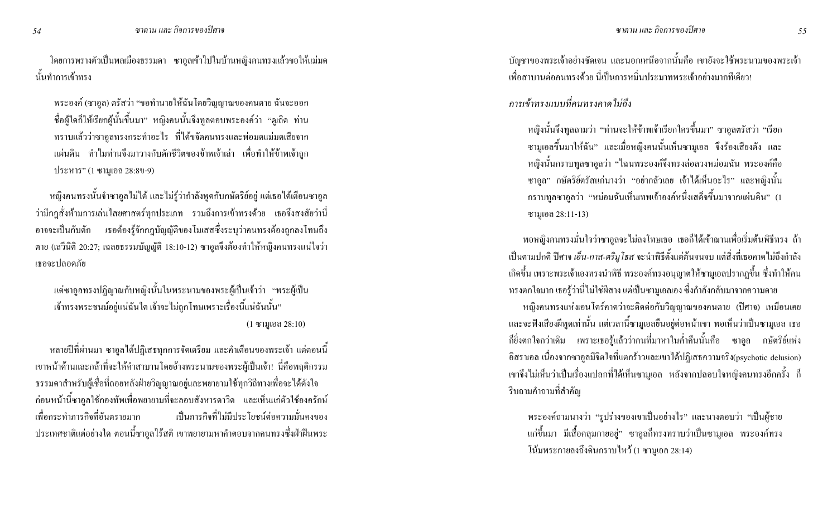โดยการพรางตัวเป็นพลเมืองธรรมดา ซาอูลเข้าไปในบ้านหญิงคนทรงแล้วขอให้แม่มด นั้นทำการเข้าทรง

พระองค์ (ซาอูล) ตรัสว่า "ขอทำนายให้ฉันโดยวิญญาณของคนตาย ฉันจะออก ชื่อผู้ใดก็ให้เรียกผู้นั้นขึ้นมา" หญิงคนนั้นจึงทูลตอบพระองค์ว่า "ดูเถิด ท่าน ทราบแล้วว่าซาอูลทรงกระทำอะไร ที่ได้ขจัดคนทรงและพ่อมดแม่มดเสียจาก ้ แผ่นดิน ทำไมท่านจึงมาวางกับดักชีวิตของข้าพเจ้าเล่า เพื่อทำให้ข้าพเจ้าถูก ประหาร" (1 ซามูเอล 28:8ข-9)

่ หญิงคนทรงนั้นจำซาอูลไม่ได้ และไม่รู้ว่ากำลังพูดกับกษัตริย์อยู่ แต่เธอได้เตือนซาอูล ้ว่ามีกฎสั่งห้ามการเล่นใสยศาสตร์ทุกประเภท รวมถึงการเข้าทรงด้วย เธอจึงสงสัยว่านี่ ่ อาจจะเป็นกับดัก เธอต้องรู้จักกฎบัญญัติของโมเสสซึ่งระบุว่าคนทรงต้องถูกลงโทษถึง ิตาย (เถวีนิติ 20:27; เฉลยธรรมบัญญัติ 18:10-12) ซาอูลจึงต้องทำให้หญิงคนทรงแน่ใจว่า เธอจะปลอดภัย

แต่ซาอูลทรงปฏิญาณกับหญิงนั้นในพระนามของพระผู้เป็นเจ้าว่า "พระผู้เป็น ้เจ้าทรงพระชนม์อยู่แน่ฉันใด เจ้าจะไม่ถูกโทษเพราะเรื่องนี้แน่ฉันนั้น"  $(1 \text{ }\mathfrak{B}1111100128:10)$ 

หลายปีที่ผ่านมา ซาอูลได้ปฏิเสธทุกการจัดเตรียม และคำเตือนของพระเจ้า แต่ตอนนี้ เขาหน้าด้านและกล้าที่จะให้คำสาบานโดยอ้างพระนามของพระผู้เป็นเจ้า! นี่คือพฤติกรรม ธรรมดาสำหรับผู้เชื่อที่ถอยหลังฝ่ายวิญญาณอยู่และพยายามใช้ทุกวิถีทางเพื่อจะได้ดังใจ ึก่อนหน้านี้ซาอูลใช้กองทัพเพื่อพยายามที่จะลอบสังหารดาวิด และเห็นแก่ตัวใช้องครักษ์ เพื่อกระทำการกิจที่อับตรายบาก ้เป็นการกิจที่ไม่บีประโยชน์ต่อความนั่นคงของ ประเทศชาติแต่อย่างใด ตอนนี้ซาอูลไร้สติ เขาพยายามหากำตอบจากคนทรงซึ่งฝ่าฝืนพระ ้บัญชาของพระเจ้าอย่างชัดเจน และนอกเหนือจากนั้นคือ เขายังจะใช้พระนามของพระเจ้า ้ เพื่อสาบานต่อคนทรงด้วย นี่เป็นการหมิ่นประมาทพระเจ้าอย่างมากทีเดียว!

่ การเข้าทรงแบบที่คนทรงคาดไม่ถึง

หญิงนั้นจึงทูลถามว่า "ท่านจะให้ข้าพเจ้าเรียกใครขึ้นมา" ซาอูลตรัสว่า "เรียก ซามูเอลขึ้นมาให้ฉัน" และเมื่อหญิงคนนั้นเห็นซามูเอล จึงร้องเสียงคัง และ หญิงนั้นกราบทูลซาอูลว่า "ไฉนพระองค์จึงทรงล่อลวงหม่อมฉัน พระองค์คือ ี ซาอูล" กษัตริย์ตรัสแก่นางว่า "อย่ากลัวเลย เจ้าได้เห็นอะไร" และหญิงนั้น ึกราบทูลซาอูลว่า "หม่อมฉันเห็นเทพเจ้าองค์หนึ่งเสด็จขึ้นมาจากแผ่นดิน" (1 ซามูเอล  $28:11-13$ )

ี พอหญิงคนทรงมั่นใจว่าซาอูลจะไม่ลงโทษเธอ เธอก็ได้เข้าฌานเพื่อเริ่มต้นพิธีทรง ถ้า เป็นตามปกติ ปิศาจ *เอ็น-กาส-ตริมูโธส* จะนำพิธีตั้งแต่ต้นจนจบ แต่สิ่งที่เธอกาดไม่ถึงกำลัง ้ เกิดขึ้น เพราะพระเจ้าเองทรงนำพิธี พระองค์ทรงอนุญาตให้ซามูเอลปรากฏขึ้น ซึ่งทำให้คน ทรงตกใจมาก เธอรู้ว่านี่ไม่ใช่ผีสาง แต่เป็นซามูเอลเอง ซึ่งกำลังกลับมาจากความตาย

หญิงคนทรงแห่งเอนโคร์คาคว่าจะติดต่อกับวิญญาณของคนตาย (ปีศาจ) เหมือนเคย ่ และจะฟังเสียงผีพูดเท่านั้น แต่เวลานี้ซามูเอลยืนอยู่ต่อหน้าเขา พอเห็นว่าเป็นซามูเอล เธอ ้ก็ยิ่งตกใจกว่าเดิม เพราะเธอรู้แล้วว่าคนที่มาหาในค่ำคืนนั้นคือ ซาอูล กษัตริย์แห่ง อิสราเอล เนื่องจากซาอูลมีจิตใจที่แตกร้าวและเขาใด้ปฏิเสธความจริง(psychotic delusion) เขาจึงไม่เห็นว่าเป็นเรื่องแปลกที่ได้เห็นซามูเอล หลังจากปลอบใจหญิงคนทรงอีกครั้ง ก็ ์ รีบถามคำถามที่สำคัญ

พระองค์ถามนางว่า "รูปร่างของเขาเป็นอย่างไร" และนางตอบว่า "เป็นผู้ชาย แก่ขึ้นมา มีเสื้อคลุมกายอยู่" ซาอูลกีทรงทราบว่าเป็นซามูเอล พระองค์ทรง โน้มพระกายลงถึงดินกราบไหว้ (1 ซามูเอล 28:14)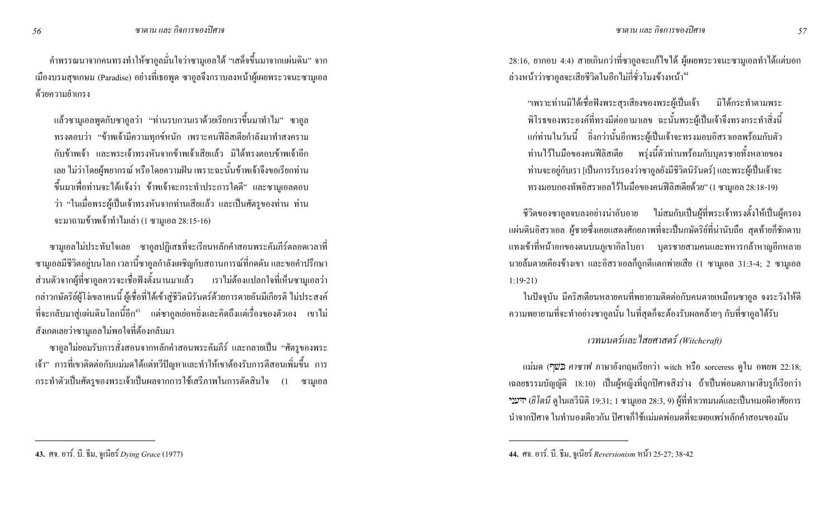คำพรรณนาจากคนทรงทำให้ซาอูลมั่นใจว่าซามูเอลได้ "เสด็จขึ้นมาจากแผ่นดิน" จาก เมืองบรมสุขเกษม (Paradise) อย่างที่เธอพูด ซาอูลจึงกราบลงหน้าผู้เผยพระวจนะซามูเอล ด้วยความยำเกรง

แล้วซามูเอลพูดกับซาอูลว่า "ท่านรบกวนเราด้วยเรียกเราขึ้นมาทำไม" ซาอูล ทรงตอบว่า "ข้าพเจ้ามีความทุกข์หนัก เพราะคนฟีลิสเตียกำลังมาทำสงคราม กับข้าพเจ้า และพระเจ้าทรงหันจากข้าพเจ้าเสียแล้ว มิได้ทรงตอบข้าพเจ้าอีก เลย ไม่ว่าโคยผู้พยากรณ์ หรือโคยความฝัน เพราะฉะนั้นข้าพเจ้าจึงขอเรียกท่าน ขึ้นมาเพื่อท่านจะใด้แจ้งว่า ข้าพเจ้าจะกระทำประการใดคี" และซามูเอลตอบ ว่า "ในเมื่อพระผู้เป็นเจ้าทรงหันจากท่านเสียแล้ว และเป็นศัตรูของท่าน ท่าน จะมาถามข้าพเจ้าทำใมเล่า (1 ซามูเอล 28:15-16)

ซามูเอลไม่ประทับใจเลย ซาอูลปฏิเสธที่จะเรียนหลักคำสอนพระคัมภีร์ตลอดเวลาที่ ซามูเอลมีชีวิตอยู่บนโลก เวลานี้ซาอูลกำลังเผชิญกับสถานการณ์ที่กดคัน และขอคำปรึกษา ส่วนตัวจากผู้ที่ซาอูลควรจะเชื่อฟังตั้งนานมาแล้ว เราไม่ต้องแปลกใจที่เห็นซามูเอลว่า กล่าวกษัตริย์ผู้โง่เขลาคนนี้ ผู้เชื่อที่ได้เข้าสู่ชีวิตนิรันคร์ด้วยการตายอันมีเกียรติ ไม่ประสงค์ ที่จะกลับมาสู่แผ่นดินโลกนี้อีก<sup>43</sup> แต่ซาอูลเย่อหยิ่งและคิดถึงแต่เรื่องของตัวเอง เขาไม่ สังเกตเลยว่าซามูเอลไม่พอใจที่ต้องกลับมา

ซาอูลไม่ยอมรับการสั่งสอนจากหลักคำสอนพระคัมภีร์ และกลายเป็น "ศัตรูของพระ เจ้า" การที่เขาติดต่อกับแม่มด ได้แต่ทวีปัญหาและทำให้เขาต้องรับการตีสอนเพิ่มขึ้น การ กระทำตัวเป็นศัตรูของพระเจ้าเป็นผลจากการใช้เสรีภาพในการตัดสินใจ (1 ซามูเอล "เพราะท่านมิใด้เชื่อฟังพระสุรเสียงของพระผู้เป็นเจ้า มิใด้กระทำตามพระ พิโรธของพระองค์ที่ทรงมีต่ออามาเลข ฉะนั้นพระผู้เป็นเจ้าจึงทรงกระทำสิ่งนี้ แก่ท่านในวันนี้ ยิ่งกว่านั้นอีกพระผู้เป็นเจ้าจะทรงมอบอิสราเอลพร้อมกับตัว ท่านไว้ในมือของคนฟีลิสเตีย พรุ่งนี้ตัวท่านพร้อมกับบุตรชายทั้งหลายของ ท่านจะอยู่กับเรา [เป็นการรับรองว่าซาอูลยังมีชีวิตนิรันคร์] และพระผู้เป็นเจ้าจะ ทรงมอบกองทัพอิสราเอลไว้ในมือของคนฟีลิสเตียด้วย" (1 ซามูเอล 28:18-19)

ชีวิตของซาอูลจบลงอย่างน่าอับอาย ใม่สมกับเป็นผู้ที่พระเจ้าทรงตั้งให้เป็นผู้ครอง แผ่นดินอิสราเอล ผู้ชายซึ่งเคยแสดงศักยภาพที่จะเป็นกษัตริย์ที่น่านับถือ สุดท้ายกีฬกดาบ แทงเข้าที่หน้าอกของตนบนภูเขากิลโบอา บุตรชายสามคนและทหารกล้าหาญอีกหลาย นายล้มตายเกียงข้างเขา และอิสราเอลกี้ถูกตีแตกพ่ายเสีย (1 ซามูเอล 31:3-4; 2 ซามูเอล 1:19-21)

ในปัจจุบัน มีคริสเตียนหลายคนที่พยายามติดต่อกับคนตายเหมือนซาอูล จงระวังให้ดี ความพยายามที่จะทำอย่างซาอูลนั้น ในที่สุดก็จะต้องรับผลคล้ายๆ กับที่ซาอูลใด้รับ

#### เวทมนตร์และ ใสยศาสตร์ (Witchcraft)

แม่มด (ר*ְשֹׁ*רַ *คาซาฟ* ภาษาอังกฤษเรียกว่า witch หรือ sorceress ดูใน อพยพ 22:18; เฉลยธรรมบัญญัติ 18:10) เป็นผู้หญิงที่ถูกปีศาจสิงร่าง ถ้าเป็นพ่อมดภาษาฮีบรูก็เรียกว่า ידענ**י** (ฮิ โคนี ดูในเถวีนิติ 19:31; 1 ซามูเอล 28:3, 9) ผู้ที่ทำเวทมนต์และเป็นหมอผีอาศัยการ ่ นำจากปีศาจ ในทำนองเดียวกัน ปีศาจก็ใช้แม่มดพ่อมดที่จะเผยแพร่หลักคำสอนของมัน

<sup>28:16,</sup> ยากอบ 4:4) สายเกินกว่าที่ซาอูลจะแก้ไขได้ ผู้เผยพระวจนะซามูเอลทำได้แต่บอก ล่วงหน้าว่าซาอูลจะเสียชีวิตในอีกไม่กี่ชั่วโมงข้างหน้า<sup>44</sup>

<sup>44.</sup> ศจ. อาร์. บี. ธีม, จูเนียร์ Reversionism หน้า 25-27; 38-42

**<sup>43.</sup>** ศจ. อาร์. บี. ธีม, จูเนียร์ *Dying Grace* (1977)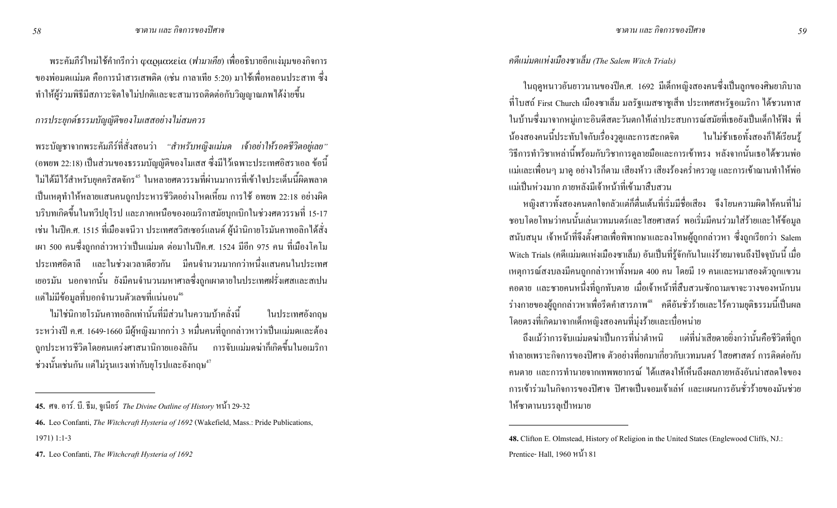พระคัมภีร์ใหม่ใช้คำกรีกว่า φαρμακεία (ฟามาเคีย) เพื่ออธิบายอีกแง่มุมของกิจการ ี ของพ่อมดแม่มด คือการนำสารเสพติด (เช่น กาลาเทีย 5:20) มาใช้เพื่อหลอนประสาท ซึ่ง ้ ทำให้ผู้ร่วมพิธีมีสภาวะจิตใจไม่ปกติและจะสามารถติดต่อกับวิญญาณภพได้ง่ายขึ้น

#### การประยุกต์ธรรมบัญญัติของโมเสสอย่างไม่สมควร

พระบัญชาจากพระคัมภีร์ที่สั่งสอนว่า "สำหรับหญิงแม่มด เจ้าอย่าให้รอดชีวิตอยู่เลย" (อพยพ 22:18) เป็นส่วนของธรรมบัญญัติของโมเสส ซึ่งมีไว้เฉพาะประเทศอิสราเอล ข้อนี้ ไม่ได้มีไว้สำหรับยกคริสตจักร<sup>45</sup> ในหลายศตวรรษที่ผ่านมาการที่เข้าใจประเด็นนี้ผิดพลาด ้เป็นเหตุทำให้หลายแสนคนถูกประหารชีวิตอย่างโหดเหี้ยม การใช้ อพยพ 22:18 อย่างผิด ิ บริบทเกิดขึ้นในทวีปยุโรป และภาคเหนือของอเมริกาสมัยบุกเบิกในช่วงศตวรรษที่ 15-17 ้เช่น ในปีค.ศ. 1515 ที่เมืองเจนีวา ประเทศสวิสเซอร์แลนด์ ผู้นำนิกายโรมันคาทอลิกได้สั่ง ี เผา 500 คนซึ่งถกกล่าวหาว่าเป็นแม่มด ต่อมาในปีค.ศ. 1524 มีอีก 975 คน ที่เมืองโคโม ี ประเทศอิตาลี และในช่วงเวลาเดียวกัน มีคนจำนวนมากกว่าหนึ่งแสนคนในประเทศ ี เยอรมัน นอกจากนั้น ยังมีคนจำนวนมหาศาลซึ่งถูกเผาตายในประเทศฝรั่งเศสและสเปน แต่ไม่มีข้อมูลที่บอกจำนวนตัวเลขที่แน่นอน<sup>46</sup>

ไม่ใช่นิกายโรมันคาทอลิกเท่านั้นที่มีส่วนในความบ้าคลั่งนี้ ในประเทศอังกถษ ระหว่างปี ค.ศ. 1649-1660 มีผู้หญิงมากกว่า 3 หมื่นคนที่ถูกกล่าวหาว่าเป็นแม่มดและต้อง ี่ถูกประหารชีวิตโดยคนเคร่งศาสนานิกายแองลิกัน การจับแม่มดฆ่ากี่เกิดขึ้นในอเมริกา ช่วงนั้นเช่นกัน แต่ไม่รนแรงเท่ากับยโรปและอังกฤษ $^{\rm 47}$ 

คดีแม่มดแห่งเมืองซาเล็ม (The Salem Witch Trials)

่ ในฤดูหนาวอันยาวนานของปีค.ศ. 1692 มีเด็กหญิงสองคนซึ่งเป็นถูกของศิษยาภิบาล ี ที่โบสถ์ First Church เมืองซาเล็ม มลรัฐแมสซาชูเส็ท ประเทศสหรัฐอเมริกา ใด้ชวนทาส ในบ้านซึ่งมาจากหมู่เกาะอินดีสตะวันตกให้เล่าประสบการณ์สมัยที่เธอยังเป็นเด็กให้ฟัง พี่ น้องสองคนนี้ประทับใจกับเรื่องวูดูและการสะกคจิต ในไม่ช้าเธอทั้งสองก็ได้เรียนรู้ วิธีการทำวิชาเหล่านี้พร้อมกับวิชาการดูลายมือและการเข้าทรง หลังจากนั้นเธอได้ชวนพ่อ แม่และเพื่อนๆ มาดู อย่างไรก็ตาม เสียงห้าว เสียงร้องคร่ำครวญ และการเข้าฌานทำให้พ่อ แม่เป็นห่วงมาก ภายหลังมีเจ้าหน้าที่เข้ามาสืบสวน

หญิงสาวทั้งสองคนตกใจกลัวแต่กี้ตื่นเต้นที่เริ่มมีชื่อเสียง จึงโยนความผิดให้คนที่ไม่ ิชอบโดยโทษว่าคนนั้นเล่นเวทมนตร์และไสยศาสตร์ พอเริ่มมีคนร่วมใส่ร้ายและให้ข้อมูล ิ สนับสนุน เจ้าหน้าที่จึงตั้งศาลเพื่อพิพากษาและลงโทษผู้ถูกกล่าวหา ซึ่งถูกเรียกว่า Salem Witch Trials (คดีแม่มดแห่งเมืองซาเล็ม) อันเป็นที่รู้จักกันในแง่ร้ายมาจนถึงปัจจุบันนี้ เมื่อ เหตุการณ์สงบลงมีคนถูกกล่าวหาทั้งหมด 400 คน โดยมี 19 คนและหมาสองตัวถูกแขวน ิ คอตาย และชายคนหนึ่งที่ถูกทับตาย เมื่อเจ้าหน้าที่สืบสวนซักถามเขาจะวางของหนักบน ี่ ร่างกายของผู้ถูกกล่าวหาเพื่อรีดคำสารภาพ<sup>48</sup> คดีอันชั่วร้ายและไร้ความยุติธรรมนี้เป็นผล โดยตรงที่เกิดมาจากเด็กหญิงสองคนที่มุ่งร้ายและเบื่อหน่าย

ถึงแม้ว่าการจับแม่มดฆ่าเป็นการที่น่าตำหนิ แต่ที่น่าเสียดายยิ่งกว่านั้นคือชีวิตที่ถูก ่ ทำลายเพราะกิจการของปีศาจ ตัวอย่างที่ยกมาเกี่ยวกับเวทมนตร์ ใสยศาสตร์ การติดต่อกับ ่ คนตาย และการทำนายจากเทพพยากรณ์ ใค้แสคงให้เห็นถึงผลภายหลังอันน่าสลดใจของ ่ การเข้าร่วมในกิจการของปิศาจ ปิศาจเป็นจอมเจ้าเล่ห์ และแผนการอันชั่วร้ายของมันช่วย ให้ซาตานบรรลุเป้าหมาย

<sup>45.</sup> ศจ. อาร์. บี. ธีม, จูเนียร์ The Divine Outline of History หน้า 29-32

<sup>46.</sup> Leo Confanti, The Witchcraft Hysteria of 1692 (Wakefield, Mass.: Pride Publications,

 $1971)$  1:1-3

<sup>47.</sup> Leo Confanti, The Witchcraft Hysteria of 1692

<sup>48.</sup> Clifton E. Olmstead, History of Religion in the United States (Englewood Cliffs, NJ.: Prentice- Hall, 1960 หน้า 81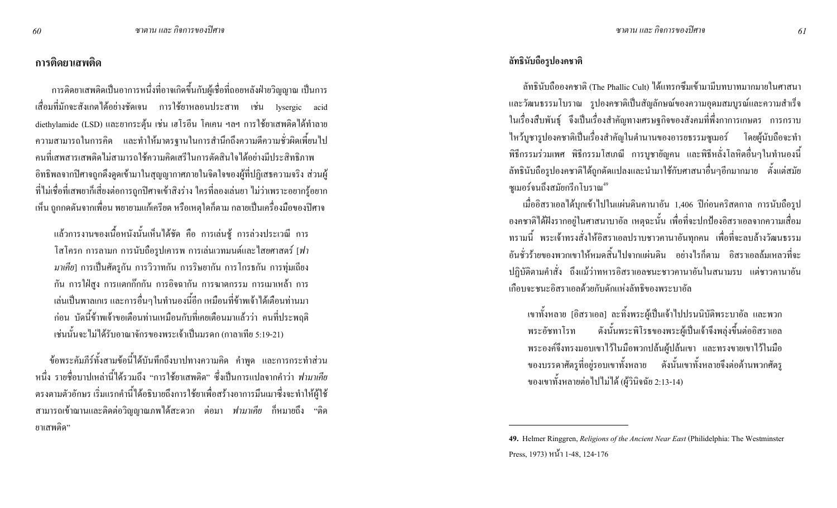#### ิการติดยาเสพติด

่ การติดยาเสพติดเป็นอาการหนึ่งที่อาจเกิดขึ้นกับผู้เชื่อที่ถอยหลังฝ่ายวิญญาณ เป็นการ เสื่อมที่มักจะสังเกตใด้อย่างชัดเจน การใช้ยาหลอนประสาท เช่น lysergic acid diethylamide (LSD) และยากระตุ้น เช่น เฮโรอีน โคเคน ฯลฯ การใช้ยาเสพติดได้ทำลาย ่ ความสามารถในการคิด และทำให้มาตรฐานในการสำนึกถึงความดีความชั่วผิดเพี้ยนไป ึ คนที่เสพสารเสพติดไม่สามารถใช้ความคิดเสรีในการตัดสินใจได้อย่างมีประสิทธิภาพ ้อิทธิพลจากปิศาจถูกคึ่งดูดเข้ามาในสุญญากาศภายในจิตใจของผู้ที่ปฏิเสธความจริง ส่วนผู้ ี่ที่ไม่เชื่อที่เสพยาก็เสี่ยงต่อการถูกปีศาจเข้าสิงร่าง ใครที่ลองเล่นยา ไม่ว่าเพราะอยากรู้อยาก เห็น ถูกกดดันจากเพื่อน พยายามแก้เครียด หรือเหตุใดก็ตาม กลายเป็นเครื่องมือของปิศาจ

แล้วการงานของเนื้อหนังนั้นเห็นได้ชัด คือ การเล่นชู้ การล่วงประเวณี การ โสโครก การลามก การนับถือรูปเคารพ การเล่นเวทมนต์และไสยศาสตร์ [ฟา *มาเคีย*] การเป็นศัตรูกัน การวิวาทกัน การริษยากัน การโกรธกัน การทุ่มเถียง ้กัน การใฝ่สูง การแตกก๊กกัน การอิจฉากัน การฆาตกรรม การเมาเหล้า การ ้ เล่นเป็นพาลเกเร และการอื่นๆในทำนองนี้อีก เหมือนที่ข้าพเจ้าได้เตือนท่านมา ้ก่อน บัดนี้ข้าพเจ้าขอเตือนท่านเหมือนกับที่เคยเตือนมาแล้วว่า คนที่ประพฤติ เช่นนั้นจะไม่ได้รับอาณาจักรของพระเจ้าเป็นมรดก (กาลาเทีย 5:19-21)

้ข้อพระคัมภีร์ทั้งสามข้อนี้ได้บันทึกถึงบาปทางความคิด คำพูด และการกระทำส่วน ิหนึ่ง รายชื่อบาปเหล่านี้ได้รวมถึง "การใช้ยาเสพติด" ซึ่งเป็นการแปลจากคำว่า *ฟามาเกีย* ิตรงตามตัวอักษร เริ่มแรกคำนี้ได้อธิบายถึงการใช้ยาเพื่อสร้างอาการมึนเมาซึ่งจะทำให้ผู้ใช้ ิ สามารถเข้าฌานและติดต่อวิญญาณภพใด้สะดวก ต่อมา *ฟามาเกีย* ก็หมายถึง "ติด ยาเสพติด"

#### ลัทธินับถือรูปองคชาติ

ิลัทธินับถือองคชาติ (The Phallic Cult) ได้แทรกซึมเข้ามามีบทบาทมากมายในศาสนา และวัฒนธรรมโบราณ รูปองคชาติเป็นสัญลักษณ์ของความอุดมสมบูรณ์และความสำเร็จ ในเรื่องสืบพันธุ์ จึงเป็นเรื่องสำคัญทางเศรษฐกิจของสังคมที่พึ่งกาการเกษตร การกราบ ใหว้บูชารูปองคชาติเป็นเรื่องสำคัญในตำนานของอารยธรรมซูเมอร์ โดยผู้นับถือจะทำ พิธีกรรมร่วมเพศ พิธีกรรมโสเภณี การบูชายัญคน และพิธีหลั่งโลหิตอื่นๆในทำนองนี้ ลัทธินับถือรูปองคชาติได้ถูกดัดแปลงและนำมาใช้กับศาสนาอื่นๆอีกมากมาย ตั้งแต่สมัย ซูเมอร์จนถึงสมัยกรีกโบราณ<sup>49</sup>

ี่ เมื่ออิสราเอลได้บุกเข้าไปในแผ่นดินคานาอัน 1,406 ปีก่อนคริสตกาล การนับถือรูป องคชาติใด้ฝังรากอยู่ในศาสนาบาอัล เหตุฉะนั้น เพื่อที่จะปกป้องอิสราเอลจากความเสื่อม ิทรามนี้ พระเจ้าทรงสั่งให้อิสราเอลปราบชาวคานาอันทุกคน เพื่อที่จะลบล้างวัฒนธรรม อันชั่วร้ายของพวกเขาให้หมดสิ้นไปจากแผ่นดิน อย่างไรก็ตาม อิสราเอลล้มเหลวที่จะ ปฏิบัติตามคำสั่ง ถึงแม้ว่าทหารอิสราเอลชนะชาวคานาอันในสนามรบ แต่ชาวคานาอัน เกือบจะชนะอิสราเอลด้วยกับดักแห่งลัทธิของพระบาอัล

เขาทั้งหลาย [อิสราเอล] ละทิ้งพระผู้เป็นเจ้าไปปรนนิบัติพระบาอัล และพวก คังนั้นพระพิโรธของพระผู้เป็นเจ้าจึงพลุ่งขึ้นต่ออิสราเอล พระอัชทาโรท พระองค์จึงทรงมอบเขาไว้ในมือพวกปล้นผู้ปล้นเขา และทรงขายเขาไว้ในมือ ของบรรดาศัตรูที่อยู่รอบเขาทั้งหลาย ดังนั้นเขาทั้งหลายจึงต่อต้านพวกศัตรู ของเขาทั้งหลายต่อไปไม่ได้ (ผู้วินิจฉัย 2:13-14)

<sup>49.</sup> Helmer Ringgren, *Religions of the Ancient Near East* (Philidelphia: The Westminster Press, 1973) หน้า 1-48, 124-176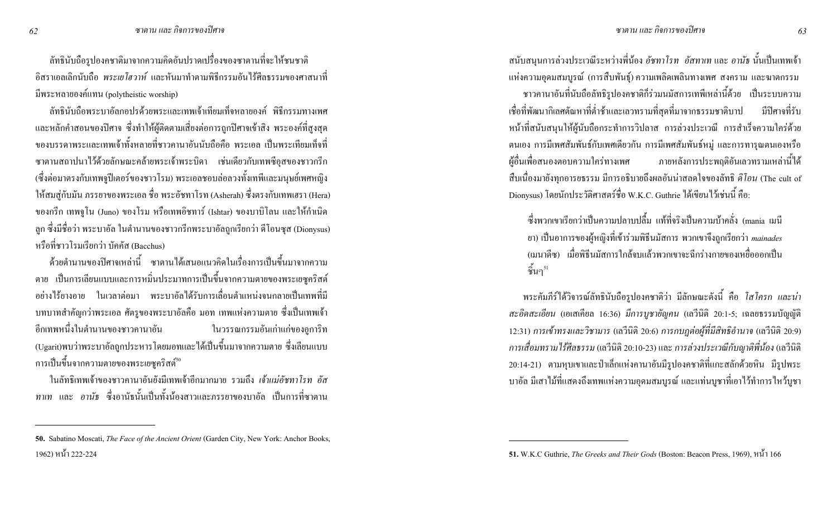ลัทธินับถือรูปองคชาติมาจากความคิดอันปราคเปรื่องของซาตานที่จะให้ชนชาติ อิสราเอลเลิกนับถือ *พระเยโฮวาห์* และหันมาทำตามพิธีกรรมอันไร้ศีลธรรมของศาสนาที่ มีพระหลายองค์แทน (polytheistic worship)

ลัทธินับถือพระบาอัลกอปรค้วยพระและเทพเจ้าเทียมเท็จหลายองค์ พิธีกรรมทางเพศ และหลักคำสอนของปีศาจ ซึ่งทำให้ผู้ติดตามเสี่ยงต่อการถูกปีศาจเข้าสิง พระองค์ที่สูงสุด ้ ของบรรคาพระและเทพเจ้าทั้งหลายที่ชาวคานาอันนับถือคือ พระเอล เป็นพระเทียมเท็จที่ ซาตานสถาปนาไว้ด้วยลักษณะคล้ายพระเจ้าพระบิดา เช่นเดียวกับเทพซีอุสของชาวกรีก (ซึ่งต่อมาตรงกับเทพจูปีเตอร์ของชาวโรม) พระเอลชอบล่อลวงทั้งเทพีและมนุษย์เพศหญิง ให้สมสู่กับมัน ภรรยาของพระเอล ชื่อ พระอัชทาโรท (Asherah) ซึ่งตรงกับเทพเฮรา (Hera) ของกรีก เทพจูโน (Juno) ของโรม หรือเทพอิชทาร์ (Ishtar) ของบาบิโลน และให้กำเนิด ลูก ซึ่งมีชื่อว่า พระบาอัล ในตำนานของชาวกรีกพระบาอัลถูกเรียกว่า ดีโอนซุส (Dionysus) ่ หรือที่ชาวโรมเรียกว่า บัคคัส (Bacchus)

ด้วยตำนานของปิศาจเหล่านี้ ซาตานได้เสนอแนวกิดในเรื่องการเป็นขึ้นมาจากความ ตาย เป็นการเลียนแบบและการหมิ่นประมาทการเป็นขึ้นจากความตายของพระเยซูคริสต์ ือย่างไร้ยางอาย ในเวลาต่อมา พระบาอัลได้รับการเลื่อนตำแหน่งจนกลายเป็นเทพที่มี บทบาทสำคัญกว่าพระเอล ศัตรูของพระบาอัลคือ มอท เทพแห่งความตาย ซึ่งเป็นเทพเจ้า ้ อีกเทพหนึ่งในตำนานของชาวคานาอัน ในวรรณกรรมอันเก่าแก่ของอูการิท (Ugarit)พบว่าพระบาอัลถูกประหาร โดยมอทและ ได้เป็นขึ้นมาจากความตาย ซึ่งเลียนแบบ การเป็นขึ้นจากความตายของพระเยซูคริสต์<sup>ร</sup>'

ในลัทธิเทพเจ้าของชาวคานาอันยังมีเทพเจ้าอีกมากมาย รวมถึง *เจ้าแม่อัชทาโรท อัส ทาเท* และ อ*านัธ* ซึ่งอานัธนั้นเป็นทั้งน้องสาวและภรรยาของบาอัล เป็นการที่ซาตาน

สนับสนุนการล่วงประเวณีระหว่างพี่น้อง *อัชทาโรท อัสทาเท* และ *อานัธ* นั้นเป็นเทพเจ้า แห่งความอุดมสมบูรณ์ (การสืบพันธุ์) ความเพลิดเพลินทางเพศ สงคราม และฆาตกรรม ชาวคานาอันที่นับถือลัทธิรูปองคชาติก็ร่วมนมัสการเทพีเหล่านี้ด้วย เป็นระบบความ เชื่อที่พัฒนากิเลศตัณหาที่ต่ำช้าและเลวทรามที่สุดที่มาจากธรรมชาติ ่ มีปีศาจที่รับ หน้าที่สนับสนุนให้ผู้นับถือกระทำการวิปลาส การล่วงประเวณี การสำเร็จความใคร่ด้วย ี ตนเอง การมีเพศสัมพันธ์กับเพศเดียวกัน การมีเพศสัมพันธ์หมู่ และการทารุณตนเองหรือ ผู้อื่นเพื่อสนองตอบความใคร่ทางเพศ ภายหลังการประพฤติอันเลวทรามเหล่านี้ได้ สืบเนื่องมายังทุกอารยธรรม มีการอธิบายถึงผลอันน่าสลดใจของลัทธิ *ดิโอน* (The cult of Dionysus) โดยนักประวัติศาสตร์ชื่อ W.K.C. Guthrie ใด้เขียนใว้เช่นนี้ คือ:

ซึ่งพวกเขาเรียกว่าเป็นความปลกบปลื้ม แท้ที่จริงเป็นความบ้าคลั่ง (mania เมนี ยา) เป็นอาการของผู้หญิงที่เข้าร่วมพิธีนมัสการ พวกเขาจึงถูกเรียกว่า *mainades* (เมนาคีซ) เมื่อพิธีนมัสการใกล้งบแล้วพวกเขาจะฉีกร่างกายของเหยื่อออกเป็น ชิ้นๆ $^{\mathbf{51}}$ 

พระคัมภีร์ใด้วิจารณ์ลัทธินับถือรูปองคชาติว่า มีลักษณะดังนี้ คือ *โสโครก และน่า สะอิคสะเอียน* (เอเสเกียล 16:36) มีการบูชายัญคน (เลวีนิติ 20:1-5; เฉลยธรรมบัญญัติ 12:31) *การเข้าทรงและวิชามาร (เ*ลวีนิติ 20:6) *การกบฏต่อผู้ที่มีสิทธิอำนาจ (เ*ลวีนิติ 20:9) การเสื่อมทราม ใร้ศีลธรรม (เถ<sub>่</sub>าินิติ 20:10-23) และ การล่วงประเวณีกับญาติพี่น้อง (เถ<sub>่</sub>าินิติ 20:14-21) ตามหุบเขาและป่าเล็กแห่งคานาอันมีรูปองคชาติที่แกะสลักด้วยหิน มีรูปพระ ่ บาอัล มีเสาไม้ที่แสดงถึงเทพแห่งความอุดมสมบูรณ์ และแท่นบูชาที่เอาไว้ทำการไหว้บูชา

**<sup>50.</sup>** Sabatino Moscati, *The Face of the Ancient Orient* (Garden City, New York: Anchor Books, 1962) หน้า 222-224

<sup>51.</sup> W.K.C Guthrie, *The Greeks and Their Gods* (Boston: Beacon Press, 1969),  $\mathcal{W}(\mathcal{X})$  166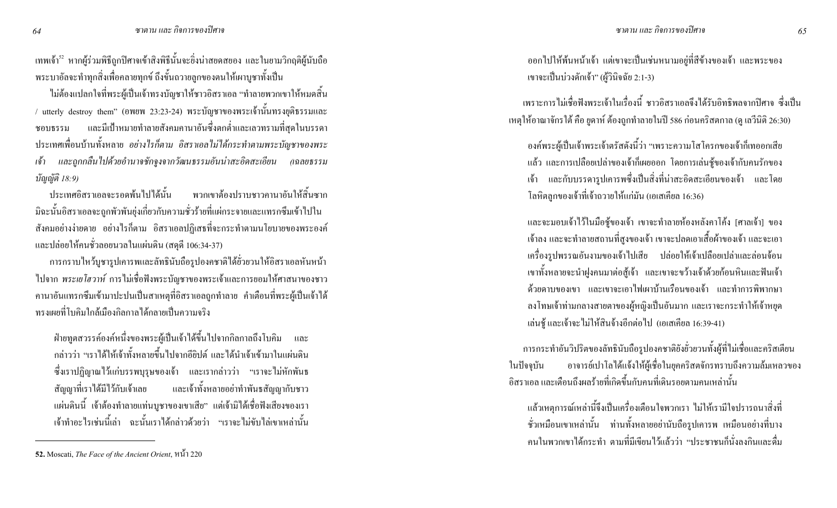เทพเจ้า<sup>ร2</sup> หากผู้ร่วมพิธีถูกปีศาจเข้าสิงพิธีนั้นจะอิ่งน่าสยดสยอง และในยามวิกฤติผู้นับถือ พระบาอัลจะทำทุกสิ่งเพื่อคลายทุกข์ ถึงขั้นถวายลูกของตนให้เผาบูชาทั้งเป็น

ไม่ต้องแปลกใจที่พระผู้เป็นเจ้าทรงบัญชาให้ชาวอิสราเอล "ทำลายพวกเขาให้หมดสิ้น / utterly destroy them" (อพยพ 23:23-24) พระบัญชาของพระเจ้านั้นทรงยุติธรรมและ ชอบธรรม และมีเป้าหมายทำลายสังคมคานาอันซึ่งตกต่ำและเลวทรามที่สุดในบรรคา ประเทศเพื่อนบ้านทั้งหลาย *อย่างไรก็ตาม อิสราเอลไม่ได้กระทำตามพระบัญชาของพระ* <u>เ</u>ข้า  $\mu$ เละถูกกลืนไปด้วยอำนาจชักจูงจากวัฒนธรรมอันน่าสะอิคสะเอียน (เฉลยธรรม *ນັญญัติ 18:9)* 

้ ประเทศกิสราเกลจะรอดพ้บไปได้บั้น สราเอลจะรอดพ้นไปได้นั้น พวกเขาต้องปราบชาวคานาอันให้สิ้นซาก มิฉะนั้นอิสราเอลจะถูกพัวพันยุ่งเกี่ยวกับความชั่วร้ายที่แผ่กระจายและแทรกซึมเข้าไปใน สังคมอย่างง่ายดาย อย่างไรกี้ตาม อิสราเอลปฏิเสธที่จะกระทำตามนโยบายของพระองค์ และปล่อยให้คนชั่วลอยนวลในแผ่นดิน (สดุดี 106:34-37)

การกราบไหว้บูชารูปเคารพและลัทธินับถือรูปองคชาติได้ยั่วยวนให้อิสราเอลหันหน้า ไปจาก *พระเยโฮวาห์* การไม่เชื่อฟังพระบัญชาของพระเจ้าและการยอมให้ศาสนาของชาว คานาอันแทรกซึมเข้ามาปะปนเป็นสาเหตุที่อิสราเอลถูกทำลาย คำเตือนที่พระผู้เป็นเจ้าได้ ทรงเผยที่โบคิมใกล้เมืองกิลกาลได้กลายเป็นความจริง

ฝ่ายทูตสวรรค์องค์หนึ่งของพระผู้เป็นเจ้าได้ขึ้นไปจากกิลกาลถึงโบคิม และ กล่าวว่า "เราได้ให้เจ้าทั้งหลายขึ้นไปจากอียิปต์ และได้นำเจ้าเข้ามาในแผ่นดิน ซึ่งเราปฏิญาณไว้แก่บรรพบุรุษของเจ้า และเรากล่าวว่า "เราจะไม่หักพันธ สัญญาที่เราได้มีไว้กับเจ้าเลย และเจ้าทั้งหลายอย่าทำพันธสัญญากับชาว แผ่นดินนี้ เจ้าต้องทำลายแท่นบูชาของเขาเสีย" แต่เจ้ามิได้เชื่อฟังเสียงของเรา เจ้าทำอะไรเช่นนี้เล่า ฉะนั้นเราได้กล่าวด้วยว่า "เราจะไม่ขับไล่เขาเหล่านั้น

่ ออกไปให้พ้นหน้าเจ้า แต่เขาจะเป็นเช่นหนามอยู่ที่สีข้างของเจ้า และพระของ เขาจะเป็นบ่วงดักเจ้า" (ผู้วินิจฉัย 2:1-3)

เพราะการไม่เชื่อฟังพระเจ้าในเรื่องนี้ ชาวอิสราเอลจึงได้รับอิทธิพลจากปิศาจ ซึ่งเป็น เหตุให้อาณาจักรใต้ คือ ยูดาห์ ต้องถูกทำลายในปี 586 ก่อนคริสตกาล (ดู เลวีนิติ 26:30)

องค์พระผู้เป็นเจ้าพระเจ้าตรัสดังนี้ว่า "เพราะความโสโครกของเจ้าก็เทออกเสีย แล้ว และการเปลือยเปล่าของเจ้ากี้เผยออก โดยการเล่นชู้ของเจ้ากับคนรักของ เจ้า และกับบรรคารูปเการพซึ่งเป็นสิ่งที่น่าสะอิดสะเอียนของเจ้า และโดย โลหิตลูกของเจ้าที่เจ้าถวายให้แก่มัน (เอเสเคียล 16:36)

และจะมอบเจ้าไว้ในมือชู้ของเจ้า เขาจะทำลายห้องหลังคาโค้ง [ศาลเจ้า] ของ ี เจ้าลง และจะทำลายสถานที่สูงของเจ้า เขาจะปลดเอาเสื้อผ้าของเจ้า และจะเอา เครื่องรูปพรรณอันงามของเจ้าไปเสีย ปล่อยให้เจ้าเปลือยเปล่าและล่อนจ้อน เขาทั้งหลายจะนำฝูงคนมาต่อสู้เจ้า และเขาจะขว้างเจ้าด้วยก้อนหินและฟันเจ้า ด้วยดาบของเขา และเขาจะเอาไฟเผาบ้านเรือนของเจ้า และทำการพิพากษา ลงโทษเจ้าท่ามกลางสายตาของผู้หญิงเป็นอันมาก และเราจะกระทำให้เจ้าหยุค เล่นชู้ และเจ้าจะ ไม่ให้สินจ้างอีกต่อไป (เอเสเคียล 16:39-41)

การกระทำอันวิปริตของลัทธินับถือรูปองคชาติยังยั่วยวนทั้งผู้ที่ไม่เชื่อและคริสเตียน ในปัจจุบัน อาจารย์เปาโลได้แจ้งให้ผู้เชื่อในยุคคริสตจักรทราบถึงความล้มเหลวของ อิสราเอล และเตือนถึงผลร้ายที่เกิดขึ้นกับคนที่เดินรอยตามคนเหล่านั้น

แล้วเหตุการณ์เหล่านี้จึงเป็นเครื่องเตือนใจพวกเรา "ไม่ให้เรามีใจปรารถนาสิ่งที่ ี ชั่วเหมือนเขาเหล่านั้น ท่านทั้งหลายอย่านับถือรูปเคารพ เหมือนอย่างที่บาง คนในพวกเขาได้กระทำ ตามที่มีเขียนไว้แล้วว่า "ประชาชนก็นั่งลงกินและดื่ม

<sup>52.</sup> Moscati, *The Face of the Ancient Orient*,  $\mathcal{W}(\mathcal{X})$  220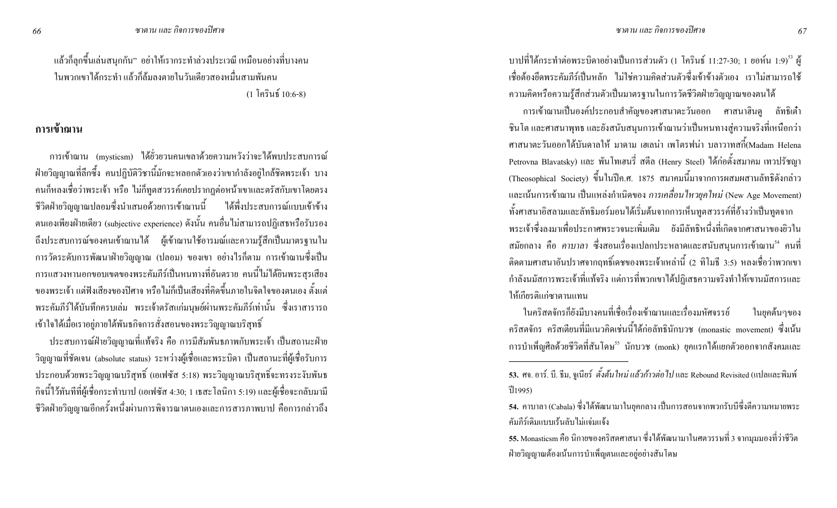่ แล้วก็ลุกขึ้นเล่นสนุกกัน" อย่าให้เรากระทำล่วงประเวณี เหมือนอย่างที่บางคน ในพวกเขาได้กระทำ แล้วก็ล้มลงตายในวันเดียวสองหมื่นสามพันคน  $(1)$  โครินธ์ 10:6-8)

### ิการเข้าฌาน

ิ การเข้าฌาน (mysticsm) ใด้ยั่วยวนคนเขลาด้วยความหวังว่าจะใด้พบประสบการณ์ ่ ฝ่ายวิญญาณที่ลึกซึ้ง คนปฏิบัติวิชานี้มักจะหลอกตัวเองว่าเขากำลังอยู่ใกล้ชิดพระเจ้า บาง ี่ ชีวิตฝ่ายวิญญาณปลอมซึ่งนำเสนอด้วยการเข้าฌานนี้ "ได้พึ่งประสบการณ์แบบเข้าข้าง ิตนเองเพียงฝ่ายเดียว (subjective experience) ดังนั้น คนอื่นไม่สามารถปฏิเสธหรือรับรอง ถึงประสบการณ์ของคนเข้าฌานได้ ผู้เข้าฌานใช้อารมณ์และความรู้สึกเป็นมาตรฐานใน ี การวัคระดับการพัฒนาฝ่ายวิญญาณ (ปลอม) ของเขา อย่างไรก็ตาม การเข้าฌานซึ่งเป็น ิการแสวงหานอกขอบเขตของพระคัมภีร์เป็นหนทางที่อันตราย คนนี้ไม่ได้ยินพระสุรเสียง ึ ของพระเจ้า แต่ฟังเสียงของปีศาจ หรือไม่ก็เป็นเสียงที่คิดขึ้นภายในจิตใจของตนเอง ตั้งแต่ พระคัมภีร์ใด้บันทึกครบเล่ม พระเจ้าตรัสแก่มนุษย์ผ่านพระคัมภีร์เท่านั้น ซึ่งเราสารารถ เข้าใจได้เมื่อเราอยู่ภายใต้พันธกิจการสั่งสอนของพระวิญญาณบริสุทธิ์

ี ประสบการณ์ฝ่ายวิญญาณที่แท้งริง คือ การมีสัมพันธภาพกับพระเจ้า เป็นสถานะฝ่าย วิญญาณที่ชัดเจน (absolute status) ระหว่างผู้เชื่อและพระบิดา เป็นสถานะที่ผู้เชื่อรับการ ประกอบด้วยพระวิญญาณบริสุทธิ์ (เอเฟซัส 5:18) พระวิญญาณบริสุทธิ์จะทรงระงับพันธ ึ กิจนี้ไว้ทันทีที่ผู้เชื่อกระทำบาป (เอเฟซัส 4:30; 1 เธสะโลนิกา 5:19) และผู้เชื่อจะกลับมามี ี่ ชีวิตฝ่ายวิญญาณอีกครั้งหนึ่งผ่านการพิจารณาตนเองและการสารภาพบาป คือการกล่าวถึง

บาปที่ได้กระทำต่อพระบิดาอย่างเป็นการส่วนตัว (1 โครินธ์ 11:27-30; 1 ยอห์น 1:9)<sup>53</sup> ผู้ ้เชื้อต้องยึดพระคัมภีร์เป็นหลัก ไม่ใช่ความคิดส่วนตัวซึ่งเข้าข้างตัวเอง เราไม่สามารถใช้ ความคิดหรือความรู้สึกส่วนตัวเป็นมาตรฐานในการวัดชีวิตฝ่ายวิญญาณของตนได้

ิ การเข้าฌานเป็นองค์ประกอบสำคัญของศาสนาตะวันออก ศาสนาฮินดู ลัทธิเต๋า ี่ ชินโต และศาสนาพุทธ และยังสนับสนุนการเข้าฌานว่าเป็นหนทางสู่ความจริงที่เหนือกว่า ี ศาสนาตะวันออกได้บันดาลให้ มาดาม เฮเลน่า เพโตรฟน่า บลาวาทสกี้(Madam Helena Petrovna Blavatsky) และ พันโทเฮนรี่ สตีล (Henry Steel) ได้ก่อตั้งสมาคม เทวปรัชญา (Theosophical Society) ขึ้นในปีค.ศ. 1875 สมาคมนี้มาจากการผสมผสานลัทธิดังกล่าว และเน้นการเข้าฌาน เป็นแหล่งกำเนิดของ การเคลื่อนใหวยุคใหม่ (New Age Movement) ทั้งศาสนาอิสลามและลัทธิมอร์มอนใด้เริ่มต้นจากการเห็นทูตสวรรค์ที่อ้างว่าเป็นทูตจาก ี พระเจ้าซึ่งลงมาเพื่อประกาศพระวจนะเพิ่มเติม ยังมีลัทธิหนึ่งที่เกิดจากศาสนาของยิวใน ิสมัยกลาง คือ *คาบาลา ซึ่งส*อนเรื่องแปลกประหลาดและสนับสนุนการเข้าฌาน<sup>รง</sup> คนที่ ี่ ติดตามศาสนาอันปราศจากฤทธิ์เคชของพระเจ้าเหล่านี้ (2 ทิโมธี 3:5) หลงเชื่อว่าพวกเขา ี กำลังนมัสการพระเจ้าที่แท้จริง แต่การที่พวกเขาได้ปฏิเสธความจริงทำให้เขานมัสการและ ให้เกียรติแก่ซาตานแทน

ในคริสตจักรก็ยังมีบางคนที่เชื่อเรื่องเข้าฌานและเรื่องมหัศจรรย์ ในยุคต้นๆของ ิ คริสตจักร คริสเตียนที่มีแนวคิดเช่นนี้ได้ก่อลัทธินักบวช (monastic movement) ซึ่งเน้น การบำเพ็ญศีลด้วยชีวิตที่สันโดษ<sup>รร</sup> นักบวช (monk) ยุคแรกได้แยกตัวออกจากสังคมและ

66

<sup>53.</sup> ศจ. อาร์. บี. ธีม, จูเนียร์ *ตั้งต้นใหม่ แล้วก้าวต่อไป* และ Rebound Revisited (แปลและพิมพ์  $\frac{21}{1995}$ 

<sup>ี 54.</sup> คาบาลา (Cabala) ซึ่งได้พัฒนามาในยุคกลาง เป็นการสอนจากพวกรับบีซึ่งตีความหมายพระ ้คัมกีร์เดิมแบบเร็บลับไม่แจ่มแจ้ง

<sup>ี 55.</sup> Monasticsm คือ นิกายของคริสตศาสนา ซึ่งใด้พัฒนามาในศตวรรษที่ 3 จากมุมมองที่ว่าชีวิต ฝ่ายวิญญาณต้องเน้นการบำเพ็ญตนและอยู่อย่างสันโดษ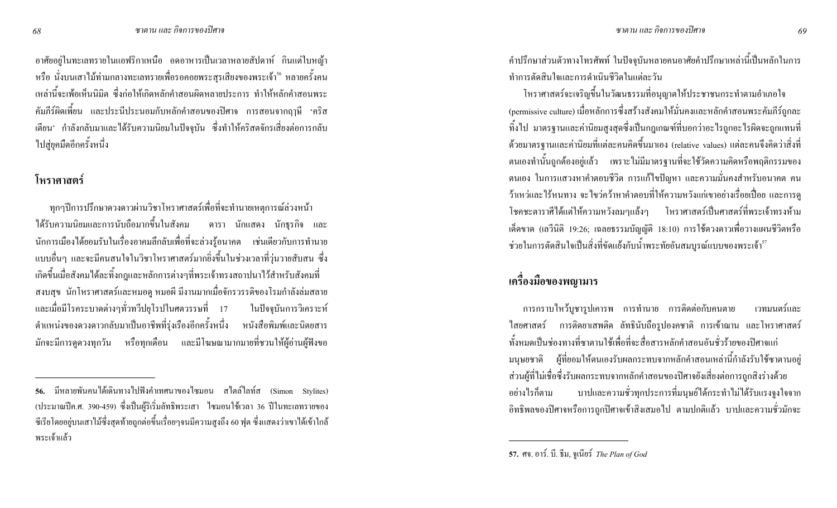อาศัยอยู่ในทะเลทรายในแอฟริกาเหนือ อดอาหารเป็นเวลาหลายสัปดาห์ กินแต่ใบหญ้า หรือ นั่งบนเสาไม้ท่ามกลางทะเลทรายเพื่อรอคอยพระสุรเสียงของพระเจ้า<sup>ร6</sup> หลายครั้งคน เหล่านี้จะเพ้อเห็นนิมิต ซึ่งก่อให้เกิดหลักคำสอนผิดหลายประการ ทำให้หลักคำสอนพระ คัมภีร์ผิดเพี้ยน และประนีประนอมกับหลักคำสอนของปิศาจ การสอนจากฤๅษี 'คริส เตียน' กำลังกลับมาและได้รับความนิยมในปัจจุบัน ซึ่งทำให้คริสตจักรเสี่ยงต่อการกลับ ้ ไปสู่ยุคมืดอีกครั้งหนึ่ง

## โหราศาสตร์

ทุกๆปีการปรึกษาควงคาวผ่านวิชาโหราศาสตร์เพื่อที่จะทำนายเหตุการณ์ล่วงหน้า ได้รับความนิยมและการนับถือมากขึ้นในสังคม คารา นักแสดง นักธุรกิจ และ นักการเมืองได้ขอมรับในเรื่องอาคมลึกลับเพื่อที่จะล่วงรู้อนาคต เช่นเดียวกับการทำนาย แบบอื่นๆ และจะมีคนสนใจในวิชาโหราศาสตร์มากยิ่งขึ้นในช่วงเวลาที่วุ่นวายสับสน ซึ่ง เกิดขึ้นเมื่อสังคมได้ละทิ้งกฎและหลักการต่างๆที่พระเจ้าทรงสถาปนาไว้สำหรับสังคมที่ สงบสุข นักโหราศาสตร์และหมอดู หมอผี มีงานมากเมื่อจักรวรรดิของโรมกำลังล่มสลาย และเมื่อมีโรคระบาดต่างๆทั่วทวีปยุโรปในศตวรรษที่ 17 ในปัจจบันการวิเคราะห์ ตำแหน่งของควงคาวกลับมาเป็นอาชีพที่รุ่งเรืองอีกครั้งหนึ่ง หนังสือพิมพ์และนิตยสาร ่ มักจะมีการดูควงทุกวัน หรือทุกเคือน และมีโฆษณามากมายที่ชวนให้ผู้อ่านผู้ฟังขอ ้ คำปรึกษาส่วนตัวทางโทรศัพท์ ในปัจจุบันหลายคนอาศัยคำปรึกษาเหล่านี้เป็นหลักในการ ทำการตัดสินใจและการคำเนินชีวิตในแต่ละวัน

โหราศาสตร์จะเจริญขึ้นในวัฒนธรรมที่อนุญาตให้ประชาชนกระทำตามอำเภอใจ (permissive culture) เมื่อหลักการซึ่งสร้างสังคมให้มั่นคงและหลักคำสอนพระคัมภีร์ถูกละ ทิ้งไป มาตรฐานและค่านิยมสูงสุดซึ่งเป็นกฎเกณฑ์ที่บอกว่าอะไรถูกอะไรผิดจะถูกแทนที่ ด้วยมาตรฐานและค่านิยมที่แต่ละคนคิดขึ้นมาเอง (relative values) แต่ละคนจึงคิดว่าสิ่งที่ ตนเองทำนั้นถูกต้องอยู่แล้ว เพราะไม่มีมาตรฐานที่จะใช้วัดความคิดหรือพฤติกรรมของ ตนเอง ในการแสวงหาคำตอบชีวิต การแก้ไขปัญหา และความมั่นคงสำหรับอนาคต คน ว้าเหว่และไร้หนทาง จะไขว่กว้าหากำตอบที่ให้กวามหวังแก่เขาอย่างเรื่อยเปื่อย และการดู โชคชะตาราศีได้แต่ให้ความหวังลมๆแล้งๆ โหราศาสตร์เป็นศาสตร์ที่พระเจ้าทรงห้าม เด็ดขาด (เถวีนิติ 19:26; เฉลยธรรมบัญญัติ 18:10) การใช้ควงดาวเพื่อวางแผนชีวิตหรือ ช่วยในการตัดสินใจเป็นสิ่งที่ขัดแย้งกับน้ำพระทัยอันสมบูรณ์แบบของพระเจ้า<sup>ร7</sup>

# เครื่องมือของพญามาร

การกราบไหว้บูชารูปเคารพ การทำนาย การติดต่อกับคนตาย เวทมนตร์และ "ไสยศาสตร์ การติดยาเสพติด ลัทธินับถือรูปองคชาติ การเข้าฌาน และโหราศาสตร์ ทั้งหมดเป็นช่องทางที่ซาตานใช้เพื่อที่จะสื่อสารหลักคำสอนอันชั่วร้ายของปิศาจแก่ มนุษยชาติ ผู้ที่ยอมให้ตนเองรับผลกระทบจากหลักคำสอนเหล่านี้กำลังรับใช้ซาตานอยู่ ส่วนผู้ที่ไม่เชื่อซึ่งรับผลกระทบจากหลักคำสอนของปิศาจยังเสี่ยงต่อการถูกสิงร่างด้วย ่ อย่างไรก็ตาม บาปและความชั่วทุกประการที่มนุษย์ได้กระทำไม่ได้รับแรงจูงใจจาก อิทธิพลของปิศาจหรือการถูกปิศาจเข้าสิงเสมอใป ตามปกติแล้ว บาปและความชั่วมักจะ

<sup>56.</sup> มีหลายพันคนได้เดินทางไปฟังคำเทศนาของไซมอน สไตล์ไลท์ส (Simon Stylites) (ประมาณปีค.ศ. 390-459) ซึ่งเป็นผู้ริเริ่มลัทธิพระเสา " ใซมอนใช้เวลา 36 ปีในทะเลทรายของ ซีเรียโดยอยู่บนเสาไม้ซึ่งสุดท้ายถูกต่อขึ้นเรื่อยๆจนมีความสูงถึง 60 ฟุต ซึ่งแสดงว่าเขาได้เข้าใกล้ พระเจ้าแล้ว

**<sup>57.</sup>** ศจ. อาร์. บี. ธีม, จูเนียร์ The Plan of God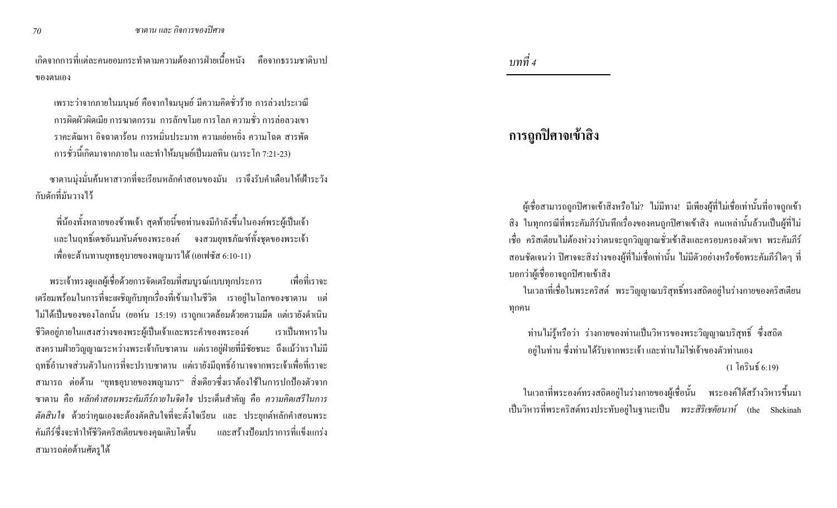เกิดจากการที่แต่ละคนยอมกระทำตามความต้องการฝ่ายเนื้อหนัง คือจากธรรมชาติบาป ของตนเอง

เพราะว่าจากภายในมนุษย์ คือจากใจมนุษย์ มีความคิดชั่วร้าย การล่วงประเวณี การผิดผัวผิดเมีย การฆาตกรรม การลักขโมย การไลภ ความชั่ว การล่อลวงเขา  $\,$ ราคะต้ณหา อิจฉาตาร้อน การหมิ่นประมาท ความเย่อหยิ่ง ความโฉด สารพัด การชั่วนี้เกิดมาจากภายใน และทำให้มนุษย์เป็นมลทิน (มาระโก 7:21-23)

ซาตานมุ่งมั่นค้นหาสาวกที่จะเรียนหลักคำสอนของมัน เราจึงรับคำเตือนให้เฝ้าระวัง ึ กับดักที่มันวางไว้

ที่น้องทั้งหลายของข้าพเจ้า สุดท้ายนี้ขอท่านจงมีกำลังขึ้นในองค์พระผู้เป็นเจ้า และในฤทธิ์เคชอันมหันต์ของพระองค์ จงสวมยุทธภัณฑ์ทั้งชุดของพระเจ้า เพื่อจะต้านทานยุทธอุบายของพญามารใด้ (เอเฟซัส 6:10-11)

พระเจ้าทรงดูแลผู้เชื้อด้วยการจัดเตรียมที่สมบูรณ์แบบทุกประการ เพื่อที่เราจะ เตรียมพร้อมในการที่จะเผชิญกับทุกเรื่องที่เข้ามาในชีวิต เราอยู่ในโลกของซาตาน แต่ ไม่ได้เป็นของของโลกนั้น (ยอห์น 15:19) เราถูกแวดล้อมด้วยความมืด แต่เรายังคำเนิน ชีวิตอยู่ภายในแสงสว่างของพระผู้เป็นเจ้าและพระคำของพระองค์ เราเป็นทหารใน สงครามฝ่ายวิญญาณระหว่างพระเจ้ากับซาตาน แต่เราอยู่ฝ่ายที่มีชัยชนะ ถึงแม้ว่าเราไม่มี ฤทธิ์อำนาจส่วนตัวในการที่จะปราบซาตาน แต่เรายังมีฤทธิ์อำนาจจากพระเจ้าเพื่อที่เราจะ สามารถ ต่อด้าน "ยุทธอุบายของพญามาร" สิ่งเดียวซึ่งเราต้องใช้ในการปกป้องตัวจาก ซาตาน กือ *หลักคำสอนพระคัมภีร์ภายในจิตใจ* ประเดิ่นสำคัญ กือ *ความคิดเสรีในการ ตัดสินใจ* ด้วยว่าคุณเองจะต้องตัดสินใจที่จะตั้งใจเรียน และ ประยุกต์หลักคำสอนพระ คัมภีร์ซึ่งจะทำให้ชีวิตคริสเตียนของคุณเติ และสร้างป้อมปราการที่แข็งแกร่ง ิ สามารถต่อต้านศัตรูได้

 *4* 

# การถูกปิศาจเข้าสิง

B'C(E;D:%mm'ก(
C: 8;a%<? a%<%#@! %#(j#)B'C@#Da%<(E;D(@<9=@#Dm'ก(
Cสิง ในทุกกรณีที่พระคัมภีร์บันทึกเรื่องของคนถูกปิศาจเข้าสิง คนเหล่านั้นล้วนเป็นผู้ที่ไม่ เชื่อ คริสเตียนไม่ต้องห่วงว่าตนจะถูกวิญญาณชั่วเข้าสิงและครอบครองตัวเขา พระคัมภีร์ สอนชัดเจนว่า ปิศาจจะสิงร่างของผู้ที่ไม่เชื่อเท่านั้น ไม่มีตัวอย่างหรือข้อพระคัมภีร์ใคๆ ที่ บอกว่าผู้เชื่ออาจถูกปิศาจเข้าสิง

ในเวลาที่เชื่อในพระคริสต์ พระวิญญาณบริสุทธิ์ทรงสถิตอยู่ในร่างกายของคริสเตียน ทุกคน

ท่านใม่รู้หรือว่า ร่างกายของท่านเป็นวิหารของพระวิญญาณบริสุทธิ์ ซึ่งสถิต อยู่ในท่าน ซึ่งท่านได้รับจากพระเจ้า และท่านไม่ใช่เจ้าของตัวท่านเอง  $(1-\mathfrak{\widetilde{A}}\mathfrak{n}\mathfrak{\widetilde{S}})$  $(1)$  โครินช์ 6:19)

ในเวลาที่พระองค์ทรงสถิตอยู่ในร่างกายของผู้เชื่อนั้น พระองค์ได้สร้างวิหารขึ้นมา เป็นวิหารที่พระคริสต์ทรงประทับอยู่ในฐานะเป็น *พระสิริเชคัยนาห์* (the Shekinah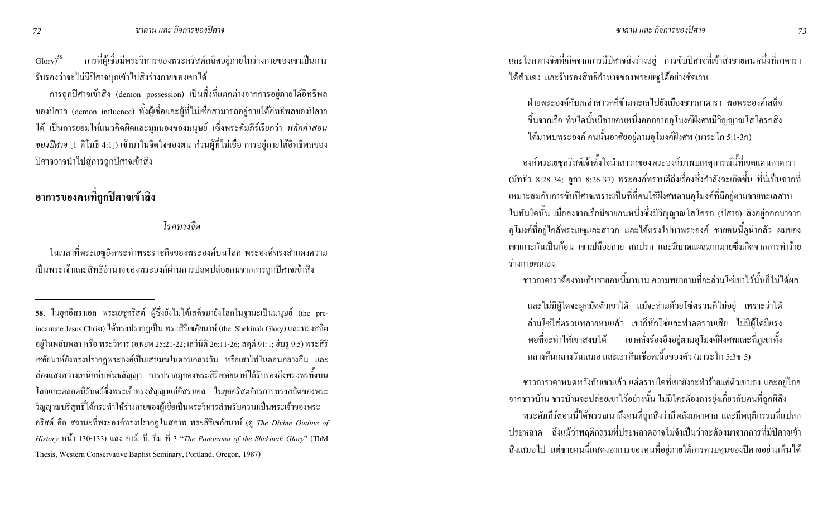ี การที่ผู้เชื่อมีพระวิหารของพระคริสต์สถิตอยู่ภายในร่างกายของเขาเป็นการ  $\text{Glory}$ <sup>58</sup> รับรองว่าจะไม่มีปิศาจบุกเข้าไปสิ่งร่างกายของเขาได้

ิ การถูกปีศาจเข้าสิง (demon possession) เป็นสิ่งที่แตกต่างจากการอยู่ภายใต้อิทธิพล ของปีศาจ (demon influence) ทั้งผู้เชื่อและผู้ที่ไม่เชื่อสามารถอยู่ภายใต้อิทธิพลของปีศาจ ่ ได้ เป็นการยอมให้แนวคิดผิดและมุมมองของมนุษย์ (ซึ่งพระคัมภีร์เรียกว่า *หลักคำสอน ของปีศาจ* [1 ทิโมธี 4:1]) เข้ามาในจิตใจของตน ส่วนผู้ที่ไม่เชื่อ การอยู่ภายใต้อิทธิพลของ ปิศาจอาจนำไปสู่การถูกปิศาจเข้าสิง

## ้อาการของคนที่ถูกปิศาจเข้าสิง

โรคทางจิต

ในเวลาที่พระเยซูยังกระทำพระราชกิจของพระองค์บนโลก พระองค์ทรงสำแคงความ เป็นพระเจ้าและสิทธิอำนาจของพระองค์ผ่านการปลดปล่อยคนจากการถูกปีศาจเข้าสิง

ี และโรคทางจิตที่เกิดจากการมีปิศาจสิงร่างอยู่ การขับปิศาจที่เข้าสิงชายคนหนึ่งที่กาดารา ใค้สำแดง และรับรองสิทธิอำนาจของพระเยซูได้อย่างชัดเจน

้ฝ่ายพระองค์กับเหล่าสาวกกี้ข้ามทะเลไปยังเมืองชาวกาดารา พอพระองค์เสด็จ ขึ้นจากเรือ ทันใดนั้นมีชายคนหนึ่งออกจากอุโมงค์ฝังศพมีวิญญาณโสโครกสิง ได้มาพบพระองค์ คนนั้นอาศัยอยู่ตามอุโมงค์ฝังศพ (มาระโก 5:1-3ก)

้องค์พระเยซูคริสต์เจ้าตั้งใจนำสาวกของพระองค์มาพบเหตุการณ์นี้ที่เขตแคนกาดารา (มัทธิว 8:28-34; ลูกา 8:26-37) พระองค์ทราบดีถึงเรื่องซึ่งกำลังจะเกิดขึ้น ที่นี่เป็นฉากที่ เหมาะสมกับการขับปิศาจเพราะเป็นที่ที่คนใช้ฝังศพตามอุโมงค์ที่มีอยู่ตามชายทะเลสาบ ในทันใดนั้น เมื่อลงจากเรือมีชายคนหนึ่งซึ่งมีวิญญาณโสโครก (ปีศาจ) สิงอยู่ออกมาจาก อุโมงค์ที่อยู่ใกล้พระเยซูและสาวก และได้ตรงไปหาพระองค์ ชายคนนี้ดูน่ากลัว ผมของ ้ เขาเกาะกันเป็นก้อน เขาเปลือยกาย สกปรก และมีบาดแผลมากมายซึ่งเกิดจากการทำร้าย ร่างกายตนเอง

์ ชาวกาดาราต้องทนกับชายคนนี้มานาน ความพยายามที่จะล่ามโซ่เขาไว้นั้นก็ไม่ได้ผล

และใม่มีผู้ใคจะผูกมัคตัวเขาได้ แม้จะล่ามด้วยโซ่ตรวนก็ไม่อยู่ เพราะว่าได้ ้ล่ามโซ่ใส่ตรวนหลายหนแล้ว เขาก็หักโซ่และฟาดตรวนเสีย ไม่มีผู้ใดมีแรง เขาคลั่งร้องอึงอยู่ตามอุโมงค์ฝังศพและที่ภูเขาทั้ง พอที่จะทำให้เขาสงบได้ ิกลางคืนกลางวันเสมอ และเอาหินเชือดเนื้อของตัว (มาระ โก 5:3ข-5)

่ ชาวการาคาหมดหวังกับเขาแล้ว แต่ตราบใดที่เขายังจะทำร้ายแก่ตัวเขาเอง และอยู่ไกล จากชาวบ้าน ชาวบ้านจะปล่อยเขาไว้อย่างนั้น ไม่มีใครต้องการยุ่งเกี่ยวกับคนที่ถูกผีสิง พระคัมภีร์ตอนนี้ได้พรรณนาถึงคนที่ถูกสิงว่ามีพลังมหาศาล และมีพฤติกรรมที่แปลก ี ประหลาด ถึงแม้ว่าพฤติกรรมที่ประหลาดอาจไม่จำเป็นว่าจะต้องมาจากการที่มีปิศาจเข้า ี่ สิ่งเสมอไป แต่ชายคนนี้แสดงอาการของคนที่อยู่ภายใต้การควบคุมของปีศาจอย่างเห็นได้

<sup>58.</sup> ในยุคอิสราเอล พระเยซูคริสต์ ผู้ซึ่งยังไม่ได้เสด็จมายังโลกในฐานะเป็นมนุษย์ (the preincarnate Jesus Christ) ใค้ทรงปรากฏเป็น พระสิริเชคัยนาห์ (the Shekinah Glory) และทรงสถิต อยู่ในพลับพลา หรือ พระวิหาร (อพยพ 25:21-22; เลวีนิติ 26:11-26; สดุดี 91:1; ฮีบรู 9:5) พระสิริ ้ เชคัยนาห์ยังทรงปรากฏพระองค์เป็นเสาเมฆในตอนกลางวัน หรือเสาไฟในตอนกลางคืน และ ่ ส่องแสงสว่างเหนือหีบพันธสัญญา การปรากฎของพระสิริเชคัยนาห์ใด้รับรองถึงพระพรทั้งบน โลกและตลอดนิรันดร์ซึ่งพระเจ้าทรงสัญญาแก่อิสราเอล ในยุกคริสตจักรการทรงสถิตของพระ วิญญาณบริสุทธิ์ได้กระทำให้ร่างกายของผู้เชื่อเป็นพระวิหารสำหรับความเป็นพระเจ้าของพระ ิ คริสต์ คือ สถานะที่พระองค์ทรงปรากฏในสภาพ พระสิริเชคัยนาห์ (ดู *The Divine Outline of* History หน้า 130-133) และ อาร์. บี. ธีม ที่ 3 "The Panorama of the Shekinah Glory" (ThM Thesis, Western Conservative Baptist Seminary, Portland, Oregon, 1987)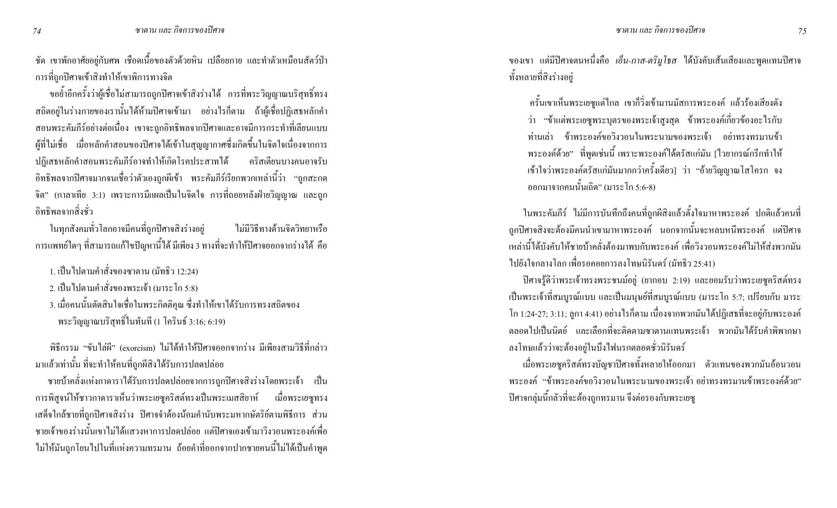ี ชัด เขาพักอาศัยอยู่กับศพ เชือดเนื้อของตัวด้วยหิน เปลือยกาย และทำตัวเหมือนสัตว์ป่า ิ การที่ถูกปีศาจเข้าสิงทำให้เขาพิการทางจิต

ขอย้ำอีกครั้งว่าผู้เชื่อไม่สามารถถูกปิศาจเข้าสิงร่างได้ การที่พระวิญญาณบริสุทธิ์ทรง ิสถิตอยู่ในร่างกายของเรานั้นได้ห้ามปิศาจเข้ามา อย่างไรก็ตาม ถ้าผู้เชื่อปฏิเสธหลักคำ ิสอนพระคัมภีร์อย่างต่อเนื่อง เขาจะถูกอิทธิพลจากปิศาจและอาจมีการกระทำที่เลียนแบบ ผู้ที่ไม่เชื่อ เมื่อหลักคำสอนของปิศาจได้เข้าในสุญญากาศซึ่งเกิดขึ้นในจิตใจเนื่องจากการ ปฏิเสธหลักคำสอนพระคัมภีร์อาจทำให้เกิดโรคประสาทได้ คริสเตียนบางคนอาจรับ ี อิทธิพลจากปิศาจมากจนเชื่อว่าตัวเองถูกผีเข้า พระคัมภีร์เรียกพวกเหล่านี้ว่า "ถูกสะกด จิต" (กาลาเทีย 3:1) เพราะการมีแผลเป็นในจิตใจ การที่ถอยหลังฝ่ายวิญญาณ และถูก ้อิทธิพลจากสิ่งช่ว

ในทุกสังคมทั่วโลกอาจมีคนที่ถูกปิศาจสิงร่างอยู่ ไม่มีวิธีทางด้านจิตวิทยาหรือ ี การแพทย์ใดๆ ที่สามารถแก้ไขปัญหานี้ได้ มีเพียง 3 ทางที่จะทำให้ปิศาจออกจากร่างได้ คือ

1. เป็นไปตามกำสั่งของซาตาน (มัทธิว 12:24)

2. เป็นไปตามกำสั่งของพระเจ้า (มาระ โก 5:8)

3. เมื่อคนนั้นตัดสินใจเชื่อในพระกิตติคุณ ซึ่งทำให้เขาได้รับการทรงสถิตของ พระวิญญาณบริสุทธิ์ในทันที (1 โครินธ์ 3:16; 6:19)

พิธีกรรม "ขับไล่ผี" (exorcism) ไม่ได้ทำให้ปิศาจออกจากร่าง มีเพียงสามวิธีที่กล่าว มาแล้วเท่านั้น ที่จะทำให้คนที่ถูกผีสิงใด้รับการปลดปล่อย

ิชายบ้าคลั่งแห่งกาดาราได้รับการปลดปล่อยจากการถูกปิศาจสิงร่างโดยพระเจ้า เป็น ี การพิสูจน์ให้ชาวกาดาราเห็นว่าพระเยซูคริสต์ทรงเป็นพระเมสสิยาห์ เมื่อพระเยซูทรง เสด็จใกล้ชายที่ถูกปิศาจสิงร่าง ปิศาจจำต้องน้อมกำนับพระมหากษัตริย์ตามพิธีการ ส่วน ิ ชายเจ้าของร่างนั้นเขาไม่ได้แสวงหาการปลดปล่อย แต่ปีศาจเองเข้ามาวิงวอนพระองค์เพื่อ ไม่ให้มันถูกโยนไปในที่แห่งความทรมาน ถ้อยคำที่ออกจากปากชายคนนี้ไม่ได้เป็นคำพูด ี ของเขา แต่มีปิศาจตนหนึ่งคือ *เอ็น-กาส-ตริมูโธส* ได้บังคับเส้นเสียงและพูดแทนปิศาจ ทั้งหลายที่สิงร่างอยู่

ิ ครั้นเขาเห็นพระเยซูแต่ไกล เขากี่วิ่งเข้ามานมัสการพระองค์ แล้วร้องเสียงดัง ว่า "ข้าแต่พระเยซูพระบุตรของพระเจ้าสูงสุด ข้าพระองค์เกี่ยวข้องอะไรกับ ท่านเล่า ข้าพระองค์ขอวิงวอนในพระนามของพระเจ้า อย่าทรงทรมานข้า พระองค์ด้วย" ที่พูดเช่นนี้ เพราะพระองค์ได้ตรัสแก่มัน [ไวยากรณ์กรีกทำให้ เข้าใจว่าพระองค์ตรัสแก่มันมากกว่าครั้งเดียว] ว่า "อ้ายวิญญาณโสโครก จง ้ออกมาจากคนนั้นเถิด" (มาระ โก 5:6-8)

ถูกปีศาจสิงจะต้องมีคนนำเขามาหาพระองค์ นอกจากนั้นจะหลบหนีพระองค์ แต่ปีศาจ เหล่านี้ได้บังคับให้ชายบ้าคลั่งต้องมาพบกับพระองค์ เพื่อวิงวอนพระองค์ไม่ให้ส่งพวกมัน ไปยังใจกลางโลก เพื่อรอคอยการลงโทษนิรันคร์ (มัทธิว 25:41)

ี ปีศาจรู้ดีว่าพระเจ้าทรงพระชนม์อยู่ (ยากอบ 2:19) และยอมรับว่าพระเยซูคริสต์ทรง ้เป็นพระเจ้าที่สมบูรณ์แบบ และเป็นมนุษย์ที่สมบูรณ์แบบ (มาระโก 5:7; เปรียบกับ มาระ โก 1:24-27; 3:11; ถูกา 4:41) อย่างไรก็ตาม เนื่องจากพวกมันได้ปฏิเสธที่จะอยู่กับพระองค์ ี ตลอดไปเป็นนิตย์ และเลือกที่จะติดตามซาตานแทนพระเจ้า พวกมันได้รับคำพิพากษา ิ ลงโทษแล้วว่าจะต้องอยู่ในบึงไฟนรกตลอดชั่วนิรันดร์

เมื่อพระเยซูคริสต์ทรงบัญชาปิศาจทั้งหลายให้ออกมา ตัวแทนของพวกมันอ้อนวอน ี พระองค์ "ข้าพระองค์ขอวิงวอนในพระนามของพระเจ้า อย่าทรงทรมานข้าพระองค์ด้วย" ้ ปีศาจกลุ่มนี้กลัวที่จะต้องถูกทรมาน จึงต่อรองกับพระเยซู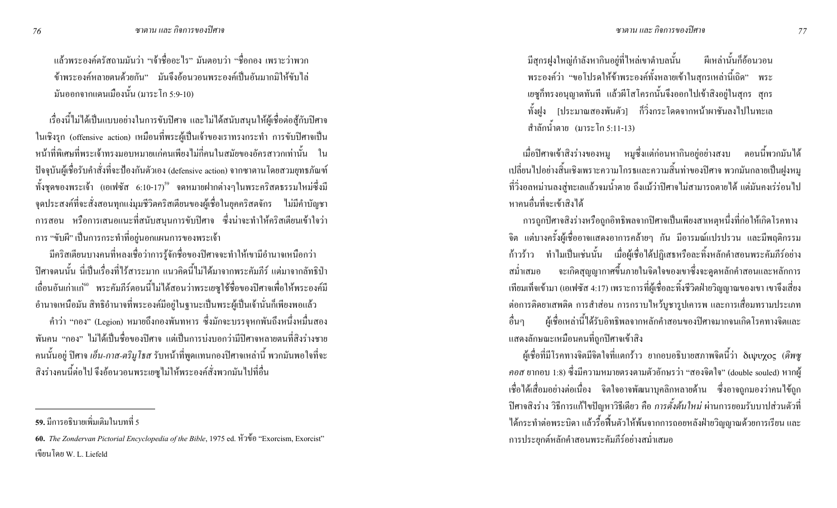แล้วพระองค์ตรัสถามมันว่า "เจ้าชื่ออะไร" มันตอบว่า "ชื่อกอง เพราะว่าพวก ข้าพระองค์หลายตนด้วยกัน" มันจึงอ้อนวอนพระองค์เป็นอันมากมิให้ขับไล่ ้มันออกจากแคนเมืองนั้น (มาระโก 5:9-10)

เรื่องนี้ไม่ได้เป็นแบบอย่างในการขับปิศาจ และไม่ได้สนับสนุนให้ผู้เชื่อต่อสู้กับปิศาจ ในเชิงรุก (offensive action) เหมือนที่พระผู้เป็นเจ้าของเราทรงกระทำ การขับปิศาจเป็น หน้าที่พิเศษที่พระเจ้าทรงมอบหมายแก่คนเพียงไม่กี่คนในสมัยของอัครสาวกเท่านั้น ใน ปัจจุบันผู้เชื่อรับคำสั่งที่จะป้องกันตัวเอง (defensive action) จากซาตานโดยสวมยุทธภัณฑ์ ทั้งชุดของพระเจ้า (เอเฟซัส 6:10-17)<sup>ร9</sup> จดหมายฝากต่างๆในพระคริสตธรรมใหม่ซึ่งมี จุดประสงค์ที่จะสั่งสอนทุกแง่มุมชีวิตคริสเตียนของผู้เชื่อในยุคคริสตจักร "ไม่มีคำบัญชา การสอน หรือการเสนอแนะที่สนับสนุนการขับปีศาจ ซึ่งน่าจะทำให้คริสเตียนเข้าใจว่า ึการ "ขับผี" เป็นการกระทำที่อยู่นอกแผนการของพระเจ้า

มีคริสเตียนบางคนที่หลงเชื่อว่าการรู้จักชื่อของปีศาจจะทำให้เขามีอำนาจเหนือกว่า ปิศาจตนนั้น นี่เป็นเรื่องที่ไร้สาระมาก แนวคิดนี้ไม่ได้มาจากพระคัมภีร์ แต่มาจากลัทธิป่า เถื่อนอันเก่าแก่<sup>∞</sup> พระคัมภีร์ตอนนี้ไม่ได้สอนว่าพระเยซูใช้ชื่อของปิศาจเพื่อให้พระองค์มี อำนาจเหนือมัน สิทธิอำนาจที่พระองค์มีอยู่ในฐานะเป็นพระผู้เป็นเจ้านั่นก็เพียงพอแล้ว

คำว่า "กอง" (Legion) หมายถึงกองพันทหาร ซึ่งมักจะบรรจุหกพันถึงหนึ่งหมื่นสอง พันคน "กอง" ไม่ได้เป็นชื่อของปีศาจ แต่เป็นการบ่งบอกว่ามีปีศาจหลายตนที่สิงร่างชาย กนนั้นอยู่ ปีศาจ *เอ็น-กาส-ตริมูโธส รั*บหน้าที่พูดแทนกองปีศาจเหล่านี้ พวกมันพอใจที่จะ สิงร่างคนนี้ต่อไป จึงอ้อนวอนพระเยซูไม่ให้พระองค์สั่งพวกมันไปที่อื่น

มีสุกรฝูงใหญ่กำลังหากินอยู่ที่ไหล่เขาตำบลนั้น ผีเหล่านั้นก็อ้อนวอน พระองค์ว่า "ขอโปรคให้ข้าพระองค์ทั้งหลายเข้าในสุกรเหล่านี้เถิด" พระ เยซูก็ทรงอนุญาตทันที แล้วผีโสโครกนั้นจึงออกไปเข้าสิงอยู่ในสุกร สุกร ทั้งฝูง [ประมาณสองพันตัว] ก็วิ่งกระโดดจากหน้าผาชันลงไปในทะเล ี่ สำลักน้ำตาย (มาระโก 5:11-13)

เมื่อปิศาจเข้าสิงร่างของหมู หมูซึ่งแต่ก่อนหากินอยู่อย่างสงบ ตอนนี้พวกมันได้ เปลี่ยนไปอย่างสิ้นเชิงเพราะความโกรธและความสิ้นท่าของปีศาจ พวกมันกลายเป็นฝูงหมู ที่วิ่งอลหม่านลงสู่ทะเลแล้วจมน้ำตาย ถึงแม้ว่าปิศาจไม่สามารถตายได้ แต่มันคงเร่ร่อนไป หาคนอื่นที่จะเข้าสิงใด้

การถูกปีศาจสิงร่างหรือถูกอิทธิพลจากปีศาจเป็นเพียงสาเหตุหนึ่งที่ก่อให้เกิดโรคทาง จิต แต่บางครั้งผู้เชื่ออาจแสดงอาการคล้ายๆ กัน มีอารมณ์แปรปรวน และมีพฤติกรรม ก้าวร้าว ทำไมเป็นเช่นนั้น เมื่อผู้เชื่อได้ปฏิเสธหรือละทิ้งหลักกำสอนพระคัมภีร์อย่าง สม่ำเสมอ จะเกิดสุญญากาศขึ้นภายในจิตใจของเขาซึ่งจะดูดหลักคำสอนและหลักการ เทียมเท็จเข้ามา (เอเฟซัส 4:17) เพราะการที่ผู้เชื้อละทิ้งชีวิตฝ่ายวิญญาณของเขา เขาจึงเสี่ยง ต่อการติดยาเสพติด การสำส่อน การกราบใหว้บูชารูปเการพ และการเสื่อมทรามประเภท อื่นๆ ผู้เชื้อเหล่านี้ได้รับอิทธิพลจากหลักคำสอนของปิศาจมากจนเกิดโรคทางจิตและ แสคงลักษณะเหมือนคนที่ถูกปิศาจเข้าสิง

ผู้เชื่อที่มีโรคทางจิตมีจิตใจที่แตกร้าว ยากอบอธิบายสภาพจิตนี้ว่า δเบ<sub>ุ</sub>บyos (*ดิพซู คอส* ยากอบ 1:8) ซึ่งมีความหมายตรงตามตัวอักษรว่า "สองจิตใจ" (double souled) หากผู้ เชื่อใด้เสื่อมอย่างต่อเนื่อง จิตใจอาจพัฒนาบุคลิกหลายด้าน ซึ่งอาจถูกมองว่าคนใข้ถูก ปีศาจสิงร่าง วิธีการแก้ไขปัญหาวิธีเดียว คือ *การตั้งต้นใหม่* ผ่านการยอมรับบาปส่วนตัวที่ "โค้กระทำต่อพระบิดา แล้วรื้อฟื้นตัวให้พ้นจากการถอยหลังฝ่ายวิญญาณด้วยการเรียน และ ึ การประยุกต์หลักคำสอนพระคัมภีร์อย่างสม่ำเสมอ

**<sup>59.</sup>** มีการอธิบายเพิ่มเติมในบทที่ 5

**<sup>60.</sup>** *The Zondervan Pictorial Encyclopedia of the Bible*, 1975 ed. หัวข้อ "Exorcism, Exorcist" ้ เขียบ โดย W. L. Liefeld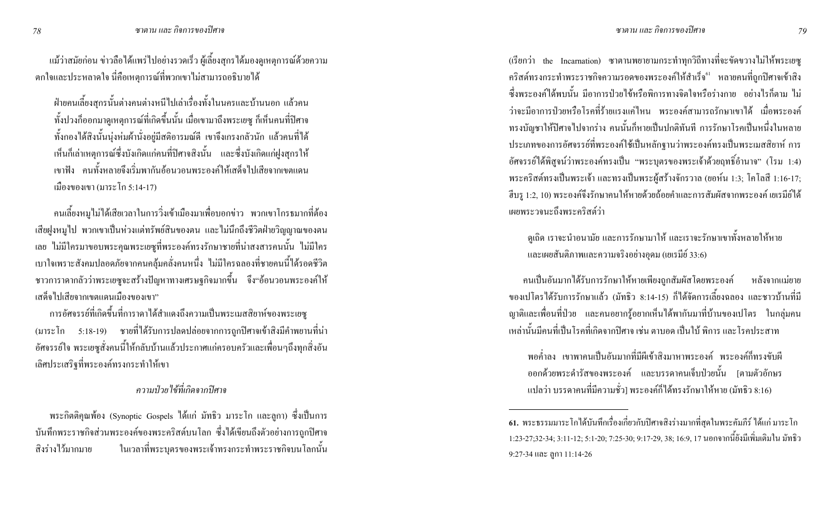้ แม้ว่าสมัยก่อน ข่าวลือใด้แพร่ไปอย่างรวดเร็ว ผู้เลี้ยงสุกรใด้มองดูเหตุการณ์ด้วยความ ิ ตกใจและประหลาดใจ นี่คือเหตุการณ์ที่พวกเขาไม่สามารถอธิบายได้

้ฝ่ายคนเลี้ยงสุกรนั้นต่างคนต่างหนีไปเล่าเรื่องทั้งในนครและบ้านนอก แล้วคน ทั้งปวงก็ออกมาดูเหตุการณ์ที่เกิดขึ้นนั้น เมื่อเขามาถึงพระเยซู ก็เห็นคนที่ปิศาจ ้ทั้งกองได้สิงนั้นนุ่งห่มผ้านั่งอยู่มีสติอารมณ์ดี เขาจึงเกรงกลัวนัก แล้วกนที่ได้ เห็นก็เล่าเหตุการณ์ซึ่งบังเกิดแก่คนที่ปิศาจสิงนั้น และซึ่งบังเกิดแก่ฝูงสุกรให้ เขาฟัง คนทั้งหลายจึงเริ่มพากันอ้อนวอนพระองค์ให้เสด็จไปเสียจากเขตแดน เมืองของเขา (มาระ โก 5:14-17)

ิ คนเลี้ยงหมูไม่ได้เสียเวลาในการวิ่งเข้าเมืองมาเพื่อบอกข่าว พวกเขาโกรธมากที่ต้อง ้เสียฝูงหมู่ไป พวกเขาเป็นห่วงแต่ทรัพย์สินของตน และไม่นึกถึงชีวิตฝ่ายวิญญาณของตน เบาใจเพราะสังคมปลอดภัยจากคนคลุ้มคลั่งคนหนึ่ง "ไม่มีใครฉลองที่ชายคนนี้ได้รอดชีวิต ี ชาวการาคากลัวว่าพระเยซูจะสร้างปัญหาทางเศรษฐกิจมากขึ้น จึง"อ้อนวอนพระองค์ให้ ้เสด็จไปเสียจากเขตแดนเมืองของเขา"

่ การอัศจรรย์ที่เกิดขึ้นที่การาดาใด้สำแดงถึงความเป็นพระเมสสิยาห์ของพระเยซู (มาระโก 5:18-19) ชายที่ได้รับการปลดปล่อยจากการถูกปิศาจเข้าสิงมีคำพยานที่น่า ้ อัศจรรย์ใจ พระเยซูสั่งคนนี้ให้กลับบ้านแล้วประกาศแก่ครอบครัวและเพื่อนๆถึงทุกสิ่งอัน เลิศประเสริฐที่พระองค์ทรงกระทำให้เขา

### ี<br>ความป่วยไข้ที่เกิดจากปิศาจ

พระกิตติคุณพ้อง (Synoptic Gospels ใค้แก่ มัทธิว มาระโก และลูกา) ซึ่งเป็นการ บันทึกพระราชกิจส่วนพระองค์ของพระคริสต์บนโลก ซึ่งใค้เขียนถึงตัวอย่างการถูกปิศาจ สิงร่างไว้มากมาย ในเวลาที่พระบตรของพระเจ้าทรงกระทำพระราชกิจบนโลกนั้น (เรียกว่า the Incarnation) ซาตานพยายามกระทำทุกวิถีทางที่จะขัดขวางไม่ให้พระเยซู ิ คริสต์ทรงกระทำพระราชกิจความรอดของพระองค์ให้สำเร็จ<sup>61</sup> หลายคนที่ถูกปีศาจเข้าสิง ่ ซึ่งพระองค์ได้พบนั้น มีอาการป่วยไข้หรือพิการทางจิตใจหรือร่างกาย อย่างไรก็ตาม ไม่ ้ว่าจะมีอาการป่วยหรือโรคที่ร้ายแรงแค่ไหน พระองค์สามารถรักษาเขาได้ เมื่อพระองค์ ทรงบัญชาให้ปีศาจไปจากร่าง คนนั้นก็หายเป็นปกติทันที การรักษาโรคเป็นหนึ่งในหลาย ประเภทของการอัศจรรย์ที่พระองค์ใช้เป็นหลักฐานว่าพระองค์ทรงเป็นพระเมสสิยาห์ การ ้อัศจรรย์ใด้พิสูจน์ว่าพระองค์ทรงเป็น "พระบุตรของพระเจ้าด้วยฤทธิ์อำนาจ" (โรม 1:4) พระคริสต์ทรงเป็นพระเจ้า และทรงเป็นพระผู้สร้างจักรวาล (ยอห์น 1:3; โคโลสี 1:16-17; ้ฮีบรู 1:2, 10) พระองค์จึงรักษาคนให้หายด้วยถ้อยคำและการสัมผัสจากพระองค์ เยเรมีย์ได้ เผยพระวจนะถึงพระคริสต์ว่า

ี ดูเถิด เราจะนำอนามัย และการรักษามาให้ และเราจะรักษาเขาทั้งหลายให้หาย และเผยสันติภาพและความจริงอย่างอุดม (เยเรมีย์ 33:6)

ึ คนเป็นอันมากใด้รับการรักษาให้หายเพียงถูกสัมผัสโดยพระองค์ หลังจากแม่ยาย ี ของเปโตรได้รับการรักษาแล้ว (มัทธิว 8:14-15) ก็ได้จัดการเลี้ยงฉลอง และชาวบ้านที่มี ิญาติและเพื่อนที่ป่วย และคนอยากรู้อยากเห็นได้พากันมาที่บ้านของเปโตร ในกลุ่มคน เหล่านั้นมีคนที่เป็นโรคที่เกิดจากปิศาจ เช่น ตาบอด เป็นใบ้ พิการ และโรคประสาท

ี พอค่ำลง เขาพาคนเป็นอันมากที่มีผีเข้าสิงมาหาพระองค์ พระองค์ก็ทรงขับผี ้ออกด้วยพระดำรัสของพระองค์ และบรรดาคนเจ็บป่วยนั้น [ตามตัวอักษร แปลว่า บรรดาคนที่มีความชั่ว] พระองค์ก็ได้ทรงรักษาให้หาย (มัทธิว 8:16)

<sup>61.</sup> พระธรรมมาระโกได้บันทึกเรื่องเกี่ยวกับปีศาจสิงร่างมากที่สุดในพระคัมภีร์ ได้แก่ มาระโก 1:23-27;32-34; 3:11-12; 5:1-20; 7:25-30; 9:17-29, 38; 16:9, 17 นอกจากนี้ยังมีเพิ่มเติมใน มัทธิว  $9:27-34$  และ ลูกา 11:14-26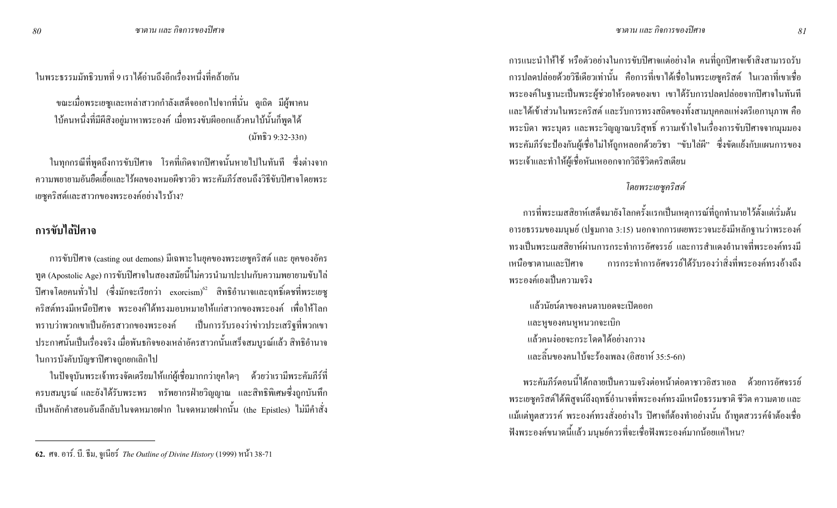ในพระธรรมมัทธิวบทที่ 9 เราได้อ่านถึงอีกเรื่องหนึ่งที่คล้ายกัน

ึ ขณะเมื่อพระเยซูและเหล่าสาวกกำลังเสด็จออกไปจากที่นั่น ดูเถิด มีผู้พาคน ใบ้คนหนึ่งที่มีผีสิงอยู่มาหาพระองค์ เมื่อทรงขับผีออกแล้วคนใบ้นั้นก็พูดใด้ (มัทธิว 9:32-33ก)

ในทุกกรณีที่พูดถึงการขับปีศาจ โรคที่เกิดจากปีศาจนั้นหายไปในทันที ซึ่งต่างจาก ่ ความพยายามอันยืดเยื้อและไร้ผลของหมอผีชาวยิว พระคัมภีร์สอนถึงวิธีขับปีศาจโดยพระ เยซูคริสต์และสาวกของพระองค์อย่างไรบ้าง?

### การขับไล่ปิศาจ

การขับปีศาจ (casting out demons) มีเฉพาะในยุคของพระเยซูคริสต์ และ ยุคของอัคร ิทูต (Apostolic Age) การขับปีศาจในสองสมัยนี้ไม่ควรนำมาปะปนกับความพยายามขับไล่ ปิศาจโคยคนทั่วไป (ซึ่งมักจะเรียกว่า exorcism) $^{\mathrm{c2}}$  สิทธิอำนาจและฤทธิ์เคชที่พระเยซู ิ คริสต์ทรงมีเหนือปิศาจ พระองค์ได้ทรงมอบหมายให้แก่สาวกของพระองค์ เพื่อให้โลก ่ ทราบว่าพวกเขาเป็นอัครสาวกของพระองค์ เป็นการรับรองว่าข่าวประเสริฐที่พวกเขา ประกาศนั้นเป็นเรื่องจริง เมื่อพันธกิจของเหล่าอัครสาวกนั้นเสร็จสมบูรณ์แล้ว สิทธิอำนาจ ในการบังคับบัญชาปีศาจถูกยกเลิกไป

่ ในปัจจุบันพระเจ้าทรงจัดเตรียมให้แก่ผู้เชื่อมากกว่ายุคใดๆ ด้วยว่าเรามีพระคัมภีร์ที่ ี ครบสมบูรณ์ และยังได้รับพระพร ทรัพยากรฝ่ายวิญญาณ และสิทธิพิเศษซึ่งถูกบันทึก ้เป็นหลักคำสอนอันลึกลับในจดหมายฝาก ในจดหมายฝากนั้น (the Epistles) ไม่มีคำสั่ง

ิ การแนะนำให้ใช้ หรือตัวอย่างในการขับปิศาจแต่อย่างใด คนที่ถูกปิศาจเข้าสิงสามารถรับ ิ การปลดปล่อยด้วยวิธีเดียวเท่านั้น คือการที่เขาได้เชื่อในพระเยซูกริสต์ ในเวลาที่เขาเชื่อ พระองค์ในฐานะเป็นพระผู้ช่วยให้รอคของเขา เขาได้รับการปลดปล่อยจากปิศาจในทันที และได้เข้าส่วนในพระคริสต์ และรับการทรงสถิตของทั้งสามบุคคลแห่งตรีเอกานุภาพ คือ พระบิดา พระบุตร และพระวิญญาณบริสุทธิ์ ความเข้าใจในเรื่องการขับปีศาจจากมุมมอง พระคัมภีร์จะป้องกันผู้เชื่อไม่ให้ถูกหลอกด้วยวิชา "ขับไล่ผี" ซึ่งขัดแย้งกับแผนการของ พระเจ้าและทำให้ผู้เชื้อหันเหออกจากวิถีชีวิตคริสเตียน

#### โดยพระเยซูคริสต์

่ การที่พระเมสสิยาห์เสด็จมายังโลกครั้งแรกเป็นเหตุการณ์ที่ถูกทำนายไว้ตั้งแต่เริ่มต้น ้อารยธรรมของมนุษย์ (ปฐมกาล 3:15) นอกจากการเผยพระวจนะยังมีหลักฐานว่าพระองค์ ่ ทรงเป็นพระเมสสิยาห์ผ่านการกระทำการอัศจรรย์ และการสำแดงอำนาจที่พระองค์ทรงมี การกระทำการอัศจรรย์ได้รับรองว่าสิ่งที่พระองค์ทรงอ้างถึง เหนือตาตาบและปิศาจ พระองค์เองเป็นความจริง

แล้วนัยน์ตาของคนตาบอดจะเปิดออก และหูของคนหูหนวกจะเบิก แล้วคนง่อยจะกระโดดได้อย่างกวาง และลิ้นของคนใบ้จะร้องเพลง (อิสยาห์ 35:5-6ก)

ี พระคัมภีร์ตอนนี้ได้กลายเป็นความจริงต่อหน้าต่อตาชาวอิสราเอล ด้วยการอัศจรรย์ พระเยซูคริสต์ใด้พิสูจน์ถึงฤทธิ์อำนาจที่พระองค์ทรงมีเหนือธรรมชาติ ชีวิต ความตาย และ แม้แต่ทูตสวรรค์ พระองค์ทรงสั่งอย่างไร ปิศาจก็ต้องทำอย่างนั้น ถ้าทูตสวรรค์จำต้องเชื้อ ฟังพระองค์ขนาดนี้แล้ว มนุษย์ควรที่จะเชื่อฟังพระองค์มากน้อยแค่ไหน?

<sup>62.</sup> ศจ. อาร์. บี. ธีม, จูเนียร์ The Outline of Divine History (1999) หน้า 38-71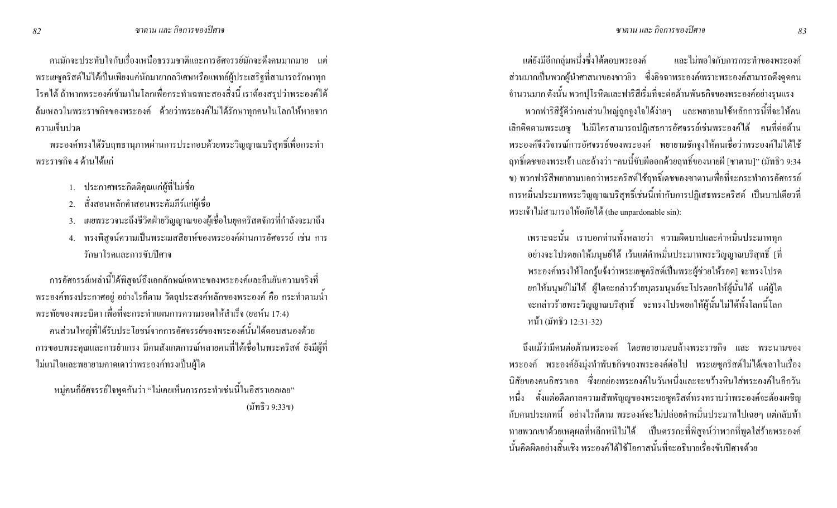ิ คนมักจะประทับใจกับเรื่องเหนือธรรมชาติและการอัศจรรย์มักจะดึงคนมากมาย แต่ ่ พระเยซูคริสต์ไม่ได้เป็นเพียงแค่นักมายากลวิเศษหรือแพทย์ผู้ประเสริฐที่สามารถรักษาทุก โรคใด้ ถ้าหากพระองค์เข้ามาในโลกเพื่อกระทำเฉพาะสองสิ่งนี้ เราต้องสรุปว่าพระองค์ได้ ้ ถ้มเหลวในพระราชกิจของพระองค์ ด้วยว่าพระองค์ไม่ได้รักษาทุกคนในโลกให้หายจาก ้ความเจ็บปวด

ี พระองค์ทรงได้รับฤทธานุภาพผ่านการประกอบด้วยพระวิญญาณบริสุทธิ์เพื่อกระทำ พระราชกิจ 4 ค้านได้แก่

- 1. ประกาศพระกิตติกุณแก่ผู้ที่ไม่เชื่อ
- สั่งสอนหลักคำสอนพระคัมภีร์แก่ผู้เชื่อ 2.
- ้ เผยพระวจนะถึงชีวิตฝ่ายวิญญาณของผู้เชื่อในยุคคริสตจักรที่กำลังจะมาถึง 3.
- ทรงพิสูจน์ความเป็นพระเมสสิยาห์ของพระองค์ผ่านการอัศจรรย์ เช่น การ  $4.$ รักษาโรคและการขับปิศาจ

ี การอัศจรรย์เหล่านี้ได้พิสูจน์ถึงเอกลักษณ์เฉพาะของพระองค์และยืนยันความจริงที่ พระองค์ทรงประกาศอยู่ อย่างไรก็ตาม วัตถุประสงค์หลักของพระองค์ คือ กระทำตามน้ำ ิ พระทัยของพระบิดา เพื่อที่จะกระทำแผนการความรอดให้สำเร็จ (ยอห์น 17:4) ึ คนส่วนใหญ่ที่ได้รับประโยชน์จากการอัศจรรย์ของพระองค์นั้นได้ตอบสนองด้วย ึการขอบพระคุณและการยำเกรง มีคนสังเกตการณ์หลายคนที่ได้เชื่อในพระคริสต์ ยังมีผู้ที่ ใม่แน่ใจและพยายามกาดเดาว่าพระองค์ทรงเป็นผู้ใด

่ หมู่คนก็อัศจรรย์ใจพูดกันว่า "ไม่เคยเห็นการกระทำเช่นนี้ในอิสราเอลเลย" (มัทธิว 9:33ข)

และไม่พอใจกับการกระทำของพระองค์ แต่ยังมีอีกกลุ่มหนึ่งซึ่งโต้ตอบพระองค์ ี ส่วนมากเป็นพวกผู้นำศาสนาของชาวยิว ซึ่งอิจฉาพระองค์เพราะพระองค์สามารถดึงคูคคน ้จำนวนมาก ดังนั้น พวกปุโรหิตและฟาริสีเริ่มที่จะต่อต้านพันธกิจของพระองค์อย่างรุนแรง ่ พวกฟาริสีรู้ดีว่าคนส่วนใหญ่ถูกจูงใจได้ง่ายๆ และพยายามใช้หลักการนี้ที่จะให้คน พระองค์จึงวิจารณ์การอัศจรรย์ของพระองค์ พยายามชักจูงให้คนเชื่อว่าพระองค์ไม่ได้ใช้ ฤทธิ์เคชของพระเจ้า และอ้างว่า "คนนี้ขับผีออกด้วยฤทธิ์ของนายผี [ซาตาน]" (มัทธิว 9:34 ี ข) พวกฟาริสีพยายามบอกว่าพระคริสต์ใช้ฤทธิ์เคชของซาตานเพื่อที่จะกระทำการอัศจรรย์ ิ การหมิ่นประมาทพระวิญญาณบริสุทธิ์เช่นนี้เท่ากับการปฏิเสธพระคริสต์ เป็นบาปเดียวที่ พระเจ้าไม่สามารถให้อภัยได้ (the unpardonable sin):

เพราะฉะนั้น เราบอกท่านทั้งหลายว่า ความผิดบาปและคำหมิ่นประมาททุก ้อย่างจะโปรดยกให้มนุษย์ใด้ เว้นแต่คำหมิ่นประมาทพระวิญญาณบริสุทธิ์ [ที่ พระองค์ทรงให้โลกรู้แจ้งว่าพระเยซูคริสต์เป็นพระผู้ช่วยให้รอด] จะทรงโปรด ้ยกให้มนุษย์ไม่ได้ ผ้ใคจะกล่าวร้ายบตรมนุษย์จะโปรดยกให้ผ้นั้นได้ แต่ผ้ใด ึ่ จะกล่าวร้ายพระวิญญาณบริสุทธิ์ จะทรงโปรดยกให้ผู้นั้นไม่ได้ทั้งโลกนี้โลก หน้า (มัทธิว 12:31-32)

้ถึงแม้ว่ามีคนต่อต้านพระองค์ โดยพยายามลบล้างพระราชกิจ และ พระนามของ พระองค์ พระองค์ยังมุ่งทำพันธกิจของพระองค์ต่อไป พระเยซูคริสต์ไม่ได้เขลาในเรื่อง ี นิสัยของคนอิสราเอล - ซึ่งยกย่องพระองค์ในวันหนึ่งและจะขว้างหินใส่พระองค์ในอีกวัน หนึ่ง ตั้งแต่อดีตกาลความสัพพัญญูของพระเยซูคริสต์ทรงทราบว่าพระองค์จะต้องเผชิญ ี กับคนประเภทนี้ อย่างไรก็ตาม พระองค์จะไม่ปล่อยคำหมิ่นประมาทไปเฉยๆ แต่กลับท้า ทายพวกเขาด้วยเหตุผลที่หลีกหนีไม่ได้ เป็นตรรกะที่พิสูจน์ว่าพวกที่พูดใส่ร้ายพระองค์ นั้นกิดผิดอย่างสิ้นเชิง พระองค์ได้ใช้โอกาสนั้นที่จะอธิบายเรื่องขับปีศาจด้วย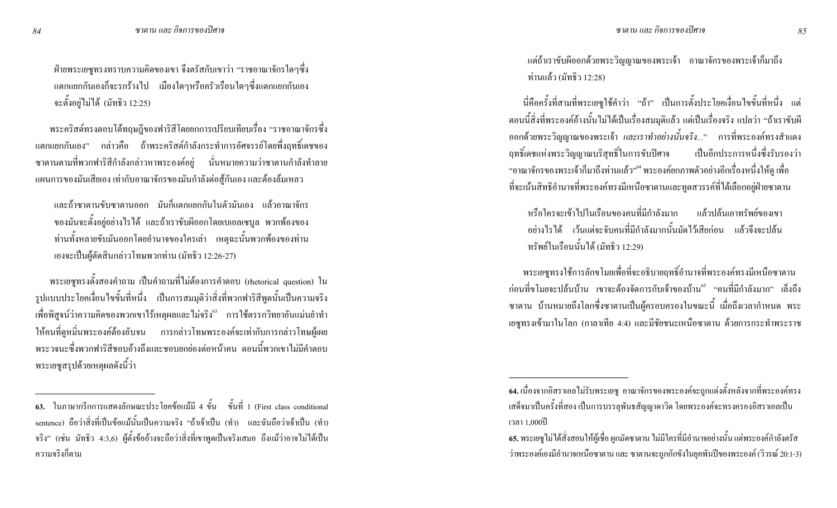ฝ่ายพระเยซูทรงทราบความคิดของเขา จึงตรัสกับเขาว่า "ราชอาณาจักรใดๆซึ่ง แตกแยกกันเองก็จะรกร้างไป เมืองใคๆหรือครัวเรือนใคๆซึ่งแตกแยกกันเอง จะตั้งอยู่ไม่ได้ (มัทธิว 12:25)

พระคริสต์ทรงตอบโต้ทฤษฎีของฟาริสีโคยยกการเปรียบเทียบเรื่อง "ราชอาณาจักรซึ่ง แตกแยกกันเอง" กล่าวคือ ถ้าพระคริสต์กำลังกระทำการอัศจรรย์โดยพึ่งฤทธิ์เคชของ ซาตานตามที่พวกฟาริสีกำลังกล่าวหาพระองค์อยู่ นั่นหมายความว่าซาตานกำลังทำลาย ้ แผนการของมันเสียเอง เท่ากับอาณาจักรของมันกำลังต่อสู้กันเอง และต้องล้มเหลว

และถ้าซาตานขับซาตานออก มันก็แตกแยกกันในตัวมันเอง แล้วอาณาจักร ของมันจะตั้งอยู่อย่างไรได้ และถ้าเราขับผืออกโดยเบเอลเซบูล พวกพ้องของ ำ่านทั้งหลายขับมันออกโดยอำนาจของใครเล่า เหตุฉะนั้นพวกพ้องของท่าน เองจะเป็นผู้ตัดสินกล่าวโทษพวกท่าน (มัทธิว 12:26-27)

พระเยซูทรงตั้งสองคำถาม เป็นคำถามที่ไม่ต้องการคำตอบ (rhetorical question) ใน รูปแบบประโยคเงื่อนไขขั้นที่หนึ่ง เป็นการสมมุติว่าสิ่งที่พวกฟาริสีพูดนั้นเป็นความจริง เพื่อพิสูจน์ว่าความคิดของพวกเขาใร้เหตุผลและไม่จริง<sup>63</sup> การใช้ตรรกวิทยาอันแม่นยำทำ ให้คนที่ดูหมิ่นพระองค์ต้องอับจน การกล่าวโทษพระองค์จะเท่ากับการกล่าวโทษผู้เผย พระวจนะซึ่งพวกฟาริสีชอบอ้างถึงและชอบยกย่องต่อหน้าคน ตอนนี้พวกเขาไม่มีคำตอบ พระเยซูสรุปด้วยเหตุผลดังนี้ว่า

แต่ถ้าเราขับผืออกค้วยพระวิญญาณของพระเจ้า อาณาจักรของพระเจ้าก็มาถึง ท่านแล้ว (มัทธิว 12:28)

นี่คือครั้งที่สามที่พระเยซูใช้คำว่า "ถ้า" เป็นการตั้งประโยคเงื่อนไขขั้นที่หนึ่ง แต่ ตอนนี้สิ่งที่พระองค์อ้างนั้นไม่ได้เป็นเรื่องสมมุติแล้ว แต่เป็นเรื่องจริง แปลว่า "ถ้าเราขับผี ออกด้วยพระวิญญาณของพระเจ้า *และเราทำอย่างนั้นจริง.*.." การที่พระองค์ทรงสำแคง ฤทธิ์เคชแห่งพระวิญญาณบริสุทธิ์ ้ในการขับปีศาจ เป็นอีกประการหนึ่งซึ่งรับรองว่า "อาณาจักรของพระเจ้าก็มาถึงท่านแล้ว"" พระองค์ยกภาพตัวอย่างอีกเรื่องหนึ่งให้ดู เพื่อ ที่จะเน้นสิทธิอำนาจที่พระองค์ทรงมีเหนือซาตานและทูตสวรรค์ที่ได้เลือกอยู่ฝ่ายซาตาน

่ หรือใครจะเข้าไปในเรือนของคนที่มีกำลังมาก แล้วปล้นเอาทรัพย์ของเขา ่ อย่างไรได้ เว้นแต่จะจับคนที่มีกำลังมากนั้นมัดไว้เสียก่อน แล้วจึงจะปล้น ทรัพย์ในเรือนนั้นได้ (มัทธิว 12:29)

พระเยซูทรงใช้การลักขโมยเพื่อที่จะอธิบายฤทธิ์อำนาจที่พระองค์ทรงมีเหนือซาตาน ี ก่อนที่ขโมยจะปล้นบ้าน เขาจะต้องจัดการกับเจ้าของบ้าน<sup>ธ</sup>์ "คนที่มีกำลังมาก" เล็งถึง ซาตาน บ้านหมายถึงโลกซึ่งซาตานเป็นผู้ครอบครองในขณะนี้ เมื่อถึงเวลากำหนด พระ เยซูทรงเข้ามาในโลก (กาลาเทีย 4:4) และมีชัยชนะเหนือซาตาน ด้วยการกระทำพระราช

<sup>63.</sup> ในภาษากรีกการแสดงลักษณะประโยคข้อแม้มี 4 ขั้น ขั้นที่ 1 (First class conditional sentence) ถือว่าสิ่งที่เป็นข้อแม้นั้นเป็นความจริง "ถ้าเจ้าเป็น (ทำ) และฉันถือว่าเจ้าเป็น (ทำ) จริง" (เช่น มัทธิว 4:3,6) ผู้ตั้งข้ออ้างจะถือว่าสิ่งที่เขาพูดเป็นจริงเสมอ ถึงแม้ว่าอาจไม่ได้เป็น ความจริงกีตาม

<sup>64.</sup> เนื่องจากอิสราเอล<sup>ๆ</sup>ม่รับพระเยซู อาณาจักรของพระองค์จะถูกแต่งตั้งหลังจากที่พระองค์ทรง เสด็จมาเป็นครั้งที่สอง เป็นการบรรลุพันธสัญญาคาวิค โดยพระองค์จะทรงครองอิสราเอลเป็น เวลา 1,000ปี

<sup>65.</sup> พระเยซูไม่ได้สั่งสอนให้ผู้เชื่อ ผูกมัดซาตาน ไม่มีใครที่มีอำนาจอย่างนั้น แต่พระองค์กำลังตรัส ว่าพระองค์เองมีอำนาจเหนือซาตาน และ ซาตานจะถูกกักขังในขุคพันปีของพระองค์ (วิวรณ์ 20:1-3)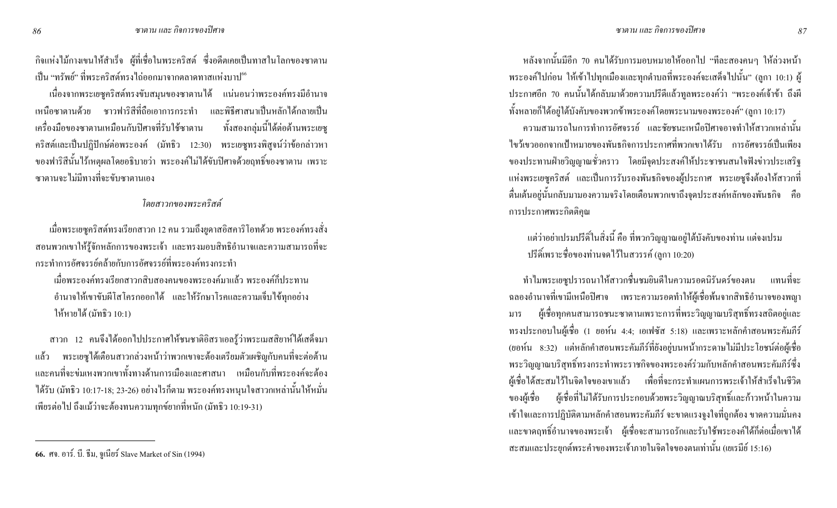ี กิจแห่งไม้กางเขนให้สำเร็จ ผู้ที่เชื่อในพระคริสต์ ซึ่งอดีตเกยเป็นทาสในโลกของซาตาน ้เป็น "ทรัพย์" ที่พระคริสต์ทรงไถ่ออกมาจากตลาดทาสแห่งบาป<sup>66</sup>

้ เนื่องจากพระเยซูคริสต์ทรงขับสมุนของซาตานใค้ แน่นอนว่าพระองค์ทรงมีอำนาจ ่ เหนือซาตานด้วย ชาวฟาริสีที่ถือเอาการกระทำ และพิธีศาสนาเป็นหลักได้กลายเป็น เครื่องมือของซาตานเหมือนกับปิศาจที่รับใช้ซาตาน ทั้งสองกลุ่มนี้ได้ต่อต้านพระเยซู คริสต์และเป็นปฏิปักษ์ต่อพระองค์ (มัทธิว 12:30) พระเยซูทรงพิสูจน์ว่าข้อกล่าวหา ึ ของฟาริสีนั้นไร้เหตุผลโดยอธิบายว่า พระองค์ไม่ได้ขับปิศาจด้วยฤทธิ์ของซาตาน เพราะ ี <sub>"</sub>หาตานจะไม่มีทางที่จะขับหาตานเอง

#### โดยสาวกของพระคริสต์

้ เมื่อพระเยซูคริสต์ทรงเรียกสาวก 12 คน รวมถึงยูคาสอิสคาริโอทด้วย พระองค์ทรงสั่ง ิสอนพวกเขาให้รู้จักหลักการของพระเจ้า และทรงมอบสิทธิอำนาจและความสามารถที่จะ ิกระทำการคัศจรรย์คล้ายกับการคัศจรรย์ที่พระองค์ทรงกระทำ

้ เมื่อพระองค์ทรงเรียกสาวกสิบสองคนของพระองค์มาแล้ว พระองค์ก็ประทาน ้อำนาจให้เขาขับผีโสโครกออกได้ และให้รักษาโรคและความเจ็บไข้ทุกอย่าง ให้หายได้ (มัทธิว 10:1)

ิสาวก 12 คนจึงได้ออกไปประกาศให้ชนชาติอิสราเอลรู้ว่าพระเมสสิยาห์ได้เสด็จมา พระเยซูได้เตือนสาวกล่วงหน้าว่าพวกเขาจะต้องเตรียมตัวเผชิญกับคนที่จะต่อต้าน แล้ว และคนที่จะข่มเหงพวกเขาทั้งทางด้านการเมืองและศาสนา เหมือนกับที่พระองค์จะต้อง ใค้รับ (มัทธิว 10:17-18; 23-26) อย่างไรก็ตาม พระองค์ทรงหนุนใจสาวกเหล่านั้นให้หมั่น ้ เพียรต่อไป ถึงแม้ว่าจะต้องทนความทุกข์ยากที่หนัก (มัทธิว 10:19-31)

หลังจากนั้นมีอีก 70 คนได้รับการมอบหมายให้ออกไป "ทีละสองคนๆ ให้ล่วงหน้า พระองค์ไปก่อน ให้เข้าไปทุกเมืองและทุกตำบลที่พระองค์จะเสด็จไปนั้น" (ลูกา 10:1) ผู้ ประกาศอีก 70 คนนั้นได้กลับมาด้วยความปรีดีแล้วทูลพระองค์ว่า "พระองค์เจ้าข้า ถึงผี ทั้งหลายก็ได้อยู่ใต้บังคับของพวกข้าพระองค์โดยพระนามของพระองค์" (ลูกา 10:17)

ิ ความสามารถในการทำการอัศจรรย์ และชัยชนะเหนือปิศาจอาจทำให้สาวกเหล่านั้น ้ไขว้เขวออกจากเป้าหมายของพันธกิจการประกาศที่พวกเขาได้รับ การอัศจรรย์เป็นเพียง ี ของประทานฝ่ายวิญญาณชั่วคราว โดยมีจุดประสงค์ให้ประชาชนสนใจฟังข่าวประเสริฐ ้ แห่งพระเยซูคริสต์ และเป็นการรับรองพันธกิจของผู้ประกาศ พระเยซูจึงต้องให้สาวกที่ ี ตื่นเต้นอยู่นั้นกลับมามองความจริงโดยเตือนพวกเขาถึงจุดประสงค์หลักของพันธกิจ คือ การประกาศพระกิตติกุณ

แต่ว่าอย่าเปรมปรีดิ์ในสิ่งนี้ คือ ที่พวกวิญญาณอยู่ใต้บังคับของท่าน แต่งงเปรม ปรีดิ์เพราะชื่อของท่านจดไว้ในสวรรค์ (ลกา 10:20)

ี ทำไมพระเยซูปรารถนาให้สาวกชื่นชมยินดีในความรอคนิรันคร์ของตน แทนที่จะ ิฉลองอำนาจที่เขามีเหนือปิศาจ เพราะความรอดทำให้ผู้เชื่อพ้นจากสิทธิอำนาจของพญา ผู้เชื่อทุกคนสามารถชนะซาตานเพราะการที่พระวิญญาณบริสุทธิ์ทรงสถิตอยู่และ มาร ทรงประกอบในผู้เชื่อ (1 ยอห์น 4:4; เอเฟซัส 5:18) และเพราะหลักคำสอนพระคัมภีร์ (ยอห์น 8:32) แต่หลักคำสอนพระคัมภีร์ที่ยังอยู่บนหน้ากระดาษไม่มีประโยชน์ต่อผู้เชื่อ พระวิญญาณบริสุทธิ์ทรงกระทำพระราชกิจของพระองค์ร่วมกับหลักคำสอนพระคัมภีร์ซึ่ง ผู้เชื้อใด้สะสมไว้ในจิตใจของเขาแล้ว เพื่อที่จะกระทำแผนการพระเจ้าให้สำเร็จในชีวิต ผู้เชื่อที่ไม่ได้รับการประกอบด้วยพระวิญญาณบริสุทธิ์และก้าวหน้าในความ ของผู้เชื้อ ้เข้าใจและการปฏิบัติตามหลักคำสอนพระคัมภีร์ จะขาดแรงจูงใจที่ถูกต้อง ขาดความมั่นคง และขาดฤทธิ์อำนาจของพระเจ้า ผู้เชื่อจะสามารถรักและรับใช้พระองค์ได้ก็ต่อเมื่อเขาได้ ิสะสมและประยุกต์พระคำของพระเจ้าภายในจิตใจของตนเท่านั้น (เยเรมีย์ 15:16)

<sup>66.</sup> ศจ. อาร์. บี. ธีม, จูเนียร์ Slave Market of Sin (1994)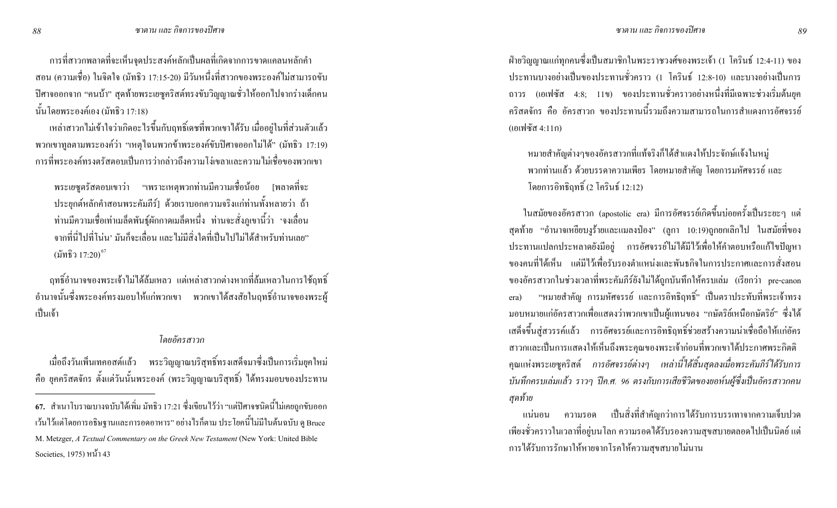ิ การที่สาวกพลาดที่จะเห็นจุดประสงค์หลักเป็นผลที่เกิดจากการขาดแคลนหลักคำ ิสอน (ความเชื่อ) ในจิตใจ (มัทธิว 17:15-20) มีวันหนึ่งที่สาวกของพระองค์ไม่สามารถขับ ้ปิศาจออกจาก "คนบ้า" สุดท้ายพระเยซูคริสต์ทรงขับวิญญาณชั่วให้ออกไปจากร่างเด็กคน นั้นโดยพระองค์เอง (มัทธิว 17:18)

เหล่าสาวกไม่เข้าใจว่าเกิดอะไรขึ้นกับฤทธิ์เดชที่พวกเขาได้รับ เมื่ออยู่ในที่ส่วนตัวแล้ว พวกเขาทูลตามพระองค์ว่า "เหตุใฉนพวกข้าพระองค์ขับปีศาจออกไม่ได้" (มัทธิว 17:19) ่ การที่พระองค์ทรงตรัสตอบเป็นการว่ากล่าวถึงความโง่เขลาและความไม่เชื่อของพวกเขา

พระเยซูตรัสตอบเขาว่า "เพราะเหตุพวกท่านมีความเชื่อน้อย [พลาดที่จะ ประยุกต์หลักคำสอนพระคัมภีร์] ด้วยเราบอกความจริงแก่ท่านทั้งหลายว่า ถ้า ท่านมีความเชื่อเท่าเมล็ดพันธุ์ผักกาดเมล็ดหนึ่ง ท่านจะสั่งภูเขานี้ว่า 'จงเลื่อน ำกกที่นี่ไปที่โน่น' มันก็จะเลื่อน และไม่มีสิ่งใดที่เป็นไปไม่ได้สำหรับท่านเลย" (มัทธิว 17:20) $^{67}$ 

ฤทธิ์อำนาจของพระเจ้าไม่ได้ล้มเหลว แต่เหล่าสาวกต่างหากที่ล้มเหลวในการใช้ฤทธิ์ ้อำนาจนั้นซึ่งพระองค์ทรงมอบให้แก่พวกเขา พวกเขาได้สงสัยในฤทธิ์อำนาจของพระผู้ ้เป็นเจ้า

#### โดยอัครสาวก

้ เมื่อถึงวันเพิ่นเทคอสต์แล้ว พระวิญญาณบริสุทธิ์ทรงเสด็จมาซึ่งเป็นการเริ่มยุคใหม่ คือ ยุคคริสตจักร ตั้งแต่วันนั้นพระองค์ (พระวิญญาณบริสุทธิ์) ได้ทรงมอบของประทาน ้ฝ่ายวิญญาณแก่ทุกคนซึ่งเป็นสมาชิกในพระราชวงศ์ของพระเจ้า (1 โครินธ์ 12:4-11) ของ ประทานบางอย่างเป็นของประทานชั่วคราว (1 โครินธ์ 12:8-10) และบางอย่างเป็นการ ถาวร (เอเฟซัส 4:8; 11ข) ของประทานชั่วคราวอย่างหนึ่งที่มีเฉพาะช่วงเริ่มต้นยุค ิ คริสตจักร คือ อัครสาวก ของประทานนี้รวมถึงความสามารถในการสำแดงการอัศจรรย์ (เอเฟซัส 4:11ก)

หมายสำคัญต่างๆของอัครสาวกที่แท้จริงก็ได้สำแดงให้ประจักษ์แจ้งในหมู่ พวกท่านแล้ว ด้วยบรรดาความเพียร โดยหมายสำคัญ โดยการมหัศจรรย์ และ โดยการอิทธิฤทธิ์ (2 โครินธ์ 12:12)

ในสมัยของอัครสาวก (apostolic era) มีการอัศจรรย์เกิดขึ้นบ่อยครั้งเป็นระยะๆ แต่ ิสุคท้าย "อำนาจเหยียบงูร้ายและแมลงป่อง" (ลูกา 10:19)ถูกยกเลิกไป ในสมัยที่ของ ี ประทานแปลกประหลาดยังมีอยู่ การอัศจรรย์ใม่ได้มีไว้เพื่อให้คำตอบหรือแก้ไขปัญหา ี ของคนที่ได้เห็น แต่มีไว้เพื่อรับรองตำแหน่งและพันธกิจในการประกาศและการสั่งสอน ี ของอัครสาวกในช่วงเวลาที่พระคัมภีร์ยังไม่ได้ถูกบันทึกให้ครบเล่ม (เรียกว่า pre-canon "หมายสำคัญ การมหัศจรรย์ และการอิทธิฤทธิ์" เป็นตราประทับที่พระเจ้าทรง era) ิมอบหมายแก่อัครสาวกเพื่อแสดงว่าพวกเขาเป็นผู้แทนของ "กษัตริย์เหนือกษัตริย์" ซึ่งได้ ้ เสด็จขึ้นสู่สวรรค์แล้ว การอัศจรรย์และการอิทธิฤทธิ์ช่วยสร้างความน่าเชื่อถือให้แก่อัคร ี สาวกและเป็นการแสดงให้เห็นถึงพระคุณของพระเจ้าก่อนที่พวกเขาได้ประกาศพระกิตติ ดุณแห่งพระเยซูคริสต์ การอัศจรรย์ต่างๆ เหล่านี้ได้สิ้นสุดลงเมื่อพระคัมภีร์ได้รับการ บันทึกครบเล่มแล้ว ราวๆ ปีค.ศ. 96 ตรงกับการเสียชีวิตของยอห์นผู้ซึ่งเป็นอัครสาวกคน สุดท้าย

ี แน่นอน ความรอด เป็นสิ่งที่สำคัญกว่าการใด้รับการบรรเทาจากความเจ็บปวด ้ เพียงชั่วคราวในเวลาที่อยู่บนโลก ความรอดได้รับรองความสุขสบายตลอดไปเป็นนิตย์ แต่ การได้รับการรักษาให้หายจากโรคให้ความสุขสบายไม่นาน

<sup>67.</sup> สำเนาโบราณบางฉบับได้เพิ่ม มัทธิว 17:21 ซึ่งเขียนไว้ว่า "แต่ปีศาจชนิดนี้ไม่เคยถูกขับออก ่ เว้นไว้แต่โดยการอธิษฐานและการอดอาหาร" อย่างไรก็ตาม ประ โยคนี้ไม่มีในต้นฉบับ ดู Bruce M. Metzger, A Textual Commentary on the Greek New Testament (New York: United Bible Societies, 1975) หน้า 43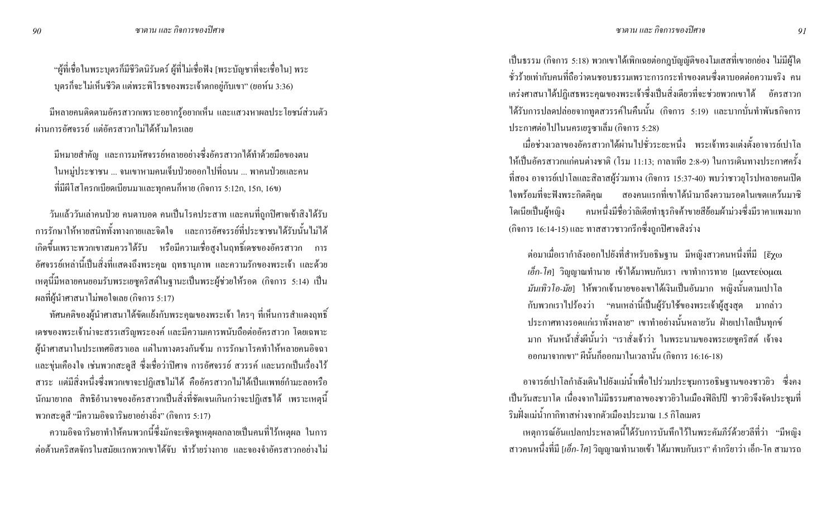"ผู้ที่เชื่อในพระบุตรก็มีชีวิตนิรันดร์ ผู้ที่ไม่เชื่อฟัง [พระบัญชาที่จะเชื่อใน] พระ บุตรก็จะไม่เห็นชีวิต แต่พระพิโรธของพระเจ้าตกอยู่กับเขา" (ยอห์น 3:36)

มีหลายคนติดตามอัครสาวกเพราะอยากรู้อยากเห็น และแสวงหาผลประโยชน์ส่วนตัว ่ ผ่านการอัศจรรย์ แต่อัครสาวกไม่ได้ห้ามใครเลย

้มีหมายสำคัญ และการมหัศจรรย์หลายอย่างซึ่งอัครสาวกได้ทำด้วยมือของตน ในหมู่ประชาชน ... จนเขาหามคนเจ็บป่วยออกไปที่ถนน ... พาคนป่วยและคน ที่มีผีโสโครกเบียดเบียนมาและทุกคนก็หาย (กิจการ 5:12ก, 15ก, 16ข)

วันแล้ววันเล่าคนป่วย คนตาบอด คนเป็นโรคประสาท และคนที่ถูกปีศาจเข้าสิงได้รับ ิ การรักษาให้หายสนิททั้งทางกายและจิตใจ และการอัศจรรย์ที่ประชาชนได้รับนั้นไม่ได้ ้ เกิดขึ้นเพราะพวกเขาสมควรใด้รับ หรือมีความเชื่อสูงในฤทธิ์เดชของอัครสาวก การ ้อัศจรรย์เหล่านี้เป็นสิ่งที่แสดงถึงพระคุณ ฤทธานุภาพ และความรักของพระเจ้า และด้วย เหตุนี้มีหลายคนยอมรับพระเยซูคริสต์ในฐานะเป็นพระผู้ช่วยให้รอด (กิจการ 5:14) เป็น ผลที่ผู้นำศาสนาไม่พอใจเลย (กิจการ 5:17)

้ ทัศนคติของผู้นำศาสนาได้ขัดแย้งกับพระคุณของพระเจ้า ใครๆ ที่เห็นการสำแดงฤทธิ์ ้เคชของพระเจ้าน่าจะสรรเสริญพระองค์ และมีความเคารพนับถือต่ออัครสาวก โดยเฉพาะ ้ผู้นำศาสนาในประเทศอิสราเอล แต่ในทางตรงกันข้าม การรักษาโรคทำให้หลายคนอิจฉา และขุ่นเคืองใจ เช่นพวกสะดูสี ซึ่งเชื่อว่าปีศาจ การอัศจรรย์ สวรรค์ และนรกเป็นเรื่องไร้ ิ สาระ แต่มีสิ่งหนึ่งซึ่งพวกเขาจะปฏิเสธไม่ได้ คืออัครสาวกไม่ได้เป็นแพทย์กำมะลอหรือ นักมายากล สิทธิอำนาจของอัครสาวกเป็นสิ่งที่ชัดเจนเกินกว่าจะปฏิเสธได้ เพราะเหตุนี้ พวกสะดูสี "มีความอิจฉาริษยาอย่างยิ่ง" (กิจการ 5:17)

ี ความอิจฉาริษยาทำให้คนพวกนี้ซึ่งมักจะเชิดชูเหตุผลกลายเป็นคนที่ไร้เหตุผล ในการ ี่ต่อต้านคริสตจักรในสมัยแรกพวกเขาได้จับ ทำร้ายร่างกาย และจองจำอัครสาวกอย่างไม่ ้เป็นธรรม (กิจการ 5:18) พวกเขาใค้เพิกเฉยต่อกฎบัญญัติของโมเสสที่เขายกย่อง ใม่มีผู้ใค ์ ชั่วร้ายเท่ากับคนที่ถือว่าตนชอบธรรมเพราะการกระทำของตนซึ่งตาบอดต่อความจริง คน เคร่งศาสนาใด้ปฏิเสธพระคุณของพระเจ้าซึ่งเป็นสิ่งเดียวที่จะช่วยพวกเขาใด้ อัครสาวก ใค้รับการปลดปล่อยจากทูตสวรรค์ในกืนนั้น (กิจการ 5:19) และบากบั่นทำพันธกิจการ ประกาศต่อไปในนครเยรูซาเล็ม (กิจการ 5:28)

เมื่อช่วงเวลาของอัครสาวกใด้ผ่านไปชั่วระยะหนึ่ง พระเจ้าทรงแต่งตั้งอาจารย์เปาโล ให้เป็นอัครสาวกแก่คนต่างชาติ (โรม 11:13; กาลาเทีย 2:8-9) ในการเดินทางประกาศครั้ง ี ที่สอง อาจารย์เปาโลและสิลาสผู้ร่วมทาง (กิจการ 15:37-40) พบว่าชาวยุโรปหลายคนเปิด ิสองคนแรกที่เขาได้นำมาถึงความรอดในเขตแคว้นมาซิ ใจพร้อมที่จะฟังพระกิตติกุณ คนหนึ่งมีชื่อว่าลิเดียทำธุรกิจค้าขายสีย้อมผ้าม่วงซึ่งมีราคาแพงมาก โดเนียเป็นผู้หญิง (กิจการ 16:14-15) และ ทาสสาวชาวกรีกซึ่งถูกปีศาจสิงร่าง

ต่อมาเมื่อเรากำลังออกไปยังที่สำหรับอธิษฐาน มีหญิงสาวคนหนึ่งที่มี [ἕχω เอ็ก-โค] วิญญาณทำนาย เข้าได้มาพบกับเรา เขาทำการทาย [μαντεύομαι ่ *มันเทิวโอ-มัย*| ให้พวกเจ้านายของเขาได้เงินเป็นอันมาก หญิงนั้นตามเปาโล ้กับพวกเราไปร้องว่า "คนเหล่านี้เป็นผู้รับใช้ของพระเจ้าผู้สูงสุด มากล่าว ประกาศทางรอดแก่เราทั้งหลาย" เขาทำอย่างนั้นหลายวัน ฝ่ายเปาโลเป็นทุกข์ มาก หันหน้าสั่งผีนั้นว่า "เราสั่งเจ้าว่า ในพระนามของพระเยซูคริสต์ เจ้าจง ้ออกมาจากเขา" ผีนั้นก็ออกมาในเวลานั้น (กิจการ 16:16-18)

อาจารย์เปาโลกำลังเดินไปยังแม่น้ำเพื่อไปร่วมประชุมการอธิษฐานของชาวยิว ซึ่งคง ้เป็นวันสะบาโต เนื่องจากไม่มีธรรมศาลาของชาวยิวในเมืองฟิลิปปี ชาวยิวจึงจัดประชุมที่ ้ริมฝั่งแม่น้ำกากิทาสห่างจากตัวเมืองประมาณ 1.5 กิโลเมตร

เหตุการณ์อันแปลกประหลาดนี้ได้รับการบันทึกไว้ในพระคัมภีร์ด้วยวลีที่ว่า "มีหญิง ิ สาวคนหนึ่งที่มี [*เอ็ก-โค*] วิญญาณทำนายเข้า ได้มาพบกับเรา" คำกริยาว่า เอ็ก-โค สามารถ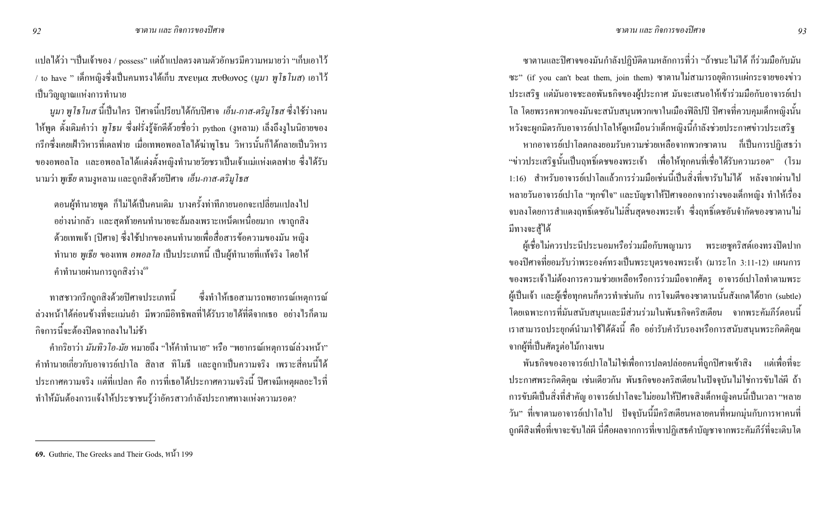แปลใด้ว่า "เป็นเจ้าของ / <sub>possess</sub>" แต่ถ้าแปลตรงตามตัวอักษรมีความหมายว่า "เก็บเอาไว้ / to have " เด็กหญิงซึ่งเป็นคนทรงได้เก็บ πνευμα πυθωνος (นูมา พู โช โนส) เอาไว้ เป็นวิญญาณแห่งการทำนาย

*นูมา* พู*โธโนส* นี้เป็นใคร ปิศาจนี้เปรียบได้กับปิศาจ *เอ็น-กาส-ตริมูโธส* ซึ่งใช้ร่างคน ให้พูด ดั้งเดิมกำว่า *พูโธน ซึ่ง*ฝรั่งรู้จักดีด้วยชื่อว่า python (งูหลาม) เล็งถึงงูในนิยายของ ึกรึกซึ่งเคยเฝ้าวิหารที่เดลฟาย เมื่อเทพอพอลโลได้ฆ่าพูโธน วิหารนั้นก็ได้กลายเป็นวิหาร ของอพอลโล และอพอลโลได้แต่งตั้งหญิงทำนายวัยชราเป็นเจ้าแม่แห่งเดลฟาย ซึ่งได้รับ นามว่า พูเ*ธีย* ตามงูหลาม และถูกสิ่งด้วยปิศาจ *เอ็น-กาส-ตริมูโธส* 

ตอนผู้ทำนายพูด ก็ไม่ได้เป็นคนเดิม บางครั้งท่าทีภายนอกจะเปลี่ยนแปลงไป ่ อย่างน่ากลัว และสุดท้ายคนทำนายจะล้มลงเพราะเหน็ดเหนื่อยมาก เขาถูกสิง ด้วยเทพเจ้า [ปีศาจ] ซึ่งใช้ปากของคนทำนายเพื่อสื่อสารข้อความของมัน หญิง ทำนาย *พูเธีย* ของเทพ *อพอลโล* เป็นประเภทนี้ เป็นผู้ทำนายที่แท้จริง โดยให้ ์ คำทำนายผ่านการถูกสิงร่าง<sup>69</sup>

ทาสชาวกรีกถูกสิงค้วยปีศาจประเภทนี้ ซึ่งทำให้เธอสามารถพยากรณ์เหตุการณ์ ่ ล่วงหน้าได้ค่อนข้างที่จะแม่นยำ มีพวกมีอิทธิพลที่ได้รับรายได้ที่ดีจากเธอ อย่างไรก็ตาม ่ กิจการนี้จะต้องปิดฉากลงในไม่ช้า

ี คำกริยาว่า *มันทิวโอ-มัย* หมายถึง "ให้คำทำนาย" หรือ "พยากรณ์เหตุการณ์ล่วงหน้า" ้คำทำนายเกี่ยวกับอาจารย์เปาโล สิลาส ทิโมธี และลูกาเป็นความจริง เพราะสี่คนนี้ได้ ประกาศความจริง แต่ที่แปลก คือ การที่เธอได้ประกาศความจริงนี้ ปิศาจมีเหตุผลอะไรที่ ทำให้มันต้องการแจ้งให้ประชาชนรู้ว่าอัครสาวกำลังประกาศทางแห่งความรอด?

หากอาจารย์เปาโลตกลงยอมรับความช่วยเหลือจากพวกซาตาน ก็เป็นการปฏิเสธว่า "ข่าวประเสริฐนั้นเป็นฤทธิ์เคชของพระเจ้า เพื่อให้ทุกคนที่เชื่อได้รับความรอค" (โรม 1:16) สำหรับอาจารย์เปาโลแล้วการร่วมมือเช่นนี้เป็นสิ่งที่เขารับไม่ได้ หลังจากผ่านไป หลายวันอาจารย์เปาโล "ทุกข์ใจ" และบัญชาให้ปิศาจออกจากร่างของเด็กหญิง ทำให้เรื่อง ึ จบลงโดยการสำแดงฤทธิ์เดชอันไม่สิ้นสุดของพระเจ้า ซึ่งฤทธิ์เดชอันจำกัดของซาตานไม่ มีทางจะสู้ได้

้ผู้เชื่อไม่ควรประนีประนอมหรือร่วมมือกับพญามาร พระเยซูคริสต์เองทรงปิดปาก ของปีศาจที่ยอมรับว่าพระองค์ทรงเป็นพระบุตรของพระเจ้า (มาระโก 3:11-12) แผนการ ของพระเจ้าไม่ต้องการความช่วยเหลือหรือการร่วมมือจากศัตรู อาจารย์เปาโลทำตามพระ ผู้เป็นเจ้า และผู้เชื่อทุกคนก็ควรทำเช่นกัน การโจมตีของซาตานนั้นสังเกตได้ยาก (subtle) โดยเฉพาะการที่มันสนับสนุนและมีส่วนร่วมในพันธกิจคริสเตียน จากพระคัมภีร์ตอนนี้ เราสามารถประยุกต์นำมาใช้ได้ดังนี้ คือ อย่ารับคำรับรองหรือการสนับสนุนพระกิตติคุณ จากผู้ที่เป็นศัตรูต่อไม้กางเขน

ี พันธกิจของอาจารย์เปาโลไม่ใช่เพื่อการปลดปล่อยคนที่ถูกปิศาจเข้าสิง แต่เพื่อที่จะ ประกาศพระกิตติคุณ เช่นเดียวกัน พันธกิจของคริสเตียนในปัจจุบันไม่ใช่การขับไล่ผี ถ้า การขับผีเป็นสิ่งที่สำคัญ อาจารย์เปาโลจะไม่ยอมให้ปีศาจสิงเด็กหญิงคนนี้เป็นเวลา "หลาย ้วัน" ที่เขาตามอาจารย์เปาโลไป ปัจจุบันนี้มีคริสเตียนหลายคนที่หมกมุ่นกับการหาคนที่ ถูกผีสิงเพื่อที่เขาจะขับไล่ผี นี่คือผลจากการที่เขาปฏิเสธคำบัญชาจากพระคัมภีร์ที่จะเติบโต

<sup>ี</sup> ซาตานและปิศาจของมันกำลังปฏิบัติตามหลักการที่ว่า "ถ้าชนะไม่ได้ ก็ร่วมมือกับมัน ซะ" (if you can't beat them, join them) ซาตานไม่สามารถยุติการแผ่กระจายของข่าว ประเสริฐ แต่มันอาจชะลอพันธกิจของผู้ประกาศ มันจะเสนอให้เข้าร่วมมือกับอาจารย์เปา ี โล โดยพรรคพวกของมันจะสนับสนุนพวกเขาในเมืองฟิลิปปี ปิศาจที่ควบคุมเด็กหญิงนั้น หวังจะผูกมิตรกับอาจารย์เปาโลให้ดูเหมือนว่าเด็กหญิงนี้กำลังช่วยประกาศข่าวประเสริฐ

<sup>69.</sup> Guthrie, The Greeks and Their Gods,  $\mathcal{W}$ 199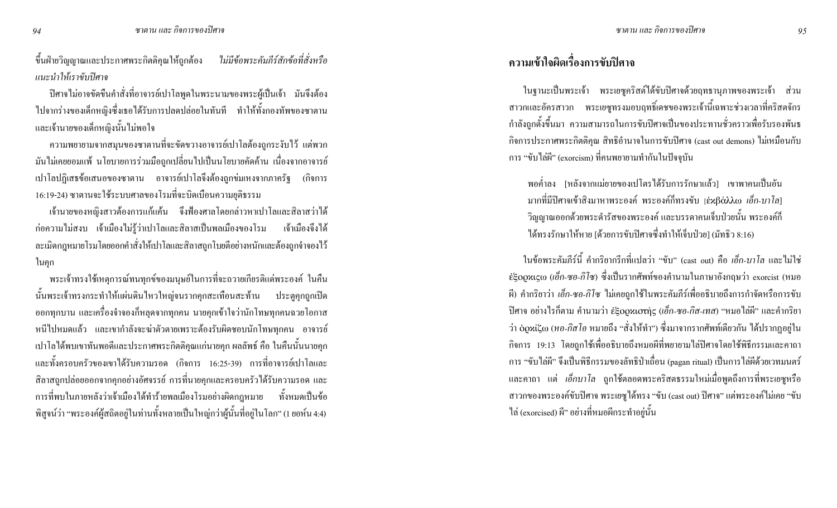ี ขึ้นฝ่ายวิญญาณและประกาศพระกิตติกุณให้ถูกต้อง *ไม่มีข้อพระคัมภีร์สักข้อที่สั่งหรือ* แนะนำให้เราขับปิศาจ

ปิศาจไม่อาจขัดขืนคำสั่งที่อาจารย์เปาโลพูดในพระนามของพระผู้เป็นเจ้า มันจึงต้อง ไปจากร่างของเด็กหญิงซึ่งเธอได้รับการปลดปล่อยในทันที ทำให้ทั้งกองทัพของซาตาน และเจ้านายของเด็กหญิงนั้นไม่พอใจ

ิ ความพยายามจากสมุนของซาตานที่จะขัดขวางอาจารย์เปาโลต้องถูกระงับไว้ แต่พวก ้ มันไม่เคยยอมแพ้ นโยบายการร่วมมือถูกเปลี่ยนไปเป็นนโยบายคัดค้าน เนื่องจากอาจารย์ ้ เปาโลปฏิเสธข้อเสนอของซาตาน อาจารย์เปาโลจึงต้องถูกข่มเหงจากภาครัฐ (กิจการ 16:19-24) ซาตานจะใช้ระบบศาลของโรมที่จะบิดเบือนความยุติธรรม

ู้เจ้านายของหญิงสาวต้องการแก้แค้น จึงฟ้องศาลโดยกล่าวหาเปาโลและสิลาสว่าใด้ ี ก่อความไม่สงบ เจ้าเมืองไม่รู้ว่าเปาโลและสิลาสเป็นพลเมืองของโรม เจ้าเมืองจึงได้ ิ ละเมิดกฎหมายโรมโดยออกคำสั่งให้เปาโลและสิลาสถูกโบยตีอย่างหนักและต้องถูกจำจองไว้ ในกุก

ี พระเจ้าทรงใช้เหตุการณ์ทนทุกข์ของมนุษย์ในการที่จะถวายเกียรติแค่พระองค์ ในกืน ้นั้นพระเจ้าทรงกระทำให้แผ่นดินใหวใหญ่จนรากคุกสะเทือนสะท้าน ประตูคุกถูกเปิด ้ออกทุกบาน และเครื่องจำจองกี่หลุดจากทุกคน นายคุกเข้าใจว่านักโทษทุกคนฉวยโอกาส หนีไปหมดแล้ว และเขากำลังจะฆ่าตัวตายเพราะต้องรับผิดชอบนักโทษทุกคน อาจารย์ ้ เปาโลใค้พบเขาทันพอดีและประกาศพระกิตติกุณแก่นายกุก ผลลัพธ์ คือ ในคืนนั้นนายกุก และทั้งครอบครัวของเขาได้รับความรอด (กิจการ 16:25-39) การที่อาจารย์เปาโลและ ี่ สิลาสถูกปล่อยออกจากคุกอย่างอัศจรรย์ การที่นายคุกและครอบครัวได้รับความรอด และ ึ การที่พบในภายหลังว่าเจ้าเมืองใค้ทำร้ายพลเมืองโรมอย่างผิดกฎหมาย ทั้งหมดเป็นข้อ ี พิสูจน์ว่า "พระองค์ผู้สถิตอยู่ในท่านทั้งหลายเป็นใหญ่กว่าผู้นั้นที่อยู่ในโลก" (1 ยอห์น 4:4)

## ิ ความเข้าใจผิดเรื่องการขับปิศาจ

ในฐานะเป็นพระเจ้า พระเยซูคริสต์ใด้ขับปิศาจด้วยฤทธานุภาพของพระเจ้า ส่วน ี สาวกและอัครสาวก พระเยซูทรงมอบฤทธิ์เคชของพระเจ้านี้เฉพาะช่วงเวลาที่คริสตจักร ้กำลังถูกตั้งขึ้นมา ความสามารถในการขับปีศาจเป็นของประทานชั่วคราวเพื่อรับรองพันธ กิจการประกาศพระกิตติกุณ สิทธิอำนาจในการขับปีศาจ (cast out demons) ไม่เหมือนกับ ิการ "ขับไล่ผี" (exorcism) ที่คนพยายามทำกันในปัจจุบัน

ี พอค่ำลง [หลังจากแม่ยายของเปโตรได้รับการรักษาแล้ว] เขาพาคนเป็นอัน มากที่มีปิศาจเข้าสิงมาหาพระองค์ พระองค์ก็ทรงขับ [ἐxβάλλω *เอ็ก-บาโล*] วิญญาณออกด้วยพระดำรัสของพระองค์ และบรรดาคนเจ็บป่วยนั้น พระองค์ก็ ได้ทรงรักษาให้หาย [ด้วยการขับปิศาจซึ่งทำให้เจ็บป่วย] (มัทธิว 8:16)

ในข้อพระคัมภีร์นี้ คำกริยากรีกที่แปลว่า "ขับ" (cast out) คือ *เอ็ก-บาโล* และไม่ใช่ εξορχιςω (เอ็ก-ซอ-กิโซ) ซึ่งเป็นรากศัพท์ของคำนามในภาษาอังกฤษว่า exorcist (หมอ ์ ปีศาจ อย่างไรก็ตาม คำนามว่า ἐξορxιστής (เอ็ก-ซอ-กิส-เทส) "หมอไล่ผี" และคำกริยา ว่า ὁρxίζω (หอ-กิส โอ หมายถึง "สั่งให้ทำ") ซึ่งมาจากรากศัพท์เดียวกัน ได้ปรากฏอยู่ใน ้กิจการ 19:13 โดยถูกใช้เพื่ออธิบายถึงหมอผีที่พยายามไล่ปีศาจโดยใช้พิธีกรรมและคาถา ิ การ "ขับไล่ผี" จึงเป็นพิธีกรรมของลัทธิป่าเลื่อน (pagan ritual) เป็นการไล่ผีด้วยเวทมนตร์ และคาถา แต่ *เอ็กบาโล* ถูกใช้ตลอดพระคริสตธรรมใหม่เมื่อพูดถึงการที่พระเยซูหรือ ิ สาวกของพระองค์ขับปีศาจ พระเยซูได้ทรง "ขับ (cast out) ปีศาจ" แต่พระองค์ไม่เคย "ขับ ใล่ (exorcised) ผี" อย่างที่หมอผีกระทำอยู่นั้น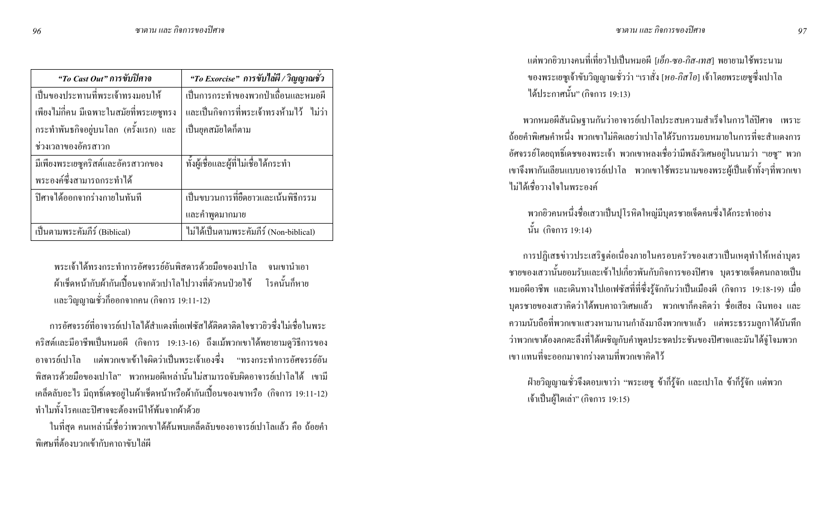| "To Cast Out" การขับปิศาจ                | "To Exorcise" การขับไล่ผี / วิญญาณชั่ว   |
|------------------------------------------|------------------------------------------|
| เป็นของประทานที่พระเจ้าทรงมอบให้         | เป็นการกระทำของพวกป่าเถื่อนและหมอผี      |
| เพียงไม่กี่คน มีเฉพาะในสมัยที่พระเยซูทรง | และเป็นกิจการที่พระเจ้าทรงห้ามไว้ ไม่ว่า |
| กระทำพันธกิจอยู่บนโลก (ครั้งแรก) และ     | เป็นยุคสมัยใดกี่ตาม                      |
| ช่วงเวลาของอัครสาวก                      |                                          |
| มีเพียงพระเยซูคริสต์และอัครสาวกของ       | ทั้งผู้เชื่อและผู้ที่ไม่เชื่อได้กระทำ    |
| พระองค์ซึ่งสามารถกระทำได้                |                                          |
| ปิศาจได้ออกจากร่างกายในทันที             | เป็นขบวนการที่ยืดยาวและเน้นพิธีกรรม      |
|                                          | และคำพูดมากมาย                           |
| เป็นตามพระคัมภีร์ (Biblical)             | ไม่ได้เป็นตามพระคัมภีร์ (Non-biblical)   |

พระเจ้าใด้ทรงกระทำการอัศจรรย์อันพิสคารด้วยมือของเปาโล จนเขานำเอา ้ผ้าเช็ดหน้ากับผ้ากันเปื้อนจากตัวเปาโลไปวางที่ตัวคนป่วยไข้ โรคนั้นกีฬาย และวิญญาณชั่วก็ออกจากคน (กิจการ 19:11-12)

ิการอัศจรรย์ที่อาจารย์เปาโลได้สำแดงที่เอเฟซัสได้ติดตาติดใจชาวยิวซึ่งไม่เชื่อในพระ คริสต์และมีอาชีพเป็นหมอผี (กิจการ 19:13-16) ถึงแม้พวกเขาได้พยายามดูวิธีการของ ้อาจารย์เปาโล แต่พวกเขาเข้าใจผิดว่าเป็นพระเจ้าเองซึ่ง "ทรงกระทำการอัศจรรย์อัน ี่พิสดารด้วยมือของเปาโล" พวกหมอผีเหล่าบั้นไม่สามารถจับผิดอาจารย์เปาโลได้ เขามี เคล็คลับอะไร มีฤทธิ์เคชอยู่ในผ้าเช็คหน้าหรือผ้ากันเปื้อนของเขาหรือ (กิจการ 19:11-12) ทำไมทั้งโรคและปิศาจจะต้องหนีให้พ้นจากผ้าด้วย

ในที่สุด คนเหล่านี้เชื่อว่าพวกเขาได้ค้นพบเคล็ดลับของอาจารย์เปาโลแล้ว คือ ถ้อยคำ พิเศษที่ต้องบวกเข้ากับคาถาขับไล่ผี

ี แต่พวกยิวบางคนที่เที่ยวไปเป็นหมอผี *[เอ็ก-ซอ-กิส-เทส*] พยายามใช้พระนาม ของพระเยซูเจ้าขับวิญญาณชั่วว่า "เราสั่ง [*หอ-กิสโอ*] เจ้าโดยพระเยซูซึ่งเปาโล ใด้ประกาศนั้น" (กิจการ 19:13)

ี พวกหมอผีสันนิษฐานกันว่าอาจารย์เปาโลประสบความสำเร็จในการไล่ปีศาจ เพราะ ี ถ้อยคำพิเศษคำหนึ่ง พวกเขาไม่กิดเลยว่าเปาโลได้รับการมอบหมายในการที่จะสำแดงการ ้อัศจรรย์โดยฤทธิ์เคชของพระเจ้า พวกเขาหลงเชื่อว่ามีพลังวิเศษอยู่ในนามว่า "เยซู" พวก เขาจึงพากันเลียนแบบอาจารย์เปาโล พวกเขาใช้พระนามของพระผู้เป็นเจ้าทั้งๆที่พวกเขา ไม่ได้เชื่อวางใจใบพระองค์

พวกยิวคนหนึ่งชื่อเสวาเป็นปุโรหิตใหญ่มีบุตรชายเจ็ดคนซึ่งได้กระทำอย่าง นั้น (กิจการ 19:14)

ี การปฏิเสธข่าวประเสริฐต่อเนื่องภายในครอบครัวของเสวาเป็นเหตุทำให้เหล่าบุตร ิชายของเสวานั้นยอมรับและเข้าไปเกี่ยวพันกับกิจการของปีศาจ บุตรชายเจ็คคนกลายเป็น หมอผือาชีพ และเดินทางไปเอเฟซัสที่ที่ซึ่งรู้จักกันว่าเป็นเมืองผี (กิจการ 19:18-19) เมื่อ บุตรชายของเสวาคิดว่าได้พบคาถาวิเศษแล้ว พวกเขาก็คงคิดว่า ชื่อเสียง เงินทอง และ ี ความนับถือที่พวกเขาแสวงหามานานกำลังมาถึงพวกเขาแล้ว แต่พระธรรมลูกาได้บันทึก ว่าพวกเขาต้องตกตะลึงที่ได้เผชิญกับคำพูดประชดประชันของปีศาจและมันได้งู่โจมพวก ้ เขา แทนที่จะออกมาจากร่างตามที่พวกเขาคิดไว้

้ฝ่ายวิญญาณชั่วจึงตอบเขาว่า "พระเยซู ข้าก็รู้จัก และเปาโล ข้าก็รู้จัก แต่พวก เจ้าเป็นผู้ใดเล่า" (กิจการ 19:15)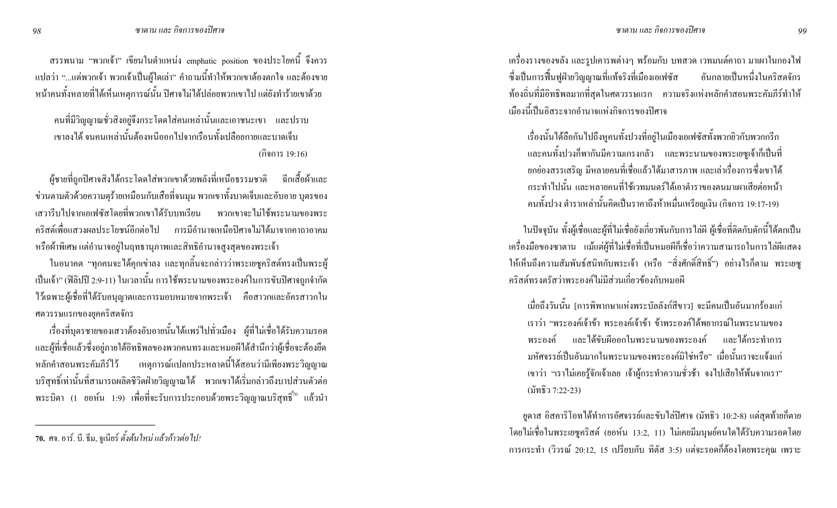ิ สรรพนาม "พวกเจ้า" เขียนในตำแหน่ง emphatic position ของประโยคนี้ จึงควร ี แปลว่า "...แต่พวกเจ้า พวกเจ้าเป็นผู้ใดเล่า" คำถามนี้ทำให้พวกเขาต้องตกใจ และต้องขาย หน้าคนทั้งหลายที่ได้เห็นเหตุการณ์นั้น ปิศาจไม่ได้ปล่อยพวกเขาไป แต่ยังทำร้ายเขาด้วย

ึ คนที่มีวิญญาณชั่วสิงอยู่จึงกระโดดใส่คนเหล่านั้นและเอาชนะเขา และปราบ เขาลงได้ จนคนเหล่านั้นต้องหนีออกไปจากเรือนทั้งเปลือยกายและบาดเจ็บ (กิจการ 19:16)

ผู้ชายที่ถูกปิศาจสิงใด้กระโดดใส่พวกเขาด้วยพลังที่เหนือธรรมชาติ ฉีกเสื้อผ้าและ ข่วนตามตัวด้วยความดุร้ายเหมือนกับเสือที่จนมุม พวกเขาทั้งบาดเจ็บและอับอาย บุตรของ เสวารีบไปจากเอเฟซัสโคยที่พวกเขาได้รับบทเรียน พวกเขาจะไม่ใช้พระนามของพระ ่ คริสต์เพื่อแสวงผลประโยชน์อีกต่อไป การมีอำนาจเหนือปิศาจไม่ได้มาจากคาถาอาคม หรือผ้าพิเศษ แต่อำนาจอยู่ในฤทธานุภาพและสิทธิอำนาจสูงสุดของพระเจ้า

ในอนาคต "ทุกคนจะได้คุกเข่าลง และทุกลิ้นจะกล่าวว่าพระเยซูคริสต์ทรงเป็นพระผู้ เป็นเจ้า" (ฟิลิปปี 2:9-11) ในเวลานั้น การใช้พระนามของพระองค์ในการขับปิศาจถูกจำกัด ใว้เฉพาะผู้เชื่อที่ได้รับอนุญาตและการมอบหมายจากพระเจ้า คือสาวกและอัครสาวกใน ศตวรรษแรกของยุคคริสตจักร

เรื่องที่บุตรชายของเสวาต้องอับอายนั้นได้แพร่ไปทั่วเมือง ผู้ที่ไม่เชื่อได้รับความรอด และผู้ที่เชื่อแล้วซึ่งอยู่ภายใต้อิทธิพลของพวกคนทรงและหมอผีได้สำนึกว่าผู้เชื่อจะต้องยึด ่ เหตุการณ์แปลกประหลาดนี้ได้สอนว่ามีเพียงพระวิญญาณ หลักคำสอนพระคัมภีร์ไว้ บริสุทธิ์เท่านั้นที่สามารถผลิตชีวิตฝ่ายวิญญาณได้ พวกเขาได้เริ่มกล่าวถึงบาปส่วนตัวต่อ พระบิดา (1 ยอห์น 1:9) เพื่อที่จะรับการประกอบด้วยพระวิญญาณบริสุทธิ์<sup>ว</sup>ั<sup>0</sup> แล้วนำ

้ เครื่องรางของขลัง และรูปเคารพต่างๆ พร้อมกับ บทสวด เวทมนต์คาถา มาเผาในกองไฟ ซึ่งเป็นการฟื้นฟูฝ่ายวิญญาณที่แท้จริงที่เมืองเอเฟซัส อันกลายเป็นหนึ่งในคริสตจักร ี ท้องถิ่นที่มีอิทธิพลมากที่สุดในศตวรรษแรก ความจริงแห่งหลักคำสอนพระคัมภีร์ทำให้ ้เมืองนี้เป็นอิสระจากอำนาจแห่งกิจการของปีศาจ

เรื่องนั้นได้ลือกันไปถึงหูคนทั้งปวงที่อยู่ในเมืองเอเฟซัสทั้งพวกยิวกับพวกกรีก และคนทั้งปวงก็พากันมีความเกรงกลัว และพระนามของพระเยซูเจ้าก็เป็นที่ ยกย่องสรรเสริญ มีหลายคนที่เชื่อแล้วได้มาสารภาพ และเล่าเรื่องการซึ่งเขาได้ ิกระทำไปนั้น และหลายคนที่ใช้เวทมนตร์ได้เอาตำราของตนมาเผาเสียต่อหน้า ึกนทั้งปวง ตำราเหล่านั้นกิดเป็นรากาถึงห้าหมื่นเหรียญเงิน (กิจการ 19:17-19)

ในปัจจุบัน ทั้งผู้เชื่อและผู้ที่ไม่เชื่อยังเกี่ยวพันกับการไล่ผี ผู้เชื่อที่ติดกับดักนี้ได้ตกเป็น เครื่องมือของซาตาน แม้แต่ผู้ที่ไม่เชื่อที่เป็นหมอผีก็เชื่อว่าความสามารถในการไล่ผีแสดง ให้เห็นถึงความสัมพันธ์สนิทกับพระเจ้า (หรือ "สิ่งศักดิ์สิทธิ์") อย่างไรก็ตาม พระเยซู ิ คริสต์ทรงตรัสว่าพระองค์ไม่มีส่วนเกี่ยวข้องกับหมอผี

้ เมื่อถึงวันนั้น [การพิพากษาแห่งพระบัลลังก์สีขาว] จะมีคนเป็นอันมากร้องแก่ เราว่า "พระองค์เจ้าข้า พระองค์เจ้าข้า ข้าพระองค์ได้พยากรณ์ในพระนามของ พระองค์ และได้ขับผืออกในพระนามของพระองค์ และได้กระทำการ ้มหัศจรรย์เป็นอันมากในพระนามของพระองค์มิใช่หรือ" เมื่อนั้นเราจะแจ้งแก่ ้เขาว่า "เราไม่เคยรู้จักเจ้าเลย เจ้าผู้กระทำความชั่วช้า จงไปเสียให้พ้นจากเรา" (มัทธิว 7:22-23)

ยูคาส อิสคาริโอทใด้ทำการอัศจรรย์และขับใล่ปีศาจ (มัทธิว 10:2-8) แต่สุดท้ายก็ตาย โดยไม่เชื่อในพระเยซูกริสต์ (ยอห์น 13:2, 11) ไม่เกยมีมนุษย์กนใดได้รับกวามรอดโดย การกระทำ (วิวรณ์ 20:12, 15 เปรียบกับ ทิตัส 3:5) แต่จะรอดก็ต้องโดยพระคุณ เพราะ

<sup>70.</sup> ศจ. อาร์. บี. ธีม, จูเนียร์ ตั้งต้นใหม่ แล้วก้าวต่อ ไป!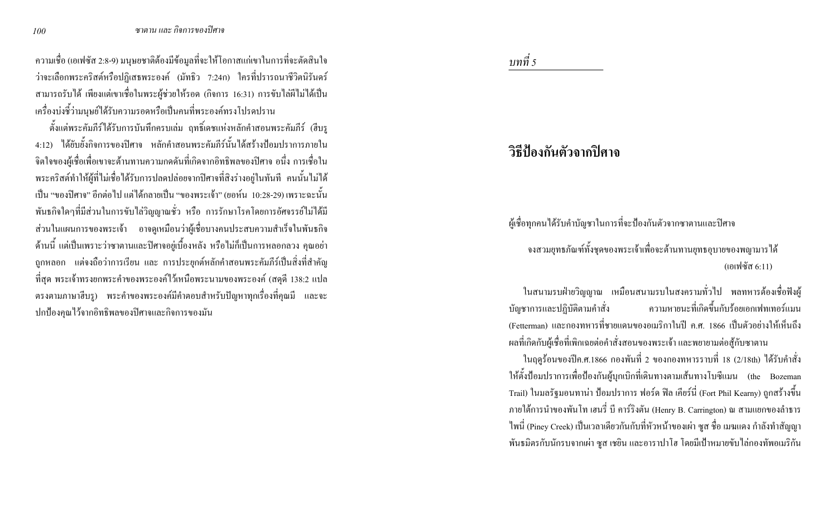่ ความเชื่อ (เอเฟซัส 2:8-9) มนุษยชาติต้องมีข้อมูลที่จะให้โอกาสแก่เขาในการที่จะตัดสินใจ ี<br>ว่าจะเลือกพระคริสต์หรือปฏิเสธพระองค์ (มัทธิว 7:24ก) ใครที่ปรารถนาชีวิตนิรันคร์ ี สามารถรับได้ เพียงแต่เขาเชื่อในพระผู้ช่วยให้รอด (กิจการ 16:31) การขับไล่ผีไม่ได้เป็น ้ เครื่องบ่งชี้ว่ามนุษย์ใด้รับความรอดหรือเป็นคนที่พระองค์ทรงโปรดปราน

้ตั้งแต่พระคัมภีร์ได้รับการบันทึกครบเล่ม ฤทธิ์เคชแห่งหลักคำสอนพระคัมภีร์ (ฮีบรู 4:12) ได้ยับยั้งกิจการของปิศาจ หลักคำสอนพระคัมภีร์นั้นได้สร้างป้อมปราการภายใน ้จิตใจของผู้เชื่อเพื่อเขาจะต้านทานความกดคันที่เกิดจากอิทธิพลของปิศาจ อนึ่ง การเชื่อใน พระคริสต์ทำให้ผู้ที่ไม่เชื่อได้รับการปลดปล่อยจากปิศาจที่สิงร่างอยู่ในทันที คนนั้นไม่ได้ ้เป็น "ของปีศาจ" อีกต่อไป แต่ได้กลายเป็น "ของพระเจ้า" (ยอห์น 10:28-29) เพราะฉะนั้น พันธกิจใคๆที่มีส่วนในการขับไล่วิญญาณชั่ว หรือ การรักษาโรคโดยการอัศจรรย์ไม่ได้มี ส่วนในแผนการของพระเจ้า อาจดูเหมือนว่าผู้เชื่อบางคนประสบความสำเร็จในพันธกิจ ้ค้านนี้ แต่เป็นเพราะว่าซาตานและปิศาจอยู่เบื้องหลัง หรือไม่ก็เป็นการหลอกลวง คุณอย่า ถูกหลอก แต่จงถือว่าการเรียน และ การประยุกต์หลักคำสอนพระคัมภีร์เป็นสิ่งที่สำคัญ ที่สุด พระเจ้าทรงยกพระคำของพระองค์ไว้เหนือพระนามของพระองค์ (สดุดี 138:2 แปล ี ตรงตามภาษาฮีบรู) พระคำของพระองค์มีคำตอบสำหรับปัญหาทุกเรื่องที่คุณมี และจะ ปกป้องคุณไว้จากอิทธิพลของปิศาจและกิจการของมัน

### บทที่ 5

## วิธีป้องกันตัวจากปิศาจ

้ผู้เชื่อทุกคนใค้รับคำบัญชาในการที่จะป้องกันตัวจากซาตานและปิศาจ

้จงสวมยุทธภัณฑ์ทั้งชุดของพระเจ้าเพื่อจะด้านทานยุทธอุบายของพญามารได้ (เอเฟซัส  $6:11$ )

่ ในสนามรบฝ่ายวิญญาณ เหมือนสนามรบในสงครามทั่วไป พลทหารต้องเชื่อฟังผู้ ิ ความหายนะที่เกิดขึ้นกับร้อยเอกเฟทเทอร์แมน บัญชาการและปฏิบัติตามคำสั่ง (Fetterman) และกองทหารที่ชายแคนของอเมริกาในปี ค.ศ. 1866 เป็นตัวอย่างให้เห็นถึง ผลที่เกิดกับผู้เชื่อที่เพิกเฉยต่อคำสั่งสอนของพระเจ้า และพยายามต่อสู้กับซาตาน

ในฤดูร้อนของปีค.ศ.1866 กองพันที่ 2 ของกองทหารราบที่ 18 (2/18th) ใด้รับคำสั่ง ให้ตั้งป้อมปราการเพื่อป้องกันผู้บุกเบิกที่เดินทางตามเส้นทางโบซีแมน (the Bozeman Trail) ในมลรัฐมอนทาน่า ป้อมปราการ ฟอร์ด ฟิล เคียร์นี่ (Fort Phil Kearny) ถูกสร้างขึ้น ิภายใต้การนำของพันโท เฮนรี่ บี คาร์ริงตัน (Henry B. Carrington) ณ สามแยกของลำธาร ้ใพนี่ (Piney Creek) เป็นเวลาเดียวกันกับที่หัวหน้าของเผ่า ซูส ชื่อ เมฆแดง กำลังทำสัญญา ้ พันธมิตรกับนักรบจากเผ่า ซูส เชยิน และอาราปาโฮ โดยมีเป้าหมายขับไล่กองทัพอเมริกัน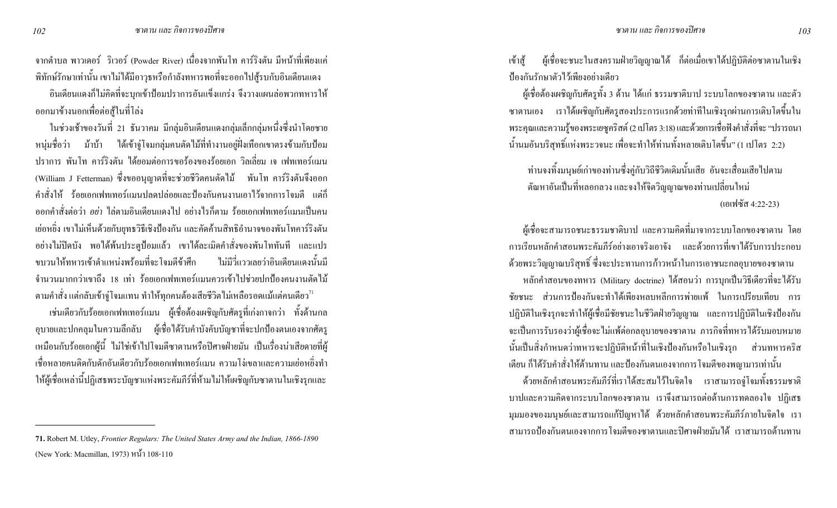ิ จากตำบล พาวเดอร์ ริเวอร์ (Powder River) เนื่องจากพันโท คาร์ริงตัน มีหน้าที่เพียงแค่ ี พิทักษ์รักษาเท่านั้น เขาไม่ได้มีอาวุธหรือกำลังทหารพอที่จะออกไปสู้รบกับอินเดียนแคง

้อินเดียนแดงก็ไม่กิดที่จะบุกเข้าป้อมปราการอันแข็งแกร่ง จึงวางแผนล่อพวกทหารให้ ้ออกมาข้างนอกเพื่อต่อสู้ในที่โล่ง

ในช่วงเช้าของวันที่ 21 ธันวาคม มีกลุ่มอินเดียนแดงกลุ่มเล็กกลุ่มหนึ่งซึ่งนำโดยชาย หนุ่มชื่อว่า ม้าบ้า ใด้เข้าจู่โจมกลุ่มคนตัดไม้ที่ทำงานอยู่ฝั่งเทือกเขาตรงข้ามกับป้อม ี ปราการ พันโท คาร์ริงตัน ได้ยอมต่อการขอร้องของร้อยเอก วิลเลี่ยม เจ เฟทเทอร์แมน (William J Fetterman) ซึ่งขออนุญาตที่จะช่วยชีวิตคนตัดไม้ พันโท คาร์ริงตันจึงออก ี คำสั่งให้ ร้อยเอกเฟทเทอร์แมนปลดปล่อยและป้องกันคนงานเอาไว้จากการโจมตี แต่ก็ ี ออกคำสั่งต่อว่า *อย่า* ไล่ตามอินเดียนแดงไป อย่างไรก็ตาม ร้อยเอกเฟทเทอร์แมนเป็นคน ้ เย่อหยิ่ง เขาไม่เห็นด้วยกับยุทธวิธีเชิงป้องกัน และกัดก้านสิทธิอำนาจของพันโทการ์ริงตัน ้อย่างไม่ปิดบัง พอได้พ้นประตูป้อมแล้ว เขาได้ละเมิดคำสั่งของพันโททันที และแปร ไม่มีวี่แววเลยว่าอินเดียนแดงนั้นมี ขบวนให้ทหารเข้าตำแหน่งพร้อมที่จะโจมตีข้าศึก ้จำนวนมากกว่าเขาถึง 18 เท่า ร้อยเอกเฟทเทอร์แมนควรเข้าไปช่วยปกป้องคนงานตัดไม้ ิตามคำสั่ง แต่กลับเข้างู่โจมแทน ทำให้ทุกคนต้องเสียชีวิตไม่เหลือรอดแม้แต่คนเดียว $^{\prime\prime}$ 

้ เช่นเดียวกับร้อยเอกเฟทเทอร์แมน ผู้เชื่อต้องเผชิญกับศัตรูที่เก่งกาจกว่า ทั้งด้านกล ์ อุบายและปกคลุมในความลึกลับ ผู้เชื่อได้รับคำบังคับบัญชาที่จะปกป้องตนเองจากศัตรู เหมือนกับร้อยเอกผู้นี้ ไม่ใช่เข้าไปโจมตีซาตานหรือปิศาจฝ่ายมัน เป็นเรื่องน่าเสียดายที่ผู้ ้ เชื้อหลายคนติดกับดักอันเดียวกับร้อยเอกเฟทเทอร์แมน ความโง่เขลาและความเย่อหยิ่งทำ ให้ผู้เชื้อเหล่านี้ปฏิเสธพระบัญชาแห่งพระคัมภีร์ที่ห้ามไม่ให้เผชิญกับซาตานในเชิงรุกและ

เข้าส้ ้ ผู้เชื่อจะชนะในสงครามฝ่ายวิญญาณใด้ ก็ต่อเมื่อเขาใด้ปฏิบัติต่อซาตานในเชิง ป้องกันรักษาตัวไว้เพียงอย่างเดียว

ผู้เชื่อด้องเผชิญกับศัตรูทั้ง 3 ด้าน ได้แก่ ธรรมชาติบาป ระบบโลกของซาตาน และตัว ี ซาตานเอง เราได้เผชิญกับศัตรูสองประการแรกด้วยท่าทีในเชิงรุกผ่านการเติบโตขึ้นใน พระคุณและความรู้ของพระเยซูคริสต์ (2 เปโตร 3:18) และด้วยการเชื่อฟังคำสั่งที่จะ "ปรารถนา น้ำนมอันบริสุทธิ์แห่งพระวจนะ เพื่อจะทำให้ท่านทั้งหลายเติบโตขึ้น" (1 เปโตร 2:2)

ท่านจงทิ้งมนุษย์เก่าของท่านซึ่งคู่กับวิถีชีวิตเดิมนั้นเสีย อันจะเสื่อมเสียไปตาม ้ต้นหาอันเป็นที่หลอกลวง และจงให้จิตวิญญาณของท่านเปลี่ยนใหม่ (เอเฟซัส 4:22-23)

ผู้เชื่อจะสามารถชนะธรรมชาติบาป และความคิดที่มาจากระบบโลกของซาตาน โดย ี การเรียนหลักคำสอนพระคัมภีร์อย่างเอาจริงเอาจัง และด้วยการที่เขาได้รับการประกอบ ้ด้วยพระวิญญาณบริสุทธิ์ ซึ่งจะประทานการก้าวหน้าในการเอาชนะกลอุบายของซาตาน ี หลักคำสอนของทหาร (Military doctrine) ใด้สอนว่า การบุกเป็นวิธีเดียวที่จะใด้รับ ์ชัยชนะ ส่วนการป้องกันจะทำได้เพียงหลบหลีกการพ่ายแพ้ ในการเปรียบเทียบ การ ปฏิบัติในเชิงรุกจะทำให้ผู้เชื่อมีชัยชนะในชีวิตฝ่ายวิญญาณ และการปฏิบัติในเชิงป้องกัน ้จะเป็นการรับรองว่าผู้เชื่อจะไม่แพ้ต่อกลอุบายของซาตาน ภารกิจที่ทหารได้รับมอบหมาย นั้นเป็นสิ่งกำหนดว่าทหารจะปฏิบัติหน้าที่ในเชิงป้องกันหรือในเชิงรุก ส่วนทหารคริส ้เตียน ก็ได้รับคำสั่งให้ต้านทาน และป้องกันตนเองจากการโจมตีของพญามารเท่านั้น

ี ค้วยหลักคำสอนพระคัมภีร์ที่เราได้สะสมไว้ในจิตใจ เราสามารถงู่โจมทั้งธรรมชาติ ้ บาปและความคิดจากระบบโลกของซาตาน เราจึงสามารถต่อต้านการทดลองใจ ปฏิเสธ ่ มุมมองของมนุษย์และสามารถแก้ปัญหาใด้ ด้วยหลักคำสอนพระคัมภีร์ภายในจิตใจ เรา ี่ สามารถป้องกันตนเองจากการโจมตีของซาตานและปิศาจฝ่ายมันได้ เราสามารถต้านทาน

102

<sup>71.</sup> Robert M. Utley, Frontier Regulars: The United States Army and the Indian, 1866-1890 (New York: Macmillan, 1973) หน้า 108-110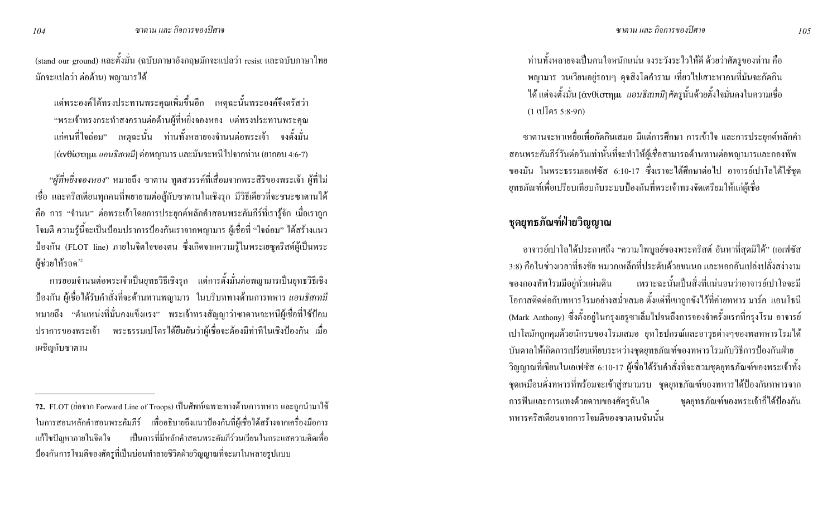(stand our ground) และตั้งมั่น (ฉบับภาษาอังกฤษมักจะแปลว่า resist และฉบับภาษาไทย ้มักจะแปลว่า ต่อต้าน) พญามาร ได้

ี แต่พระองค์ได้ทรงประทานพระคุณเพิ่มขึ้นอีก เหตุฉะนั้นพระองค์จึงตรัสว่า "พระเจ้าทรงกระทำสงครามต่อต้านผู้ที่หยิ่งจองหอง แต่ทรงประทานพระคุณ แก่คนที่ใจถ่อม" เหตุฉะนั้น ท่านทั้งหลายจงจำนนต่อพระเจ้า จงตั้งมั่น  $\left[\dot{\alpha}$ ν $\theta$ ίστημι  $\iota$ ιอนธิสเทมี] ต่อพญามาร $\iota$ เละมันจะหนีไปจากท่าน (ยากอบ 4:6-7)

"ผู้ที่หยิ่งจองหอง" หมายถึง ซาตาน ทูตสวรรค์ที่เสื่อมจากพระสิริของพระเจ้า ผู้ที่ไม่ เชื่อ และคริสเตียนทุกคนที่พยายามต่อสู้กับซาตานในเชิงรุก มีวิธีเดียวที่จะชนะซาตานได้ ี คือ การ "จำนน" ต่อพระเจ้าโดยการประยุกต์หลักคำสอนพระคัมภีร์ที่เรารู้จัก เมื่อเราถูก โจมตี ความรู้นี้จะเป็นป้อมปราการป้องกันเราจากพญามาร ผู้เชื่อที่ "ใจถ่อม" ได้สร้างแนว ป้องกัน (FLOT line) ภายในจิตใจของตน ซึ่งเกิดจากความรู้ในพระเยซูคริสต์ผู้เป็นพระ ผู้ช่วยให้รอด<sup>72</sup>

ี การยอมจำนนต่อพระเจ้าเป็นยุทธวิธีเชิงรุก แต่การตั้งมั่นต่อพญามารเป็นยุทธวิธีเชิง ู้ ป้องกัน ผู้เชื่อได้รับคำสั่งที่จะต้านทานพญามาร ในบริบททางด้านการทหาร *แอนธิสเทมี* หมายถึง "ตำแหน่งที่มั่นคงแข็งแรง" พระเจ้าทรงสัญญาว่าซาตานจะหนีผู้เชื่อที่ใช้ป้อม ปราการของพระเจ้า พระธรรมเปโตรได้ยืนยันว่าผู้เชื่อจะต้องมีท่าทีในเชิงป้องกัน เมื่อ เผชิญกับซาตาน

้ ท่านทั้งหลายจงเป็นคนใจหนักแน่น จงระวังระไวให้ดี ด้วยว่าศัตรูของท่าน คือ พญามาร วนเวียนอยู่รอบๆ คุจสิงโตคำราม เที่ยวไปเสาะหาคนที่มันจะกัดกิน ้ได้ แต่จงตั้งมั่น [ἀνθἰστημι | *แอนธิสเทมี*] ศัตรูนั้นด้วยตั้งใจมั่นคงในความเชื่อ  $(1 \text{ ill}$ โตร 5:8-9ก)

ี ซาตานจะหาเหยื่อเพื่อกัดกินเสมอ มีแต่การศึกษา การเข้าใจ และการประยุกต์หลักคำ สอนพระคัมภีร์วันต่อวันเท่านั้นที่จะทำให้ผู้เชื้อสามารถด้านทานต่อพญามารและกองทัพ ของมัน ในพระธรรมเอเฟซัส 6:10-17 ซึ่งเราจะได้ศึกษาต่อไป อาจารย์เปาโลได้ใช้ชุด ยุทธภัณฑ์เพื่อเปรียบเทียบกับระบบป้องกันที่พระเจ้าทรงจัดเตรียมให้แก่ผู้เชื่อ

## หุดยุทธภัณฑ์ฝ่ายวิญญาณ

่ อาจารย์เปาโลได้ประกาศถึง "ความใพบูลย์ของพระคริสต์ อันหาที่สุดมิได้" (เอเฟซัส ่ 3:8) คือในช่วงเวลาที่ธงชัย หมวกเหล็กที่ประดับด้วยขนนก และหอกอันเปล่งปลั่งสง่างาม ของกองทัพโรมมีอยู่ทั่วแผ่นดิน เพราะฉะนั้นเป็นสิ่งที่แน่นอนว่าอาจารย์เปาโลจะมี โอกาสติดต่อกับทหารโรมอย่างสม่ำเสมอ ตั้งแต่ที่เขาถูกขังไว้ที่ค่ายทหาร มาร์ค แอนโธนี (Mark Anthony) ซึ่งตั้งอยู่ในกรุงเยรูซาเล็มไปจนถึงการจองจำครั้งแรกที่กรุงโรม อาจารย์ ้เป่าโลมักถูกคุมด้วยนักรบของโรมเสมอ ยุทโธปกรณ์และอาวุธต่างๆของพลทหารโรมใด้ บันดาลให้เกิดการเปรียบเทียบระหว่างชุดยุทธภัณฑ์ของทหารโรมกับวิธีการป้องกันฝ่าย วิญญาณที่เขียนในเอเฟซัส 6:10-17 ผู้เชื่อใค้รับคำสั่งที่จะสวมชุดยุทธภัณฑ์ของพระเจ้าทั้ง ิ ชุดเหมือนดั่งทหารที่พร้อมจะเข้าสู่สนามรบ ชุดยุทธภัณฑ์ของทหาร ได้ป้องกันทหารจาก การฟันและการแทงด้วยดาบของศัตรูฉันใด ชุดยุทธภัณฑ์ของพระเจ้าก็ได้ป้องกัน ิทหารคริสเตียนจากการโจมตีของซาตานฉันนั้น

104

<sup>72.</sup> FLOT (ย่อจาก Forward Line of Troops) เป็นศัพท์เฉพาะทางด้านการทหาร และถูกนำมาใช้ ในการสอนหลักคำสอนพระคัมภีร์ เพื่ออธิบายถึงแนวป้องกันที่ผู้เชื่อได้สร้างจากเครื่องมือการ เป็นการที่มีหลักคำสอนพระคัมกีร์วนเวียนในกระแสความคิดเพื่อ แก้ไขปัญหาภายในจิตใจ ้ ป้องกันการโจมตีของศัตรูที่เป็นบ่อนทำลายชีวิตฝ่ายวิญญาณที่จะมาในหลายรูปแบบ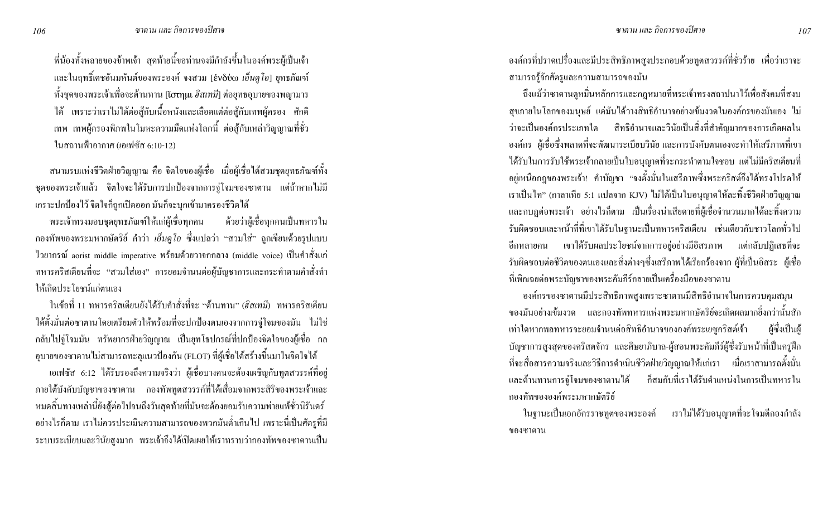พี่น้องทั้งหลายของข้าพเจ้า สุดท้ายนี้ขอท่านจงมีกำลังขึ้นในองค์พระผู้เป็นเจ้า และในฤทธิ์เคชอันมหันต์ของพระองค์ จงสวม [ἐνδύω *เอ็นคูโอ*] ยุทธภัณฑ์ ้ทั้งชุดของพระเจ้าเพื่อจะต้านทาน [เัo<del>t</del>ฤµเ *ฮิสเทมี*] ต่อยุทธอุบายของพญามาร ใด้ เพราะว่าเราไม่ใด้ต่อสู้กับเนื้อหนังและเลือดแต่ต่อสู้กับเทพผู้ครอง ศักดิ เทพ เทพผู้ครองพิภพในโมหะความมืดแห่งโลกนี้ ต่อสู้กับเหล่าวิญญาณที่ชั่ว ในสถานฟ้าอากาศ (เอเฟซัส 6:10-12)

ิสนามรบแห่งชีวิตฝ่ายวิญญาณ คือ จิตใจของผู้เชื่อ เมื่อผู้เชื่อ ได้สวมชุดยุทธภัณฑ์ทั้ง ิชุดของพระเจ้าแล้ว จิตใจจะใด้รับการปกป้องจากการจู่โจมของซาตาน แต่ถ้าหากไม่มี เกราะปกป้องไว้ จิตใจก็ถูกเปิดออก มันก็จะบุกเข้ามาครองชีวิตได้

ด้วยว่าผู้เชื้อทุกคนเป็นทหารใน พระเจ้าทรงมอบชุดยุทธภัณฑ์ให้แก่ผู้เชื่อทุกคน ึกองทัพของพระมหากษัตริย์ คำว่า *เอ็นดูโอ* ซึ่งแปลว่า "สวมใส่" ถูกเขียนด้วยรูปแบบ ไวยากรณ์ aorist middle imperative พร้อมด้วยวาจกกลาง (middle voice) เป็นคำสั่งแก่ ิทหารคริสเตียนที่จะ "สวมใส่เอง" การยอมจำนนต่อผู้บัญชาการและกระทำตามกำสั่งทำ ให้เกิดประโยชบ์แก่ตบเคง

ในข้อที่ 11 ทหารคริสเตียนยังได้รับคำสั่งที่จะ "ต้านทาน" (*ฮิสเทมี*) ทหารคริสเตียน ได้ตั้งมั่นต่อซาตานโดยเตรียมตัวให้พร้อมที่จะปกป้องตนเองจากการจู่โจมของมัน ไม่ใช่ ึกลับใปงู่โจมมัน ทรัพยากรฝ่ายวิญญาณ เป็นยุทโธปกรณ์ที่ปกป้องจิตใจของผู้เชื่อ กล อุบายของซาตานไม่สามารถทะลุแนวป้องกัน (FLOT) ที่ผู้เชื่อได้สร้างขึ้นมาในจิตใจได้

เอเฟซัส 6:12 ใค้รับรองถึงความจริงว่า ผู้เชื่อบางคนจะต้องเผชิญกับทูตสวรรค์ที่อยู่ ี ภายใต้บังคับบัญชาของซาตาน กองทัพทูตสวรรค์ที่ได้เสื่อมจากพระสิริของพระเจ้าและ หมดสิ้นทางเหล่านี้ยังสู้ต่อไปจนถึงวันสุดท้ายที่มันจะต้องยอมรับความพ่ายแพ้ชั่วนิรันดร์ ้อย่างไรก็ตาม เราไม่ควรประเมินความสามารถของพวกมันต่ำเกินไป เพราะนี่เป็นศัตรูที่มี ระบบระเบียบและวินัยสูงมาก พระเจ้าจึงได้เปิดเผยให้เราทราบว่ากองทัพของซาตานเป็น ้องค์กรที่ปราดเปรื่องและมีประสิทธิภาพสูงประกอบด้วยทูตสวรรค์ที่ชั่วร้าย เพื่อว่าเราจะ สามารถรู้จักศัตรูและความสามารถของมัน

ถึงแม้ว่าซาตานดูหมิ่นหลักการและกฎหมายที่พระเจ้าทรงสถาปนาไว้เพื่อสังคมที่สงบ ิสุขภายในโลกของมนุษย์ แต่มันได้วางสิทธิอำนาจอย่างเข้มงวดในองค์กรของมันเอง ไม่ ้ว่าจะเป็นองค์กรประเภทใด สิทธิอำนาจและวินัยเป็นสิ่งที่สำคัญมากของการเกิดผลใน ้ องค์กร ผู้เชื่อซึ่งพลาดที่จะพัฒนาระเบียบวินัย และการบังคับตนเองจะทำให้เสรีภาพที่เขา ใค้รับในการรับใช้พระเจ้ากลายเป็นใบอนุญาตที่จะกระทำตามใจชอบ แต่ไม่มีคริสเตียนที่ ้อยู่เหนือกฎของพระเจ้า! คำบัญชา "จงตั้งมั่นในเสรีภาพซึ่งพระคริสต์จึงได้ทรงโปรดให้ เราเป็นไท" (กาลาเทีย 5:1 แปลจาก KJV) ไม่ได้เป็นใบอนุญาตให้ละทิ้งชีวิตฝ่ายวิญญาณ และกบฏต่อพระเจ้า อย่างไรก็ตาม เป็นเรื่องน่าเสียดายที่ผู้เชื่อจำนวนมากได้ละทิ้งความ รับผิดชอบและหน้าที่ที่เขาได้รับในฐานะเป็นทหารคริสเตียน เช่นเดียวกับชาวโลกทั่วไป ี อีกหลายคน เขาได้รับผลประโยชน์จากการอยู่อย่างมีอิสรภาพ แต่กลับปฏิเสธที่จะ รับผิดชอบต่อชีวิตของตนเองและสิ่งต่างๆซึ่งเสรีภาพได้เรียกร้องจาก ผู้ที่เป็นอิสระ ผู้เชื่อ ที่เพิกเฉยต่อพระบัญชาของพระคัมภีร์กลายเป็นเครื่องมือของซาตาน

องค์กรของซาตานมีประสิทธิภาพสูงเพราะซาตานมีสิทธิอำนาจในการควบคุมสมุน ิ์ ของมันอย่างเข้มงวด และกองทัพทหารแห่งพระมหากษัตริย์จะเกิดผลมากยิ่งกว่านั้นสัก เท่าใดหากพลทหารจะยอมจำนนต่อสิทธิอำนาจขององค์พระเยซูคริสต์เจ้า ผ้ซึ่งเป็นผ้ บัญชาการสูงสุดของคริสตจักร และศิษยาภิบาล-ผู้สอนพระคัมภีร์ผู้ซึ่งรับหน้าที่เป็นครูฝึก ที่จะสื่อสารความจริงและวิธีการคำเนินชีวิตฝ่ายวิญญาณให้แก่เรา เมื่อเราสามารถตั้งมั่น ก็สมกับที่เราได้รับตำแหน่งในการเป็นทหารใน และต้านทานการจู่โจมของซาตานใด้ ึกองทัพขององค์พระมหากษัตริย์

ในฐานะเป็นเอกอัครราชทูตของพระองค์ เราไม่ได้รับอนุญาตที่จะโจมตีกองกำลัง ของซาตาน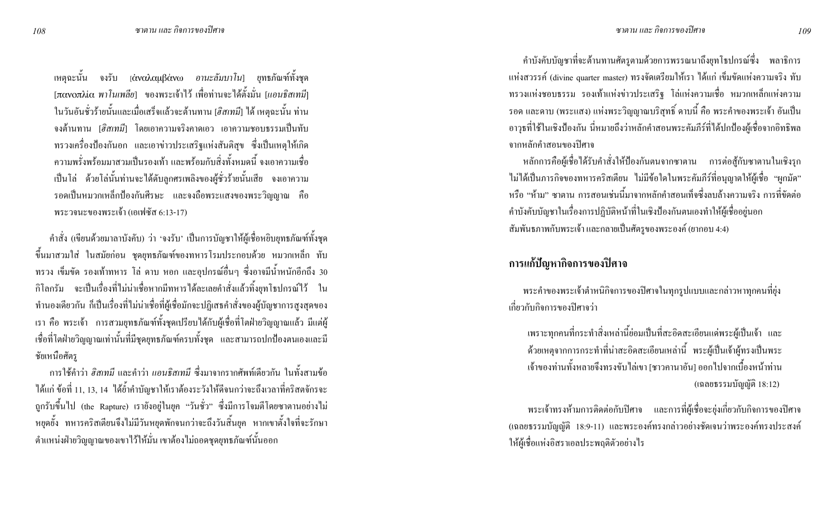เหตุฉะนั้น จงรับ <sub>[</sub>ἀναλαμβάνω อ*านะลัมบาโน*] ยุทธภัณฑ์ทั้งชุด [πανοπλία พา*โนเพลีย*] ของพระเจ้าไว้ เพื่อท่านจะได้ตั้งมั่น [*แอนธิสเทมี*] ในวันอันชั่วร้ายนั้นและเมื่อเสร็จแล้วจะต้านทาน [*ฮิสเทมี*] <sup>"</sup>ได้ เหตุจะนั้น ท่าน จงต้านทาน [*ฮิสเทมี*] โดยเอาความจริงคาดเอว เอาความชอบธรรมเป็นทับ ทรวงเครื่องป้องกันอก และเอาข่าวประเสริฐแห่งสันติสุข ซึ่งเป็นเหตุให้เกิด ความพรั่งพร้อมมาสวมเป็นรองเท้า และพร้อมกับสิ่งทั้งหมดนี้ จงเอาความเชื่อ เป็นโล่ ด้วยโล่นั้นท่านจะได้ดับลูกศรเพลิงของผู้ชั่วร้ายนั้นเสีย จงเอาความ รอดเป็นหมวกเหล็กป้องกันศีรษะ และจงถือพระแสงของพระวิญญาณ คือ พระวจนะของพระเจ้า (เอเฟซัส 6:13-17)

คำสั่ง (เขียนด้วยมาลาบังคับ) ว่า 'จงรับ' เป็นการบัญชาให้ผู้เชื่อหยิบยุทธภัณฑ์ทั้งชุด ี ขึ้นมาสวมใส่ ในสมัยก่อน ชุดยุทธภัณฑ์ของทหารโรมประกอบด้วย หมวกเหล็ก ทับ ทรวง เข็มขัด รองเท้าทหาร โล่ ดาบ หอก และอุปกรณ์อื่นๆ ซึ่งอาจมีน้ำหนักอีกถึง 30 กิโลกรัม จะเป็นเรื่องที่ไม่น่าเชื่อหากมีทหารได้ละเลยคำสั่งแล้วทิ้งยุทโธปกรณ์ไว้ ใน ทำนองเดียวกัน ก็เป็นเรื่องที่ไม่น่าเชื่อที่ผู้เชื่อมักจะปฏิเสธคำสั่งของผู้บัญชาการสูงสุดของ เรา คือ พระเจ้า การสวมยุทธภัณฑ์ทั้งชุดเปรียบได้กับผู้เชื่อที่โตฝ่ายวิญญาณแล้ว มีแต่ผู้ เชื่อที่โตฝ่ายวิญญาณเท่านั้นที่มีชุดยุทธภัณฑ์ครบทั้งชุด และสามารถปกป้องตนเองและมี ชัยเหนือศัตร

การใช้คำว่า *ฮิสเทมี แ*ละคำว่า *แอนธิสเทมี ซึ่*งมาจากรากศัพท์เดียวกัน ในทั้งสามข้อ ได้แก่ ข้อที่ 11, 13, 14 ได้ย้ำคำบัญชาให้เราต้องระวังให้ดีจนกว่าจะถึงเวลาที่คริสตจักรจะ ถูกรับขึ้นไป (the Rapture) เรายังอยู่ในยุค "วันชั่ว" ซึ่งมีการโจมตีโคยซาตานอย่างไม่ หยุดยั้ง ทหารคริสเตียนจึงไม่มีวันหยุดพักจนกว่าจะถึงวันสิ้นยุค หากเขาตั้งใจที่จะรักษา ตำแหน่งฝ่ายวิญญาณของเขาไว้ให้มั่น เขาต้องไม่ถอดชุดยุทธภัณฑ์นั้นออก

คำบังคับบัญชาที่จะด้านทานศัตรูตามด้วยการพรรณนาถึงยุทโธปกรณ์ซึ่ง พลาธิการ แห่งสวรรค์ (divine quarter master) ทรงจัดเตรียมให้เรา ได้แก่ เข็มขัดแห่งความจริง ทับ ทรวงแห่งชอบธรรม รองเท้าแห่งข่าวประเสริฐ โล่แห่งความเชื่อ หมวกเหล็กแห่งความ รอค และคาบ (พระแสง) แห่งพระวิญญาณบริสุทธิ์ คาบนี้ คือ พระคำของพระเจ้า อันเป็น อาวุธที่ใช้ในเชิงป้องกัน นี่หมายถึงว่าหลักคำสอนพระคัมภีร์ที่ได้ปกป้องผู้เชื่อจากอิทธิพล ำกาหลักคำสอนของปิศาจ

หลักการคือผู้เชื่อได้รับคำสั่งให้ป้องกันตนจากซาตาน การต่อสู้กับซาตานในเชิงรุก ใม่ได้เป็นภารกิจของทหารคริสเตียน ไม่มีข้อใคในพระคัมภีร์ที่อนุญาตให้ผู้เชื่อ "ผูกมัค" หรือ "ห้าม" ซาตาน การสอนเช่นนี้มาจากหลักคำสอนเท็จซึ่งลบล้างความจริง การที่ขัดต่อ คำบังคับบัญชาในเรื่องการปฏิบัติหน้าที่ในเชิงป้องกันตนเองทำให้ผู้เชื่ออยู่นอก ้ สัมพันธภาพกับพระเจ้า และกลายเป็นศัตรูของพระองค์ (ยากอบ 4:4)

#### การแก้ปัญหากิจการของปิศาจ

พระคำของพระเจ้าตำหนิกิจการของปีศาจในทุกรูปแบบและกล่าวหาทุกคนที่ยุ่ง เกี่ยวกับกิจการของปีศาจว่า

เพราะทุกคนที่กระทำสิ่งเหล่านี้ย่อมเป็นที่สะอิดสะเอียนแค่พระผู้เป็นเจ้า และ ด้วยเหตุจากการกระทำที่น่าสะอิดสะเอียนเหล่านี้ พระผู้เป็นเจ้าผู้ทรงเป็นพระ ู้ เจ้าของท่านทั้งหลายจึงทรงขับ ไล่เขา [ชาวคานาอัน] ออก ไปจากเบื้องหน้าท่าน (เฉลยธรรมบัญญัติ 18:12)

พระเจ้าทรงห้ามการติดต่อกับปิศาจ และการที่ผู้เชื่อจะยุ่งเกี่ยวกับกิจการของปิศาจ (เฉลยธรรมบัญญัติ 18:9-11) และพระองค์ทรงกล่าวอย่างชัดเจนว่าพระองค์ทรงประสงค์ ให้ผู้เชื่อแห่งอิสราเอลประพฤติตัวอย่างไร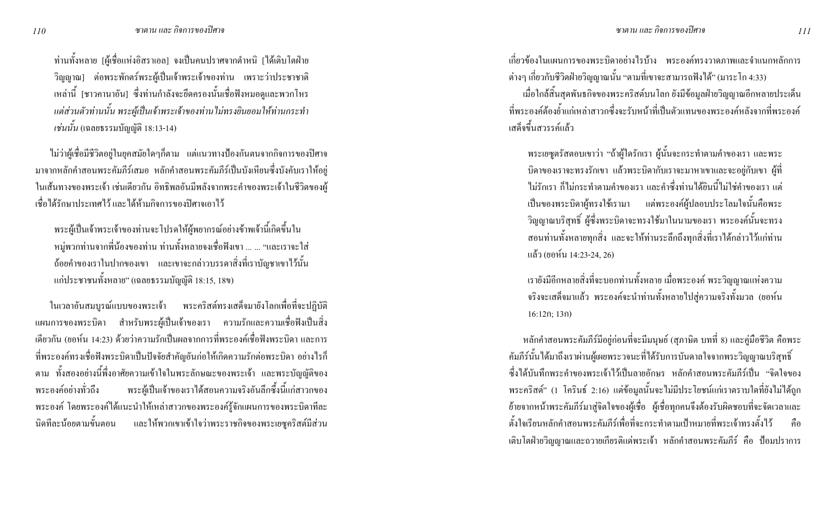ท่านทั้งหลาย [ผู้เชื่อแห่งอิสราเอล] จงเป็นคนปราศจากตำหนิ [ได้เติบโตฝ่าย วิญญาณ] ต่อพระพักตร์พระผู้เป็นเจ้าพระเจ้าของท่าน เพราะว่าประชาชาติ เหล่านี้ [ชาวกานาอัน] ซึ่งท่านกำลังจะยึดกรองนั้นเชื่อฟังหมอดูและพวกโหร แต่ส่วนตัวท่านนั้น พระผู้เป็นเจ้าพระเจ้าของท่านไม่ทรงยินยอมให้ท่านกระทำ *เช่นนั้น* (เฉลยธรรมบัญญัติ 18:13-14)

ไม่ว่าผู้เชื่อมีชีวิตอยู่ในยุคสมัยใคๆก็ตาม แต่แนวทางป้องกันตนจากกิจการของปิศาจ มาจากหลักคำสอนพระคัมภีร์เสมอ หลักคำสอนพระคัมภีร์เป็นบังเหียนซึ่งบังคับเราให้อยู่ ในเส้นทางของพระเจ้า เช่นเคียวกัน อิทธิพลอันมีพลังจากพระคำของพระเจ้าในชีวิตของผู้ เชื้อใค้รักษาประเทศไว้ และใค้ห้ามกิจการของปิศาจเอาไว้

พระผู้เป็นเจ้าพระเจ้าของท่านจะ โปรคให้ผู้พยากรณ์อย่างข้าพเจ้านี้เกิดขึ้นใน หมู่พวกท่านจากพี่น้องของท่าน ท่านทั้งหลายจงเชื่อฟังเขา ... ... "และเราจะใส่ ถ้อยคำของเราในปากของเขา และเขาจะกล่าวบรรดาสิ่งที่เราบัญชาเขาไว้นั้น แก่ประชาชนทั้งหลาย" (เฉลยธรรมบัญญัติ 18:15, 18ข)

ในเวลาอันสมบูรณ์แบบของพระเจ้า พระคริสต์ทรงเสด็จมายังโลกเพื่อที่จะปฏิบัติ แผนการของพระบิดา สำหรับพระผู้เป็นเจ้าของเรา ความรักและความเชื่อฟังเป็นสิ่ง เดียวกัน (ยอห์น 14:23) ด้วยว่าความรักเป็นผลจากการที่พระองค์เชื่อฟังพระบิดา และการ ที่พระองค์ทรงเชื่อฟังพระบิดาเป็นปัจจัยสำคัญอันก่อให้เกิดความรักต่อพระบิดา อย่างไรก็ ตาม ทั้งสองอย่างนี้พึ่งอาศัยความเข้าใจในพระลักษณะของพระเจ้า และพระบัญญัติของ พระองค์อย่างทั่วถึง พระผู้เป็นเจ้าของเราได้สอนความจริงอันลึกซึ้งนี้แก่สาวกของ พระองค์ โดยพระองค์ได้แนะนำให้เหล่าสาวกของพระองค์รู้จักแผนการของพระบิดาทีละ นิดทีละน้อยตามขั้นตอน ดทีละน้อยตามขั้นตอน และให้พวกเขาเข้าใจว่าพระราชกิจของพระเยซูคริสต์มีส่วน เกี่ยวข้องในแผนการของพระบิดาอย่างไรบ้าง พระองค์ทรงวาดภาพและจำแนกหลักการ ต่างๆ เกี่ยวกับชีวิตฝ่ายวิญญาณนั้น "ตามที่เขาจะสามารถฟังได้" (มาระโก 4:33)

เมื่อใกล้สิ้นสุดพันธกิจของพระคริสต์บนโลก ยังมีข้อมูลฝ่ายวิญญาณอีกหลายประเด็น ที่พระองค์ต้องย้ำแก่เหล่าสาวกซึ่งจะรับหน้าที่เป็นตัวแทนของพระองค์หลังจากที่พระองค์ เสด็จขึ้นสวรรค์แล้ว

พระเยซูตรัสตอบเขาว่า "ถ้าผู้ใครักเรา ผู้นั้นจะกระทำตามคำของเรา และพระ บิดาของเราจะทรงรักเขา แล้วพระบิดากับเราจะมาหาเขาและจะอยู่กับเขา ผู้ที่ ไม่รักเรา ก็ไม่กระทำตามกำของเรา และคำซึ่งท่านได้ยินนี้ไม่ใช่กำของเรา แต่ เป็นของพระบิดาผู้ทรงใช้เรามา แต่พระองค์ผู้ปลอบประโลมใจนั้นคือพระ วิญญาณบริสุทธิ์ ผู้ซึ่งพระบิดาจะทรงใช้มาในนามของเรา พระองค์นั้นจะทรง สอนท่านทั้งหลายทุกสิ่ง และจะให้ท่านระลึกถึงทุกสิ่งที่เราได้กล่าวไว้แก่ท่าน แล้ว (ยอห์น 14:23-24, 26)

เรายังมีอีกหลายสิ่งที่จะบอกท่านทั้งหลาย เมื่อพระองค์ พระวิญญาณแห่งความ จริงจะเสด็จมาแล้ว พระองค์จะนำท่านทั้งหลายไปสู่ความจริงทั้งมวล (ยอห์น 16:12ก; 13ก)

หลักคำสอนพระคัมภีร์มีอยู่ก่อนที่จะมีมนุษย์ (สุภาษิต บทที่ 8) และคู่มือชีวิต คือพระ คัมภีร์นั้นใค้มาถึงเราผ่านผู้เผยพระวจนะที่ไค้รับการบันคาลใจจากพระวิญญาณบริสุทธิ์ ซึ่งได้บันทึกพระคำของพระเจ้าไว้เป็นลายอักษร หลักคำสอนพระคัมภีร์เป็น "จิตใจของ พระคริสต์" (1 โครินธ์ 2:16) แต่ข้อมูลนั้นจะไม่มีประโยชน์แก่เราตราบใดที่ยังไม่ได้ถูก ย้ายจากหน้าพระคัมภีร์มาสู่จิตใจของผู้เชื่อ ผู้เชื่อทุกคนจึงต้องรับผิดชอบที่จะจัดเวลาและ ี ตั้งใจเรียนหลักคำสอนพระคัมภีร์เพื่อที่จะกระทำตามเป้าหมายที่พระเจ้าทรงตั้งไว้ คือ เติบโตฝ่ายวิญญาณและถวายเกียรติแค่พระเจ้า หลักคำสอนพระคัมภีร์ คือ ป้อมปราการ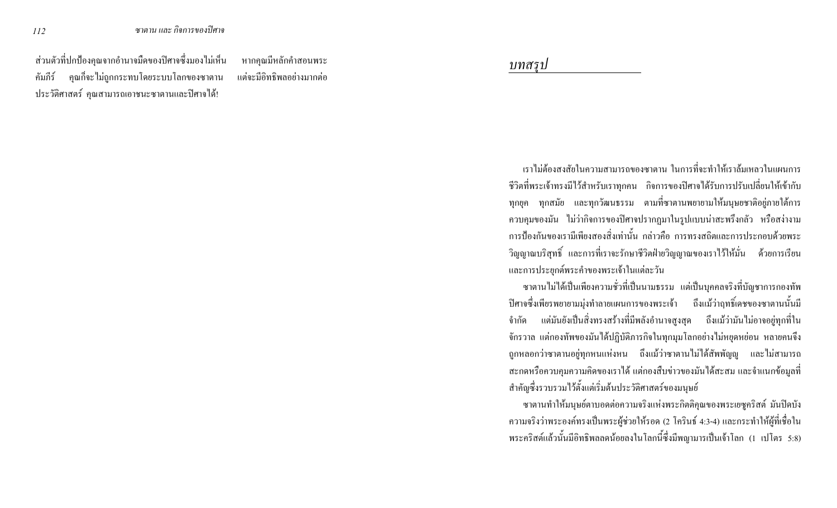ส่วนตัวที่ปกป้องคุณจากอำนาจมืดของปิศาจซึ่งมองไม่เห็น คัมภีร์ ้คุณก็จะไม่ถูกกระทบโดยระบบโลกของซาตาน ประวัติศาสตร์ คุณสามารถเอาชนะซาตานและปิศาจได้!

หากคุณมีหลักคำสอนพระ แต่จะมีอิทธิพลอย่างมากต่อ

บทสรป

้ เราไม่ต้องสงสัยในความสามารถของซาตาน ในการที่จะทำให้เราล้มเหลวในแผนการ ้ชีวิตที่พระเจ้าทรงมีไว้สำหรับเราทุกคน กิจการของปิศาจได้รับการปรับเปลี่ยนให้เข้ากับ ทุกยุค ทุกสมัย และทุกวัฒนธรรม ตามที่ซาตานพยายามให้มนุษยชาติอยู่ภายใต้การ ิ ควบคุมของมัน "ไม่ว่ากิจการของปีศาจปรากฎมาในรูปแบบน่าสะพรึงกลัว หรือสง่างาม ิ การป้องกันของเรามีเพียงสองสิ่งเท่านั้น กล่าวคือ การทรงสถิตและการประกอบด้วยพระ ี วิญญาณบริสุทธิ์ และการที่เราจะรักษาชีวิตฝ่ายวิญญาณของเราไว้ให้มั่น ด้วยการเรียน และการประยุกต์พระคำของพระเจ้าในแต่ละวัน

ซาตานไม่ได้เป็นเพียงความชั่วที่เป็นนามธรรม แต่เป็นบุคคลจริงที่บัญชาการกองทัพ ปิศาจซึ่งเพียรพยายามมุ่งทำลายแผนการของพระเจ้า ถึงแม้ว่าฤทธิ์เคชของซาตานนั้นมี ้จำกัด แต่มันยังเป็นสิ่งทรงสร้างที่มีพลังอำนาจสูงสุด ถึงแม้ว่ามันไม่อาจอยู่ทุกที่ใน จักรวาล แต่กองทัพของมันได้ปฏิบัติภารกิจในทุกมุมโลกอย่างไม่หยุดหย่อน หลายคนจึง ี ถูกหลอกว่าซาตานอยู่ทุกหนแห่งหน ถึงแม้ว่าซาตานไม่ได้สัพพัญญู และไม่สามารถ ิสะกดหรือควบคุมความคิดของเราได้ แต่กองสืบข่าวของมันได้สะสม และจำแนกข้อมูลที่ ี สำคัญซึ่งรวบรวมไว้ตั้งแต่เริ่มต้นประวัติศาสตร์ของมนุษย์

ซาตานทำให้มนุษย์ตาบอดต่อความจริงแห่งพระกิตติคุณของพระเยซูคริสต์ มันปิดบัง ี ความจริงว่าพระองค์ทรงเป็นพระผู้ช่วยให้รอด (2 โครินธ์ 4:3-4) และกระทำให้ผู้ที่เชื่อใน พระคริสต์แล้วนั้นมีอิทธิพลลดน้อยลงในโลกนี้ซึ่งมีพญามารเป็นเจ้าโลก (1 เปโตร 5:8)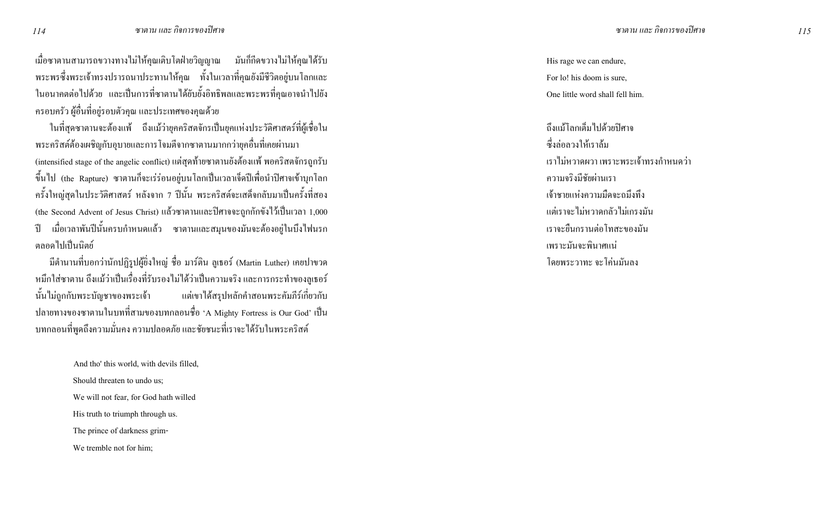เมื่อซาตานสามารถขวางทางไม่ให้คุณเติบโตฝ่ายวิญญาณ มันก็กีดขวางไม่ให้คุณได้รับ ี พระพรซึ่งพระเจ้าทรงปรารถนาประทานให้คุณ ทั้งในเวลาที่คุณยังมีชีวิตอยู่บนโลกและ ในอนากตต่อไปด้วย และเป็นการที่ซาตานได้ยับยั้งอิทธิพลและพระพรที่คุณอาจนำไปยัง ่ ครอบครัว ผู้อื่นที่อยู่รอบตัวคุณ และประเทศของคุณด้วย

ในที่สุดซาตานจะต้องแพ้ ถึงแม้ว่ายุคคริสตจักรเป็นยุคแห่งประวัติศาสตร์ที่ผู้เชื่อใน ี พระคริสต์ต้องเผชิญกับอุบายและการโจมตีจากซาตานมากกว่ายุคอื่นที่เคยผ่านมา (intensified stage of the angelic conflict) แต่สุดท้ายซาตานยังต้องแพ้ พอคริสตจักรถูกรับ ่ ขึ้นไป (the Rapture) ซาตานก็จะเร่ร่อนอยู่บนโลกเป็นเวลาเจ็ดปีเพื่อนำปีศาจเข้าบุกโลก ี ครั้งใหญ่สุดในประวัติศาสตร์ หลังจาก 7 ปีนั้น พระคริสต์จะเสด็จกลับมาเป็นครั้งที่สอง (the Second Advent of Jesus Christ) แล้วซาตานและปิศาจจะถูกกักขังไว้เป็นเวลา 1,000 ้ เมื่อเวลาพันปีนั้นครบกำหนดแล้ว ซาตานและสมุนของมันจะต้องอยู่ในบึงไฟนรก ำไ ิตลอดไปเป็นนิตย์

มีตำนานที่บอกว่านักปฏิรูปผู้ยิ่งใหญ่ ชื่อ มาร์ติน ลูเธอร์ (Martin Luther) เกยปาขวด หมึกใส่ซาตาน ถึงแม้ว่าเป็นเรื่องที่รับรองไม่ได้ว่าเป็นความจริง และการกระทำของลูเธอร์ นั้นไม่ถูกกับพระบัญชาของพระเจ้า แต่เขาได้สรุปหลักคำสอนพระคัมภีร์เกี่ยวกับ ปลายทางของซาตานในบทที่สามของบทกลอนชื่อ 'A Mighty Fortress is Our God' เป็น ิ บทกลอนที่พูดถึงความมั่นคง ความปลอดภัย และชัยชนะที่เราจะได้รับในพระคริสต์

> And tho' this world, with devils filled, Should threaten to undo us: We will not fear, for God hath willed His truth to triumph through us. The prince of darkness grim-We tremble not for him:

His rage we can endure, For lo! his doom is sure, One little word shall fell him.

ถึงแม้โลกเต็มไปด้วยปิศาจ ซึ่งล่อลวงให้เราล้ม ้เราไม่หวาดผวา เพราะพระเจ้าทรงกำหนดว่า ความจริงมีชัยผ่านเรา ้เจ้าชายแห่งความมืดจะถมึงทึ่ง ้แต่เราจะไม่หวาดกลัวไม่เกรงมัน เราจะยืนกรานต่อโทสะของมัน เพราะมันจะพินาศแน่ โดยพระวาทะ จะโค่นมันลง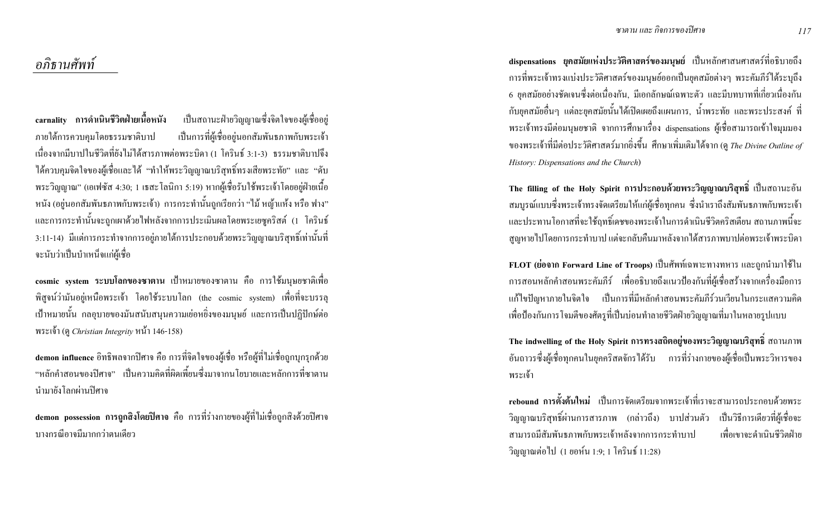dispensations ยุคสมัยแห่งประวัติศาสตร์ของมนุษย์ เป็นหลักศาสนศาสตร์ที่อธิบายถึง ิ การที่พระเจ้าทรงแบ่งประวัติศาสตร์ของมนุษย์ออกเป็นยกสมัยต่างๆ พระคัมภีร์ได้ระบถึง 6 ยุคสมัยอย่างชัดเจนซึ่งต่อเนื่องกัน, มีเอกลักษณ์เฉพาะตัว และมีบทบาทที่เกี่ยวเนื่องกัน ี กับยุกสมัยอื่นๆ แต่ละยุกสมัยนั้นได้เปิดเผยถึงแผนการ, น้ำพระทัย และพระประสงค์ ที่ พระเจ้าทรงมีต่อมนุษยชาติ จากการศึกษาเรื่อง dispensations ผู้เชื่อสามารถเข้าใจมุมมอง ของพระเจ้าที่มีต่อประวัติศาสตร์มากยิ่งขึ้น ศึกษาเพิ่มเติมได้จาก (ดู *The Divine Outline of* History: Dispensations and the Church)

The filling of the Holy Spirit การประกอบด้วยพระวิญญาณบริสุทธิ์ เป็นสถานะอัน ิ สมบูรณ์แบบซึ่งพระเจ้าทรงจัดเตรียมให้แก่ผู้เชื่อทุกคน ซึ่งนำเราถึงสัมพันธภาพกับพระเจ้า และประทานโอกาสที่จะใช้ฤทธิ์เคชของพระเจ้าในการคำเนินชีวิตคริสเตียน สถานภาพนี้จะ ิสูญหายใปโดยการกระทำบาป แต่จะกลับคืนมาหลังจากใด้สารภาพบาปต่อพระเจ้าพระบิดา

FLOT (ย่อจาก Forward Line of Troops) เป็นศัพท์เฉพาะทางทหาร และถูกนำมาใช้ใน ึการสอนหลักคำสอนพระคัมภีร์ เพื่ออธิบายถึงแนวป้องกันที่ผู้เชื้อสร้างจากเครื่องมือการ แก้ไขปัญหาภายในจิตใจ เป็นการที่มีหลักคำสอนพระคัมภีร์วนเวียนในกระแสความคิด ้ เพื่อป้องกันการ โจมตีของศัตรูที่เป็นบ่อนทำลายชีวิตฝ่ายวิญญาณที่มาในหลายรูปแบบ

The indwelling of the Holy Spirit การทรงสถิตอยู่ของพระวิญญาณบริสุทธิ์ สถานภาพ อันถาวรซึ่งผู้เชื่อทุกคนในยุคคริสตจักรได้รับ การที่ร่างกายของผู้เชื่อเป็นพระวิหารของ พระเจ้า

rebound การตั้งต้นใหม่ เป็นการจัดเตรียมจากพระเจ้าที่เราจะสามารถประกอบด้วยพระ ้วิญญาณบริสุทธิ์ผ่านการสารภาพ (กล่าวถึง) บาปส่วนตัว เป็นวิธีการเดียวที่ผู้เชื่อจะ ิสามารถมีสัมพันธภาพกับพระเจ้าหลังจากการกระทำบาป ้ เพื่อเขาจะดำเนินชีวิตฝ่าย วิญญาณต่อไป (1 ยอห์น 1:9; 1 โครินธ์ 11:28)

อภิธานศัพท์

เป็นสถานะฝ่ายวิญญาณซึ่งจิตใจของผู้เชื่ออยู่ carnality การดำเนินชีวิตฝ่ายเนื้อหนัง เป็นการที่ผู้เชื่ออยู่นอกสัมพันธภาพกับพระเจ้า ภายใต้การควบคุมโดยธรรมชาติบาป ้ เนื่องจากมีบาปในชีวิตที่ยังไม่ได้สารภาพต่อพระบิดา (1 โครินธ์ 3:1-3) ธรรมชาติบาปจึง ได้ควบคุมจิตใจของผู้เชื่อและได้ "ทำให้พระวิญญาณบริสุทธิ์ทรงเสียพระทัย" และ "ดับ พระวิญญาณ" (เอเฟซัส 4:30; 1 เธสะโลนิกา 5:19) หากผู้เชื่อรับใช้พระเจ้าโคยอยู่ฝ่ายเนื้อ หนัง (อยู่นอกสัมพันธภาพกับพระเจ้า) การกระทำนั้นถูกเรียกว่า "ไม้ หญ้าแห้ง หรือ ฟาง" และการกระทำนั้นจะถูกเผาด้วยใฟหลังจากการประเมินผลโดยพระเยซูคริสต์ (1 โครินธ์ 3:11-14) มีแต่การกระทำจากการอยู่ภายใต้การประกอบด้วยพระวิญญาณบริสุทธิ์เท่านั้นที่ ้จะนับว่าเป็นบำเหน็จแก่ผู้เชื้อ

cosmic system ระบบโลกของซาตาน เป้าหมายของซาตาน คือ การใช้มนุษยชาติเพื่อ ี พิสูจน์ว่ามันอยู่เหนือพระเจ้า โดยใช้ระบบโลก (the cosmic system) เพื่อที่จะบรรลุ ้เป้าหมายนั้น กลอุบายของมันสนับสนุนความเย่อหยิ่งของมนุษย์ และการเป็นปฏิปักษ์ต่อ พระเจ้า (ดู Christian Integrity หน้า 146-158)

demon influence อิทธิพลจากปิศาจ คือ การที่จิตใจของผู้เชื่อ หรือผู้ที่ไม่เชื่อถูกบุกรุกด้วย "หลักคำสอบของปีศาจ" เป็นความคิดที่ผิดเพี้ยบซึ่งมาจากบโยบายและหลักการที่ซาตาบ นำมายังโลกผ่านปิศาจ

demon possession การถูกสิ่งโดยปิศาจ คือ การที่ร่างกายของผู้ที่ไม่เชื่อถูกสิ่งด้วยปิศาจ บางกรณีอาจมีมากกว่าตนเดียว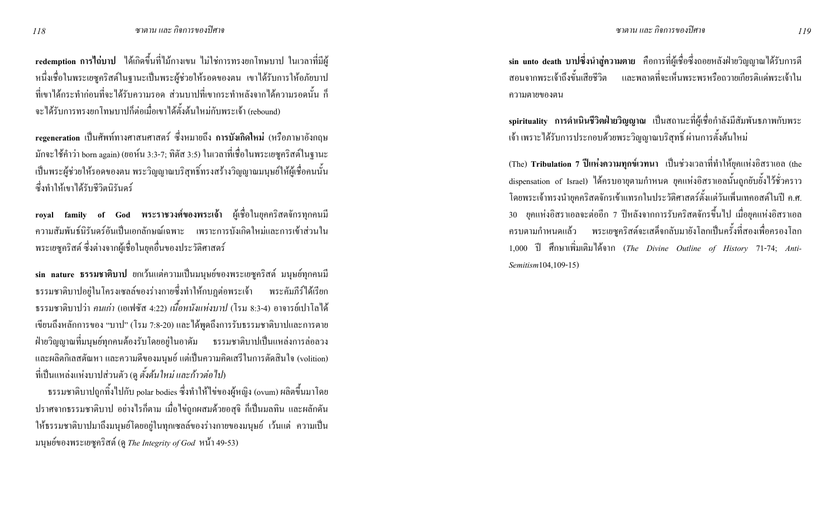redemption การไถ่บาป ได้เกิดขึ้นที่ไม้กางเขน ไม่ใช่การทรงยกโทษบาป ในเวลาที่มีผู้ หนึ่งเชื่อในพระเยซคริสต์ในจานะเป็นพระผ้ช่วยให้รอคของตน เขาได้รับการให้อภัยบาป ี่ ที่เขาได้กระทำก่อนที่จะได้รับความรอด ส่วนบาปที่เขากระทำหลังจากได้ความรอดนั้น ก็ จะได้รับการทรงยกโทษบาปก็ต่อเมื่อเขาได้ตั้งต้นใหม่กับพระเจ้า (rebound)

regeneration เป็นศัพท์ทางศาสนศาสตร์ ซึ่งหมายถึง การบังเกิดใหม่ (หรือภาษาอังกฤษ ี มักจะใช้คำว่า born again) (ยอห์น 3:3-7; ทิตัส 3:5) ในเวลาที่เชื่อในพระเยซคริสต์ในจานะ ้เป็นพระผู้ช่วยให้รอดของตน พระวิญญาณบริสุทธิ์ทรงสร้างวิญญาณมนุษย์ให้ผู้เชื้อคนนั้น ซึ่งทำให้เขาได้รับชีวิตนิรันคร์

royal family of God พระราชวงศ์ของพระเจ้า ผู้เชื่อในยุคคริสตจักรทุกคนมี ี ความสัมพันธ์นิรันดร์อันเป็นเอกลักษณ์เฉพาะ เพราะการบังเกิดใหม่และการเข้าส่วนใน ิ พระเยซูคริสต์ ซึ่งต่างจากผู้เชื่อในยุคอื่นของประวัติศาสตร์

sin nature ธรรมชาติบาป ยกเว้นแต่ความเป็นมนุษย์ของพระเยซูคริสต์ มนุษย์ทุกคนมี ิ ธรรมชาติบาปอยู่ในโครงเซลล์ของร่างกายซึ่งทำให้กบฏต่อพระเจ้า พระคัมภีร์ได้เรียก ี ธรรมชาติบาปว่า *คนเก่า* (เอเฟซัส 4:22) *เนื้อหนังแห่งบาป (*โรม 8:3-4) อาจารย์เปาโลได้ เขียนถึงหลักการของ "บาป" (โรม 7:8-20) และได้พูดถึงการรับธรรมชาติบาปและการตาย ่ ฝ่ายวิญญาณที่มนุษย์ทุกคนต้องรับโดยอยู่ในอาดัม ธรรมชาติบาปเป็นแหล่งการล่อลวง และผลิตกิเลสตัณหา และความดีของมนุษย์ แต่เป็นความคิดเสรีในการตัดสินใจ (volition) ี่ที่เป็นแหล่งแห่งบาปส่วนตัว (ด ตั้งต้นใหม่ และก้าวต่อไป)

ิ ธรรมชาติบาปถูกทิ้งไปกับ polar bodies ซึ่งทำให้ไข่ของผู้หญิง (ovum) ผลิตขึ้นมาโดย ี ปราศจากธรรมชาติบาป อย่างไรก็ตาม เมื่อไข่ถูกผสมด้วยอสุจิ ก็เป็นมลทิน และผลักดัน ให้ธรรมชาติบาปมาถึงมนุษย์โดยอยู่ในทุกเซลล์ของร่างกายของมนุษย์ เว้นแต่ ความเป็น มนุษย์ของพระเยซูกริสต์ (ดู The Integrity of God หน้า 49-53)

sin unto death บาปซึ่งนำสู่ความตาย คือการที่ผู้เชื่อซึ่งถอยหลังฝ่ายวิญญาณใด้รับการตี ิ สอบจากพระเจ้าถึงขั้นเสียชีวิต และพลาดที่จะเห็นพระพรหรือถวายเกียรติแด่พระเจ้าใน ความตายของตน

spirituality การดำเนินชีวิตฝ่ายวิญญาณ เป็นสถานะที่ผู้เชื่อกำลังมีสัมพันธภาพกับพระ ้ เจ้า เพราะ"ใค้รับการประกอบด้วยพระวิญญาณบริสุทธิ์ ผ่านการตั้งต้นใหม่

(The) Tribulation 7 ปีแห่งความทุกข์เวทนา เป็นช่วงเวลาที่ทำให้ยุกแห่งอิสราเอล (the dispensation of Israel) ได้ครบอายุตามกำหนด ยุคแห่งอิสราเอลนั้นถูกยับยั้งไว้ชั่วคราว โดยพระเจ้าทรงนำยุคคริสตจักรเข้าแทรกในประวัติศาสตร์ตั้งแต่วันเพิ่นเทคอสต์ในปี ค.ศ. 30 ยุคแห่งอิสราเอลจะต่ออีก 7 ปีหลังจากการรับคริสตจักรขึ้นไป เมื่อยุคแห่งอิสราเอล ึ ครบตามกำหนดแล้ว พระเยซูคริสต์จะเสด็จกลับมายังโลกเป็นครั้งที่สองเพื่อครองโลก 1,000 ปี ศึกษาเพิ่มเติมได้จาก (The Divine Outline of History 71-74; Anti-Semitism104,109-15)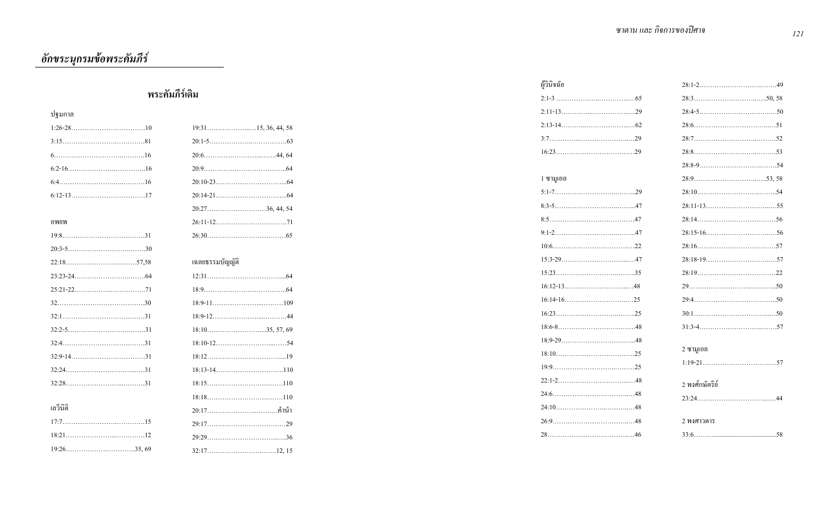<u>้ อักขระนุกร</u>มข้อพระคัมภีร์

|                |                    | ผ้วินิจฉัย |                  |
|----------------|--------------------|------------|------------------|
| พระคัมภีร์เดิม |                    |            |                  |
| ปฐมกาล         |                    |            |                  |
|                |                    |            |                  |
|                |                    |            |                  |
|                |                    |            |                  |
|                |                    |            |                  |
|                |                    | 1 ซามูเอล  |                  |
|                |                    |            |                  |
|                | $20:27$ 36, 44, 54 |            |                  |
| อพยพ           |                    |            |                  |
|                |                    |            |                  |
|                |                    |            |                  |
|                | เฉลยธรรมบัญญัติ    |            |                  |
|                |                    |            |                  |
|                |                    |            |                  |
|                |                    |            |                  |
|                |                    |            |                  |
|                |                    |            |                  |
|                |                    |            |                  |
|                |                    |            | ่ 2 ซามูเอล      |
|                |                    |            |                  |
|                |                    |            | ่ 2 พงศ์กษัตริย์ |
|                |                    |            |                  |
| เลวีนิติ       |                    |            |                  |
|                |                    |            | 2 พงศาวดาร       |
|                |                    |            | 58               |
|                |                    |            |                  |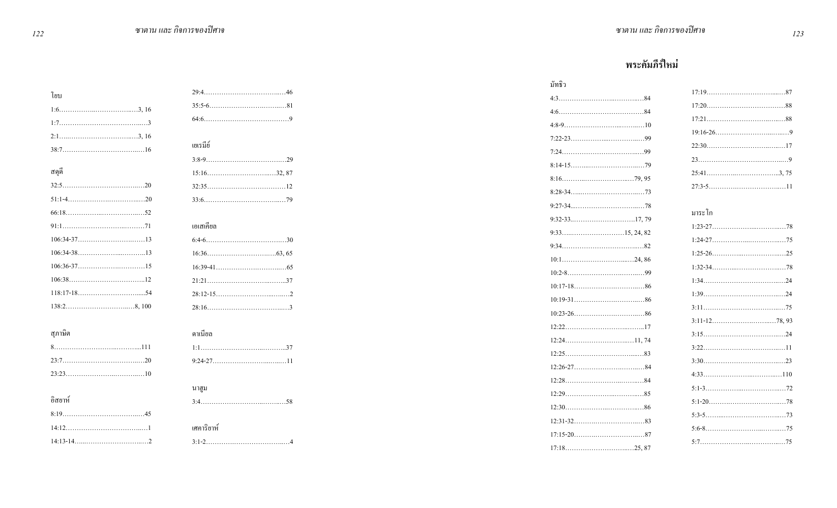## พระคัมภีร์ใหม่

|         |            | มัทธิว |        |
|---------|------------|--------|--------|
| โยบ     |            |        |        |
|         |            |        |        |
| $1:73$  |            |        |        |
|         |            |        |        |
|         | เยเรมีย์   |        |        |
|         |            |        |        |
| ิสดุดี  |            |        |        |
|         |            |        |        |
|         |            |        |        |
|         |            |        | มาระโก |
|         | เอเสเคียล  |        |        |
|         |            |        |        |
|         |            |        |        |
|         |            |        |        |
|         |            |        |        |
|         |            |        |        |
|         |            |        |        |
|         |            |        |        |
| สุภาษิต | ดาเนียล    |        |        |
|         |            |        |        |
|         |            |        |        |
|         |            |        |        |
|         | นาฮูม      |        |        |
| อิสยาห์ |            |        |        |
|         |            |        |        |
|         | เศการิยาห์ |        |        |
|         |            |        |        |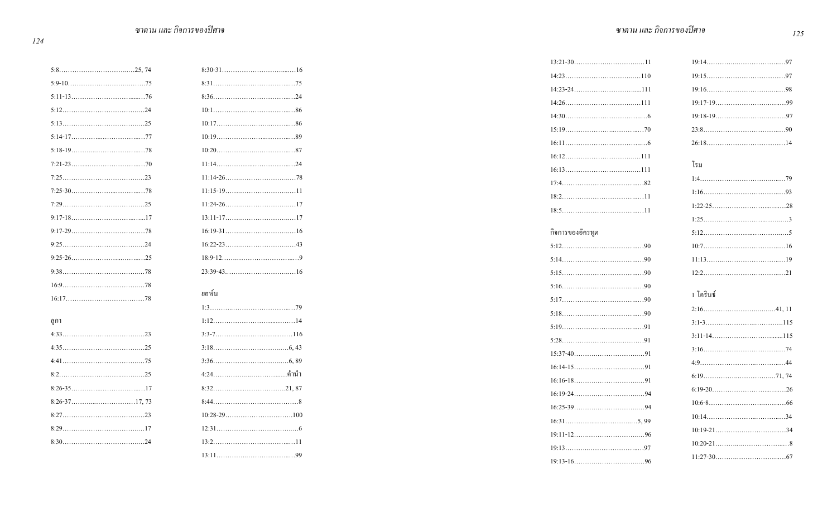| ดูกา |
|------|
|      |
|      |
|      |
|      |
|      |
|      |
|      |

| ยอห์น                |
|----------------------|
|                      |
|                      |
|                      |
|                      |
|                      |
| 4:24………………………………คำนำ |
|                      |
|                      |
|                      |
|                      |
|                      |
|                      |

| $14:30$ 6        |           |
|------------------|-----------|
|                  |           |
|                  |           |
|                  |           |
|                  | โรม       |
|                  |           |
|                  |           |
|                  |           |
|                  |           |
| กิจการของอัครทูต |           |
|                  |           |
|                  |           |
|                  |           |
|                  |           |
|                  | 1 โครินธ์ |
|                  |           |
|                  |           |
|                  |           |
|                  |           |
|                  |           |
|                  |           |
|                  |           |
|                  |           |
|                  |           |
|                  |           |
|                  |           |
|                  |           |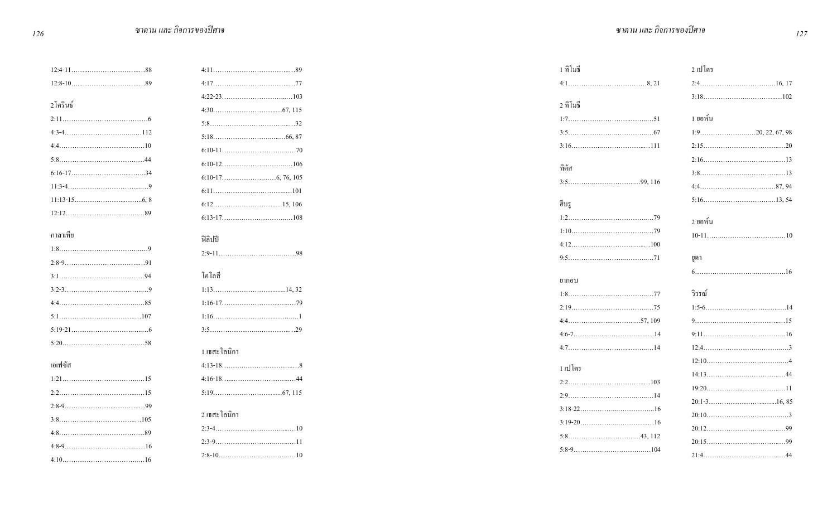|          |              | 1 ทิโมธี | 2 เปโตร   |
|----------|--------------|----------|-----------|
|          |              |          |           |
| 2โครินธ์ |              | 2 ทิโมธี |           |
|          |              |          | 1 ยอห์น   |
|          |              |          |           |
|          |              |          |           |
|          |              | ทิตัส    |           |
|          |              |          |           |
|          |              |          |           |
|          |              | ฮิบรู    |           |
|          |              |          | ่ 2 ยอห์น |
| กาลาเทีย |              |          |           |
|          | ฟิลิปปี      |          |           |
|          |              |          | ยูคา      |
|          | โคโลสี       |          |           |
|          |              | ยากอบ    |           |
|          |              |          | วิวรณ์    |
|          |              |          |           |
|          |              |          |           |
|          |              |          |           |
|          | 1 เธสะโลนิกา |          |           |
| เอเฟซัส  |              | 1 เปโตร  |           |
|          |              |          |           |
|          |              |          |           |
|          |              |          |           |
|          | 2 เธสะโลนิกา |          |           |
|          |              |          |           |
|          |              |          |           |
|          |              |          |           |